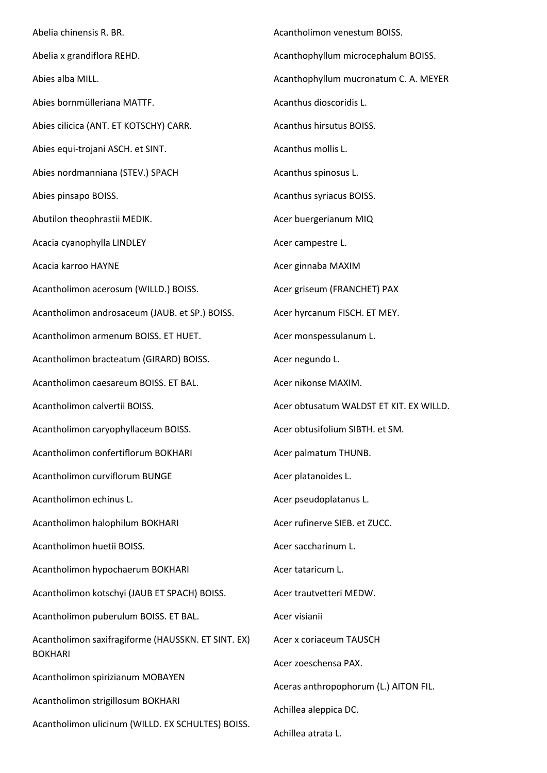Abelia chinensis R. BR. Abelia x grandiflora REHD. Abies alba MILL. Abies bornmülleriana MATTF. Abies cilicica (ANT. ET KOTSCHY) CARR. Abies equi-trojani ASCH. et SINT. Abies nordmanniana (STEV.) SPACH Abies pinsapo BOISS. Abutilon theophrastii MEDIK. Acacia cyanophylla LINDLEY Acacia karroo HAYNE Acantholimon acerosum (WILLD.) BOISS. Acantholimon androsaceum (JAUB. et SP.) BOISS. Acantholimon armenum BOISS. ET HUET. Acantholimon bracteatum (GIRARD) BOISS. Acantholimon caesareum BOISS. ET BAL. Acantholimon calvertii BOISS. Acantholimon caryophyllaceum BOISS. Acantholimon confertiflorum BOKHARI Acantholimon curviflorum BUNGE Acantholimon echinus L. Acantholimon halophilum BOKHARI Acantholimon huetii BOISS. Acantholimon hypochaerum BOKHARI Acantholimon kotschyi (JAUB ET SPACH) BOISS. Acantholimon puberulum BOISS. ET BAL. Acantholimon saxifragiforme (HAUSSKN. ET SINT. EX) BOKHARI Acantholimon spirizianum MOBAYEN Acantholimon strigillosum BOKHARI Acantholimon ulicinum (WILLD. EX SCHULTES) BOISS. Achillea atrata L.

Acantholimon venestum BOISS. Acanthophyllum microcephalum BOISS. Acanthophyllum mucronatum C. A. MEYER Acanthus dioscoridis L. Acanthus hirsutus BOISS. Acanthus mollis L. Acanthus spinosus L. Acanthus syriacus BOISS. Acer buergerianum MIQ Acer campestre L. Acer ginnaba MAXIM Acer griseum (FRANCHET) PAX Acer hyrcanum FISCH. ET MEY. Acer monspessulanum L. Acer negundo L. Acer nikonse MAXIM. Acer obtusatum WALDST ET KIT. EX WILLD. Acer obtusifolium SIBTH. et SM. Acer palmatum THUNB. Acer platanoides L. Acer pseudoplatanus L. Acer rufinerve SIEB. et ZUCC. Acer saccharinum L. Acer tataricum L. Acer trautvetteri MEDW. Acer visianii Acer x coriaceum TAUSCH Acer zoeschensa PAX. Aceras anthropophorum (L.) AITON FIL. Achillea aleppica DC.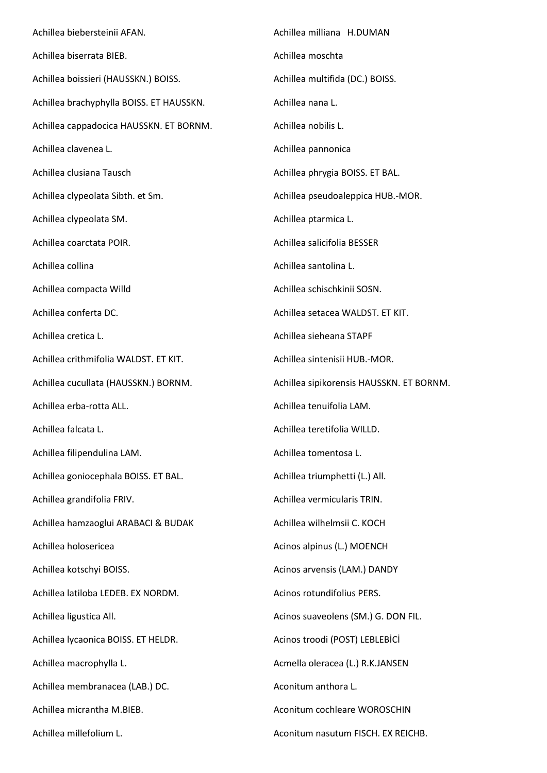Achillea biebersteinii AFAN. Achillea biserrata BIEB. Achillea boissieri (HAUSSKN.) BOISS. Achillea brachyphylla BOISS. ET HAUSSKN. Achillea cappadocica HAUSSKN. ET BORNM. Achillea clavenea L. Achillea clusiana Tausch Achillea clypeolata Sibth. et Sm. Achillea clypeolata SM. Achillea coarctata POIR. Achillea collina Achillea compacta Willd Achillea conferta DC. Achillea cretica L. Achillea crithmifolia WALDST. ET KIT. Achillea cucullata (HAUSSKN.) BORNM. Achillea erba-rotta ALL. Achillea falcata L. Achillea filipendulina LAM. Achillea goniocephala BOISS. ET BAL. Achillea grandifolia FRIV. Achillea hamzaoglui ARABACI & BUDAK Achillea holosericea Achillea kotschyi BOISS. Achillea latiloba LEDEB. EX NORDM. Achillea ligustica All. Achillea lycaonica BOISS. ET HELDR. Achillea macrophylla L. Achillea membranacea (LAB.) DC. Achillea micrantha M.BIEB. Achillea millefolium L. Achillea milliana H.DUMAN Achillea moschta Achillea multifida (DC.) BOISS. Achillea nana L. Achillea nobilis L. Achillea pannonica Achillea phrygia BOISS. ET BAL. Achillea pseudoaleppica HUB.-MOR. Achillea ptarmica L. Achillea salicifolia BESSER Achillea santolina L. Achillea schischkinii SOSN. Achillea setacea WALDST. ET KIT. Achillea sieheana STAPF Achillea sintenisii HUB.-MOR. Achillea sipikorensis HAUSSKN. ET BORNM. Achillea tenuifolia LAM. Achillea teretifolia WILLD. Achillea tomentosa L. Achillea triumphetti (L.) All. Achillea vermicularis TRIN. Achillea wilhelmsii C. KOCH Acinos alpinus (L.) MOENCH Acinos arvensis (LAM.) DANDY Acinos rotundifolius PERS. Acinos suaveolens (SM.) G. DON FIL. Acinos troodi (POST) LEBLEBİCİ Acmella oleracea (L.) R.K.JANSEN Aconitum anthora L. Aconitum cochleare WOROSCHIN Aconitum nasutum FISCH. EX REICHB.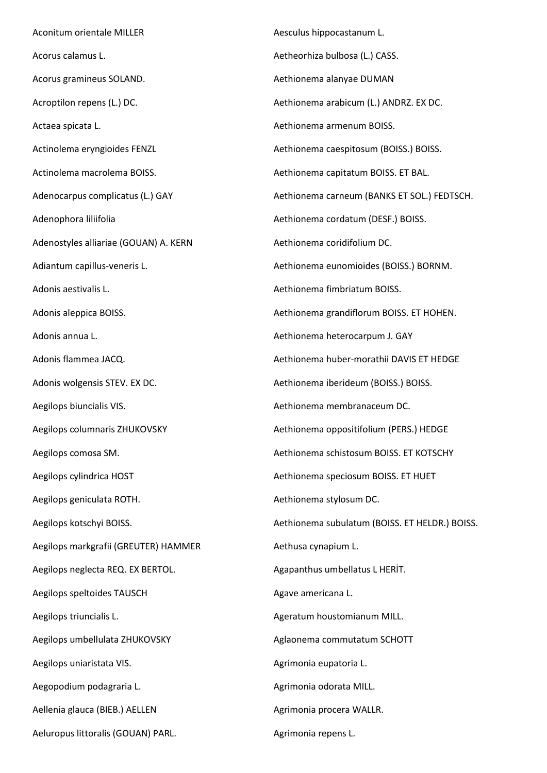Aconitum orientale MILLER Acorus calamus L. Acorus gramineus SOLAND. Acroptilon repens (L.) DC. Actaea spicata L. Actinolema eryngioides FENZL Actinolema macrolema BOISS. Adenocarpus complicatus (L.) GAY Adenophora liliifolia Adenostyles alliariae (GOUAN) A. KERN Adiantum capillus-veneris L. Adonis aestivalis L. Adonis aleppica BOISS. Adonis annua L. Adonis flammea JACQ. Adonis wolgensis STEV. EX DC. Aegilops biuncialis VIS. Aegilops columnaris ZHUKOVSKY Aegilops comosa SM. Aegilops cylindrica HOST Aegilops geniculata ROTH. Aegilops kotschyi BOISS. Aegilops markgrafii (GREUTER) HAMMER Aegilops neglecta REQ. EX BERTOL. Aegilops speltoides TAUSCH Aegilops triuncialis L. Aegilops umbellulata ZHUKOVSKY Aegilops uniaristata VIS. Aegopodium podagraria L. Aellenia glauca (BIEB.) AELLEN Aeluropus littoralis (GOUAN) PARL.

Aesculus hippocastanum L. Aetheorhiza bulbosa (L.) CASS. Aethionema alanyae DUMAN Aethionema arabicum (L.) ANDRZ. EX DC. Aethionema armenum BOISS. Aethionema caespitosum (BOISS.) BOISS. Aethionema capitatum BOISS. ET BAL. Aethionema carneum (BANKS ET SOL.) FEDTSCH. Aethionema cordatum (DESF.) BOISS. Aethionema coridifolium DC. Aethionema eunomioides (BOISS.) BORNM. Aethionema fimbriatum BOISS. Aethionema grandiflorum BOISS. ET HOHEN. Aethionema heterocarpum J. GAY Aethionema huber-morathii DAVIS ET HEDGE Aethionema iberideum (BOISS.) BOISS. Aethionema membranaceum DC. Aethionema oppositifolium (PERS.) HEDGE Aethionema schistosum BOISS. ET KOTSCHY Aethionema speciosum BOISS. ET HUET Aethionema stylosum DC. Aethionema subulatum (BOISS. ET HELDR.) BOISS. Aethusa cynapium L. Agapanthus umbellatus L HERİT. Agave americana L. Ageratum houstomianum MILL. Aglaonema commutatum SCHOTT Agrimonia eupatoria L. Agrimonia odorata MILL. Agrimonia procera WALLR.

Agrimonia repens L.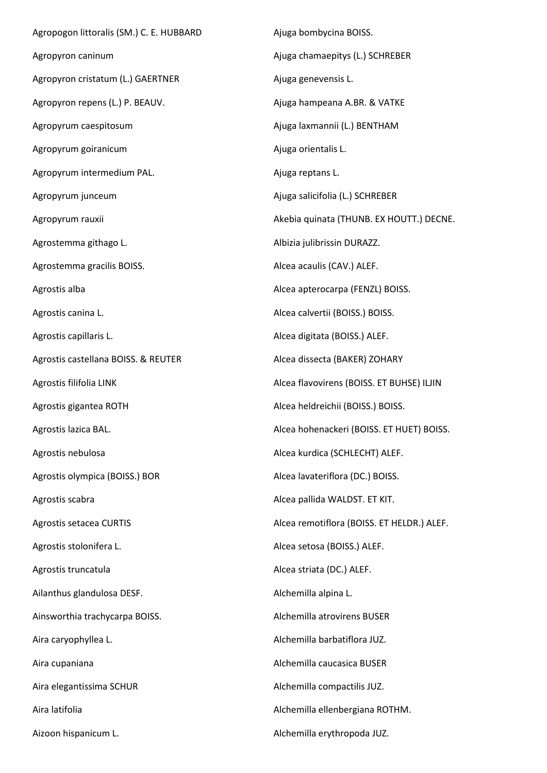Agropogon littoralis (SM.) C. E. HUBBARD Agropyron caninum Agropyron cristatum (L.) GAERTNER Agropyron repens (L.) P. BEAUV. Agropyrum caespitosum Agropyrum goiranicum Agropyrum intermedium PAL. Agropyrum junceum Agropyrum rauxii Agrostemma githago L. Agrostemma gracilis BOISS. Agrostis alba Agrostis canina L. Agrostis capillaris L. Agrostis castellana BOISS. & REUTER Agrostis filifolia LINK Agrostis gigantea ROTH Agrostis lazica BAL. Agrostis nebulosa Agrostis olympica (BOISS.) BOR Agrostis scabra Agrostis setacea CURTIS Agrostis stolonifera L. Agrostis truncatula Ailanthus glandulosa DESF. Ainsworthia trachycarpa BOISS. Aira caryophyllea L. Aira cupaniana Aira elegantissima SCHUR Aira latifolia Aizoon hispanicum L. Ajuga bombycina BOISS. Ajuga chamaepitys (L.) SCHREBER Ajuga genevensis L. Ajuga hampeana A.BR. & VATKE Ajuga laxmannii (L.) BENTHAM Ajuga orientalis L. Ajuga reptans L. Ajuga salicifolia (L.) SCHREBER Akebia quinata (THUNB. EX HOUTT.) DECNE. Albizia julibrissin DURAZZ. Alcea acaulis (CAV.) ALEF. Alcea apterocarpa (FENZL) BOISS. Alcea calvertii (BOISS.) BOISS. Alcea digitata (BOISS.) ALEF. Alcea dissecta (BAKER) ZOHARY Alcea flavovirens (BOISS. ET BUHSE) ILJIN Alcea heldreichii (BOISS.) BOISS. Alcea hohenackeri (BOISS. ET HUET) BOISS. Alcea kurdica (SCHLECHT) ALEF. Alcea lavateriflora (DC.) BOISS. Alcea pallida WALDST. ET KIT. Alcea remotiflora (BOISS. ET HELDR.) ALEF. Alcea setosa (BOISS.) ALEF. Alcea striata (DC.) ALEF. Alchemilla alpina L. Alchemilla atrovirens BUSER Alchemilla barbatiflora JUZ. Alchemilla caucasica BUSER Alchemilla compactilis JUZ. Alchemilla ellenbergiana ROTHM. Alchemilla erythropoda JUZ.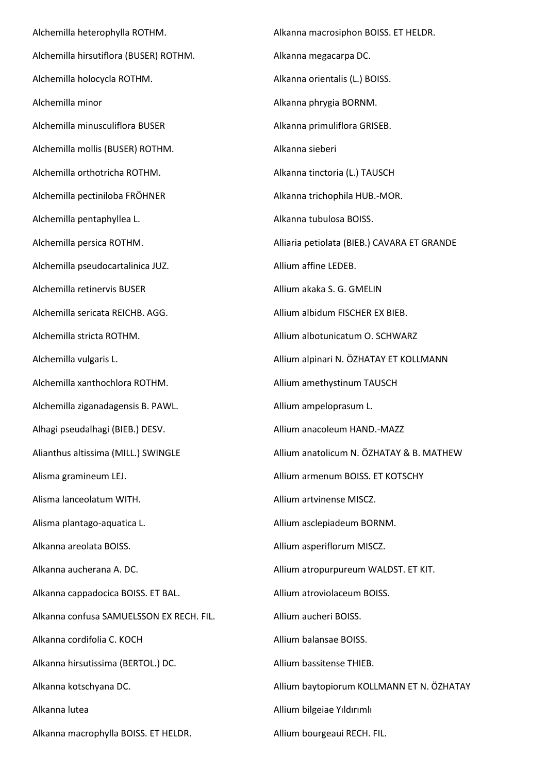Alchemilla heterophylla ROTHM. Alchemilla hirsutiflora (BUSER) ROTHM. Alchemilla holocycla ROTHM. Alchemilla minor Alchemilla minusculiflora BUSER Alchemilla mollis (BUSER) ROTHM. Alchemilla orthotricha ROTHM. Alchemilla pectiniloba FRÖHNER Alchemilla pentaphyllea L. Alchemilla persica ROTHM. Alchemilla pseudocartalinica JUZ. Alchemilla retinervis BUSER Alchemilla sericata REICHB. AGG. Alchemilla stricta ROTHM. Alchemilla vulgaris L. Alchemilla xanthochlora ROTHM. Alchemilla ziganadagensis B. PAWL. Alhagi pseudalhagi (BIEB.) DESV. Alianthus altissima (MILL.) SWINGLE Alisma gramineum LEJ. Alisma lanceolatum WITH. Alisma plantago-aquatica L. Alkanna areolata BOISS. Alkanna aucherana A. DC. Alkanna cappadocica BOISS. ET BAL. Alkanna confusa SAMUELSSON EX RECH. FIL. Alkanna cordifolia C. KOCH Alkanna hirsutissima (BERTOL.) DC. Alkanna kotschyana DC. Alkanna lutea Alkanna macrophylla BOISS. ET HELDR.

Alkanna macrosiphon BOISS. ET HELDR. Alkanna megacarpa DC. Alkanna orientalis (L.) BOISS. Alkanna phrygia BORNM. Alkanna primuliflora GRISEB. Alkanna sieberi Alkanna tinctoria (L.) TAUSCH Alkanna trichophila HUB.-MOR. Alkanna tubulosa BOISS. Alliaria petiolata (BIEB.) CAVARA ET GRANDE Allium affine LEDEB. Allium akaka S. G. GMELIN Allium albidum FISCHER EX BIEB. Allium albotunicatum O. SCHWARZ Allium alpinari N. ÖZHATAY ET KOLLMANN Allium amethystinum TAUSCH Allium ampeloprasum L. Allium anacoleum HAND.-MAZZ Allium anatolicum N. ÖZHATAY & B. MATHEW Allium armenum BOISS. ET KOTSCHY Allium artvinense MISCZ. Allium asclepiadeum BORNM. Allium asperiflorum MISCZ. Allium atropurpureum WALDST. ET KIT. Allium atroviolaceum BOISS. Allium aucheri BOISS. Allium balansae BOISS. Allium bassitense THIEB. Allium baytopiorum KOLLMANN ET N. ÖZHATAY Allium bilgeiae Yıldırımlı

Allium bourgeaui RECH. FIL.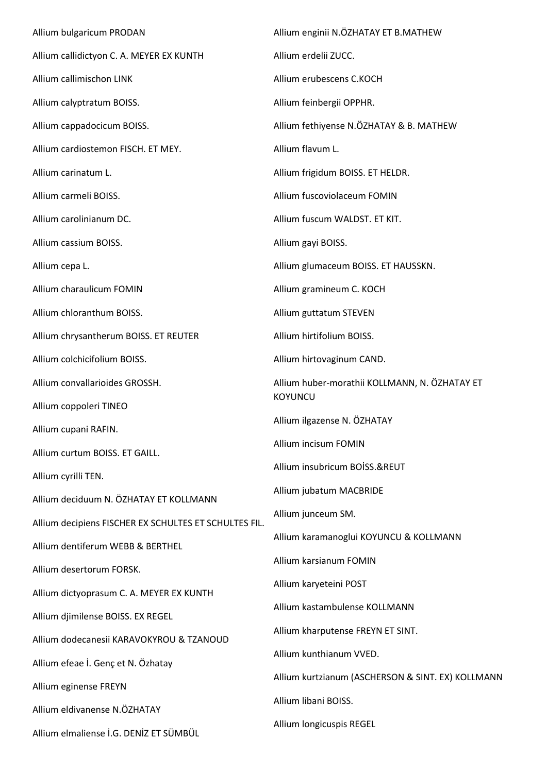Allium bulgaricum PRODAN Allium callidictyon C. A. MEYER EX KUNTH Allium callimischon LINK Allium calyptratum BOISS. Allium cappadocicum BOISS. Allium cardiostemon FISCH. ET MEY. Allium carinatum L. Allium carmeli BOISS. Allium carolinianum DC. Allium cassium BOISS. Allium cepa L. Allium charaulicum FOMIN Allium chloranthum BOISS. Allium chrysantherum BOISS. ET REUTER Allium colchicifolium BOISS. Allium convallarioides GROSSH. Allium coppoleri TINEO Allium cupani RAFIN. Allium curtum BOISS. ET GAILL. Allium cyrilli TEN. Allium deciduum N. ÖZHATAY ET KOLLMANN Allium decipiens FISCHER EX SCHULTES ET SCHULTES FIL. Allium dentiferum WEBB & BERTHEL Allium desertorum FORSK. Allium dictyoprasum C. A. MEYER EX KUNTH Allium djimilense BOISS. EX REGEL Allium dodecanesii KARAVOKYROU & TZANOUD Allium efeae İ. Genç et N. Özhatay Allium eginense FREYN Allium eldivanense N.ÖZHATAY Allium elmaliense İ.G. DENİZ ET SÜMBÜL Allium enginii N.ÖZHATAY ET B.MATHEW Allium erdelii ZUCC. Allium erubescens C.KOCH Allium feinbergii OPPHR. Allium fethiyense N.ÖZHATAY & B. MATHEW Allium flavum L. Allium frigidum BOISS. ET HELDR. Allium fuscoviolaceum FOMIN Allium fuscum WALDST. ET KIT. Allium gayi BOISS. Allium glumaceum BOISS. ET HAUSSKN. Allium gramineum C. KOCH Allium guttatum STEVEN Allium hirtifolium BOISS. Allium hirtovaginum CAND. Allium huber-morathii KOLLMANN, N. ÖZHATAY ET **KOYUNCU** Allium ilgazense N. ÖZHATAY Allium incisum FOMIN Allium insubricum BOİSS.&REUT Allium jubatum MACBRIDE Allium junceum SM. Allium karamanoglui KOYUNCU & KOLLMANN Allium karsianum FOMIN Allium karyeteini POST Allium kastambulense KOLLMANN Allium kharputense FREYN ET SINT. Allium kunthianum VVED. Allium kurtzianum (ASCHERSON & SINT. EX) KOLLMANN Allium libani BOISS. Allium longicuspis REGEL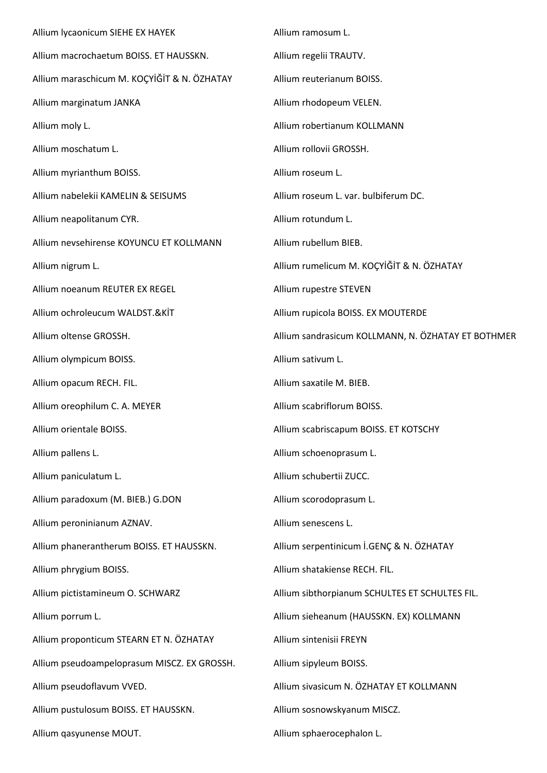Allium lycaonicum SIEHE EX HAYEK Allium macrochaetum BOISS. ET HAUSSKN. Allium maraschicum M. KOÇYİĞİT & N. ÖZHATAY Allium marginatum JANKA Allium moly L. Allium moschatum L. Allium myrianthum BOISS. Allium nabelekii KAMELIN & SEISUMS Allium neapolitanum CYR. Allium nevsehirense KOYUNCU ET KOLLMANN Allium nigrum L. Allium noeanum REUTER EX REGEL Allium ochroleucum WALDST.&KİT Allium oltense GROSSH. Allium olympicum BOISS. Allium opacum RECH. FIL. Allium oreophilum C. A. MEYER Allium orientale BOISS. Allium pallens L. Allium paniculatum L. Allium paradoxum (M. BIEB.) G.DON Allium peroninianum AZNAV. Allium phanerantherum BOISS. ET HAUSSKN. Allium phrygium BOISS. Allium pictistamineum O. SCHWARZ Allium porrum L. Allium proponticum STEARN ET N. ÖZHATAY Allium pseudoampeloprasum MISCZ. EX GROSSH. Allium pseudoflavum VVED. Allium pustulosum BOISS. ET HAUSSKN. Allium qasyunense MOUT. Allium ramosum L. Allium regelii TRAUTV. Allium reuterianum BOISS. Allium rhodopeum VELEN. Allium robertianum KOLLMANN Allium rollovii GROSSH. Allium roseum L. Allium roseum L. var. bulbiferum DC. Allium rotundum L. Allium rubellum BIEB. Allium rumelicum M. KOÇYİĞİT & N. ÖZHATAY Allium rupestre STEVEN Allium rupicola BOISS. EX MOUTERDE Allium sandrasicum KOLLMANN, N. ÖZHATAY ET BOTHMER Allium sativum L. Allium saxatile M. BIEB. Allium scabriflorum BOISS. Allium scabriscapum BOISS. ET KOTSCHY Allium schoenoprasum L. Allium schubertii ZUCC. Allium scorodoprasum L. Allium senescens L. Allium serpentinicum İ.GENÇ & N. ÖZHATAY Allium shatakiense RECH. FIL. Allium sibthorpianum SCHULTES ET SCHULTES FIL. Allium sieheanum (HAUSSKN. EX) KOLLMANN Allium sintenisii FREYN Allium sipyleum BOISS. Allium sivasicum N. ÖZHATAY ET KOLLMANN Allium sosnowskyanum MISCZ. Allium sphaerocephalon L.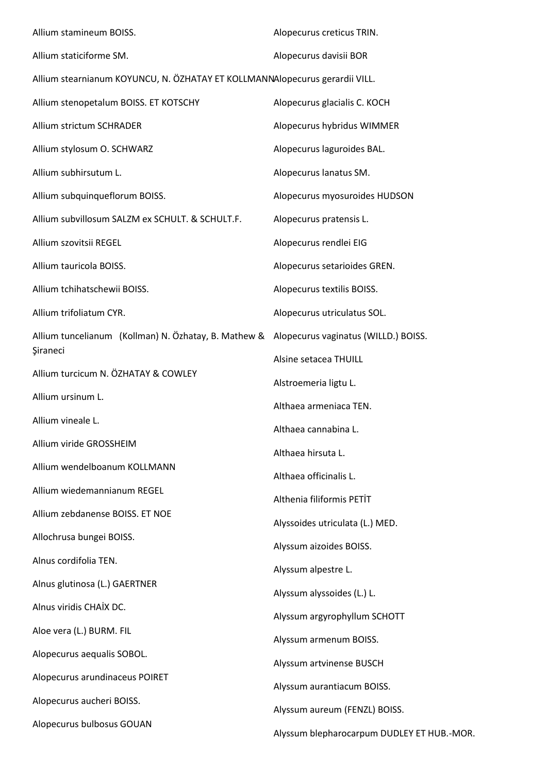| Allium stamineum BOISS.                                                                   | Alopecurus creticus TRIN.                  |  |
|-------------------------------------------------------------------------------------------|--------------------------------------------|--|
| Allium staticiforme SM.                                                                   | Alopecurus davisii BOR                     |  |
| Allium stearnianum KOYUNCU, N. ÖZHATAY ET KOLLMANNAlopecurus gerardii VILL.               |                                            |  |
| Allium stenopetalum BOISS. ET KOTSCHY                                                     | Alopecurus glacialis C. KOCH               |  |
| Allium strictum SCHRADER                                                                  | Alopecurus hybridus WIMMER                 |  |
| Allium stylosum O. SCHWARZ                                                                | Alopecurus laguroides BAL.                 |  |
| Allium subhirsutum L.                                                                     | Alopecurus lanatus SM.                     |  |
| Allium subquinqueflorum BOISS.                                                            | Alopecurus myosuroides HUDSON              |  |
| Allium subvillosum SALZM ex SCHULT. & SCHULT.F.                                           | Alopecurus pratensis L.                    |  |
| Allium szovitsii REGEL                                                                    | Alopecurus rendlei EIG                     |  |
| Allium tauricola BOISS.                                                                   | Alopecurus setarioides GREN.               |  |
| Allium tchihatschewii BOISS.                                                              | Alopecurus textilis BOISS.                 |  |
| Allium trifoliatum CYR.                                                                   | Alopecurus utriculatus SOL.                |  |
| Allium tuncelianum (Kollman) N. Özhatay, B. Mathew & Alopecurus vaginatus (WILLD.) BOISS. |                                            |  |
| Şiraneci                                                                                  | Alsine setacea THUILL                      |  |
| Allium turcicum N. ÖZHATAY & COWLEY                                                       | Alstroemeria ligtu L.                      |  |
| Allium ursinum L.                                                                         | Althaea armeniaca TEN.                     |  |
| Allium vineale L.                                                                         | Althaea cannabina L.                       |  |
| Allium viride GROSSHEIM                                                                   | Althaea hirsuta L.                         |  |
| Allium wendelboanum KOLLMANN                                                              | Althaea officinalis L.                     |  |
| Allium wiedemannianum REGEL                                                               | Althenia filiformis PETİT                  |  |
| Allium zebdanense BOISS. ET NOE                                                           | Alyssoides utriculata (L.) MED.            |  |
| Allochrusa bungei BOISS.                                                                  | Alyssum aizoides BOISS.                    |  |
| Alnus cordifolia TEN.                                                                     | Alyssum alpestre L.                        |  |
| Alnus glutinosa (L.) GAERTNER                                                             | Alyssum alyssoides (L.) L.                 |  |
| Alnus viridis CHAİX DC.                                                                   | Alyssum argyrophyllum SCHOTT               |  |
| Aloe vera (L.) BURM. FIL                                                                  | Alyssum armenum BOISS.                     |  |
| Alopecurus aequalis SOBOL.                                                                | Alyssum artvinense BUSCH                   |  |
| Alopecurus arundinaceus POIRET                                                            | Alyssum aurantiacum BOISS.                 |  |
| Alopecurus aucheri BOISS.                                                                 | Alyssum aureum (FENZL) BOISS.              |  |
| Alopecurus bulbosus GOUAN                                                                 | Alyssum blepharocarpum DUDLEY ET HUB.-MOR. |  |
|                                                                                           |                                            |  |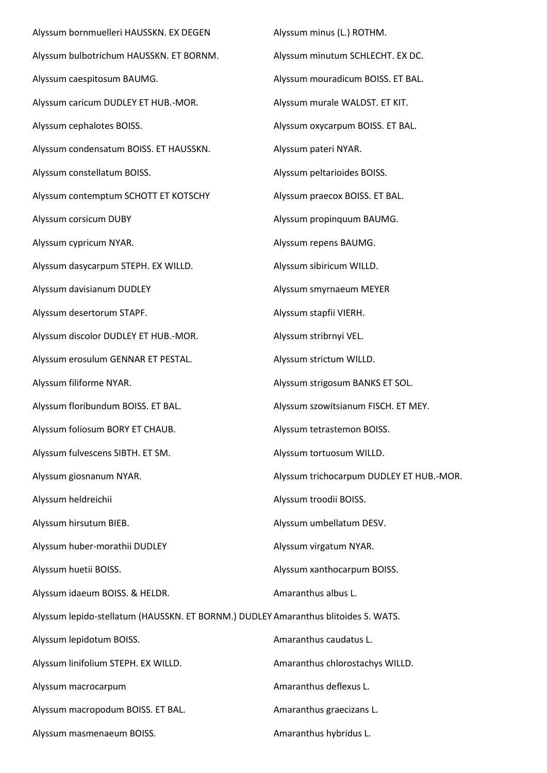Alyssum bornmuelleri HAUSSKN. EX DEGEN Alyssum bulbotrichum HAUSSKN. ET BORNM. Alyssum caespitosum BAUMG. Alyssum caricum DUDLEY ET HUB.-MOR. Alyssum cephalotes BOISS. Alyssum condensatum BOISS. ET HAUSSKN. Alyssum constellatum BOISS. Alyssum contemptum SCHOTT ET KOTSCHY Alyssum corsicum DUBY Alyssum cypricum NYAR. Alyssum dasycarpum STEPH. EX WILLD. Alyssum davisianum DUDLEY Alyssum desertorum STAPF. Alyssum discolor DUDLEY ET HUB.-MOR. Alyssum erosulum GENNAR ET PESTAL. Alyssum filiforme NYAR. Alyssum floribundum BOISS. ET BAL. Alyssum foliosum BORY ET CHAUB. Alyssum fulvescens SIBTH. ET SM. Alyssum giosnanum NYAR. Alyssum heldreichii Alyssum hirsutum BIEB. Alyssum huber-morathii DUDLEY Alyssum huetii BOISS. Alyssum idaeum BOISS. & HELDR. Alyssum lepido-stellatum (HAUSSKN. ET BORNM.) DUDLEY Amaranthus blitoides S. WATS. Alyssum lepidotum BOISS. Alyssum linifolium STEPH. EX WILLD. Alyssum macrocarpum Alyssum macropodum BOISS. ET BAL. Alyssum masmenaeum BOISS. Alyssum minus (L.) ROTHM. Alyssum minutum SCHLECHT. EX DC. Alyssum mouradicum BOISS. ET BAL. Alyssum murale WALDST. ET KIT. Alyssum oxycarpum BOISS. ET BAL. Alyssum pateri NYAR. Alyssum peltarioides BOISS. Alyssum praecox BOISS. ET BAL. Alyssum propinquum BAUMG. Alyssum repens BAUMG. Alyssum sibiricum WILLD. Alyssum smyrnaeum MEYER Alyssum stapfii VIERH. Alyssum stribrnyi VEL. Alyssum strictum WILLD. Alyssum strigosum BANKS ET SOL. Alyssum szowitsianum FISCH. ET MEY. Alyssum tetrastemon BOISS. Alyssum tortuosum WILLD. Alyssum trichocarpum DUDLEY ET HUB.-MOR. Alyssum troodii BOISS. Alyssum umbellatum DESV. Alyssum virgatum NYAR. Alyssum xanthocarpum BOISS. Amaranthus albus L. Amaranthus caudatus L. Amaranthus chlorostachys WILLD. Amaranthus deflexus L. Amaranthus graecizans L. Amaranthus hybridus L.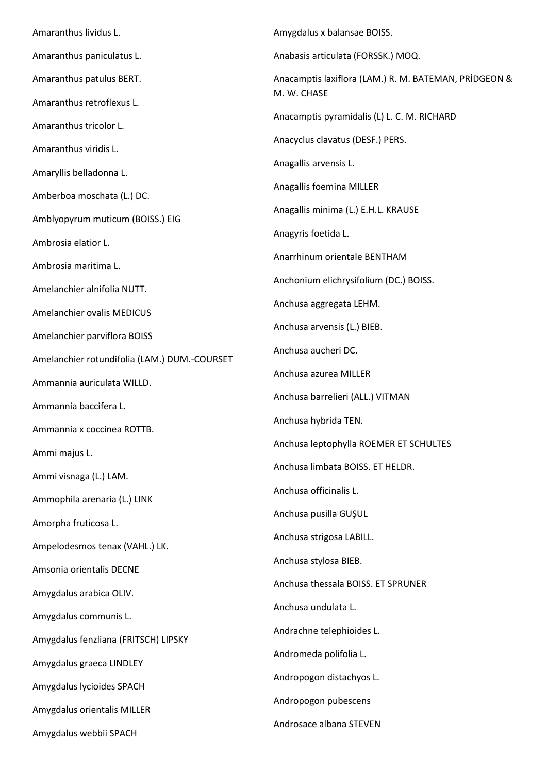Amaranthus lividus L. Amaranthus paniculatus L. Amaranthus patulus BERT. Amaranthus retroflexus L. Amaranthus tricolor L. Amaranthus viridis L. Amaryllis belladonna L. Amberboa moschata (L.) DC. Amblyopyrum muticum (BOISS.) EIG Ambrosia elatior L. Ambrosia maritima L. Amelanchier alnifolia NUTT. Amelanchier ovalis MEDICUS Amelanchier parviflora BOISS Amelanchier rotundifolia (LAM.) DUM.-COURSET Ammannia auriculata WILLD. Ammannia baccifera L. Ammannia x coccinea ROTTB. Ammi majus L. Ammi visnaga (L.) LAM. Ammophila arenaria (L.) LINK Amorpha fruticosa L. Ampelodesmos tenax (VAHL.) LK. Amsonia orientalis DECNE Amygdalus arabica OLIV. Amygdalus communis L. Amygdalus fenzliana (FRITSCH) LIPSKY Amygdalus graeca LINDLEY Amygdalus lycioides SPACH Amygdalus orientalis MILLER Amygdalus webbii SPACH Amygdalus x balansae BOISS. Anabasis articulata (FORSSK.) MOQ. Anacamptis laxiflora (LAM.) R. M. BATEMAN, PRİDGEON & M. W. CHASE Anacamptis pyramidalis (L) L. C. M. RICHARD Anacyclus clavatus (DESF.) PERS. Anagallis arvensis L. Anagallis foemina MILLER Anagallis minima (L.) E.H.L. KRAUSE Anagyris foetida L. Anarrhinum orientale BENTHAM Anchonium elichrysifolium (DC.) BOISS. Anchusa aggregata LEHM. Anchusa arvensis (L.) BIEB. Anchusa aucheri DC. Anchusa azurea MILLER Anchusa barrelieri (ALL.) VITMAN Anchusa hybrida TEN. Anchusa leptophylla ROEMER ET SCHULTES Anchusa limbata BOISS. ET HELDR. Anchusa officinalis L. Anchusa pusilla GUŞUL Anchusa strigosa LABILL. Anchusa stylosa BIEB. Anchusa thessala BOISS. ET SPRUNER Anchusa undulata L. Andrachne telephioides L. Andromeda polifolia L. Andropogon distachyos L. Andropogon pubescens Androsace albana STEVEN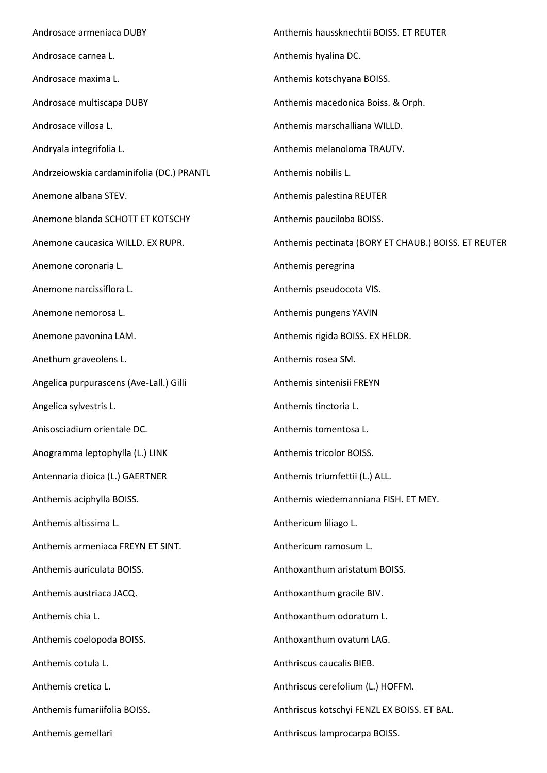Androsace armeniaca DUBY Androsace carnea L. Androsace maxima L. Androsace multiscapa DUBY Androsace villosa L. Andryala integrifolia L. Andrzeiowskia cardaminifolia (DC.) PRANTL Anemone albana STEV. Anemone blanda SCHOTT ET KOTSCHY Anemone caucasica WILLD. EX RUPR. Anemone coronaria L. Anemone narcissiflora L. Anemone nemorosa L. Anemone pavonina LAM. Anethum graveolens L. Angelica purpurascens (Ave-Lall.) Gilli Angelica sylvestris L. Anisosciadium orientale DC. Anogramma leptophylla (L.) LINK Antennaria dioica (L.) GAERTNER Anthemis aciphylla BOISS. Anthemis altissima L. Anthemis armeniaca FREYN ET SINT. Anthemis auriculata BOISS. Anthemis austriaca JACQ. Anthemis chia L. Anthemis coelopoda BOISS. Anthemis cotula L. Anthemis cretica L. Anthemis fumariifolia BOISS. Anthemis gemellari Anthemis haussknechtii BOISS. ET REUTER Anthemis hyalina DC. Anthemis kotschyana BOISS. Anthemis macedonica Boiss. & Orph. Anthemis marschalliana WILLD. Anthemis melanoloma TRAUTV. Anthemis nobilis L. Anthemis palestina REUTER Anthemis pauciloba BOISS. Anthemis pectinata (BORY ET CHAUB.) BOISS. ET REUTER Anthemis peregrina Anthemis pseudocota VIS. Anthemis pungens YAVIN Anthemis rigida BOISS. EX HELDR. Anthemis rosea SM. Anthemis sintenisii FREYN Anthemis tinctoria L. Anthemis tomentosa L. Anthemis tricolor BOISS. Anthemis triumfettii (L.) ALL. Anthemis wiedemanniana FISH. ET MEY. Anthericum liliago L. Anthericum ramosum L. Anthoxanthum aristatum BOISS. Anthoxanthum gracile BIV. Anthoxanthum odoratum L. Anthoxanthum ovatum LAG. Anthriscus caucalis BIEB. Anthriscus cerefolium (L.) HOFFM. Anthriscus kotschyi FENZL EX BOISS. ET BAL. Anthriscus lamprocarpa BOISS.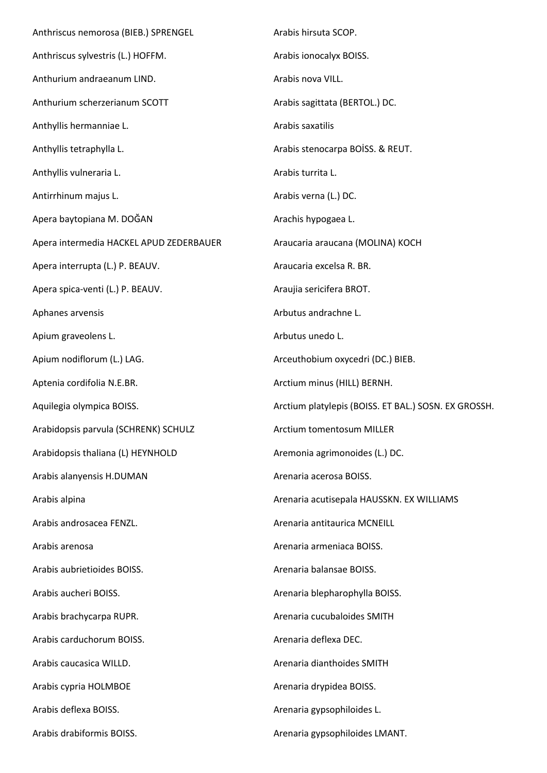Anthriscus nemorosa (BIEB.) SPRENGEL Anthriscus sylvestris (L.) HOFFM. Anthurium andraeanum LIND. Anthurium scherzerianum SCOTT Anthyllis hermanniae L. Anthyllis tetraphylla L. Anthyllis vulneraria L. Antirrhinum majus L. Apera baytopiana M. DOĞAN Apera intermedia HACKEL APUD ZEDERBAUER Apera interrupta (L.) P. BEAUV. Apera spica-venti (L.) P. BEAUV. Aphanes arvensis Apium graveolens L. Apium nodiflorum (L.) LAG. Aptenia cordifolia N.E.BR. Aquilegia olympica BOISS. Arabidopsis parvula (SCHRENK) SCHULZ Arabidopsis thaliana (L) HEYNHOLD Arabis alanyensis H.DUMAN Arabis alpina Arabis androsacea FENZL. Arabis arenosa Arabis aubrietioides BOISS. Arabis aucheri BOISS. Arabis brachycarpa RUPR. Arabis carduchorum BOISS. Arabis caucasica WILLD. Arabis cypria HOLMBOE Arabis deflexa BOISS. Arabis drabiformis BOISS. Arabis hirsuta SCOP. Arabis ionocalyx BOISS. Arabis nova VILL. Arabis sagittata (BERTOL.) DC. Arabis saxatilis Arabis stenocarpa BOİSS. & REUT. Arabis turrita L. Arabis verna (L.) DC. Arachis hypogaea L. Araucaria araucana (MOLINA) KOCH Araucaria excelsa R. BR. Araujia sericifera BROT. Arbutus andrachne L. Arbutus unedo L. Arceuthobium oxycedri (DC.) BIEB. Arctium minus (HILL) BERNH. Arctium platylepis (BOISS. ET BAL.) SOSN. EX GROSSH. Arctium tomentosum MILLER Aremonia agrimonoides (L.) DC. Arenaria acerosa BOISS. Arenaria acutisepala HAUSSKN. EX WILLIAMS Arenaria antitaurica MCNEILL Arenaria armeniaca BOISS. Arenaria balansae BOISS. Arenaria blepharophylla BOISS. Arenaria cucubaloides SMITH Arenaria deflexa DEC. Arenaria dianthoides SMITH Arenaria drypidea BOISS. Arenaria gypsophiloides L. Arenaria gypsophiloides LMANT.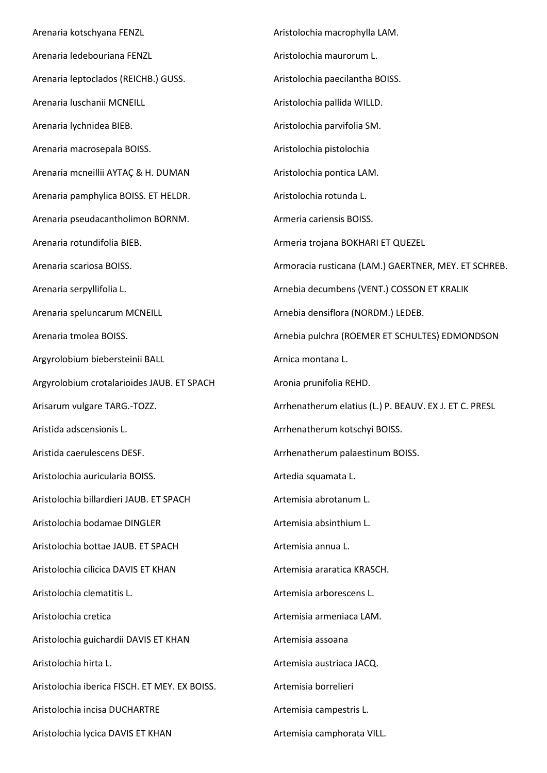Arenaria kotschyana FENZL Arenaria ledebouriana FENZL Arenaria leptoclados (REICHB.) GUSS. Arenaria luschanii MCNEILL Arenaria lychnidea BIEB. Arenaria macrosepala BOISS. Arenaria mcneillii AYTAÇ & H. DUMAN Arenaria pamphylica BOISS. ET HELDR. Arenaria pseudacantholimon BORNM. Arenaria rotundifolia BIEB. Arenaria scariosa BOISS. Arenaria serpyllifolia L. Arenaria speluncarum MCNEILL Arenaria tmolea BOISS. Argyrolobium biebersteinii BALL Argyrolobium crotalarioides JAUB. ET SPACH Arisarum vulgare TARG.-TOZZ. Aristida adscensionis L. Aristida caerulescens DESF. Aristolochia auricularia BOISS. Aristolochia billardieri JAUB. ET SPACH Aristolochia bodamae DINGLER Aristolochia bottae JAUB. ET SPACH Aristolochia cilicica DAVIS ET KHAN Aristolochia clematitis L. Aristolochia cretica Aristolochia guichardii DAVIS ET KHAN Aristolochia hirta L. Aristolochia iberica FISCH. ET MEY. EX BOISS. Aristolochia incisa DUCHARTRE Aristolochia lycica DAVIS ET KHAN Aristolochia macrophylla LAM. Aristolochia maurorum L. Aristolochia paecilantha BOISS. Aristolochia pallida WILLD. Aristolochia parvifolia SM. Aristolochia pistolochia Aristolochia pontica LAM. Aristolochia rotunda L. Armeria cariensis BOISS. Armeria trojana BOKHARI ET QUEZEL Armoracia rusticana (LAM.) GAERTNER, MEY. ET SCHREB. Arnebia decumbens (VENT.) COSSON ET KRALIK Arnebia densiflora (NORDM.) LEDEB. Arnebia pulchra (ROEMER ET SCHULTES) EDMONDSON Arnica montana L. Aronia prunifolia REHD. Arrhenatherum elatius (L.) P. BEAUV. EX J. ET C. PRESL Arrhenatherum kotschyi BOISS. Arrhenatherum palaestinum BOISS. Artedia squamata L. Artemisia abrotanum L. Artemisia absinthium L. Artemisia annua L. Artemisia araratica KRASCH. Artemisia arborescens L. Artemisia armeniaca LAM. Artemisia assoana Artemisia austriaca JACQ. Artemisia borrelieri Artemisia campestris L. Artemisia camphorata VILL.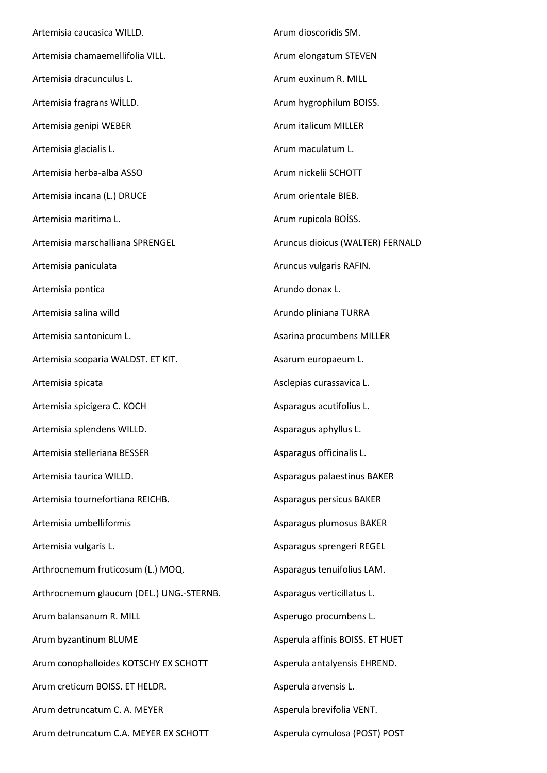Artemisia caucasica WILLD. Artemisia chamaemellifolia VILL. Artemisia dracunculus L. Artemisia fragrans WİLLD. Artemisia genipi WEBER Artemisia glacialis L. Artemisia herba-alba ASSO Artemisia incana (L.) DRUCE Artemisia maritima L. Artemisia marschalliana SPRENGEL Artemisia paniculata Artemisia pontica Artemisia salina willd Artemisia santonicum L. Artemisia scoparia WALDST. ET KIT. Artemisia spicata Artemisia spicigera C. KOCH Artemisia splendens WILLD. Artemisia stelleriana BESSER Artemisia taurica WILLD. Artemisia tournefortiana REICHB. Artemisia umbelliformis Artemisia vulgaris L. Arthrocnemum fruticosum (L.) MOQ. Arthrocnemum glaucum (DEL.) UNG.-STERNB. Arum balansanum R. MILL Arum byzantinum BLUME Arum conophalloides KOTSCHY EX SCHOTT Arum creticum BOISS. ET HELDR. Arum detruncatum C. A. MEYER Arum detruncatum C.A. MEYER EX SCHOTT Arum dioscoridis SM. Arum elongatum STEVEN Arum euxinum R. MILL Arum hygrophilum BOISS. Arum italicum MILLER Arum maculatum L. Arum nickelii SCHOTT Arum orientale BIEB. Arum rupicola BOİSS. Aruncus dioicus (WALTER) FERNALD Aruncus vulgaris RAFIN. Arundo donax L. Arundo pliniana TURRA Asarina procumbens MILLER Asarum europaeum L. Asclepias curassavica L. Asparagus acutifolius L. Asparagus aphyllus L. Asparagus officinalis L. Asparagus palaestinus BAKER Asparagus persicus BAKER Asparagus plumosus BAKER Asparagus sprengeri REGEL Asparagus tenuifolius LAM. Asparagus verticillatus L. Asperugo procumbens L. Asperula affinis BOISS. ET HUET Asperula antalyensis EHREND. Asperula arvensis L. Asperula brevifolia VENT. Asperula cymulosa (POST) POST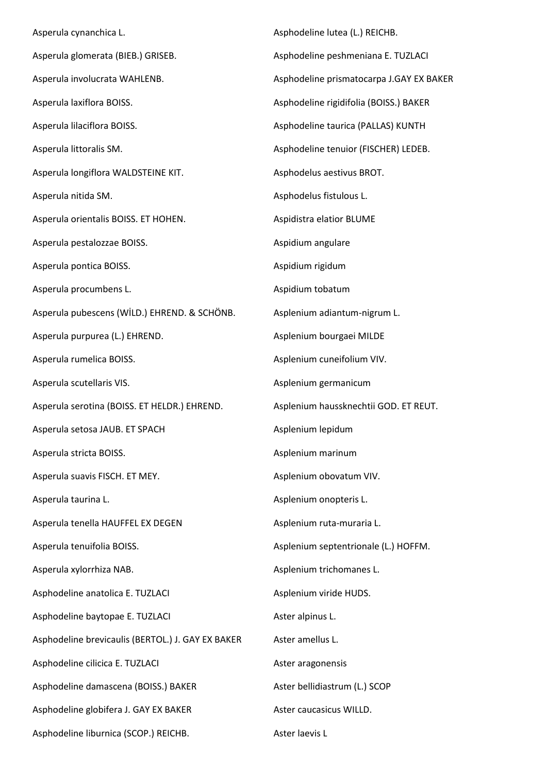Asperula cynanchica L. Asperula glomerata (BIEB.) GRISEB. Asperula involucrata WAHLENB. Asperula laxiflora BOISS. Asperula lilaciflora BOISS. Asperula littoralis SM. Asperula longiflora WALDSTEINE KIT. Asperula nitida SM. Asperula orientalis BOISS. ET HOHEN. Asperula pestalozzae BOISS. Asperula pontica BOISS. Asperula procumbens L. Asperula pubescens (WİLD.) EHREND. & SCHÖNB. Asperula purpurea (L.) EHREND. Asperula rumelica BOISS. Asperula scutellaris VIS. Asperula serotina (BOISS. ET HELDR.) EHREND. Asperula setosa JAUB. ET SPACH Asperula stricta BOISS. Asperula suavis FISCH. ET MEY. Asperula taurina L. Asperula tenella HAUFFEL EX DEGEN Asperula tenuifolia BOISS. Asperula xylorrhiza NAB. Asphodeline anatolica E. TUZLACI Asphodeline baytopae E. TUZLACI Asphodeline brevicaulis (BERTOL.) J. GAY EX BAKER Asphodeline cilicica E. TUZLACI Asphodeline damascena (BOISS.) BAKER Asphodeline globifera J. GAY EX BAKER Asphodeline liburnica (SCOP.) REICHB. Aster laevis L

Asphodeline lutea (L.) REICHB. Asphodeline peshmeniana E. TUZLACI Asphodeline prismatocarpa J.GAY EX BAKER Asphodeline rigidifolia (BOISS.) BAKER Asphodeline taurica (PALLAS) KUNTH Asphodeline tenuior (FISCHER) LEDEB. Asphodelus aestivus BROT. Asphodelus fistulous L. Aspidistra elatior BLUME Aspidium angulare Aspidium rigidum Aspidium tobatum Asplenium adiantum-nigrum L. Asplenium bourgaei MILDE Asplenium cuneifolium VIV. Asplenium germanicum Asplenium haussknechtii GOD. ET REUT. Asplenium lepidum Asplenium marinum Asplenium obovatum VIV. Asplenium onopteris L. Asplenium ruta-muraria L. Asplenium septentrionale (L.) HOFFM. Asplenium trichomanes L. Asplenium viride HUDS. Aster alpinus L. Aster amellus L. Aster aragonensis Aster bellidiastrum (L.) SCOP Aster caucasicus WILLD.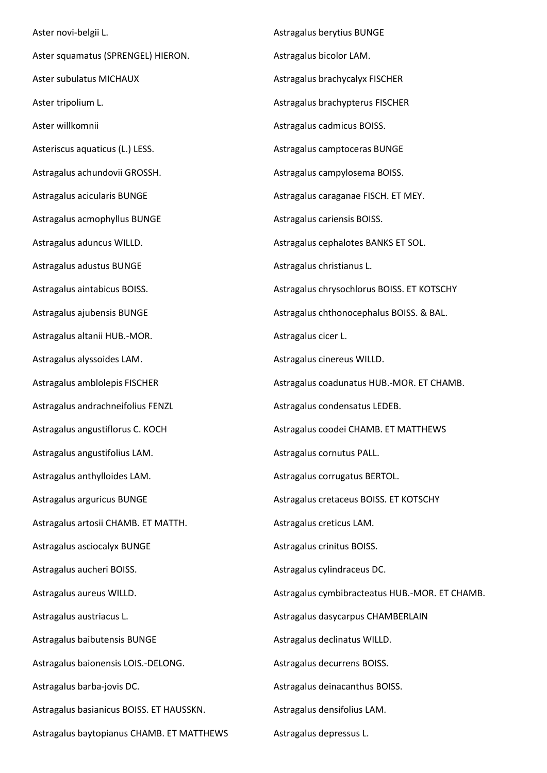Aster novi-belgii L. Aster squamatus (SPRENGEL) HIERON. Aster subulatus MICHAUX Aster tripolium L. Aster willkomnii Asteriscus aquaticus (L.) LESS. Astragalus achundovii GROSSH. Astragalus acicularis BUNGE Astragalus acmophyllus BUNGE Astragalus aduncus WILLD. Astragalus adustus BUNGE Astragalus aintabicus BOISS. Astragalus ajubensis BUNGE Astragalus altanii HUB.-MOR. Astragalus alyssoides LAM. Astragalus amblolepis FISCHER Astragalus andrachneifolius FENZL Astragalus angustiflorus C. KOCH Astragalus angustifolius LAM. Astragalus anthylloides LAM. Astragalus arguricus BUNGE Astragalus artosii CHAMB. ET MATTH. Astragalus asciocalyx BUNGE Astragalus aucheri BOISS. Astragalus aureus WILLD. Astragalus austriacus L. Astragalus baibutensis BUNGE Astragalus baionensis LOIS.-DELONG. Astragalus barba-jovis DC. Astragalus basianicus BOISS. ET HAUSSKN. Astragalus baytopianus CHAMB. ET MATTHEWS

Astragalus berytius BUNGE Astragalus bicolor LAM. Astragalus brachycalyx FISCHER Astragalus brachypterus FISCHER Astragalus cadmicus BOISS. Astragalus camptoceras BUNGE Astragalus campylosema BOISS. Astragalus caraganae FISCH. ET MEY. Astragalus cariensis BOISS. Astragalus cephalotes BANKS ET SOL. Astragalus christianus L. Astragalus chrysochlorus BOISS. ET KOTSCHY Astragalus chthonocephalus BOISS. & BAL. Astragalus cicer L. Astragalus cinereus WILLD. Astragalus coadunatus HUB.-MOR. ET CHAMB. Astragalus condensatus LEDEB. Astragalus coodei CHAMB. ET MATTHEWS Astragalus cornutus PALL. Astragalus corrugatus BERTOL. Astragalus cretaceus BOISS. ET KOTSCHY Astragalus creticus LAM. Astragalus crinitus BOISS. Astragalus cylindraceus DC. Astragalus cymbibracteatus HUB.-MOR. ET CHAMB. Astragalus dasycarpus CHAMBERLAIN Astragalus declinatus WILLD. Astragalus decurrens BOISS. Astragalus deinacanthus BOISS. Astragalus densifolius LAM.

Astragalus depressus L.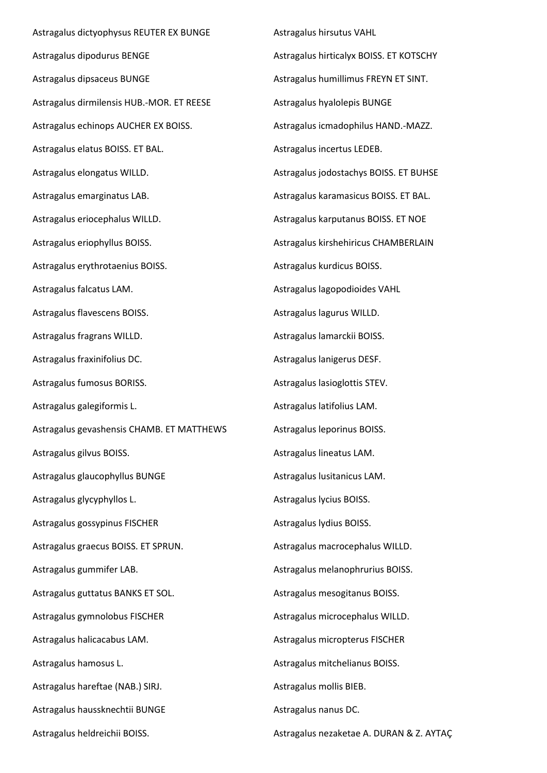Astragalus dictyophysus REUTER EX BUNGE Astragalus dipodurus BENGE Astragalus dipsaceus BUNGE Astragalus dirmilensis HUB.-MOR. ET REESE Astragalus echinops AUCHER EX BOISS. Astragalus elatus BOISS. ET BAL. Astragalus elongatus WILLD. Astragalus emarginatus LAB. Astragalus eriocephalus WILLD. Astragalus eriophyllus BOISS. Astragalus erythrotaenius BOISS. Astragalus falcatus LAM. Astragalus flavescens BOISS. Astragalus fragrans WILLD. Astragalus fraxinifolius DC. Astragalus fumosus BORISS. Astragalus galegiformis L. Astragalus gevashensis CHAMB. ET MATTHEWS Astragalus gilvus BOISS. Astragalus glaucophyllus BUNGE Astragalus glycyphyllos L. Astragalus gossypinus FISCHER Astragalus graecus BOISS. ET SPRUN. Astragalus gummifer LAB. Astragalus guttatus BANKS ET SOL. Astragalus gymnolobus FISCHER Astragalus halicacabus LAM. Astragalus hamosus L. Astragalus hareftae (NAB.) SIRJ. Astragalus haussknechtii BUNGE Astragalus heldreichii BOISS.

Astragalus hirsutus VAHL Astragalus hirticalyx BOISS. ET KOTSCHY Astragalus humillimus FREYN ET SINT. Astragalus hyalolepis BUNGE Astragalus icmadophilus HAND.-MAZZ. Astragalus incertus LEDEB. Astragalus jodostachys BOISS. ET BUHSE Astragalus karamasicus BOISS. ET BAL. Astragalus karputanus BOISS. ET NOE Astragalus kirshehiricus CHAMBERLAIN Astragalus kurdicus BOISS. Astragalus lagopodioides VAHL Astragalus lagurus WILLD. Astragalus lamarckii BOISS. Astragalus lanigerus DESF. Astragalus lasioglottis STEV. Astragalus latifolius LAM. Astragalus leporinus BOISS. Astragalus lineatus LAM. Astragalus lusitanicus LAM. Astragalus lycius BOISS. Astragalus lydius BOISS. Astragalus macrocephalus WILLD. Astragalus melanophrurius BOISS. Astragalus mesogitanus BOISS. Astragalus microcephalus WILLD. Astragalus micropterus FISCHER Astragalus mitchelianus BOISS. Astragalus mollis BIEB. Astragalus nanus DC.

Astragalus nezaketae A. DURAN & Z. AYTAÇ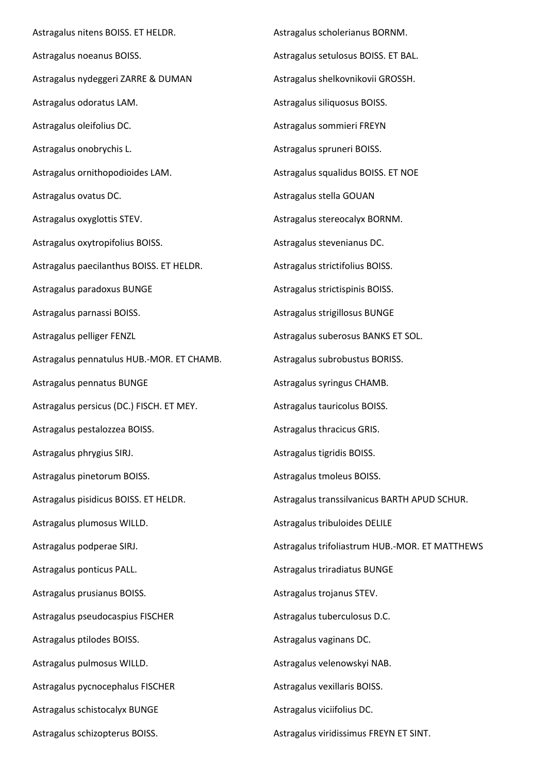Astragalus nitens BOISS. ET HELDR. Astragalus noeanus BOISS. Astragalus nydeggeri ZARRE & DUMAN Astragalus odoratus LAM. Astragalus oleifolius DC. Astragalus onobrychis L. Astragalus ornithopodioides LAM. Astragalus ovatus DC. Astragalus oxyglottis STEV. Astragalus oxytropifolius BOISS. Astragalus paecilanthus BOISS. ET HELDR. Astragalus paradoxus BUNGE Astragalus parnassi BOISS. Astragalus pelliger FENZL Astragalus pennatulus HUB.-MOR. ET CHAMB. Astragalus pennatus BUNGE Astragalus persicus (DC.) FISCH. ET MEY. Astragalus pestalozzea BOISS. Astragalus phrygius SIRJ. Astragalus pinetorum BOISS. Astragalus pisidicus BOISS. ET HELDR. Astragalus plumosus WILLD. Astragalus podperae SIRJ. Astragalus ponticus PALL. Astragalus prusianus BOISS. Astragalus pseudocaspius FISCHER Astragalus ptilodes BOISS. Astragalus pulmosus WILLD. Astragalus pycnocephalus FISCHER Astragalus schistocalyx BUNGE Astragalus schizopterus BOISS.

Astragalus scholerianus BORNM. Astragalus setulosus BOISS. ET BAL. Astragalus shelkovnikovii GROSSH. Astragalus siliquosus BOISS. Astragalus sommieri FREYN Astragalus spruneri BOISS. Astragalus squalidus BOISS. ET NOE Astragalus stella GOUAN Astragalus stereocalyx BORNM. Astragalus stevenianus DC. Astragalus strictifolius BOISS. Astragalus strictispinis BOISS. Astragalus strigillosus BUNGE Astragalus suberosus BANKS ET SOL. Astragalus subrobustus BORISS. Astragalus syringus CHAMB. Astragalus tauricolus BOISS. Astragalus thracicus GRIS. Astragalus tigridis BOISS. Astragalus tmoleus BOISS. Astragalus transsilvanicus BARTH APUD SCHUR. Astragalus tribuloides DELILE Astragalus trifoliastrum HUB.-MOR. ET MATTHEWS Astragalus triradiatus BUNGE Astragalus trojanus STEV. Astragalus tuberculosus D.C. Astragalus vaginans DC. Astragalus velenowskyi NAB. Astragalus vexillaris BOISS. Astragalus viciifolius DC. Astragalus viridissimus FREYN ET SINT.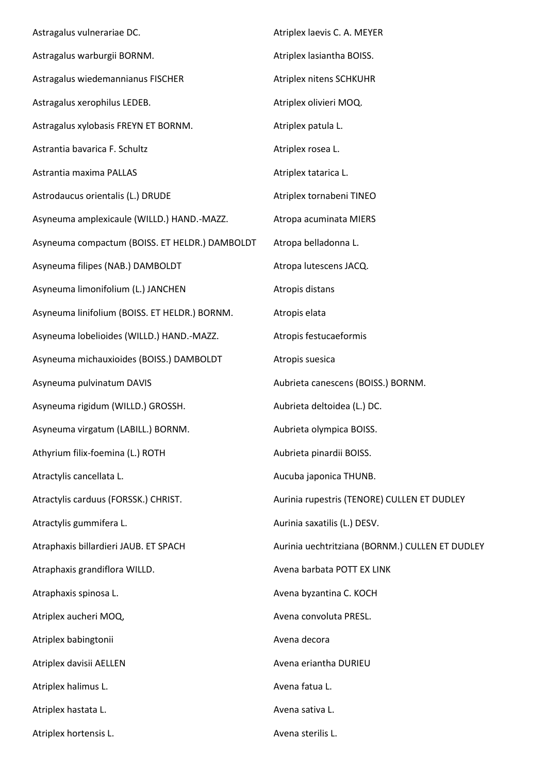Astragalus vulnerariae DC. Astragalus warburgii BORNM. Astragalus wiedemannianus FISCHER Astragalus xerophilus LEDEB. Astragalus xylobasis FREYN ET BORNM. Astrantia bavarica F. Schultz Astrantia maxima PALLAS Astrodaucus orientalis (L.) DRUDE Asyneuma amplexicaule (WILLD.) HAND.-MAZZ. Asyneuma compactum (BOISS. ET HELDR.) DAMBOLDT Asyneuma filipes (NAB.) DAMBOLDT Asyneuma limonifolium (L.) JANCHEN Asyneuma linifolium (BOISS. ET HELDR.) BORNM. Asyneuma lobelioides (WILLD.) HAND.-MAZZ. Asyneuma michauxioides (BOISS.) DAMBOLDT Asyneuma pulvinatum DAVIS Asyneuma rigidum (WILLD.) GROSSH. Asyneuma virgatum (LABILL.) BORNM. Athyrium filix-foemina (L.) ROTH Atractylis cancellata L. Atractylis carduus (FORSSK.) CHRIST. Atractylis gummifera L. Atraphaxis billardieri JAUB. ET SPACH Atraphaxis grandiflora WILLD. Atraphaxis spinosa L. Atriplex aucheri MOQ, Atriplex babingtonii Atriplex davisii AELLEN Atriplex halimus L. Atriplex hastata L. Atriplex hortensis L. Atriplex laevis C. A. MEYER Atriplex lasiantha BOISS. Atriplex nitens SCHKUHR Atriplex olivieri MOQ. Atriplex patula L. Atriplex rosea L. Atriplex tatarica L. Atriplex tornabeni TINEO Atropa acuminata MIERS Atropa belladonna L. Atropa lutescens JACQ. Atropis distans Atropis elata Atropis festucaeformis Atropis suesica Aubrieta canescens (BOISS.) BORNM. Aubrieta deltoidea (L.) DC. Aubrieta olympica BOISS. Aubrieta pinardii BOISS. Aucuba japonica THUNB. Aurinia rupestris (TENORE) CULLEN ET DUDLEY Aurinia saxatilis (L.) DESV. Aurinia uechtritziana (BORNM.) CULLEN ET DUDLEY Avena barbata POTT EX LINK Avena byzantina C. KOCH Avena convoluta PRESL. Avena decora Avena eriantha DURIEU Avena fatua L. Avena sativa L. Avena sterilis L.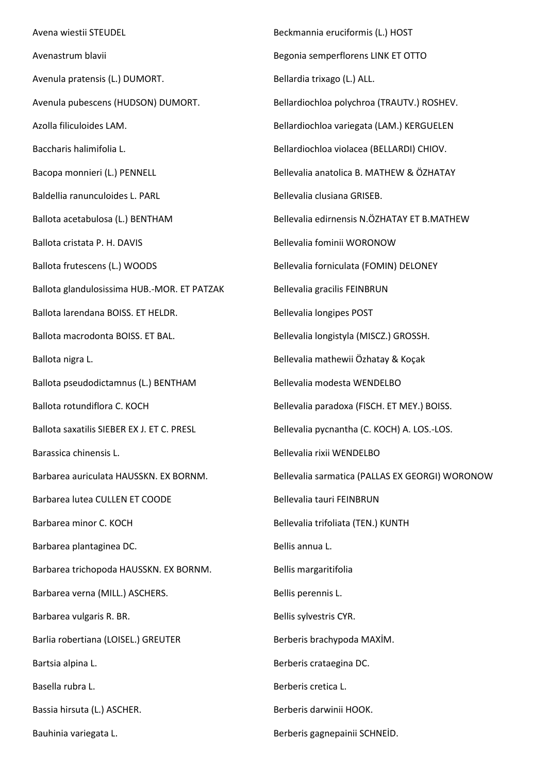Avena wiestii STEUDEL Avenastrum blavii Avenula pratensis (L.) DUMORT. Avenula pubescens (HUDSON) DUMORT. Azolla filiculoides LAM. Baccharis halimifolia L. Bacopa monnieri (L.) PENNELL Baldellia ranunculoides L. PARL Ballota acetabulosa (L.) BENTHAM Ballota cristata P. H. DAVIS Ballota frutescens (L.) WOODS Ballota glandulosissima HUB.-MOR. ET PATZAK Ballota larendana BOISS. ET HELDR. Ballota macrodonta BOISS. ET BAL. Ballota nigra L. Ballota pseudodictamnus (L.) BENTHAM Ballota rotundiflora C. KOCH Ballota saxatilis SIEBER EX J. ET C. PRESL Barassica chinensis L. Barbarea auriculata HAUSSKN. EX BORNM. Barbarea lutea CULLEN ET COODE Barbarea minor C. KOCH Barbarea plantaginea DC. Barbarea trichopoda HAUSSKN. EX BORNM. Barbarea verna (MILL.) ASCHERS. Barbarea vulgaris R. BR. Barlia robertiana (LOISEL.) GREUTER Bartsia alpina L. Basella rubra L. Bassia hirsuta (L.) ASCHER. Bauhinia variegata L. Berberis gagnepainii SCHNEİD.

Beckmannia eruciformis (L.) HOST Begonia semperflorens LINK ET OTTO Bellardia trixago (L.) ALL. Bellardiochloa polychroa (TRAUTV.) ROSHEV. Bellardiochloa variegata (LAM.) KERGUELEN Bellardiochloa violacea (BELLARDI) CHIOV. Bellevalia anatolica B. MATHEW & ÖZHATAY Bellevalia clusiana GRISEB. Bellevalia edirnensis N.ÖZHATAY ET B.MATHEW Bellevalia fominii WORONOW Bellevalia forniculata (FOMIN) DELONEY Bellevalia gracilis FEINBRUN Bellevalia longipes POST Bellevalia longistyla (MISCZ.) GROSSH. Bellevalia mathewii Özhatay & Koçak Bellevalia modesta WENDELBO Bellevalia paradoxa (FISCH. ET MEY.) BOISS. Bellevalia pycnantha (C. KOCH) A. LOS.-LOS. Bellevalia rixii WENDELBO Bellevalia sarmatica (PALLAS EX GEORGI) WORONOW Bellevalia tauri FEINBRUN Bellevalia trifoliata (TEN.) KUNTH Bellis annua L. Bellis margaritifolia Bellis perennis L. Bellis sylvestris CYR. Berberis brachypoda MAXİM. Berberis crataegina DC. Berberis cretica L. Berberis darwinii HOOK.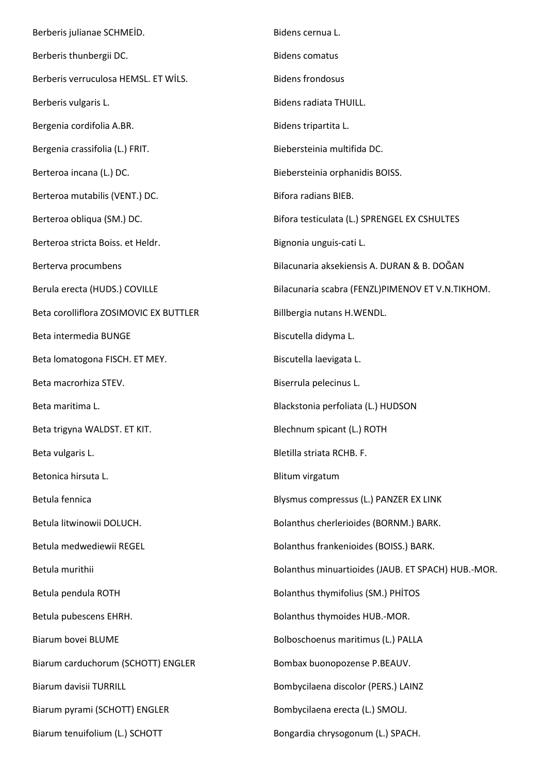Berberis julianae SCHMEİD. Berberis thunbergii DC. Berberis verruculosa HEMSL. ET WİLS. Berberis vulgaris L. Bergenia cordifolia A.BR. Bergenia crassifolia (L.) FRIT. Berteroa incana (L.) DC. Berteroa mutabilis (VENT.) DC. Berteroa obliqua (SM.) DC. Berteroa stricta Boiss. et Heldr. Berterva procumbens Berula erecta (HUDS.) COVILLE Beta corolliflora ZOSIMOVIC EX BUTTLER Beta intermedia BUNGE Beta lomatogona FISCH. ET MEY. Beta macrorhiza STEV. Beta maritima L. Beta trigyna WALDST. ET KIT. Beta vulgaris L. Betonica hirsuta L. Betula fennica Betula litwinowii DOLUCH. Betula medwediewii REGEL Betula murithii Betula pendula ROTH Betula pubescens EHRH. Biarum bovei BLUME Biarum carduchorum (SCHOTT) ENGLER Biarum davisii TURRILL Biarum pyrami (SCHOTT) ENGLER Biarum tenuifolium (L.) SCHOTT Bidens cernua L. Bidens comatus Bidens frondosus Bidens radiata THUILL. Bidens tripartita L. Biebersteinia multifida DC. Biebersteinia orphanidis BOISS. Bifora radians BIEB. Bifora testiculata (L.) SPRENGEL EX CSHULTES Bignonia unguis-cati L. Bilacunaria aksekiensis A. DURAN & B. DOĞAN Bilacunaria scabra (FENZL)PIMENOV ET V.N.TIKHOM. Billbergia nutans H.WENDL. Biscutella didyma L. Biscutella laevigata L. Biserrula pelecinus L. Blackstonia perfoliata (L.) HUDSON Blechnum spicant (L.) ROTH Bletilla striata RCHB. F. Blitum virgatum Blysmus compressus (L.) PANZER EX LINK Bolanthus cherlerioides (BORNM.) BARK. Bolanthus frankenioides (BOISS.) BARK. Bolanthus minuartioides (JAUB. ET SPACH) HUB.-MOR. Bolanthus thymifolius (SM.) PHİTOS Bolanthus thymoides HUB.-MOR. Bolboschoenus maritimus (L.) PALLA Bombax buonopozense P.BEAUV. Bombycilaena discolor (PERS.) LAINZ Bombycilaena erecta (L.) SMOLJ. Bongardia chrysogonum (L.) SPACH.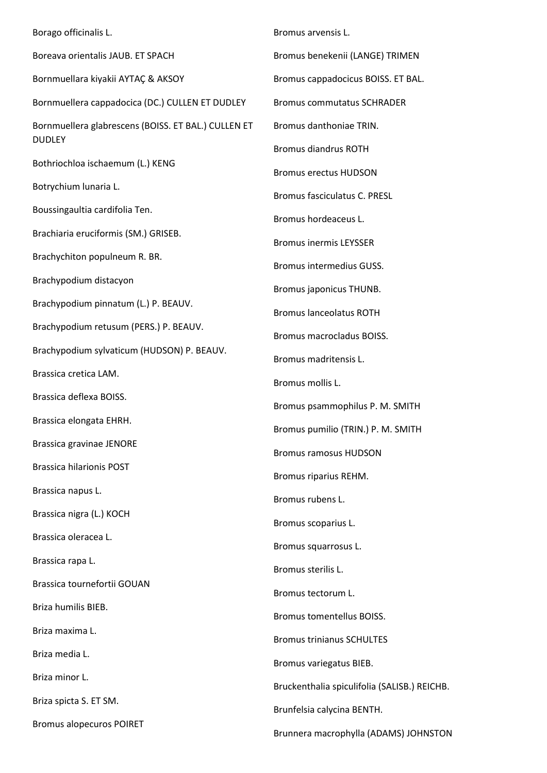Borago officinalis L. Boreava orientalis JAUB. ET SPACH Bornmuellara kiyakii AYTAÇ & AKSOY Bornmuellera cappadocica (DC.) CULLEN ET DUDLEY Bornmuellera glabrescens (BOISS. ET BAL.) CULLEN ET DUDLEY Bothriochloa ischaemum (L.) KENG Botrychium lunaria L. Boussingaultia cardifolia Ten. Brachiaria eruciformis (SM.) GRISEB. Brachychiton populneum R. BR. Brachypodium distacyon Brachypodium pinnatum (L.) P. BEAUV. Brachypodium retusum (PERS.) P. BEAUV. Brachypodium sylvaticum (HUDSON) P. BEAUV. Brassica cretica LAM. Brassica deflexa BOISS. Brassica elongata EHRH. Brassica gravinae JENORE Brassica hilarionis POST Brassica napus L. Brassica nigra (L.) KOCH Brassica oleracea L. Brassica rapa L. Brassica tournefortii GOUAN Briza humilis BIEB. Briza maxima L. Briza media L. Briza minor L. Briza spicta S. ET SM. Bromus alopecuros POIRET Bromus arvensis L. Bromus benekenii (LANGE) TRIMEN Bromus cappadocicus BOISS. ET BAL. Bromus commutatus SCHRADER Bromus danthoniae TRIN. Bromus diandrus ROTH Bromus erectus HUDSON Bromus fasciculatus C. PRESL Bromus hordeaceus L. Bromus inermis LEYSSER Bromus intermedius GUSS. Bromus japonicus THUNB. Bromus lanceolatus ROTH Bromus macrocladus BOISS. Bromus madritensis L. Bromus mollis L. Bromus psammophilus P. M. SMITH Bromus pumilio (TRIN.) P. M. SMITH Bromus ramosus HUDSON Bromus riparius REHM. Bromus rubens L. Bromus scoparius L. Bromus squarrosus L. Bromus sterilis L. Bromus tectorum L. Bromus tomentellus BOISS. Bromus trinianus SCHULTES Bromus variegatus BIEB. Bruckenthalia spiculifolia (SALISB.) REICHB. Brunfelsia calycina BENTH. Brunnera macrophylla (ADAMS) JOHNSTON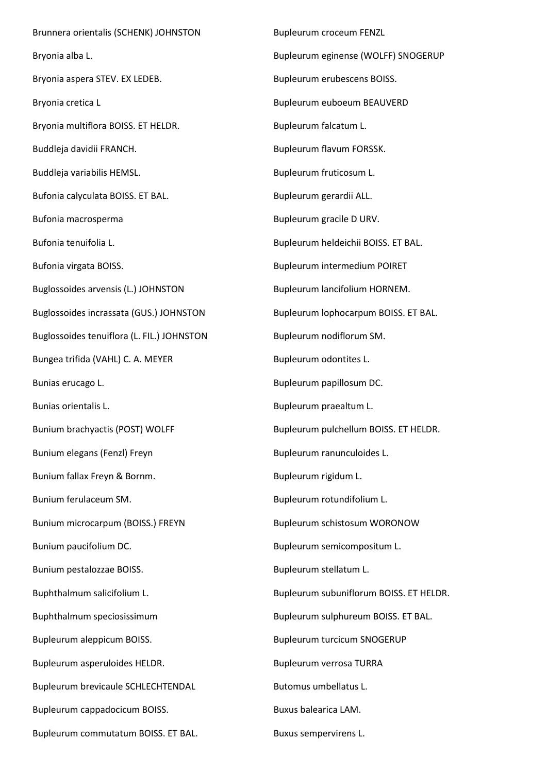Brunnera orientalis (SCHENK) JOHNSTON Bryonia alba L. Bryonia aspera STEV. EX LEDEB. Bryonia cretica L Bryonia multiflora BOISS. ET HELDR. Buddleja davidii FRANCH. Buddleja variabilis HEMSL. Bufonia calyculata BOISS. ET BAL. Bufonia macrosperma Bufonia tenuifolia L. Bufonia virgata BOISS. Buglossoides arvensis (L.) JOHNSTON Buglossoides incrassata (GUS.) JOHNSTON Buglossoides tenuiflora (L. FIL.) JOHNSTON Bungea trifida (VAHL) C. A. MEYER Bunias erucago L. Bunias orientalis L. Bunium brachyactis (POST) WOLFF Bunium elegans (Fenzl) Freyn Bunium fallax Freyn & Bornm. Bunium ferulaceum SM. Bunium microcarpum (BOISS.) FREYN Bunium paucifolium DC. Bunium pestalozzae BOISS. Buphthalmum salicifolium L. Buphthalmum speciosissimum Bupleurum aleppicum BOISS. Bupleurum asperuloides HELDR. Bupleurum brevicaule SCHLECHTENDAL Bupleurum cappadocicum BOISS. Bupleurum commutatum BOISS. ET BAL.

Bupleurum croceum FENZL Bupleurum eginense (WOLFF) SNOGERUP Bupleurum erubescens BOISS. Bupleurum euboeum BEAUVERD Bupleurum falcatum L. Bupleurum flavum FORSSK. Bupleurum fruticosum L. Bupleurum gerardii ALL. Bupleurum gracile D URV. Bupleurum heldeichii BOISS. ET BAL. Bupleurum intermedium POIRET Bupleurum lancifolium HORNEM. Bupleurum lophocarpum BOISS. ET BAL. Bupleurum nodiflorum SM. Bupleurum odontites L. Bupleurum papillosum DC. Bupleurum praealtum L. Bupleurum pulchellum BOISS. ET HELDR. Bupleurum ranunculoides L. Bupleurum rigidum L. Bupleurum rotundifolium L. Bupleurum schistosum WORONOW Bupleurum semicompositum L. Bupleurum stellatum L. Bupleurum subuniflorum BOISS. ET HELDR. Bupleurum sulphureum BOISS. ET BAL. Bupleurum turcicum SNOGERUP Bupleurum verrosa TURRA Butomus umbellatus L. Buxus balearica LAM. Buxus sempervirens L.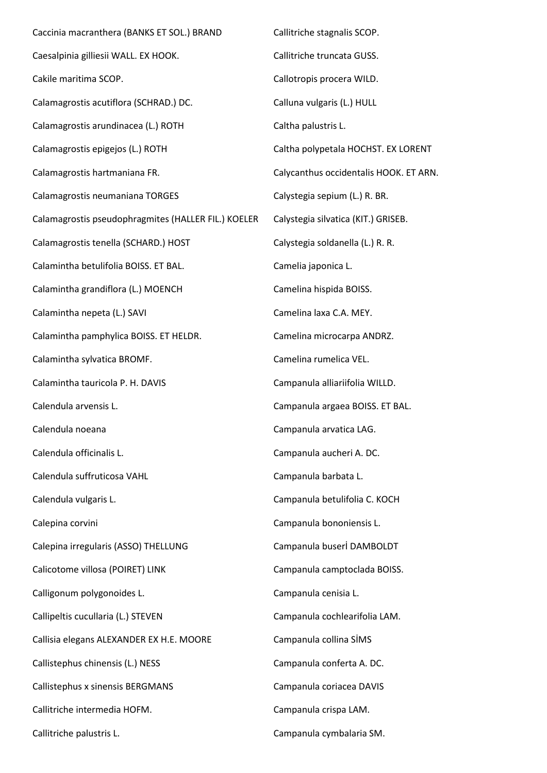Caccinia macranthera (BANKS ET SOL.) BRAND Caesalpinia gilliesii WALL. EX HOOK. Cakile maritima SCOP. Calamagrostis acutiflora (SCHRAD.) DC. Calamagrostis arundinacea (L.) ROTH Calamagrostis epigejos (L.) ROTH Calamagrostis hartmaniana FR. Calamagrostis neumaniana TORGES Calamagrostis pseudophragmites (HALLER FIL.) KOELER Calamagrostis tenella (SCHARD.) HOST Calamintha betulifolia BOISS. ET BAL. Calamintha grandiflora (L.) MOENCH Calamintha nepeta (L.) SAVI Calamintha pamphylica BOISS. ET HELDR. Calamintha sylvatica BROMF. Calamintha tauricola P. H. DAVIS Calendula arvensis L. Calendula noeana Calendula officinalis L. Calendula suffruticosa VAHL Calendula vulgaris L. Calepina corvini Calepina irregularis (ASSO) THELLUNG Calicotome villosa (POIRET) LINK Calligonum polygonoides L. Callipeltis cucullaria (L.) STEVEN Callisia elegans ALEXANDER EX H.E. MOORE Callistephus chinensis (L.) NESS Callistephus x sinensis BERGMANS Callitriche intermedia HOFM. Callitriche palustris L. Callitriche stagnalis SCOP. Callitriche truncata GUSS. Callotropis procera WILD. Calluna vulgaris (L.) HULL Caltha palustris L. Caltha polypetala HOCHST. EX LORENT Calycanthus occidentalis HOOK. ET ARN. Calystegia sepium (L.) R. BR. Calystegia silvatica (KIT.) GRISEB. Calystegia soldanella (L.) R. R. Camelia japonica L. Camelina hispida BOISS. Camelina laxa C.A. MEY. Camelina microcarpa ANDRZ. Camelina rumelica VEL. Campanula alliariifolia WILLD. Campanula argaea BOISS. ET BAL. Campanula arvatica LAG. Campanula aucheri A. DC. Campanula barbata L. Campanula betulifolia C. KOCH Campanula bononiensis L. Campanula buserİ DAMBOLDT Campanula camptoclada BOISS. Campanula cenisia L. Campanula cochlearifolia LAM. Campanula collina SİMS Campanula conferta A. DC. Campanula coriacea DAVIS Campanula crispa LAM. Campanula cymbalaria SM.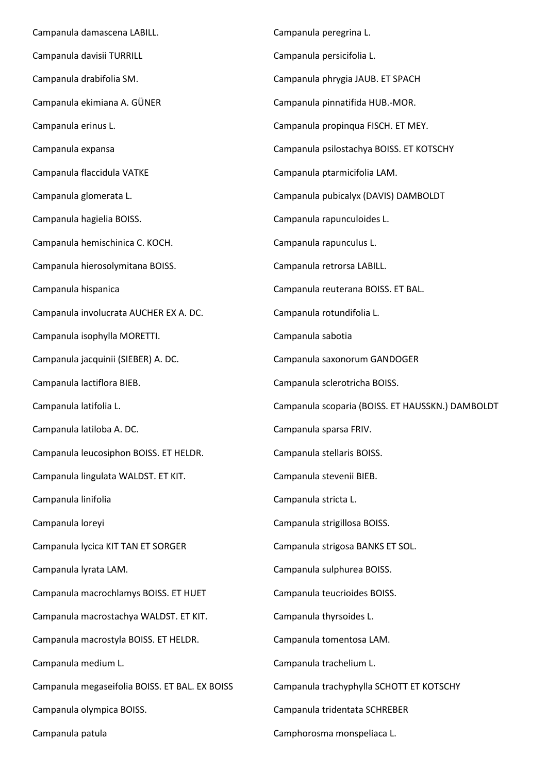Campanula damascena LABILL. Campanula davisii TURRILL Campanula drabifolia SM. Campanula ekimiana A. GÜNER Campanula erinus L. Campanula expansa Campanula flaccidula VATKE Campanula glomerata L. Campanula hagielia BOISS. Campanula hemischinica C. KOCH. Campanula hierosolymitana BOISS. Campanula hispanica Campanula involucrata AUCHER EX A. DC. Campanula isophylla MORETTI. Campanula jacquinii (SIEBER) A. DC. Campanula lactiflora BIEB. Campanula latifolia L. Campanula latiloba A. DC. Campanula leucosiphon BOISS. ET HELDR. Campanula lingulata WALDST. ET KIT. Campanula linifolia Campanula loreyi Campanula lycica KIT TAN ET SORGER Campanula lyrata LAM. Campanula macrochlamys BOISS. ET HUET Campanula macrostachya WALDST. ET KIT. Campanula macrostyla BOISS. ET HELDR. Campanula medium L. Campanula megaseifolia BOISS. ET BAL. EX BOISS Campanula olympica BOISS. Campanula patula Campanula peregrina L. Campanula persicifolia L. Campanula phrygia JAUB. ET SPACH Campanula pinnatifida HUB.-MOR. Campanula propinqua FISCH. ET MEY. Campanula psilostachya BOISS. ET KOTSCHY Campanula ptarmicifolia LAM. Campanula pubicalyx (DAVIS) DAMBOLDT Campanula rapunculoides L. Campanula rapunculus L. Campanula retrorsa LABILL. Campanula reuterana BOISS. ET BAL. Campanula rotundifolia L. Campanula sabotia Campanula saxonorum GANDOGER Campanula sclerotricha BOISS. Campanula scoparia (BOISS. ET HAUSSKN.) DAMBOLDT Campanula sparsa FRIV. Campanula stellaris BOISS. Campanula stevenii BIEB. Campanula stricta L. Campanula strigillosa BOISS. Campanula strigosa BANKS ET SOL. Campanula sulphurea BOISS. Campanula teucrioides BOISS. Campanula thyrsoides L. Campanula tomentosa LAM. Campanula trachelium L. Campanula trachyphylla SCHOTT ET KOTSCHY Campanula tridentata SCHREBER Camphorosma monspeliaca L.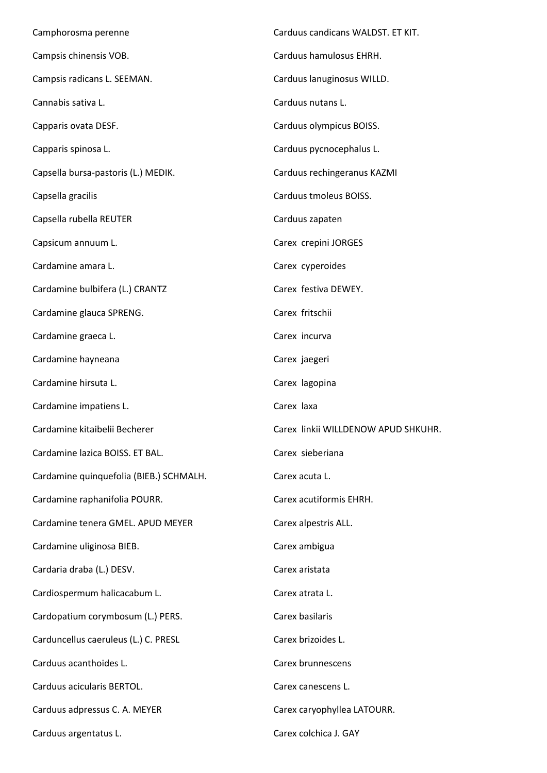| Camphorosma perenne                     | Carduus candicans WALDST. ET KIT.   |
|-----------------------------------------|-------------------------------------|
| Campsis chinensis VOB.                  | Carduus hamulosus EHRH.             |
| Campsis radicans L. SEEMAN.             | Carduus lanuginosus WILLD.          |
| Cannabis sativa L.                      | Carduus nutans L.                   |
| Capparis ovata DESF.                    | Carduus olympicus BOISS.            |
| Capparis spinosa L.                     | Carduus pycnocephalus L.            |
| Capsella bursa-pastoris (L.) MEDIK.     | Carduus rechingeranus KAZMI         |
| Capsella gracilis                       | Carduus tmoleus BOISS.              |
| Capsella rubella REUTER                 | Carduus zapaten                     |
| Capsicum annuum L.                      | Carex crepini JORGES                |
| Cardamine amara L.                      | Carex cyperoides                    |
| Cardamine bulbifera (L.) CRANTZ         | Carex festiva DEWEY.                |
| Cardamine glauca SPRENG.                | Carex fritschii                     |
| Cardamine graeca L.                     | Carex incurva                       |
| Cardamine hayneana                      | Carex jaegeri                       |
| Cardamine hirsuta L.                    | Carex lagopina                      |
| Cardamine impatiens L.                  | Carex laxa                          |
| Cardamine kitaibelii Becherer           | Carex linkii WILLDENOW APUD SHKUHR. |
| Cardamine lazica BOISS. ET BAL.         | Carex sieberiana                    |
| Cardamine quinquefolia (BIEB.) SCHMALH. | Carex acuta L.                      |
| Cardamine raphanifolia POURR.           | Carex acutiformis EHRH.             |
| Cardamine tenera GMEL. APUD MEYER       | Carex alpestris ALL.                |
| Cardamine uliginosa BIEB.               | Carex ambigua                       |
| Cardaria draba (L.) DESV.               | Carex aristata                      |
| Cardiospermum halicacabum L.            | Carex atrata L.                     |
| Cardopatium corymbosum (L.) PERS.       | Carex basilaris                     |
| Carduncellus caeruleus (L.) C. PRESL    | Carex brizoides L.                  |
| Carduus acanthoides L.                  | Carex brunnescens                   |
| Carduus acicularis BERTOL.              | Carex canescens L.                  |
| Carduus adpressus C. A. MEYER           | Carex caryophyllea LATOURR.         |
| Carduus argentatus L.                   | Carex colchica J. GAY               |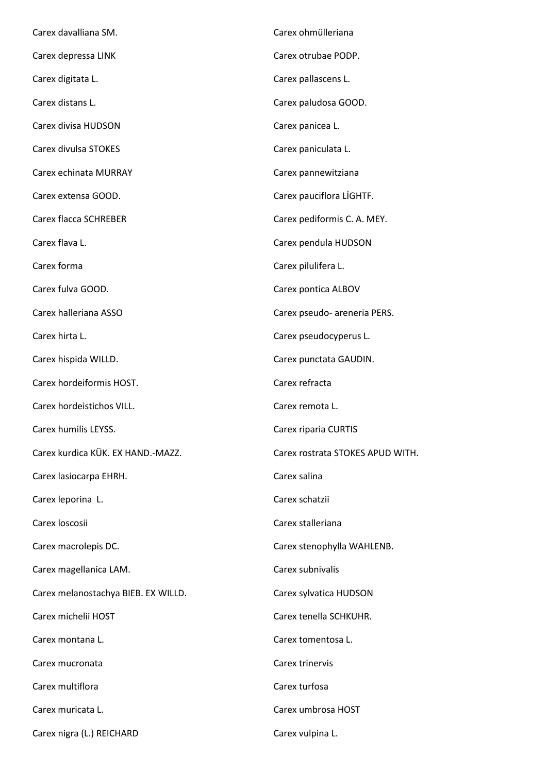| Carex davalliana SM.                | Carex ohmülleriana               |
|-------------------------------------|----------------------------------|
| Carex depressa LINK                 | Carex otrubae PODP.              |
| Carex digitata L.                   | Carex pallascens L.              |
| Carex distans L.                    | Carex paludosa GOOD.             |
| Carex divisa HUDSON                 | Carex panicea L.                 |
| Carex divulsa STOKES                | Carex paniculata L.              |
| Carex echinata MURRAY               | Carex pannewitziana              |
| Carex extensa GOOD.                 | Carex pauciflora LİGHTF.         |
| Carex flacca SCHREBER               | Carex pediformis C. A. MEY.      |
| Carex flava L.                      | Carex pendula HUDSON             |
| Carex forma                         | Carex pilulifera L.              |
| Carex fulva GOOD.                   | Carex pontica ALBOV              |
| Carex halleriana ASSO               | Carex pseudo- areneria PERS.     |
| Carex hirta L.                      | Carex pseudocyperus L.           |
| Carex hispida WILLD.                | Carex punctata GAUDIN.           |
| Carex hordeiformis HOST.            | Carex refracta                   |
| Carex hordeistichos VILL.           | Carex remota L.                  |
| Carex humilis LEYSS.                | Carex riparia CURTIS             |
| Carex kurdica KÜK. EX HAND.-MAZZ.   | Carex rostrata STOKES APUD WITH. |
| Carex lasiocarpa EHRH.              | Carex salina                     |
| Carex leporina L.                   | Carex schatzii                   |
| Carex loscosii                      | Carex stalleriana                |
| Carex macrolepis DC.                | Carex stenophylla WAHLENB.       |
| Carex magellanica LAM.              | Carex subnivalis                 |
| Carex melanostachya BIEB. EX WILLD. | Carex sylvatica HUDSON           |
| Carex michelii HOST                 | Carex tenella SCHKUHR.           |
| Carex montana L.                    | Carex tomentosa L.               |
| Carex mucronata                     | Carex trinervis                  |
| Carex multiflora                    | Carex turfosa                    |
| Carex muricata L.                   | Carex umbrosa HOST               |
| Carex nigra (L.) REICHARD           | Carex vulpina L.                 |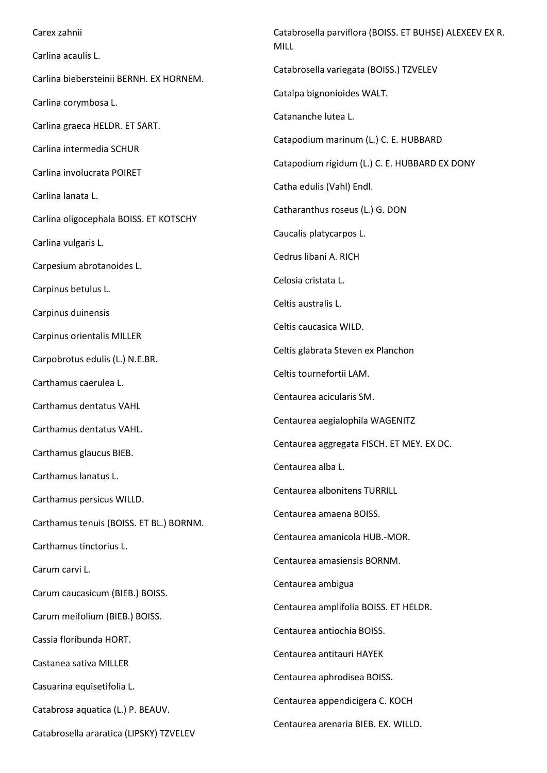Carex zahnii Carlina acaulis L. Carlina biebersteinii BERNH. EX HORNEM. Carlina corymbosa L. Carlina graeca HELDR. ET SART. Carlina intermedia SCHUR Carlina involucrata POIRET Carlina lanata L. Carlina oligocephala BOISS. ET KOTSCHY Carlina vulgaris L. Carpesium abrotanoides L. Carpinus betulus L. Carpinus duinensis Carpinus orientalis MILLER Carpobrotus edulis (L.) N.E.BR. Carthamus caerulea L. Carthamus dentatus VAHL Carthamus dentatus VAHL. Carthamus glaucus BIEB. Carthamus lanatus L. Carthamus persicus WILLD. Carthamus tenuis (BOISS. ET BL.) BORNM. Carthamus tinctorius L. Carum carvi L. Carum caucasicum (BIEB.) BOISS. Carum meifolium (BIEB.) BOISS. Cassia floribunda HORT. Castanea sativa MILLER Casuarina equisetifolia L. Catabrosa aquatica (L.) P. BEAUV. Catabrosella araratica (LIPSKY) TZVELEV Catabrosella parviflora (BOISS. ET BUHSE) ALEXEEV EX R. MILL Catabrosella variegata (BOISS.) TZVELEV Catalpa bignonioides WALT. Catananche lutea L. Catapodium marinum (L.) C. E. HUBBARD Catapodium rigidum (L.) C. E. HUBBARD EX DONY Catha edulis (Vahl) Endl. Catharanthus roseus (L.) G. DON Caucalis platycarpos L. Cedrus libani A. RICH Celosia cristata L. Celtis australis L. Celtis caucasica WILD. Celtis glabrata Steven ex Planchon Celtis tournefortii LAM. Centaurea acicularis SM. Centaurea aegialophila WAGENITZ Centaurea aggregata FISCH. ET MEY. EX DC. Centaurea alba L. Centaurea albonitens TURRILL Centaurea amaena BOISS. Centaurea amanicola HUB.-MOR. Centaurea amasiensis BORNM. Centaurea ambigua Centaurea amplifolia BOISS. ET HELDR. Centaurea antiochia BOISS. Centaurea antitauri HAYEK Centaurea aphrodisea BOISS. Centaurea appendicigera C. KOCH Centaurea arenaria BIEB. EX. WILLD.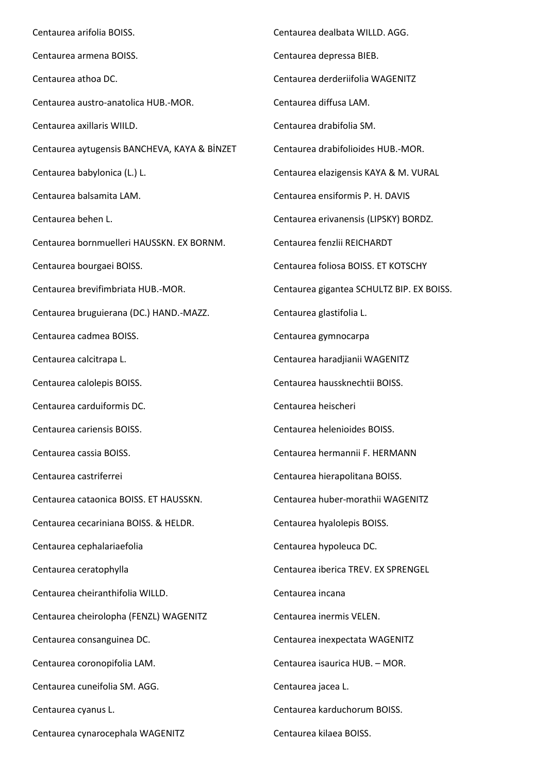Centaurea arifolia BOISS. Centaurea armena BOISS. Centaurea athoa DC. Centaurea austro-anatolica HUB.-MOR. Centaurea axillaris WIILD. Centaurea aytugensis BANCHEVA, KAYA & BİNZET Centaurea babylonica (L.) L. Centaurea balsamita LAM. Centaurea behen L. Centaurea bornmuelleri HAUSSKN. EX BORNM. Centaurea bourgaei BOISS. Centaurea brevifimbriata HUB.-MOR. Centaurea bruguierana (DC.) HAND.-MAZZ. Centaurea cadmea BOISS. Centaurea calcitrapa L. Centaurea calolepis BOISS. Centaurea carduiformis DC. Centaurea cariensis BOISS. Centaurea cassia BOISS. Centaurea castriferrei Centaurea cataonica BOISS. ET HAUSSKN. Centaurea cecariniana BOISS. & HELDR. Centaurea cephalariaefolia Centaurea ceratophylla Centaurea cheiranthifolia WILLD. Centaurea cheirolopha (FENZL) WAGENITZ Centaurea consanguinea DC. Centaurea coronopifolia LAM. Centaurea cuneifolia SM. AGG. Centaurea cyanus L. Centaurea cynarocephala WAGENITZ Centaurea dealbata WILLD. AGG. Centaurea depressa BIEB. Centaurea derderiifolia WAGENITZ Centaurea diffusa LAM. Centaurea drabifolia SM. Centaurea drabifolioides HUB.-MOR. Centaurea elazigensis KAYA & M. VURAL Centaurea ensiformis P. H. DAVIS Centaurea erivanensis (LIPSKY) BORDZ. Centaurea fenzlii REICHARDT Centaurea foliosa BOISS. ET KOTSCHY Centaurea gigantea SCHULTZ BIP. EX BOISS. Centaurea glastifolia L. Centaurea gymnocarpa Centaurea haradjianii WAGENITZ Centaurea haussknechtii BOISS. Centaurea heischeri Centaurea helenioides BOISS. Centaurea hermannii F. HERMANN Centaurea hierapolitana BOISS. Centaurea huber-morathii WAGENITZ Centaurea hyalolepis BOISS. Centaurea hypoleuca DC. Centaurea iberica TREV. EX SPRENGEL Centaurea incana Centaurea inermis VELEN. Centaurea inexpectata WAGENITZ Centaurea isaurica HUB. – MOR. Centaurea jacea L. Centaurea karduchorum BOISS. Centaurea kilaea BOISS.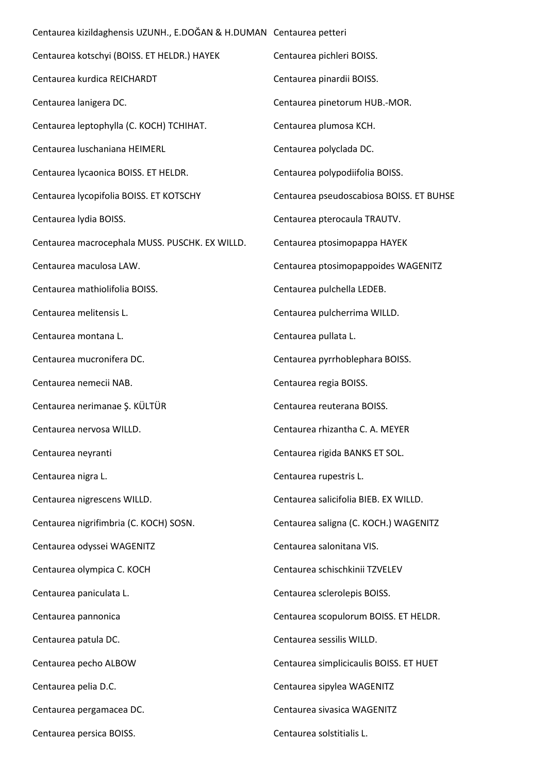| Centaurea kizildaghensis UZUNH., E.DOĞAN & H.DUMAN Centaurea petteri |                                          |
|----------------------------------------------------------------------|------------------------------------------|
| Centaurea kotschyi (BOISS. ET HELDR.) HAYEK                          | Centaurea pichleri BOISS.                |
| Centaurea kurdica REICHARDT                                          | Centaurea pinardii BOISS.                |
| Centaurea lanigera DC.                                               | Centaurea pinetorum HUB.-MOR.            |
| Centaurea leptophylla (C. KOCH) TCHIHAT.                             | Centaurea plumosa KCH.                   |
| Centaurea luschaniana HEIMERL                                        | Centaurea polyclada DC.                  |
| Centaurea lycaonica BOISS. ET HELDR.                                 | Centaurea polypodiifolia BOISS.          |
| Centaurea lycopifolia BOISS. ET KOTSCHY                              | Centaurea pseudoscabiosa BOISS. ET BUHSE |
| Centaurea Iydia BOISS.                                               | Centaurea pterocaula TRAUTV.             |
| Centaurea macrocephala MUSS. PUSCHK. EX WILLD.                       | Centaurea ptosimopappa HAYEK             |
| Centaurea maculosa LAW.                                              | Centaurea ptosimopappoides WAGENITZ      |
| Centaurea mathiolifolia BOISS.                                       | Centaurea pulchella LEDEB.               |
| Centaurea melitensis L.                                              | Centaurea pulcherrima WILLD.             |
| Centaurea montana L.                                                 | Centaurea pullata L.                     |
| Centaurea mucronifera DC.                                            | Centaurea pyrrhoblephara BOISS.          |
| Centaurea nemecii NAB.                                               | Centaurea regia BOISS.                   |
| Centaurea nerimanae Ş. KÜLTÜR                                        | Centaurea reuterana BOISS.               |
| Centaurea nervosa WILLD.                                             | Centaurea rhizantha C. A. MEYER          |
| Centaurea neyranti                                                   | Centaurea rigida BANKS ET SOL.           |
| Centaurea nigra L.                                                   | Centaurea rupestris L.                   |
| Centaurea nigrescens WILLD.                                          | Centaurea salicifolia BIEB. EX WILLD.    |
| Centaurea nigrifimbria (C. KOCH) SOSN.                               | Centaurea saligna (C. KOCH.) WAGENITZ    |
| Centaurea odyssei WAGENITZ                                           | Centaurea salonitana VIS.                |
| Centaurea olympica C. KOCH                                           | Centaurea schischkinii TZVELEV           |
| Centaurea paniculata L.                                              | Centaurea sclerolepis BOISS.             |
| Centaurea pannonica                                                  | Centaurea scopulorum BOISS. ET HELDR.    |
| Centaurea patula DC.                                                 | Centaurea sessilis WILLD.                |
| Centaurea pecho ALBOW                                                | Centaurea simplicicaulis BOISS. ET HUET  |
| Centaurea pelia D.C.                                                 | Centaurea sipylea WAGENITZ               |
| Centaurea pergamacea DC.                                             | Centaurea sivasica WAGENITZ              |
| Centaurea persica BOISS.                                             | Centaurea solstitialis L.                |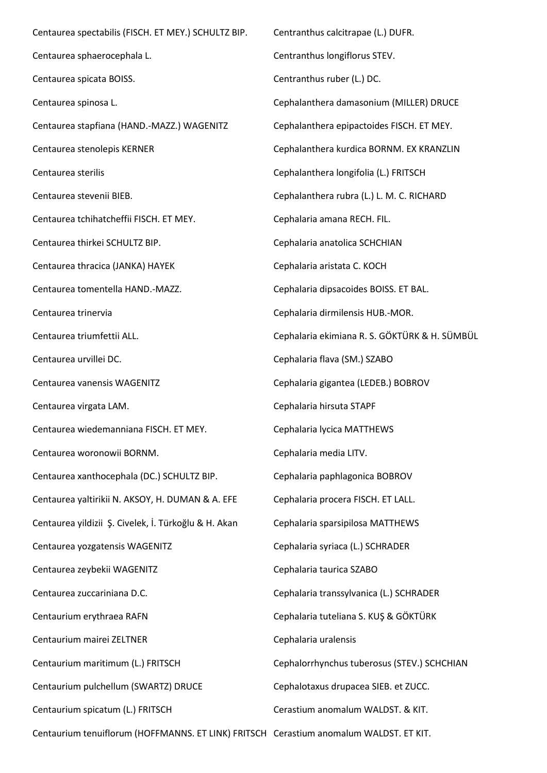Centaurea spectabilis (FISCH. ET MEY.) SCHULTZ BIP. Centaurea sphaerocephala L. Centaurea spicata BOISS. Centaurea spinosa L. Centaurea stapfiana (HAND.-MAZZ.) WAGENITZ Centaurea stenolepis KERNER Centaurea sterilis Centaurea stevenii BIEB. Centaurea tchihatcheffii FISCH. ET MEY. Centaurea thirkei SCHULTZ BIP. Centaurea thracica (JANKA) HAYEK Centaurea tomentella HAND.-MAZZ. Centaurea trinervia Centaurea triumfettii ALL. Centaurea urvillei DC. Centaurea vanensis WAGENITZ Centaurea virgata LAM. Centaurea wiedemanniana FISCH. ET MEY. Centaurea woronowii BORNM. Centaurea xanthocephala (DC.) SCHULTZ BIP. Centaurea yaltirikii N. AKSOY, H. DUMAN & A. EFE Centaurea yildizii Ş. Civelek, İ. Türkoğlu & H. Akan Centaurea yozgatensis WAGENITZ Centaurea zeybekii WAGENITZ Centaurea zuccariniana D.C. Centaurium erythraea RAFN Centaurium mairei ZELTNER Centaurium maritimum (L.) FRITSCH Centaurium pulchellum (SWARTZ) DRUCE Centaurium spicatum (L.) FRITSCH Centaurium tenuiflorum (HOFFMANNS. ET LINK) FRITSCH Cerastium anomalum WALDST. ET KIT.Centranthus calcitrapae (L.) DUFR. Centranthus longiflorus STEV. Centranthus ruber (L.) DC. Cephalanthera damasonium (MILLER) DRUCE Cephalanthera epipactoides FISCH. ET MEY. Cephalanthera kurdica BORNM. EX KRANZLIN Cephalanthera longifolia (L.) FRITSCH Cephalanthera rubra (L.) L. M. C. RICHARD Cephalaria amana RECH. FIL. Cephalaria anatolica SCHCHIAN Cephalaria aristata C. KOCH Cephalaria dipsacoides BOISS. ET BAL. Cephalaria dirmilensis HUB.-MOR. Cephalaria ekimiana R. S. GÖKTÜRK & H. SÜMBÜL Cephalaria flava (SM.) SZABO Cephalaria gigantea (LEDEB.) BOBROV Cephalaria hirsuta STAPF Cephalaria lycica MATTHEWS Cephalaria media LITV. Cephalaria paphlagonica BOBROV Cephalaria procera FISCH. ET LALL. Cephalaria sparsipilosa MATTHEWS Cephalaria syriaca (L.) SCHRADER Cephalaria taurica SZABO Cephalaria transsylvanica (L.) SCHRADER Cephalaria tuteliana S. KUŞ & GÖKTÜRK Cephalaria uralensis Cephalorrhynchus tuberosus (STEV.) SCHCHIAN Cephalotaxus drupacea SIEB. et ZUCC. Cerastium anomalum WALDST. & KIT.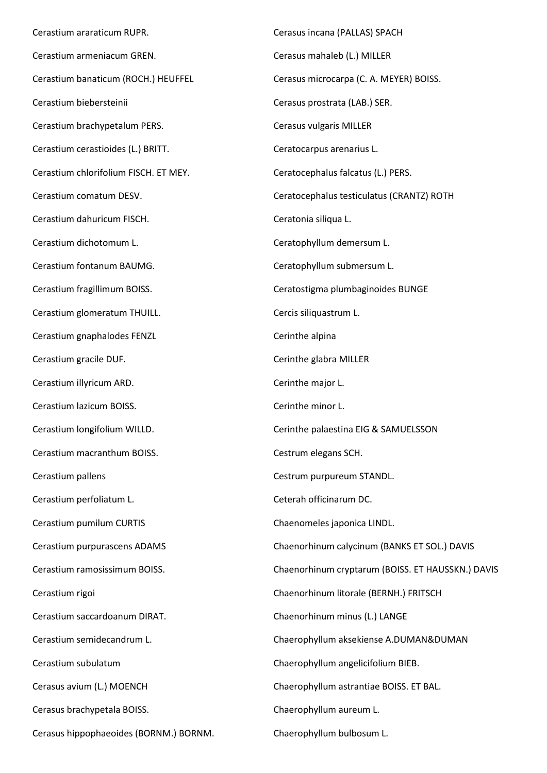Cerastium araraticum RUPR. Cerastium armeniacum GREN. Cerastium banaticum (ROCH.) HEUFFEL Cerastium biebersteinii Cerastium brachypetalum PERS. Cerastium cerastioides (L.) BRITT. Cerastium chlorifolium FISCH. ET MEY. Cerastium comatum DESV. Cerastium dahuricum FISCH. Cerastium dichotomum L. Cerastium fontanum BAUMG. Cerastium fragillimum BOISS. Cerastium glomeratum THUILL. Cerastium gnaphalodes FENZL Cerastium gracile DUF. Cerastium illyricum ARD. Cerastium lazicum BOISS. Cerastium longifolium WILLD. Cerastium macranthum BOISS. Cerastium pallens Cerastium perfoliatum L. Cerastium pumilum CURTIS Cerastium purpurascens ADAMS Cerastium ramosissimum BOISS. Cerastium rigoi Cerastium saccardoanum DIRAT. Cerastium semidecandrum L. Cerastium subulatum Cerasus avium (L.) MOENCH Cerasus brachypetala BOISS. Cerasus hippophaeoides (BORNM.) BORNM.

Cerasus incana (PALLAS) SPACH Cerasus mahaleb (L.) MILLER Cerasus microcarpa (C. A. MEYER) BOISS. Cerasus prostrata (LAB.) SER. Cerasus vulgaris MILLER Ceratocarpus arenarius L. Ceratocephalus falcatus (L.) PERS. Ceratocephalus testiculatus (CRANTZ) ROTH Ceratonia siliqua L. Ceratophyllum demersum L. Ceratophyllum submersum L. Ceratostigma plumbaginoides BUNGE Cercis siliquastrum L. Cerinthe alpina Cerinthe glabra MILLER Cerinthe major L. Cerinthe minor L. Cerinthe palaestina EIG & SAMUELSSON Cestrum elegans SCH. Cestrum purpureum STANDL. Ceterah officinarum DC. Chaenomeles japonica LINDL. Chaenorhinum calycinum (BANKS ET SOL.) DAVIS Chaenorhinum cryptarum (BOISS. ET HAUSSKN.) DAVIS Chaenorhinum litorale (BERNH.) FRITSCH Chaenorhinum minus (L.) LANGE Chaerophyllum aksekiense A.DUMAN&DUMAN Chaerophyllum angelicifolium BIEB. Chaerophyllum astrantiae BOISS. ET BAL. Chaerophyllum aureum L. Chaerophyllum bulbosum L.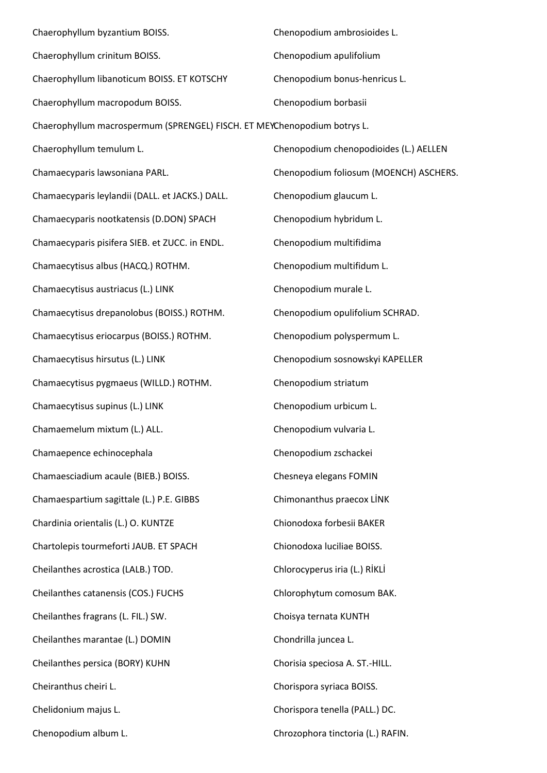| Chaerophyllum byzantium BOISS.                                           | Chenopodium ambrosioides L.            |  |
|--------------------------------------------------------------------------|----------------------------------------|--|
| Chaerophyllum crinitum BOISS.                                            | Chenopodium apulifolium                |  |
| Chaerophyllum libanoticum BOISS. ET KOTSCHY                              | Chenopodium bonus-henricus L.          |  |
| Chaerophyllum macropodum BOISS.                                          | Chenopodium borbasii                   |  |
| Chaerophyllum macrospermum (SPRENGEL) FISCH. ET MEYChenopodium botrys L. |                                        |  |
| Chaerophyllum temulum L.                                                 | Chenopodium chenopodioides (L.) AELLEN |  |
| Chamaecyparis lawsoniana PARL.                                           | Chenopodium foliosum (MOENCH) ASCHERS. |  |
| Chamaecyparis leylandii (DALL. et JACKS.) DALL.                          | Chenopodium glaucum L.                 |  |
| Chamaecyparis nootkatensis (D.DON) SPACH                                 | Chenopodium hybridum L.                |  |
| Chamaecyparis pisifera SIEB. et ZUCC. in ENDL.                           | Chenopodium multifidima                |  |
| Chamaecytisus albus (HACQ.) ROTHM.                                       | Chenopodium multifidum L.              |  |
| Chamaecytisus austriacus (L.) LINK                                       | Chenopodium murale L.                  |  |
| Chamaecytisus drepanolobus (BOISS.) ROTHM.                               | Chenopodium opulifolium SCHRAD.        |  |
| Chamaecytisus eriocarpus (BOISS.) ROTHM.                                 | Chenopodium polyspermum L.             |  |
| Chamaecytisus hirsutus (L.) LINK                                         | Chenopodium sosnowskyi KAPELLER        |  |
| Chamaecytisus pygmaeus (WILLD.) ROTHM.                                   | Chenopodium striatum                   |  |
| Chamaecytisus supinus (L.) LINK                                          | Chenopodium urbicum L.                 |  |
| Chamaemelum mixtum (L.) ALL.                                             | Chenopodium vulvaria L.                |  |
| Chamaepence echinocephala                                                | Chenopodium zschackei                  |  |
| Chamaesciadium acaule (BIEB.) BOISS.                                     | Chesneya elegans FOMIN                 |  |
| Chamaespartium sagittale (L.) P.E. GIBBS                                 | Chimonanthus praecox LİNK              |  |
| Chardinia orientalis (L.) O. KUNTZE                                      | Chionodoxa forbesii BAKER              |  |
| Chartolepis tourmeforti JAUB. ET SPACH                                   | Chionodoxa luciliae BOISS.             |  |
| Cheilanthes acrostica (LALB.) TOD.                                       | Chlorocyperus iria (L.) RİKLİ          |  |
| Cheilanthes catanensis (COS.) FUCHS                                      | Chlorophytum comosum BAK.              |  |
| Cheilanthes fragrans (L. FIL.) SW.                                       | Choisya ternata KUNTH                  |  |
| Cheilanthes marantae (L.) DOMIN                                          | Chondrilla juncea L.                   |  |
| Cheilanthes persica (BORY) KUHN                                          | Chorisia speciosa A. ST.-HILL.         |  |
| Cheiranthus cheiri L.                                                    | Chorispora syriaca BOISS.              |  |
| Chelidonium majus L.                                                     | Chorispora tenella (PALL.) DC.         |  |
| Chenopodium album L.                                                     | Chrozophora tinctoria (L.) RAFIN.      |  |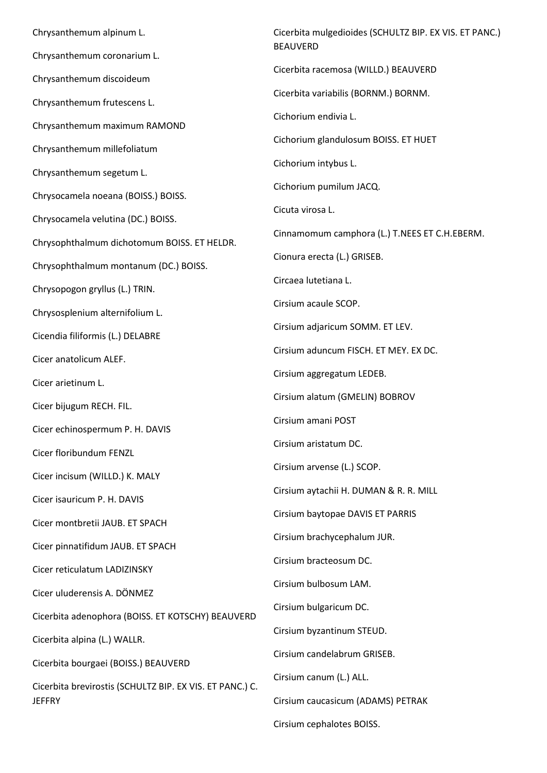Chrysanthemum alpinum L. Chrysanthemum coronarium L. Chrysanthemum discoideum Chrysanthemum frutescens L. Chrysanthemum maximum RAMOND Chrysanthemum millefoliatum Chrysanthemum segetum L. Chrysocamela noeana (BOISS.) BOISS. Chrysocamela velutina (DC.) BOISS. Chrysophthalmum dichotomum BOISS. ET HELDR. Chrysophthalmum montanum (DC.) BOISS. Chrysopogon gryllus (L.) TRIN. Chrysosplenium alternifolium L. Cicendia filiformis (L.) DELABRE Cicer anatolicum ALEF. Cicer arietinum L. Cicer bijugum RECH. FIL. Cicer echinospermum P. H. DAVIS Cicer floribundum FENZL Cicer incisum (WILLD.) K. MALY Cicer isauricum P. H. DAVIS Cicer montbretii JAUB. ET SPACH Cicer pinnatifidum JAUB. ET SPACH Cicer reticulatum LADIZINSKY Cicer uluderensis A. DÖNMEZ Cicerbita adenophora (BOISS. ET KOTSCHY) BEAUVERD Cicerbita alpina (L.) WALLR. Cicerbita bourgaei (BOISS.) BEAUVERD Cicerbita brevirostis (SCHULTZ BIP. EX VIS. ET PANC.) C. JEFFRY

Cicerbita mulgedioides (SCHULTZ BIP. EX VIS. ET PANC.) BEAUVERD Cicerbita racemosa (WILLD.) BEAUVERD Cicerbita variabilis (BORNM.) BORNM. Cichorium endivia L. Cichorium glandulosum BOISS. ET HUET Cichorium intybus L. Cichorium pumilum JACQ. Cicuta virosa L. Cinnamomum camphora (L.) T.NEES ET C.H.EBERM. Cionura erecta (L.) GRISEB. Circaea lutetiana L. Cirsium acaule SCOP. Cirsium adjaricum SOMM. ET LEV. Cirsium aduncum FISCH. ET MEY. EX DC. Cirsium aggregatum LEDEB. Cirsium alatum (GMELIN) BOBROV Cirsium amani POST Cirsium aristatum DC. Cirsium arvense (L.) SCOP. Cirsium aytachii H. DUMAN & R. R. MILL Cirsium baytopae DAVIS ET PARRIS Cirsium brachycephalum JUR. Cirsium bracteosum DC. Cirsium bulbosum LAM. Cirsium bulgaricum DC. Cirsium byzantinum STEUD. Cirsium candelabrum GRISEB. Cirsium canum (L.) ALL. Cirsium caucasicum (ADAMS) PETRAK

Cirsium cephalotes BOISS.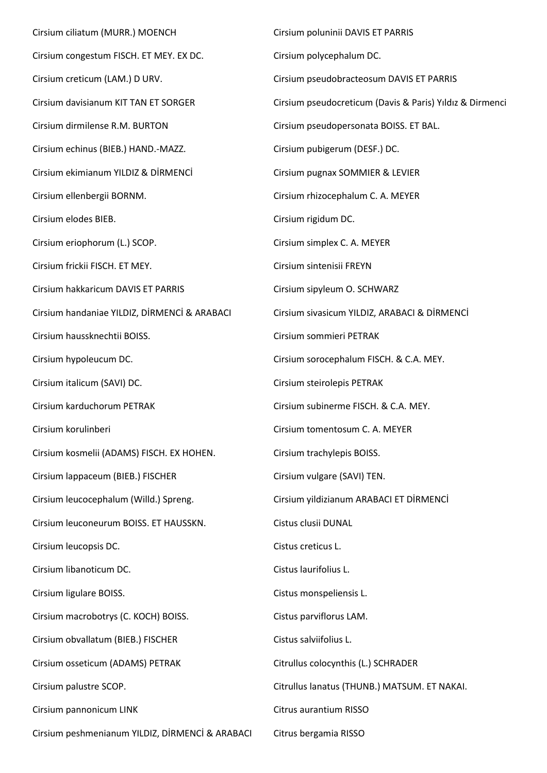Cirsium ciliatum (MURR.) MOENCH Cirsium congestum FISCH. ET MEY. EX DC. Cirsium creticum (LAM.) D URV. Cirsium davisianum KIT TAN ET SORGER Cirsium dirmilense R.M. BURTON Cirsium echinus (BIEB.) HAND.-MAZZ. Cirsium ekimianum YILDIZ & DİRMENCİ Cirsium ellenbergii BORNM. Cirsium elodes BIEB. Cirsium eriophorum (L.) SCOP. Cirsium frickii FISCH. ET MEY. Cirsium hakkaricum DAVIS ET PARRIS Cirsium handaniae YILDIZ, DİRMENCİ & ARABACI Cirsium haussknechtii BOISS. Cirsium hypoleucum DC. Cirsium italicum (SAVI) DC. Cirsium karduchorum PETRAK Cirsium korulinberi Cirsium kosmelii (ADAMS) FISCH. EX HOHEN. Cirsium lappaceum (BIEB.) FISCHER Cirsium leucocephalum (Willd.) Spreng. Cirsium leuconeurum BOISS. ET HAUSSKN. Cirsium leucopsis DC. Cirsium libanoticum DC. Cirsium ligulare BOISS. Cirsium macrobotrys (C. KOCH) BOISS. Cirsium obvallatum (BIEB.) FISCHER Cirsium osseticum (ADAMS) PETRAK Cirsium palustre SCOP. Cirsium pannonicum LINK

Cirsium peshmenianum YILDIZ, DİRMENCİ & ARABACI

Cirsium poluninii DAVIS ET PARRIS Cirsium polycephalum DC. Cirsium pseudobracteosum DAVIS ET PARRIS Cirsium pseudocreticum (Davis & Paris) Yıldız & Dirmenci Cirsium pseudopersonata BOISS. ET BAL. Cirsium pubigerum (DESF.) DC. Cirsium pugnax SOMMIER & LEVIER Cirsium rhizocephalum C. A. MEYER Cirsium rigidum DC. Cirsium simplex C. A. MEYER Cirsium sintenisii FREYN Cirsium sipyleum O. SCHWARZ Cirsium sivasicum YILDIZ, ARABACI & DİRMENCİ Cirsium sommieri PETRAK Cirsium sorocephalum FISCH. & C.A. MEY. Cirsium steirolepis PETRAK Cirsium subinerme FISCH. & C.A. MEY. Cirsium tomentosum C. A. MEYER Cirsium trachylepis BOISS. Cirsium vulgare (SAVI) TEN. Cirsium yildizianum ARABACI ET DİRMENCİ Cistus clusii DUNAL Cistus creticus L. Cistus laurifolius L. Cistus monspeliensis L. Cistus parviflorus LAM. Cistus salviifolius L. Citrullus colocynthis (L.) SCHRADER Citrullus lanatus (THUNB.) MATSUM. ET NAKAI. Citrus aurantium RISSO

Citrus bergamia RISSO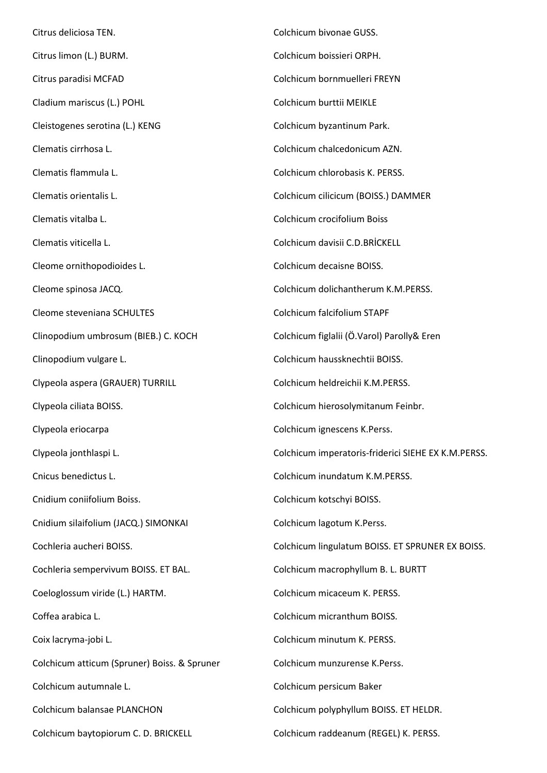Citrus deliciosa TEN. Citrus limon (L.) BURM. Citrus paradisi MCFAD Cladium mariscus (L.) POHL Cleistogenes serotina (L.) KENG Clematis cirrhosa L. Clematis flammula L. Clematis orientalis L. Clematis vitalba L. Clematis viticella L. Cleome ornithopodioides L. Cleome spinosa JACQ. Cleome steveniana SCHULTES Clinopodium umbrosum (BIEB.) C. KOCH Clinopodium vulgare L. Clypeola aspera (GRAUER) TURRILL Clypeola ciliata BOISS. Clypeola eriocarpa Clypeola jonthlaspi L. Cnicus benedictus L. Cnidium coniifolium Boiss. Cnidium silaifolium (JACQ.) SIMONKAI Cochleria aucheri BOISS. Cochleria sempervivum BOISS. ET BAL. Coeloglossum viride (L.) HARTM. Coffea arabica L. Coix lacryma-jobi L. Colchicum atticum (Spruner) Boiss. & Spruner Colchicum autumnale L. Colchicum balansae PLANCHON Colchicum baytopiorum C. D. BRICKELL Colchicum bivonae GUSS. Colchicum boissieri ORPH. Colchicum bornmuelleri FREYN Colchicum burttii MEIKLE Colchicum byzantinum Park. Colchicum chalcedonicum AZN. Colchicum chlorobasis K. PERSS. Colchicum cilicicum (BOISS.) DAMMER Colchicum crocifolium Boiss Colchicum davisii C.D.BRİCKELL Colchicum decaisne BOISS. Colchicum dolichantherum K.M.PERSS. Colchicum falcifolium STAPF Colchicum figlalii (Ö.Varol) Parolly& Eren Colchicum haussknechtii BOISS. Colchicum heldreichii K.M.PERSS. Colchicum hierosolymitanum Feinbr. Colchicum ignescens K.Perss. Colchicum imperatoris-friderici SIEHE EX K.M.PERSS. Colchicum inundatum K.M.PERSS. Colchicum kotschyi BOISS. Colchicum lagotum K.Perss. Colchicum lingulatum BOISS. ET SPRUNER EX BOISS. Colchicum macrophyllum B. L. BURTT Colchicum micaceum K. PERSS. Colchicum micranthum BOISS. Colchicum minutum K. PERSS. Colchicum munzurense K.Perss. Colchicum persicum Baker Colchicum polyphyllum BOISS. ET HELDR. Colchicum raddeanum (REGEL) K. PERSS.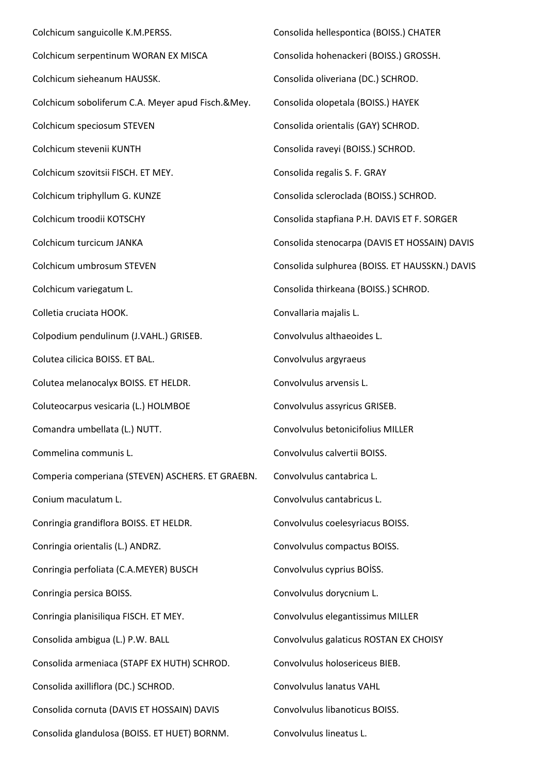Colchicum sanguicolle K.M.PERSS. Colchicum serpentinum WORAN EX MISCA Colchicum sieheanum HAUSSK. Colchicum soboliferum C.A. Meyer apud Fisch.&Mey. Colchicum speciosum STEVEN Colchicum stevenii KUNTH Colchicum szovitsii FISCH. ET MEY. Colchicum triphyllum G. KUNZE Colchicum troodii KOTSCHY Colchicum turcicum JANKA Colchicum umbrosum STEVEN Colchicum variegatum L. Colletia cruciata HOOK. Colpodium pendulinum (J.VAHL.) GRISEB. Colutea cilicica BOISS. ET BAL. Colutea melanocalyx BOISS. ET HELDR. Coluteocarpus vesicaria (L.) HOLMBOE Comandra umbellata (L.) NUTT. Commelina communis L. Comperia comperiana (STEVEN) ASCHERS. ET GRAEBN. Conium maculatum L. Conringia grandiflora BOISS. ET HELDR. Conringia orientalis (L.) ANDRZ. Conringia perfoliata (C.A.MEYER) BUSCH Conringia persica BOISS. Conringia planisiliqua FISCH. ET MEY. Consolida ambigua (L.) P.W. BALL Consolida armeniaca (STAPF EX HUTH) SCHROD. Consolida axilliflora (DC.) SCHROD. Consolida cornuta (DAVIS ET HOSSAIN) DAVIS Consolida glandulosa (BOISS. ET HUET) BORNM. Consolida hellespontica (BOISS.) CHATER Consolida hohenackeri (BOISS.) GROSSH. Consolida oliveriana (DC.) SCHROD. Consolida olopetala (BOISS.) HAYEK Consolida orientalis (GAY) SCHROD. Consolida raveyi (BOISS.) SCHROD. Consolida regalis S. F. GRAY Consolida scleroclada (BOISS.) SCHROD. Consolida stapfiana P.H. DAVIS ET F. SORGER Consolida stenocarpa (DAVIS ET HOSSAIN) DAVIS Consolida sulphurea (BOISS. ET HAUSSKN.) DAVIS Consolida thirkeana (BOISS.) SCHROD. Convallaria majalis L. Convolvulus althaeoides L. Convolvulus argyraeus Convolvulus arvensis L. Convolvulus assyricus GRISEB. Convolvulus betonicifolius MILLER Convolvulus calvertii BOISS. Convolvulus cantabrica L. Convolvulus cantabricus L. Convolvulus coelesyriacus BOISS. Convolvulus compactus BOISS. Convolvulus cyprius BOİSS. Convolvulus dorycnium L. Convolvulus elegantissimus MILLER Convolvulus galaticus ROSTAN EX CHOISY Convolvulus holosericeus BIEB. Convolvulus lanatus VAHL Convolvulus libanoticus BOISS. Convolvulus lineatus L.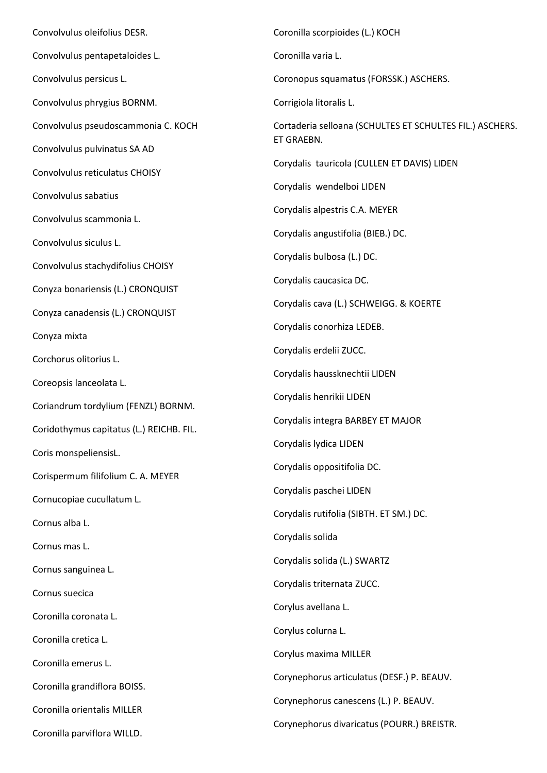Convolvulus oleifolius DESR. Convolvulus pentapetaloides L. Convolvulus persicus L. Convolvulus phrygius BORNM. Convolvulus pseudoscammonia C. KOCH Convolvulus pulvinatus SA AD Convolvulus reticulatus CHOISY Convolvulus sabatius Convolvulus scammonia L. Convolvulus siculus L. Convolvulus stachydifolius CHOISY Conyza bonariensis (L.) CRONQUIST Conyza canadensis (L.) CRONQUIST Conyza mixta Corchorus olitorius L. Coreopsis lanceolata L. Coriandrum tordylium (FENZL) BORNM. Coridothymus capitatus (L.) REICHB. FIL. Coris monspeliensisL. Corispermum filifolium C. A. MEYER Cornucopiae cucullatum L. Cornus alba L. Cornus mas L. Cornus sanguinea L. Cornus suecica Coronilla coronata L. Coronilla cretica L. Coronilla emerus L. Coronilla grandiflora BOISS. Coronilla orientalis MILLER Coronilla parviflora WILLD. Coronilla scorpioides (L.) KOCH Coronilla varia L. Coronopus squamatus (FORSSK.) ASCHERS. Corrigiola litoralis L. Cortaderia selloana (SCHULTES ET SCHULTES FIL.) ASCHERS. ET GRAEBN. Corydalis tauricola (CULLEN ET DAVIS) LIDEN Corydalis wendelboi LIDEN Corydalis alpestris C.A. MEYER Corydalis angustifolia (BIEB.) DC. Corydalis bulbosa (L.) DC. Corydalis caucasica DC. Corydalis cava (L.) SCHWEIGG. & KOERTE Corydalis conorhiza LEDEB. Corydalis erdelii ZUCC. Corydalis haussknechtii LIDEN Corydalis henrikii LIDEN Corydalis integra BARBEY ET MAJOR Corydalis lydica LIDEN Corydalis oppositifolia DC. Corydalis paschei LIDEN Corydalis rutifolia (SIBTH. ET SM.) DC. Corydalis solida Corydalis solida (L.) SWARTZ Corydalis triternata ZUCC. Corylus avellana L. Corylus colurna L. Corylus maxima MILLER Corynephorus articulatus (DESF.) P. BEAUV. Corynephorus canescens (L.) P. BEAUV. Corynephorus divaricatus (POURR.) BREISTR.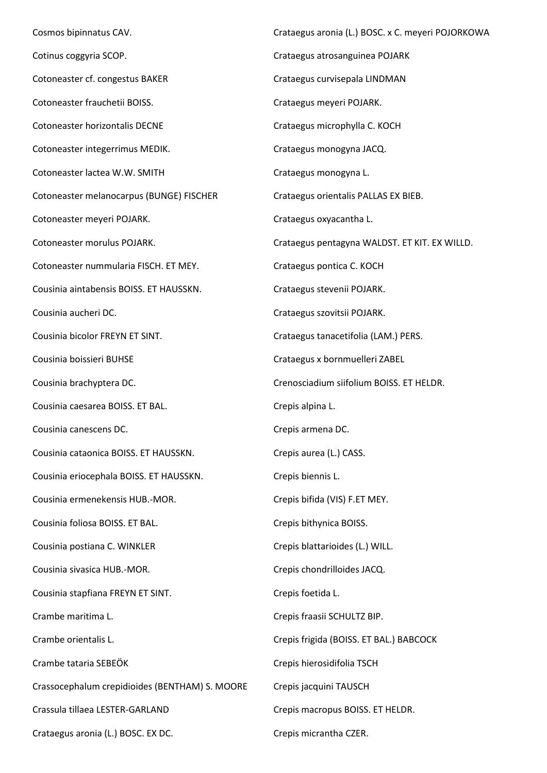Cosmos bipinnatus CAV. Cotinus coggyria SCOP. Cotoneaster cf. congestus BAKER Cotoneaster frauchetii BOISS. Cotoneaster horizontalis DECNE Cotoneaster integerrimus MEDIK. Cotoneaster lactea W.W. SMITH Cotoneaster melanocarpus (BUNGE) FISCHER Cotoneaster meyeri POJARK. Cotoneaster morulus POJARK. Cotoneaster nummularia FISCH. ET MEY. Cousinia aintabensis BOISS. ET HAUSSKN. Cousinia aucheri DC. Cousinia bicolor FREYN ET SINT. Cousinia boissieri BUHSE Cousinia brachyptera DC. Cousinia caesarea BOISS. ET BAL. Cousinia canescens DC. Cousinia cataonica BOISS. ET HAUSSKN. Cousinia eriocephala BOISS. ET HAUSSKN. Cousinia ermenekensis HUB.-MOR. Cousinia foliosa BOISS. ET BAL. Cousinia postiana C. WINKLER Cousinia sivasica HUB.-MOR. Cousinia stapfiana FREYN ET SINT. Crambe maritima L. Crambe orientalis L. Crambe tataria SEBEÖK Crassocephalum crepidioides (BENTHAM) S. MOORE Crassula tillaea LESTER-GARLAND Crataegus aronia (L.) BOSC. EX DC. Crataegus aronia (L.) BOSC. x C. meyeri POJORKOWA Crataegus atrosanguinea POJARK Crataegus curvisepala LINDMAN Crataegus meyeri POJARK. Crataegus microphylla C. KOCH Crataegus monogyna JACQ. Crataegus monogyna L. Crataegus orientalis PALLAS EX BIEB. Crataegus oxyacantha L. Crataegus pentagyna WALDST. ET KIT. EX WILLD. Crataegus pontica C. KOCH Crataegus stevenii POJARK. Crataegus szovitsii POJARK. Crataegus tanacetifolia (LAM.) PERS. Crataegus x bornmuelleri ZABEL Crenosciadium siifolium BOISS. ET HELDR. Crepis alpina L. Crepis armena DC. Crepis aurea (L.) CASS. Crepis biennis L. Crepis bifida (VIS) F.ET MEY. Crepis bithynica BOISS. Crepis blattarioides (L.) WILL. Crepis chondrilloides JACQ. Crepis foetida L. Crepis fraasii SCHULTZ BIP. Crepis frigida (BOISS. ET BAL.) BABCOCK Crepis hierosidifolia TSCH Crepis jacquini TAUSCH Crepis macropus BOISS. ET HELDR. Crepis micrantha CZER.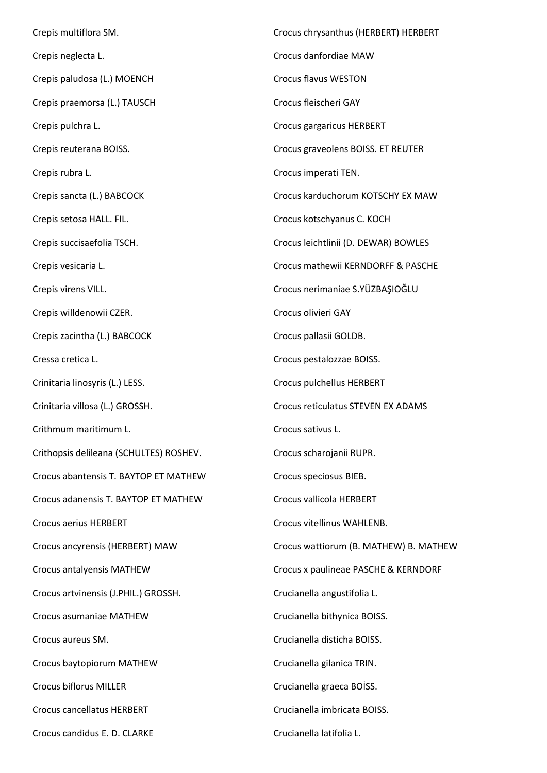Crepis multiflora SM. Crepis neglecta L. Crepis paludosa (L.) MOENCH Crepis praemorsa (L.) TAUSCH Crepis pulchra L. Crepis reuterana BOISS. Crepis rubra L. Crepis sancta (L.) BABCOCK Crepis setosa HALL. FIL. Crepis succisaefolia TSCH. Crepis vesicaria L. Crepis virens VILL. Crepis willdenowii CZER. Crepis zacintha (L.) BABCOCK Cressa cretica L. Crinitaria linosyris (L.) LESS. Crinitaria villosa (L.) GROSSH. Crithmum maritimum L. Crithopsis delileana (SCHULTES) ROSHEV. Crocus abantensis T. BAYTOP ET MATHEW Crocus adanensis T. BAYTOP ET MATHEW Crocus aerius HERBERT Crocus ancyrensis (HERBERT) MAW Crocus antalyensis MATHEW Crocus artvinensis (J.PHIL.) GROSSH. Crocus asumaniae MATHEW Crocus aureus SM. Crocus baytopiorum MATHEW Crocus biflorus MILLER Crocus cancellatus HERBERT Crocus candidus E. D. CLARKE Crocus chrysanthus (HERBERT) HERBERT Crocus danfordiae MAW Crocus flavus WESTON Crocus fleischeri GAY Crocus gargaricus HERBERT Crocus graveolens BOISS. ET REUTER Crocus imperati TEN. Crocus karduchorum KOTSCHY EX MAW Crocus kotschyanus C. KOCH Crocus leichtlinii (D. DEWAR) BOWLES Crocus mathewii KERNDORFF & PASCHE Crocus nerimaniae S.YÜZBAŞIOĞLU Crocus olivieri GAY Crocus pallasii GOLDB. Crocus pestalozzae BOISS. Crocus pulchellus HERBERT Crocus reticulatus STEVEN EX ADAMS Crocus sativus L. Crocus scharojanii RUPR. Crocus speciosus BIEB. Crocus vallicola HERBERT Crocus vitellinus WAHLENB. Crocus wattiorum (B. MATHEW) B. MATHEW Crocus x paulineae PASCHE & KERNDORF Crucianella angustifolia L. Crucianella bithynica BOISS. Crucianella disticha BOISS. Crucianella gilanica TRIN. Crucianella graeca BOİSS. Crucianella imbricata BOISS. Crucianella latifolia L.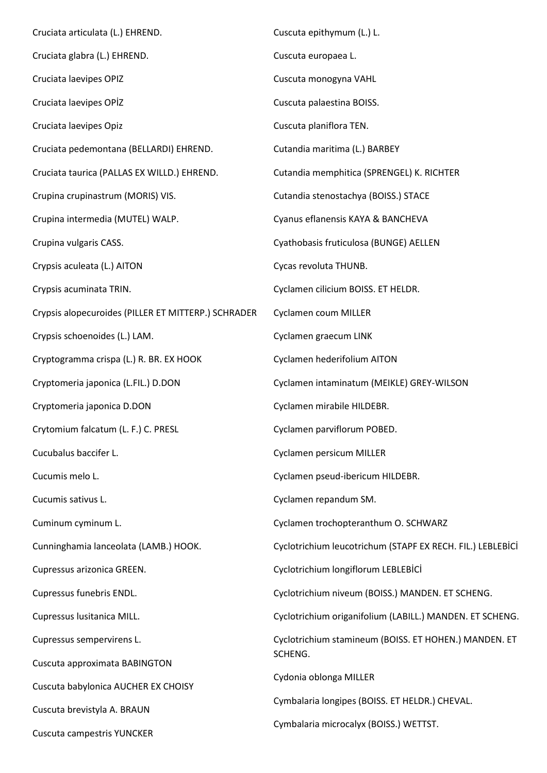| Cruciata articulata (L.) EHREND.                    | Cuscuta epithymum (L.) L.                                  |  |
|-----------------------------------------------------|------------------------------------------------------------|--|
| Cruciata glabra (L.) EHREND.                        | Cuscuta europaea L.                                        |  |
| Cruciata laevipes OPIZ                              | Cuscuta monogyna VAHL                                      |  |
| Cruciata laevipes OPİZ                              | Cuscuta palaestina BOISS.                                  |  |
| Cruciata laevipes Opiz                              | Cuscuta planiflora TEN.                                    |  |
| Cruciata pedemontana (BELLARDI) EHREND.             | Cutandia maritima (L.) BARBEY                              |  |
| Cruciata taurica (PALLAS EX WILLD.) EHREND.         | Cutandia memphitica (SPRENGEL) K. RICHTER                  |  |
| Crupina crupinastrum (MORIS) VIS.                   | Cutandia stenostachya (BOISS.) STACE                       |  |
| Crupina intermedia (MUTEL) WALP.                    | Cyanus eflanensis KAYA & BANCHEVA                          |  |
| Crupina vulgaris CASS.                              | Cyathobasis fruticulosa (BUNGE) AELLEN                     |  |
| Crypsis aculeata (L.) AITON                         | Cycas revoluta THUNB.                                      |  |
| Crypsis acuminata TRIN.                             | Cyclamen cilicium BOISS. ET HELDR.                         |  |
| Crypsis alopecuroides (PILLER ET MITTERP.) SCHRADER | Cyclamen coum MILLER                                       |  |
| Crypsis schoenoides (L.) LAM.                       | Cyclamen graecum LINK                                      |  |
| Cryptogramma crispa (L.) R. BR. EX HOOK             | Cyclamen hederifolium AITON                                |  |
| Cryptomeria japonica (L.FIL.) D.DON                 | Cyclamen intaminatum (MEIKLE) GREY-WILSON                  |  |
| Cryptomeria japonica D.DON                          | Cyclamen mirabile HILDEBR.                                 |  |
| Crytomium falcatum (L. F.) C. PRESL                 | Cyclamen parviflorum POBED.                                |  |
| Cucubalus baccifer L.                               | Cyclamen persicum MILLER                                   |  |
| Cucumis melo L.                                     | Cyclamen pseud-ibericum HILDEBR.                           |  |
| Cucumis sativus L.                                  | Cyclamen repandum SM.                                      |  |
| Cuminum cyminum L.                                  | Cyclamen trochopteranthum O. SCHWARZ                       |  |
| Cunninghamia lanceolata (LAMB.) HOOK.               | Cyclotrichium leucotrichum (STAPF EX RECH. FIL.) LEBLEBİCİ |  |
| Cupressus arizonica GREEN.                          | Cyclotrichium longiflorum LEBLEBİCİ                        |  |
| Cupressus funebris ENDL.                            | Cyclotrichium niveum (BOISS.) MANDEN. ET SCHENG.           |  |
| Cupressus lusitanica MILL.                          | Cyclotrichium origanifolium (LABILL.) MANDEN. ET SCHENG.   |  |
| Cupressus sempervirens L.                           | Cyclotrichium stamineum (BOISS. ET HOHEN.) MANDEN. ET      |  |
| Cuscuta approximata BABINGTON                       | SCHENG.                                                    |  |
| Cuscuta babylonica AUCHER EX CHOISY                 | Cydonia oblonga MILLER                                     |  |
| Cuscuta brevistyla A. BRAUN                         | Cymbalaria longipes (BOISS. ET HELDR.) CHEVAL.             |  |
| Cuscuta campestris YUNCKER                          | Cymbalaria microcalyx (BOISS.) WETTST.                     |  |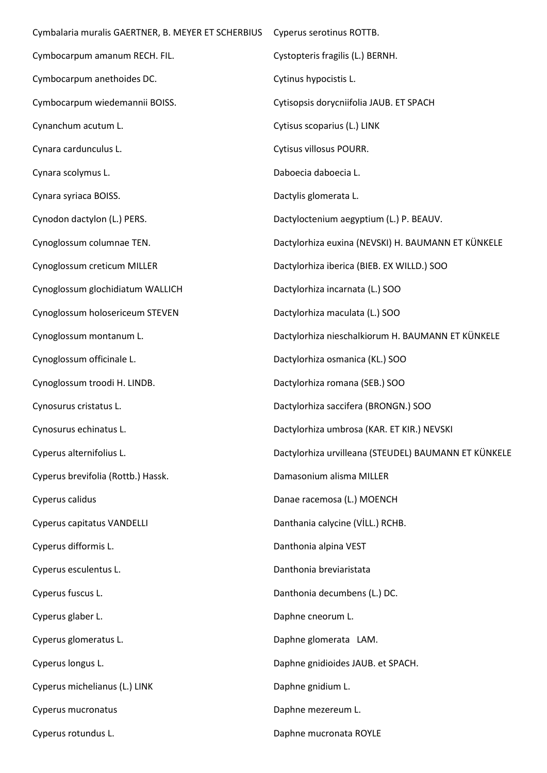| Cymbalaria muralis GAERTNER, B. MEYER ET SCHERBIUS | Cyperus serotinus ROTTB.                             |
|----------------------------------------------------|------------------------------------------------------|
| Cymbocarpum amanum RECH. FIL.                      | Cystopteris fragilis (L.) BERNH.                     |
| Cymbocarpum anethoides DC.                         | Cytinus hypocistis L.                                |
| Cymbocarpum wiedemannii BOISS.                     | Cytisopsis dorycniifolia JAUB. ET SPACH              |
| Cynanchum acutum L.                                | Cytisus scoparius (L.) LINK                          |
| Cynara cardunculus L.                              | Cytisus villosus POURR.                              |
| Cynara scolymus L.                                 | Daboecia daboecia L.                                 |
| Cynara syriaca BOISS.                              | Dactylis glomerata L.                                |
| Cynodon dactylon (L.) PERS.                        | Dactyloctenium aegyptium (L.) P. BEAUV.              |
| Cynoglossum columnae TEN.                          | Dactylorhiza euxina (NEVSKI) H. BAUMANN ET KÜNKELE   |
| Cynoglossum creticum MILLER                        | Dactylorhiza iberica (BIEB. EX WILLD.) SOO           |
| Cynoglossum glochidiatum WALLICH                   | Dactylorhiza incarnata (L.) SOO                      |
| Cynoglossum holosericeum STEVEN                    | Dactylorhiza maculata (L.) SOO                       |
| Cynoglossum montanum L.                            | Dactylorhiza nieschalkiorum H. BAUMANN ET KÜNKELE    |
| Cynoglossum officinale L.                          | Dactylorhiza osmanica (KL.) SOO                      |
| Cynoglossum troodi H. LINDB.                       | Dactylorhiza romana (SEB.) SOO                       |
| Cynosurus cristatus L.                             | Dactylorhiza saccifera (BRONGN.) SOO                 |
| Cynosurus echinatus L.                             | Dactylorhiza umbrosa (KAR. ET KIR.) NEVSKI           |
| Cyperus alternifolius L.                           | Dactylorhiza urvilleana (STEUDEL) BAUMANN ET KÜNKELE |
| Cyperus brevifolia (Rottb.) Hassk.                 | Damasonium alisma MILLER                             |
| Cyperus calidus                                    | Danae racemosa (L.) MOENCH                           |
| Cyperus capitatus VANDELLI                         | Danthania calycine (VİLL.) RCHB.                     |
| Cyperus difformis L.                               | Danthonia alpina VEST                                |
| Cyperus esculentus L.                              | Danthonia breviaristata                              |
| Cyperus fuscus L.                                  | Danthonia decumbens (L.) DC.                         |
| Cyperus glaber L.                                  | Daphne cneorum L.                                    |
| Cyperus glomeratus L.                              | Daphne glomerata LAM.                                |
| Cyperus longus L.                                  | Daphne gnidioides JAUB. et SPACH.                    |
| Cyperus michelianus (L.) LINK                      | Daphne gnidium L.                                    |
| Cyperus mucronatus                                 | Daphne mezereum L.                                   |
| Cyperus rotundus L.                                | Daphne mucronata ROYLE                               |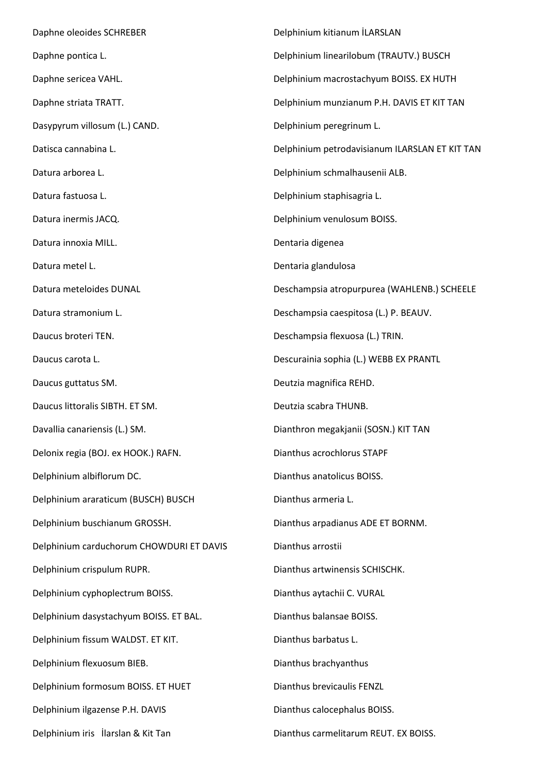Daphne oleoides SCHREBER Daphne pontica L. Daphne sericea VAHL. Daphne striata TRATT. Dasypyrum villosum (L.) CAND. Datisca cannabina L. Datura arborea L. Datura fastuosa L. Datura inermis JACQ. Datura innoxia MILL. Datura metel L. Datura meteloides DUNAL Datura stramonium L. Daucus broteri TEN. Daucus carota L. Daucus guttatus SM. Daucus littoralis SIBTH. ET SM. Davallia canariensis (L.) SM. Delonix regia (BOJ. ex HOOK.) RAFN. Delphinium albiflorum DC. Delphinium araraticum (BUSCH) BUSCH Delphinium buschianum GROSSH. Delphinium carduchorum CHOWDURI ET DAVIS Delphinium crispulum RUPR. Delphinium cyphoplectrum BOISS. Delphinium dasystachyum BOISS. ET BAL. Delphinium fissum WALDST. ET KIT. Delphinium flexuosum BIEB. Delphinium formosum BOISS. ET HUET Delphinium ilgazense P.H. DAVIS Delphinium iris İlarslan & Kit Tan Delphinium kitianum İLARSLAN Delphinium linearilobum (TRAUTV.) BUSCH Delphinium macrostachyum BOISS. EX HUTH Delphinium munzianum P.H. DAVIS ET KIT TAN Delphinium peregrinum L. Delphinium petrodavisianum ILARSLAN ET KIT TAN Delphinium schmalhausenii ALB. Delphinium staphisagria L. Delphinium venulosum BOISS. Dentaria digenea Dentaria glandulosa Deschampsia atropurpurea (WAHLENB.) SCHEELE Deschampsia caespitosa (L.) P. BEAUV. Deschampsia flexuosa (L.) TRIN. Descurainia sophia (L.) WEBB EX PRANTL Deutzia magnifica REHD. Deutzia scabra THUNB. Dianthron megakjanii (SOSN.) KIT TAN Dianthus acrochlorus STAPF Dianthus anatolicus BOISS. Dianthus armeria L. Dianthus arpadianus ADE ET BORNM. Dianthus arrostii Dianthus artwinensis SCHISCHK. Dianthus aytachii C. VURAL Dianthus balansae BOISS. Dianthus barbatus L. Dianthus brachyanthus Dianthus brevicaulis FENZL Dianthus calocephalus BOISS. Dianthus carmelitarum REUT. EX BOISS.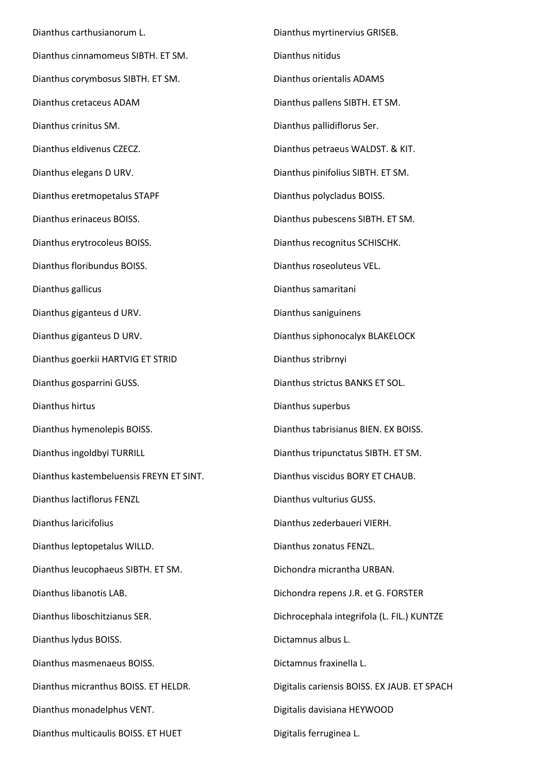Dianthus carthusianorum L. Dianthus cinnamomeus SIBTH. ET SM. Dianthus corymbosus SIBTH. ET SM. Dianthus cretaceus ADAM Dianthus crinitus SM. Dianthus eldivenus CZECZ. Dianthus elegans D URV. Dianthus eretmopetalus STAPF Dianthus erinaceus BOISS. Dianthus erytrocoleus BOISS. Dianthus floribundus BOISS. Dianthus gallicus Dianthus giganteus d URV. Dianthus giganteus D URV. Dianthus goerkii HARTVIG ET STRID Dianthus gosparrini GUSS. Dianthus hirtus Dianthus hymenolepis BOISS. Dianthus ingoldbyi TURRILL Dianthus kastembeluensis FREYN ET SINT. Dianthus lactiflorus FENZL Dianthus laricifolius Dianthus leptopetalus WILLD. Dianthus leucophaeus SIBTH. ET SM. Dianthus libanotis LAB. Dianthus liboschitzianus SER. Dianthus lydus BOISS. Dianthus masmenaeus BOISS. Dianthus micranthus BOISS. ET HELDR. Dianthus monadelphus VENT. Dianthus multicaulis BOISS. ET HUET

Dianthus myrtinervius GRISEB. Dianthus nitidus Dianthus orientalis ADAMS Dianthus pallens SIBTH. ET SM. Dianthus pallidiflorus Ser. Dianthus petraeus WALDST. & KIT. Dianthus pinifolius SIBTH. ET SM. Dianthus polycladus BOISS. Dianthus pubescens SIBTH. ET SM. Dianthus recognitus SCHISCHK. Dianthus roseoluteus VEL. Dianthus samaritani Dianthus saniguinens Dianthus siphonocalyx BLAKELOCK Dianthus stribrnyi Dianthus strictus BANKS ET SOL. Dianthus superbus Dianthus tabrisianus BIEN. EX BOISS. Dianthus tripunctatus SIBTH. ET SM. Dianthus viscidus BORY ET CHAUB. Dianthus vulturius GUSS. Dianthus zederbaueri VIERH. Dianthus zonatus FENZL. Dichondra micrantha URBAN. Dichondra repens J.R. et G. FORSTER Dichrocephala integrifola (L. FIL.) KUNTZE Dictamnus albus L. Dictamnus fraxinella L. Digitalis cariensis BOISS. EX JAUB. ET SPACH Digitalis davisiana HEYWOOD Digitalis ferruginea L.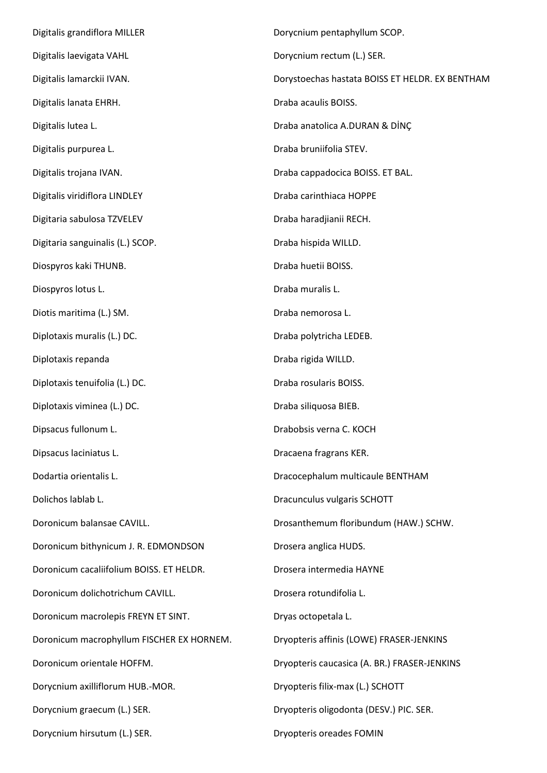Digitalis grandiflora MILLER Digitalis laevigata VAHL Digitalis lamarckii IVAN. Digitalis lanata EHRH. Digitalis lutea L. Digitalis purpurea L. Digitalis trojana IVAN. Digitalis viridiflora LINDLEY Digitaria sabulosa TZVELEV Digitaria sanguinalis (L.) SCOP. Diospyros kaki THUNB. Diospyros lotus L. Diotis maritima (L.) SM. Diplotaxis muralis (L.) DC. Diplotaxis repanda Diplotaxis tenuifolia (L.) DC. Diplotaxis viminea (L.) DC. Dipsacus fullonum L. Dipsacus laciniatus L. Dodartia orientalis L. Dolichos lablab L. Doronicum balansae CAVILL. Doronicum bithynicum J. R. EDMONDSON Doronicum cacaliifolium BOISS. ET HELDR. Doronicum dolichotrichum CAVILL. Doronicum macrolepis FREYN ET SINT. Doronicum macrophyllum FISCHER EX HORNEM. Doronicum orientale HOFFM. Dorycnium axilliflorum HUB.-MOR. Dorycnium graecum (L.) SER. Dorycnium hirsutum (L.) SER. Dorycnium pentaphyllum SCOP. Dorycnium rectum (L.) SER. Dorystoechas hastata BOISS ET HELDR. EX BENTHAM Draba acaulis BOISS. Draba anatolica A.DURAN & DİNÇ Draba bruniifolia STEV. Draba cappadocica BOISS. ET BAL. Draba carinthiaca HOPPE Draba haradjianii RECH. Draba hispida WILLD. Draba huetii BOISS. Draba muralis L. Draba nemorosa L. Draba polytricha LEDEB. Draba rigida WILLD. Draba rosularis BOISS. Draba siliquosa BIEB. Drabobsis verna C. KOCH Dracaena fragrans KER. Dracocephalum multicaule BENTHAM Dracunculus vulgaris SCHOTT Drosanthemum floribundum (HAW.) SCHW. Drosera anglica HUDS. Drosera intermedia HAYNE Drosera rotundifolia L. Dryas octopetala L. Dryopteris affinis (LOWE) FRASER-JENKINS Dryopteris caucasica (A. BR.) FRASER-JENKINS Dryopteris filix-max (L.) SCHOTT Dryopteris oligodonta (DESV.) PIC. SER. Dryopteris oreades FOMIN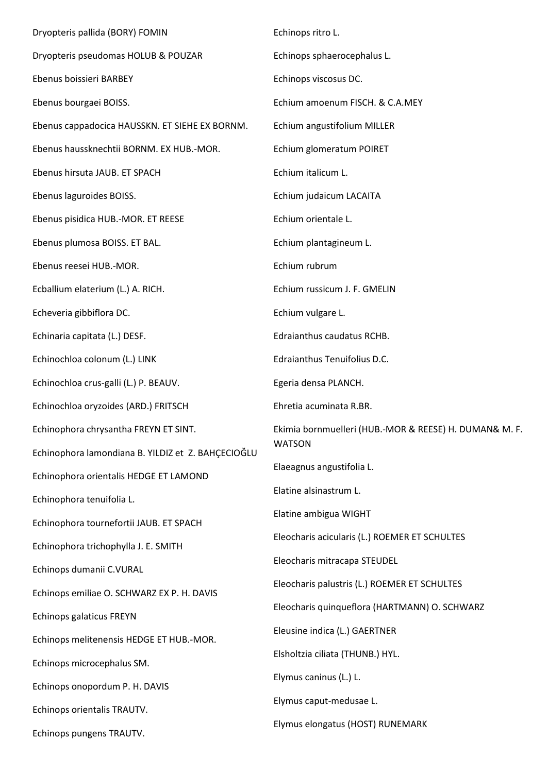| Dryopteris pallida (BORY) FOMIN                    | Echinops ritro L.                                      |
|----------------------------------------------------|--------------------------------------------------------|
| Dryopteris pseudomas HOLUB & POUZAR                | Echinops sphaerocephalus L.                            |
| Ebenus boissieri BARBEY                            | Echinops viscosus DC.                                  |
| Ebenus bourgaei BOISS.                             | Echium amoenum FISCH. & C.A.MEY                        |
| Ebenus cappadocica HAUSSKN. ET SIEHE EX BORNM.     | Echium angustifolium MILLER                            |
| Ebenus haussknechtii BORNM. EX HUB.-MOR.           | Echium glomeratum POIRET                               |
| Ebenus hirsuta JAUB. ET SPACH                      | Echium italicum L.                                     |
| Ebenus laguroides BOISS.                           | Echium judaicum LACAITA                                |
| Ebenus pisidica HUB.-MOR. ET REESE                 | Echium orientale L.                                    |
| Ebenus plumosa BOISS. ET BAL.                      | Echium plantagineum L.                                 |
| Ebenus reesei HUB.-MOR.                            | Echium rubrum                                          |
| Ecballium elaterium (L.) A. RICH.                  | Echium russicum J. F. GMELIN                           |
| Echeveria gibbiflora DC.                           | Echium vulgare L.                                      |
| Echinaria capitata (L.) DESF.                      | Edraianthus caudatus RCHB.                             |
| Echinochloa colonum (L.) LINK                      | Edraianthus Tenuifolius D.C.                           |
| Echinochloa crus-galli (L.) P. BEAUV.              | Egeria densa PLANCH.                                   |
| Echinochloa oryzoides (ARD.) FRITSCH               | Ehretia acuminata R.BR.                                |
| Echinophora chrysantha FREYN ET SINT.              | Ekimia bornmuelleri (HUB.-MOR & REESE) H. DUMAN& M. F. |
| Echinophora lamondiana B. YILDIZ et Z. BAHÇECIOĞLU | <b>WATSON</b>                                          |
| Echinophora orientalis HEDGE ET LAMOND             | Elaeagnus angustifolia L.                              |
| Echinophora tenuifolia L.                          | Elatine alsinastrum L.                                 |
| Echinophora tournefortii JAUB. ET SPACH            | Elatine ambigua WIGHT                                  |
| Echinophora trichophylla J. E. SMITH               | Eleocharis acicularis (L.) ROEMER ET SCHULTES          |
| Echinops dumanii C.VURAL                           | Eleocharis mitracapa STEUDEL                           |
| Echinops emiliae O. SCHWARZ EX P. H. DAVIS         | Eleocharis palustris (L.) ROEMER ET SCHULTES           |
| Echinops galaticus FREYN                           | Eleocharis quinqueflora (HARTMANN) O. SCHWARZ          |
| Echinops melitenensis HEDGE ET HUB.-MOR.           | Eleusine indica (L.) GAERTNER                          |
| Echinops microcephalus SM.                         | Elsholtzia ciliata (THUNB.) HYL.                       |
| Echinops onopordum P. H. DAVIS                     | Elymus caninus (L.) L.                                 |
| Echinops orientalis TRAUTV.                        | Elymus caput-medusae L.                                |
| Echinops pungens TRAUTV.                           | Elymus elongatus (HOST) RUNEMARK                       |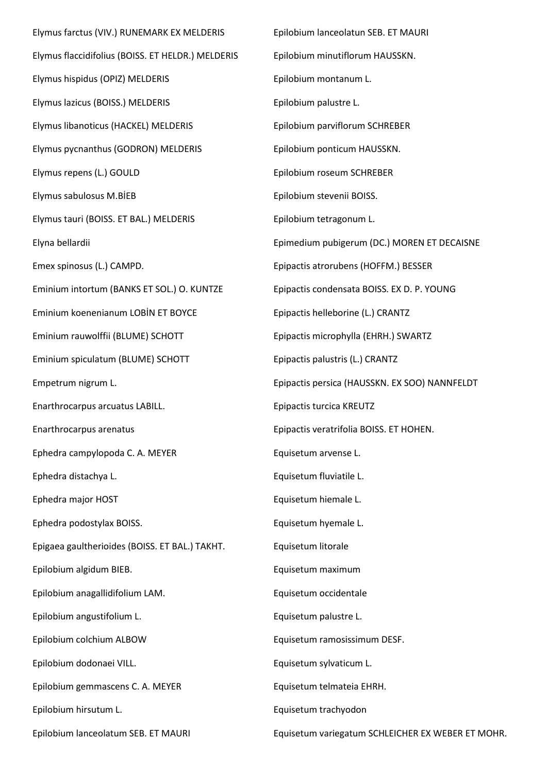Elymus farctus (VIV.) RUNEMARK EX MELDERIS Elymus flaccidifolius (BOISS. ET HELDR.) MELDERIS Elymus hispidus (OPIZ) MELDERIS Elymus lazicus (BOISS.) MELDERIS Elymus libanoticus (HACKEL) MELDERIS Elymus pycnanthus (GODRON) MELDERIS Elymus repens (L.) GOULD Elymus sabulosus M.BİEB Elymus tauri (BOISS. ET BAL.) MELDERIS Elyna bellardii Emex spinosus (L.) CAMPD. Eminium intortum (BANKS ET SOL.) O. KUNTZE Eminium koenenianum LOBİN ET BOYCE Eminium rauwolffii (BLUME) SCHOTT Eminium spiculatum (BLUME) SCHOTT Empetrum nigrum L. Enarthrocarpus arcuatus LABILL. Enarthrocarpus arenatus Ephedra campylopoda C. A. MEYER Ephedra distachya L. Ephedra major HOST Ephedra podostylax BOISS. Epigaea gaultherioides (BOISS. ET BAL.) TAKHT. Epilobium algidum BIEB. Epilobium anagallidifolium LAM. Epilobium angustifolium L. Epilobium colchium ALBOW Epilobium dodonaei VILL. Epilobium gemmascens C. A. MEYER Epilobium hirsutum L. Epilobium lanceolatum SEB. ET MAURI Epilobium lanceolatun SEB. ET MAURI Epilobium minutiflorum HAUSSKN. Epilobium montanum L. Epilobium palustre L. Epilobium parviflorum SCHREBER Epilobium ponticum HAUSSKN. Epilobium roseum SCHREBER Epilobium stevenii BOISS. Epilobium tetragonum L. Epimedium pubigerum (DC.) MOREN ET DECAISNE Epipactis atrorubens (HOFFM.) BESSER Epipactis condensata BOISS. EX D. P. YOUNG Epipactis helleborine (L.) CRANTZ Epipactis microphylla (EHRH.) SWARTZ Epipactis palustris (L.) CRANTZ Epipactis persica (HAUSSKN. EX SOO) NANNFELDT Epipactis turcica KREUTZ Epipactis veratrifolia BOISS. ET HOHEN. Equisetum arvense L. Equisetum fluviatile L. Equisetum hiemale L. Equisetum hyemale L. Equisetum litorale Equisetum maximum Equisetum occidentale Equisetum palustre L. Equisetum ramosissimum DESF. Equisetum sylvaticum L. Equisetum telmateia EHRH. Equisetum trachyodon Equisetum variegatum SCHLEICHER EX WEBER ET MOHR.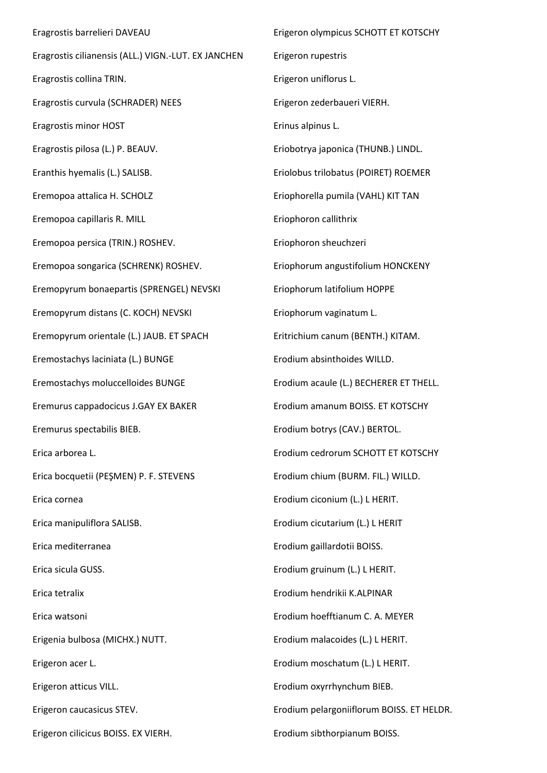Eragrostis barrelieri DAVEAU Eragrostis cilianensis (ALL.) VIGN.-LUT. EX JANCHEN Eragrostis collina TRIN. Eragrostis curvula (SCHRADER) NEES Eragrostis minor HOST Eragrostis pilosa (L.) P. BEAUV. Eranthis hyemalis (L.) SALISB. Eremopoa attalica H. SCHOLZ Eremopoa capillaris R. MILL Eremopoa persica (TRIN.) ROSHEV. Eremopoa songarica (SCHRENK) ROSHEV. Eremopyrum bonaepartis (SPRENGEL) NEVSKI Eremopyrum distans (C. KOCH) NEVSKI Eremopyrum orientale (L.) JAUB. ET SPACH Eremostachys laciniata (L.) BUNGE Eremostachys moluccelloides BUNGE Eremurus cappadocicus J.GAY EX BAKER Eremurus spectabilis BIEB. Erica arborea L. Erica bocquetii (PEŞMEN) P. F. STEVENS Erica cornea Erica manipuliflora SALISB. Erica mediterranea Erica sicula GUSS. Erica tetralix Erica watsoni Erigenia bulbosa (MICHX.) NUTT. Erigeron acer L. Erigeron atticus VILL. Erigeron caucasicus STEV. Erigeron cilicicus BOISS. EX VIERH. Erigeron olympicus SCHOTT ET KOTSCHY Erigeron rupestris Erigeron uniflorus L. Erigeron zederbaueri VIERH. Erinus alpinus L. Eriobotrya japonica (THUNB.) LINDL. Eriolobus trilobatus (POIRET) ROEMER Eriophorella pumila (VAHL) KIT TAN Eriophoron callithrix Eriophoron sheuchzeri Eriophorum angustifolium HONCKENY Eriophorum latifolium HOPPE Eriophorum vaginatum L. Eritrichium canum (BENTH.) KITAM. Erodium absinthoides WILLD. Erodium acaule (L.) BECHERER ET THELL. Erodium amanum BOISS. ET KOTSCHY Erodium botrys (CAV.) BERTOL. Erodium cedrorum SCHOTT ET KOTSCHY Erodium chium (BURM. FIL.) WILLD. Erodium ciconium (L.) L HERIT. Erodium cicutarium (L.) L HERIT Erodium gaillardotii BOISS. Erodium gruinum (L.) L HERIT. Erodium hendrikii K.ALPINAR Erodium hoefftianum C. A. MEYER Erodium malacoides (L.) L HERIT. Erodium moschatum (L.) L HERIT. Erodium oxyrrhynchum BIEB. Erodium pelargoniiflorum BOISS. ET HELDR. Erodium sibthorpianum BOISS.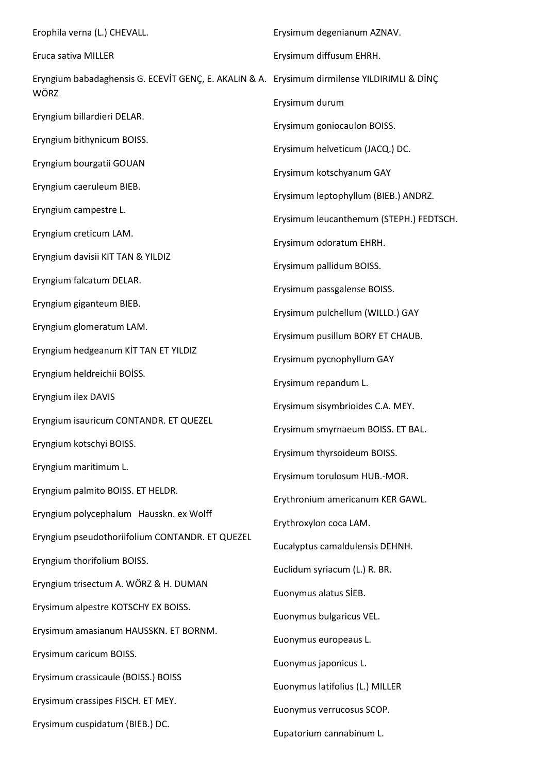Erophila verna (L.) CHEVALL. Eruca sativa MILLER Eryngium babadaghensis G. ECEVİT GENÇ, E. AKALIN & A. Erysimum dirmilense YILDIRIMLI & DİNÇ WÖRZ Eryngium billardieri DELAR. Eryngium bithynicum BOISS. Eryngium bourgatii GOUAN Eryngium caeruleum BIEB. Eryngium campestre L. Eryngium creticum LAM. Eryngium davisii KIT TAN & YILDIZ Eryngium falcatum DELAR. Eryngium giganteum BIEB. Eryngium glomeratum LAM. Eryngium hedgeanum KİT TAN ET YILDIZ Eryngium heldreichii BOİSS. Eryngium ilex DAVIS Eryngium isauricum CONTANDR. ET QUEZEL Eryngium kotschyi BOISS. Eryngium maritimum L. Eryngium palmito BOISS. ET HELDR. Eryngium polycephalum Hausskn. ex Wolff Eryngium pseudothoriifolium CONTANDR. ET QUEZEL Eryngium thorifolium BOISS. Eryngium trisectum A. WÖRZ & H. DUMAN Erysimum alpestre KOTSCHY EX BOISS. Erysimum amasianum HAUSSKN. ET BORNM. Erysimum caricum BOISS. Erysimum crassicaule (BOISS.) BOISS Erysimum crassipes FISCH. ET MEY. Erysimum cuspidatum (BIEB.) DC. Erysimum degenianum AZNAV. Erysimum diffusum EHRH. Erysimum durum Erysimum goniocaulon BOISS. Erysimum helveticum (JACQ.) DC. Erysimum kotschyanum GAY Erysimum leptophyllum (BIEB.) ANDRZ. Erysimum leucanthemum (STEPH.) FEDTSCH. Erysimum odoratum EHRH. Erysimum pallidum BOISS. Erysimum passgalense BOISS. Erysimum pulchellum (WILLD.) GAY Erysimum pusillum BORY ET CHAUB. Erysimum pycnophyllum GAY Erysimum repandum L. Erysimum sisymbrioides C.A. MEY. Erysimum smyrnaeum BOISS. ET BAL. Erysimum thyrsoideum BOISS. Erysimum torulosum HUB.-MOR. Erythronium americanum KER GAWL. Erythroxylon coca LAM. Eucalyptus camaldulensis DEHNH. Euclidum syriacum (L.) R. BR. Euonymus alatus SİEB. Euonymus bulgaricus VEL. Euonymus europeaus L. Euonymus japonicus L. Euonymus latifolius (L.) MILLER Euonymus verrucosus SCOP. Eupatorium cannabinum L.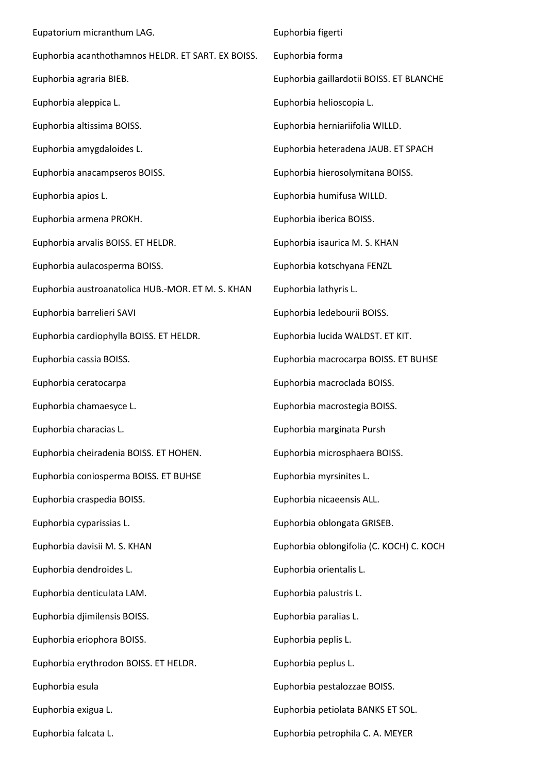Eupatorium micranthum LAG. Euphorbia acanthothamnos HELDR. ET SART. EX BOISS. Euphorbia agraria BIEB. Euphorbia aleppica L. Euphorbia altissima BOISS. Euphorbia amygdaloides L. Euphorbia anacampseros BOISS. Euphorbia apios L. Euphorbia armena PROKH. Euphorbia arvalis BOISS. ET HELDR. Euphorbia aulacosperma BOISS. Euphorbia austroanatolica HUB.-MOR. ET M. S. KHAN Euphorbia barrelieri SAVI Euphorbia cardiophylla BOISS. ET HELDR. Euphorbia cassia BOISS. Euphorbia ceratocarpa Euphorbia chamaesyce L. Euphorbia characias L. Euphorbia cheiradenia BOISS. ET HOHEN. Euphorbia coniosperma BOISS. ET BUHSE Euphorbia craspedia BOISS. Euphorbia cyparissias L. Euphorbia davisii M. S. KHAN Euphorbia dendroides L. Euphorbia denticulata LAM. Euphorbia djimilensis BOISS. Euphorbia eriophora BOISS. Euphorbia erythrodon BOISS. ET HELDR. Euphorbia esula Euphorbia exigua L. Euphorbia falcata L. Euphorbia figerti Euphorbia forma Euphorbia gaillardotii BOISS. ET BLANCHE Euphorbia helioscopia L. Euphorbia herniariifolia WILLD. Euphorbia heteradena JAUB. ET SPACH Euphorbia hierosolymitana BOISS. Euphorbia humifusa WILLD. Euphorbia iberica BOISS. Euphorbia isaurica M. S. KHAN Euphorbia kotschyana FENZL Euphorbia lathyris L. Euphorbia ledebourii BOISS. Euphorbia lucida WALDST. ET KIT. Euphorbia macrocarpa BOISS. ET BUHSE Euphorbia macroclada BOISS. Euphorbia macrostegia BOISS. Euphorbia marginata Pursh Euphorbia microsphaera BOISS. Euphorbia myrsinites L. Euphorbia nicaeensis ALL. Euphorbia oblongata GRISEB. Euphorbia oblongifolia (C. KOCH) C. KOCH Euphorbia orientalis L. Euphorbia palustris L. Euphorbia paralias L. Euphorbia peplis L. Euphorbia peplus L. Euphorbia pestalozzae BOISS. Euphorbia petiolata BANKS ET SOL. Euphorbia petrophila C. A. MEYER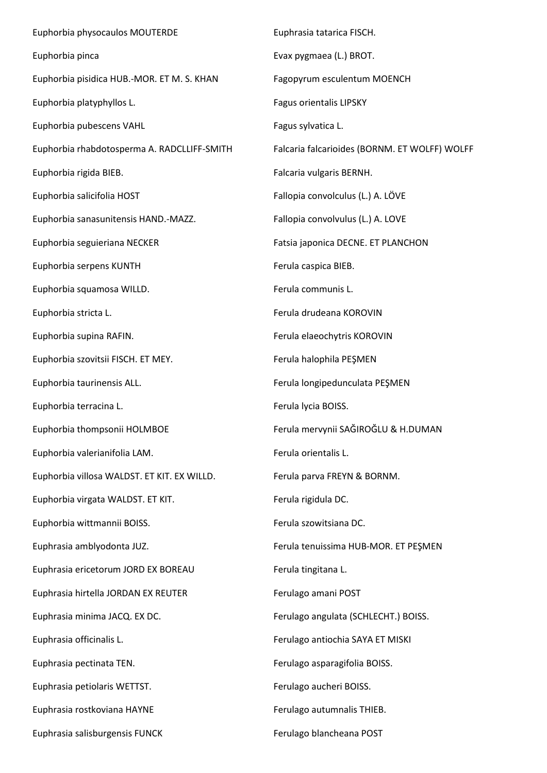Euphorbia physocaulos MOUTERDE Euphorbia pinca Euphorbia pisidica HUB.-MOR. ET M. S. KHAN Euphorbia platyphyllos L. Euphorbia pubescens VAHL Euphorbia rhabdotosperma A. RADCLLIFF-SMITH Euphorbia rigida BIEB. Euphorbia salicifolia HOST Euphorbia sanasunitensis HAND.-MAZZ. Euphorbia seguieriana NECKER Euphorbia serpens KUNTH Euphorbia squamosa WILLD. Euphorbia stricta L. Euphorbia supina RAFIN. Euphorbia szovitsii FISCH. ET MEY. Euphorbia taurinensis ALL. Euphorbia terracina L. Euphorbia thompsonii HOLMBOE Euphorbia valerianifolia LAM. Euphorbia villosa WALDST. ET KIT. EX WILLD. Euphorbia virgata WALDST. ET KIT. Euphorbia wittmannii BOISS. Euphrasia amblyodonta JUZ. Euphrasia ericetorum JORD EX BOREAU Euphrasia hirtella JORDAN EX REUTER Euphrasia minima JACQ. EX DC. Euphrasia officinalis L. Euphrasia pectinata TEN. Euphrasia petiolaris WETTST. Euphrasia rostkoviana HAYNE Euphrasia salisburgensis FUNCK Euphrasia tatarica FISCH. Evax pygmaea (L.) BROT. Fagopyrum esculentum MOENCH Fagus orientalis LIPSKY Fagus sylvatica L. Falcaria falcarioides (BORNM. ET WOLFF) WOLFF Falcaria vulgaris BERNH. Fallopia convolculus (L.) A. LÖVE Fallopia convolvulus (L.) A. LOVE Fatsia japonica DECNE. ET PLANCHON Ferula caspica BIEB. Ferula communis L. Ferula drudeana KOROVIN Ferula elaeochytris KOROVIN Ferula halophila PEŞMEN Ferula longipedunculata PEŞMEN Ferula lycia BOISS. Ferula mervynii SAĞIROĞLU & H.DUMAN Ferula orientalis L. Ferula parva FREYN & BORNM. Ferula rigidula DC. Ferula szowitsiana DC. Ferula tenuissima HUB-MOR. ET PEŞMEN Ferula tingitana L. Ferulago amani POST Ferulago angulata (SCHLECHT.) BOISS. Ferulago antiochia SAYA ET MISKI Ferulago asparagifolia BOISS. Ferulago aucheri BOISS. Ferulago autumnalis THIEB. Ferulago blancheana POST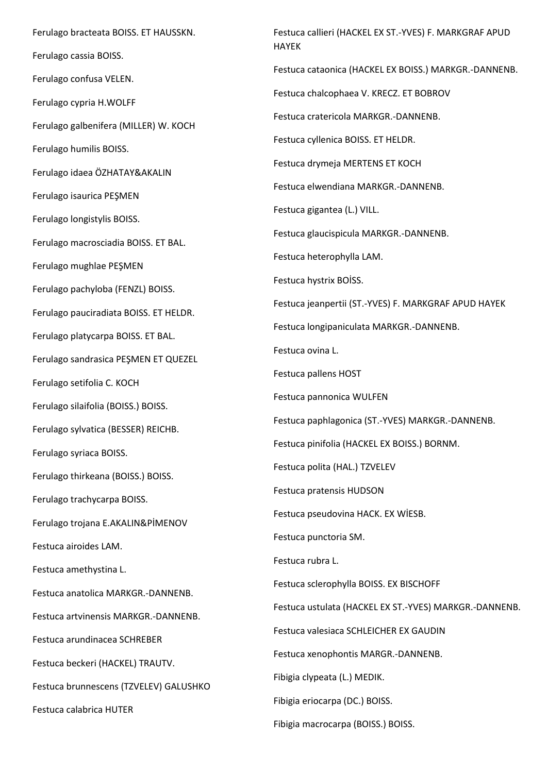Ferulago bracteata BOISS. ET HAUSSKN. Ferulago cassia BOISS. Ferulago confusa VELEN. Ferulago cypria H.WOLFF Ferulago galbenifera (MILLER) W. KOCH Ferulago humilis BOISS. Ferulago idaea ÖZHATAY&AKALIN Ferulago isaurica PEŞMEN Ferulago longistylis BOISS. Ferulago macrosciadia BOISS. ET BAL. Ferulago mughlae PEŞMEN Ferulago pachyloba (FENZL) BOISS. Ferulago pauciradiata BOISS. ET HELDR. Ferulago platycarpa BOISS. ET BAL. Ferulago sandrasica PEŞMEN ET QUEZEL Ferulago setifolia C. KOCH Ferulago silaifolia (BOISS.) BOISS. Ferulago sylvatica (BESSER) REICHB. Ferulago syriaca BOISS. Ferulago thirkeana (BOISS.) BOISS. Ferulago trachycarpa BOISS. Ferulago trojana E.AKALIN&PİMENOV Festuca airoides LAM. Festuca amethystina L. Festuca anatolica MARKGR.-DANNENB. Festuca artvinensis MARKGR.-DANNENB. Festuca arundinacea SCHREBER Festuca beckeri (HACKEL) TRAUTV. Festuca brunnescens (TZVELEV) GALUSHKO Festuca calabrica HUTER

Festuca callieri (HACKEL EX ST.-YVES) F. MARKGRAF APUD HAYEK Festuca cataonica (HACKEL EX BOISS.) MARKGR.-DANNENB. Festuca chalcophaea V. KRECZ. ET BOBROV Festuca cratericola MARKGR.-DANNENB. Festuca cyllenica BOISS. ET HELDR. Festuca drymeja MERTENS ET KOCH Festuca elwendiana MARKGR.-DANNENB. Festuca gigantea (L.) VILL. Festuca glaucispicula MARKGR.-DANNENB. Festuca heterophylla LAM. Festuca hystrix BOİSS. Festuca jeanpertii (ST.-YVES) F. MARKGRAF APUD HAYEK Festuca longipaniculata MARKGR.-DANNENB. Festuca ovina L. Festuca pallens HOST Festuca pannonica WULFEN Festuca paphlagonica (ST.-YVES) MARKGR.-DANNENB. Festuca pinifolia (HACKEL EX BOISS.) BORNM. Festuca polita (HAL.) TZVELEV Festuca pratensis HUDSON Festuca pseudovina HACK. EX WİESB. Festuca punctoria SM. Festuca rubra L. Festuca sclerophylla BOISS. EX BISCHOFF Festuca ustulata (HACKEL EX ST.-YVES) MARKGR.-DANNENB. Festuca valesiaca SCHLEICHER EX GAUDIN Festuca xenophontis MARGR.-DANNENB. Fibigia clypeata (L.) MEDIK. Fibigia eriocarpa (DC.) BOISS. Fibigia macrocarpa (BOISS.) BOISS.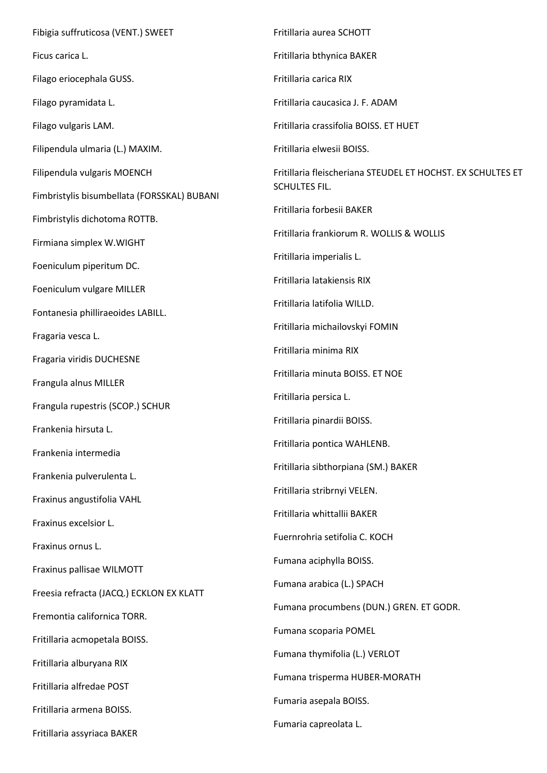Fibigia suffruticosa (VENT.) SWEET Ficus carica L. Filago eriocephala GUSS. Filago pyramidata L. Filago vulgaris LAM. Filipendula ulmaria (L.) MAXIM. Filipendula vulgaris MOENCH Fimbristylis bisumbellata (FORSSKAL) BUBANI Fimbristylis dichotoma ROTTB. Firmiana simplex W.WIGHT Foeniculum piperitum DC. Foeniculum vulgare MILLER Fontanesia philliraeoides LABILL. Fragaria vesca L. Fragaria viridis DUCHESNE Frangula alnus MILLER Frangula rupestris (SCOP.) SCHUR Frankenia hirsuta L. Frankenia intermedia Frankenia pulverulenta L. Fraxinus angustifolia VAHL Fraxinus excelsior L. Fraxinus ornus L. Fraxinus pallisae WILMOTT Freesia refracta (JACQ.) ECKLON EX KLATT Fremontia californica TORR. Fritillaria acmopetala BOISS. Fritillaria alburyana RIX Fritillaria alfredae POST Fritillaria armena BOISS. Fritillaria assyriaca BAKER Fritillaria aurea SCHOTT Fritillaria bthynica BAKER Fritillaria carica RIX Fritillaria caucasica J. F. ADAM Fritillaria crassifolia BOISS. ET HUET Fritillaria elwesii BOISS. Fritillaria fleischeriana STEUDEL ET HOCHST. EX SCHULTES ET SCHULTES FIL. Fritillaria forbesii BAKER Fritillaria frankiorum R. WOLLIS & WOLLIS Fritillaria imperialis L. Fritillaria latakiensis RIX Fritillaria latifolia WILLD. Fritillaria michailovskyi FOMIN Fritillaria minima RIX Fritillaria minuta BOISS. ET NOE Fritillaria persica L. Fritillaria pinardii BOISS. Fritillaria pontica WAHLENB. Fritillaria sibthorpiana (SM.) BAKER Fritillaria stribrnyi VELEN. Fritillaria whittallii BAKER Fuernrohria setifolia C. KOCH Fumana aciphylla BOISS. Fumana arabica (L.) SPACH Fumana procumbens (DUN.) GREN. ET GODR. Fumana scoparia POMEL Fumana thymifolia (L.) VERLOT Fumana trisperma HUBER-MORATH Fumaria asepala BOISS. Fumaria capreolata L.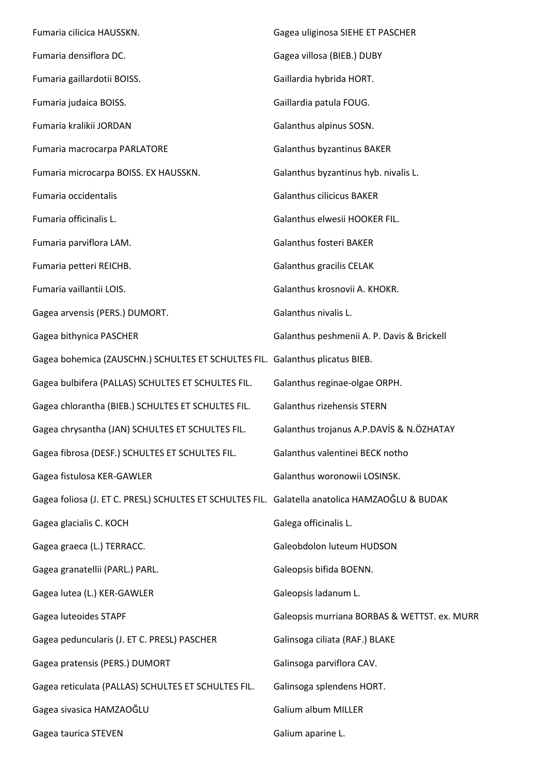Fumaria cilicica HAUSSKN. Fumaria densiflora DC. Fumaria gaillardotii BOISS. Fumaria judaica BOISS. Fumaria kralikii JORDAN Fumaria macrocarpa PARLATORE Fumaria microcarpa BOISS. EX HAUSSKN. Fumaria occidentalis Fumaria officinalis L. Fumaria parviflora LAM. Fumaria petteri REICHB. Fumaria vaillantii LOIS. Gagea arvensis (PERS.) DUMORT. Gagea bithynica PASCHER Gagea bohemica (ZAUSCHN.) SCHULTES ET SCHULTES FIL. Galanthus plicatus BIEB. Gagea bulbifera (PALLAS) SCHULTES ET SCHULTES FIL. Gagea chlorantha (BIEB.) SCHULTES ET SCHULTES FIL. Gagea chrysantha (JAN) SCHULTES ET SCHULTES FIL. Gagea fibrosa (DESF.) SCHULTES ET SCHULTES FIL. Gagea fistulosa KER-GAWLER Gagea foliosa (J. ET C. PRESL) SCHULTES ET SCHULTES FIL. Galatella anatolica HAMZAOĞLU & BUDAK Gagea glacialis C. KOCH Gagea graeca (L.) TERRACC. Gagea granatellii (PARL.) PARL. Gagea lutea (L.) KER-GAWLER Gagea luteoides STAPF Gagea peduncularis (J. ET C. PRESL) PASCHER Gagea pratensis (PERS.) DUMORT Gagea reticulata (PALLAS) SCHULTES ET SCHULTES FIL. Gagea sivasica HAMZAOĞLU Gagea taurica STEVEN Gagea uliginosa SIEHE ET PASCHER Gagea villosa (BIEB.) DUBY Gaillardia hybrida HORT. Gaillardia patula FOUG. Galanthus alpinus SOSN. Galanthus byzantinus BAKER Galanthus byzantinus hyb. nivalis L. Galanthus cilicicus BAKER Galanthus elwesii HOOKER FIL. Galanthus fosteri BAKER Galanthus gracilis CELAK Galanthus krosnovii A. KHOKR. Galanthus nivalis L. Galanthus peshmenii A. P. Davis & Brickell Galanthus reginae-olgae ORPH. Galanthus rizehensis STERN Galanthus trojanus A.P.DAVİS & N.ÖZHATAY Galanthus valentinei BECK notho Galanthus woronowii LOSINSK. Galega officinalis L. Galeobdolon luteum HUDSON Galeopsis bifida BOENN. Galeopsis ladanum L. Galeopsis murriana BORBAS & WETTST. ex. MURR Galinsoga ciliata (RAF.) BLAKE Galinsoga parviflora CAV. Galinsoga splendens HORT. Galium album MILLER Galium aparine L.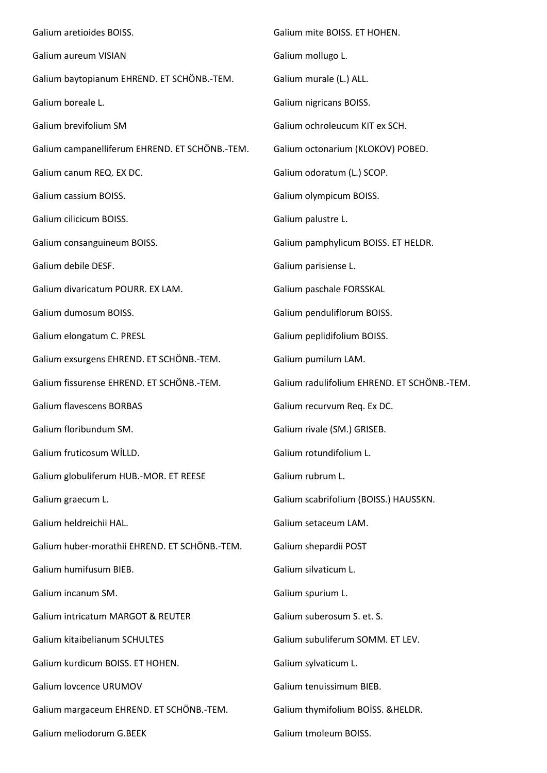Galium aretioides BOISS. Galium aureum VISIAN Galium baytopianum EHREND. ET SCHÖNB.-TEM. Galium boreale L. Galium brevifolium SM Galium campanelliferum EHREND. ET SCHÖNB.-TEM. Galium canum REQ. EX DC. Galium cassium BOISS. Galium cilicicum BOISS. Galium consanguineum BOISS. Galium debile DESF. Galium divaricatum POURR. EX LAM. Galium dumosum BOISS. Galium elongatum C. PRESL Galium exsurgens EHREND. ET SCHÖNB.-TEM. Galium fissurense EHREND. ET SCHÖNB.-TEM. Galium flavescens BORBAS Galium floribundum SM. Galium fruticosum WİLLD. Galium globuliferum HUB.-MOR. ET REESE Galium graecum L. Galium heldreichii HAL. Galium huber-morathii EHREND. ET SCHÖNB.-TEM. Galium humifusum BIEB. Galium incanum SM. Galium intricatum MARGOT & REUTER Galium kitaibelianum SCHULTES Galium kurdicum BOISS. ET HOHEN. Galium lovcence URUMOV Galium margaceum EHREND. ET SCHÖNB.-TEM. Galium meliodorum G.BEEK Galium mite BOISS. ET HOHEN. Galium mollugo L. Galium murale (L.) ALL. Galium nigricans BOISS. Galium ochroleucum KIT ex SCH. Galium octonarium (KLOKOV) POBED. Galium odoratum (L.) SCOP. Galium olympicum BOISS. Galium palustre L. Galium pamphylicum BOISS. ET HELDR. Galium parisiense L. Galium paschale FORSSKAL Galium penduliflorum BOISS. Galium peplidifolium BOISS. Galium pumilum LAM. Galium radulifolium EHREND. ET SCHÖNB.-TEM. Galium recurvum Req. Ex DC. Galium rivale (SM.) GRISEB. Galium rotundifolium L. Galium rubrum L. Galium scabrifolium (BOISS.) HAUSSKN. Galium setaceum LAM. Galium shepardii POST Galium silvaticum L. Galium spurium L. Galium suberosum S. et. S. Galium subuliferum SOMM. ET LEV. Galium sylvaticum L. Galium tenuissimum BIEB. Galium thymifolium BOİSS. &HELDR. Galium tmoleum BOISS.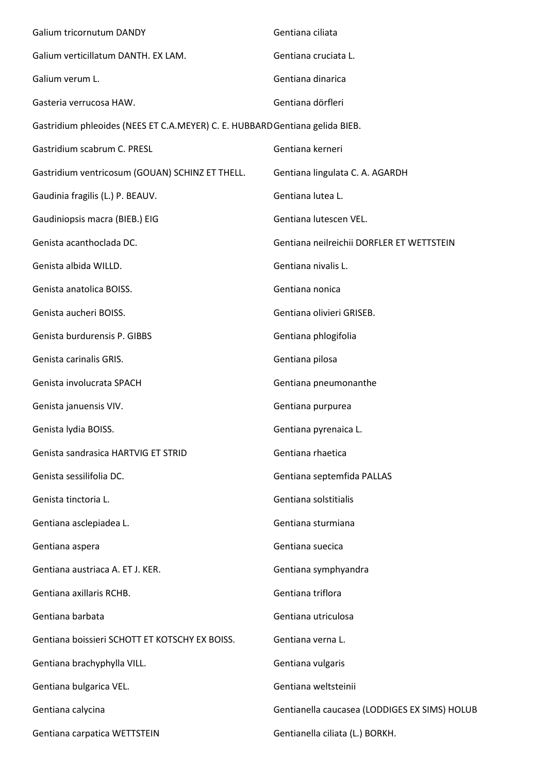| Galium tricornutum DANDY                                                     | Gentiana ciliata                              |
|------------------------------------------------------------------------------|-----------------------------------------------|
| Galium verticillatum DANTH. EX LAM.                                          | Gentiana cruciata L.                          |
| Galium verum L.                                                              | Gentiana dinarica                             |
| Gasteria verrucosa HAW.                                                      | Gentiana dörfleri                             |
| Gastridium phleoides (NEES ET C.A.MEYER) C. E. HUBBARD Gentiana gelida BIEB. |                                               |
| Gastridium scabrum C. PRESL                                                  | Gentiana kerneri                              |
| Gastridium ventricosum (GOUAN) SCHINZ ET THELL.                              | Gentiana lingulata C. A. AGARDH               |
| Gaudinia fragilis (L.) P. BEAUV.                                             | Gentiana lutea L.                             |
| Gaudiniopsis macra (BIEB.) EIG                                               | Gentiana lutescen VEL.                        |
| Genista acanthoclada DC.                                                     | Gentiana neilreichii DORFLER ET WETTSTEIN     |
| Genista albida WILLD.                                                        | Gentiana nivalis L.                           |
| Genista anatolica BOISS.                                                     | Gentiana nonica                               |
| Genista aucheri BOISS.                                                       | Gentiana olivieri GRISEB.                     |
| Genista burdurensis P. GIBBS                                                 | Gentiana phlogifolia                          |
| Genista carinalis GRIS.                                                      | Gentiana pilosa                               |
| Genista involucrata SPACH                                                    | Gentiana pneumonanthe                         |
| Genista januensis VIV.                                                       | Gentiana purpurea                             |
| Genista Iydia BOISS.                                                         | Gentiana pyrenaica L.                         |
| Genista sandrasica HARTVIG ET STRID                                          | Gentiana rhaetica                             |
| Genista sessilifolia DC.                                                     | Gentiana septemfida PALLAS                    |
| Genista tinctoria L.                                                         | Gentiana solstitialis                         |
| Gentiana asclepiadea L.                                                      | Gentiana sturmiana                            |
| Gentiana aspera                                                              | Gentiana suecica                              |
| Gentiana austriaca A. ET J. KER.                                             | Gentiana symphyandra                          |
| Gentiana axillaris RCHB.                                                     | Gentiana triflora                             |
| Gentiana barbata                                                             | Gentiana utriculosa                           |
| Gentiana boissieri SCHOTT ET KOTSCHY EX BOISS.                               | Gentiana verna L.                             |
| Gentiana brachyphylla VILL.                                                  | Gentiana vulgaris                             |
| Gentiana bulgarica VEL.                                                      | Gentiana weltsteinii                          |
| Gentiana calycina                                                            | Gentianella caucasea (LODDIGES EX SIMS) HOLUB |
| Gentiana carpatica WETTSTEIN                                                 | Gentianella ciliata (L.) BORKH.               |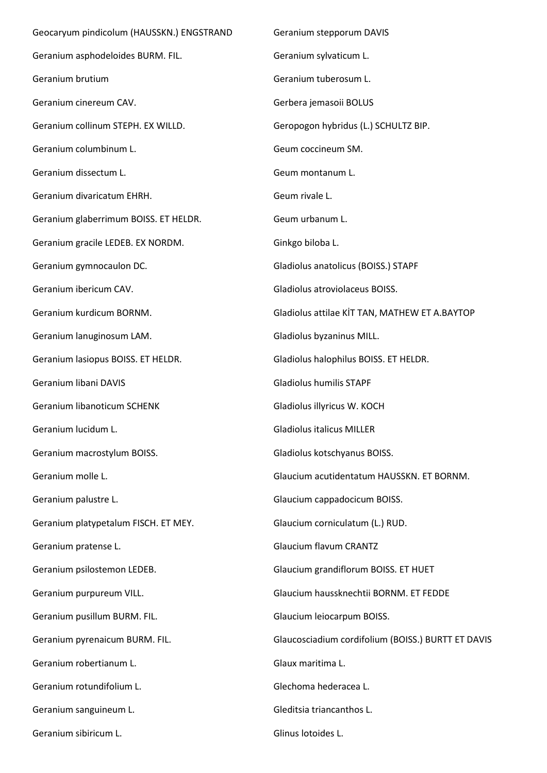Geocaryum pindicolum (HAUSSKN.) ENGSTRAND Geranium asphodeloides BURM. FIL. Geranium brutium Geranium cinereum CAV. Geranium collinum STEPH. EX WILLD. Geranium columbinum L. Geranium dissectum L. Geranium divaricatum EHRH. Geranium glaberrimum BOISS. ET HELDR. Geranium gracile LEDEB. EX NORDM. Geranium gymnocaulon DC. Geranium ibericum CAV. Geranium kurdicum BORNM. Geranium lanuginosum LAM. Geranium lasiopus BOISS. ET HELDR. Geranium libani DAVIS Geranium libanoticum SCHENK Geranium lucidum L. Geranium macrostylum BOISS. Geranium molle L. Geranium palustre L. Geranium platypetalum FISCH. ET MEY. Geranium pratense L. Geranium psilostemon LEDEB. Geranium purpureum VILL. Geranium pusillum BURM. FIL. Geranium pyrenaicum BURM. FIL. Geranium robertianum L. Geranium rotundifolium L. Geranium sanguineum L. Geranium sibiricum L. Geranium stepporum DAVIS Geranium sylvaticum L. Geranium tuberosum L. Gerbera jemasoii BOLUS Geropogon hybridus (L.) SCHULTZ BIP. Geum coccineum SM. Geum montanum L. Geum rivale L. Geum urbanum L. Ginkgo biloba L. Gladiolus anatolicus (BOISS.) STAPF Gladiolus atroviolaceus BOISS. Gladiolus attilae KİT TAN, MATHEW ET A.BAYTOP Gladiolus byzaninus MILL. Gladiolus halophilus BOISS. ET HELDR. Gladiolus humilis STAPF Gladiolus illyricus W. KOCH Gladiolus italicus MILLER Gladiolus kotschyanus BOISS. Glaucium acutidentatum HAUSSKN. ET BORNM. Glaucium cappadocicum BOISS. Glaucium corniculatum (L.) RUD. Glaucium flavum CRANTZ Glaucium grandiflorum BOISS. ET HUET Glaucium haussknechtii BORNM. ET FEDDE Glaucium leiocarpum BOISS. Glaucosciadium cordifolium (BOISS.) BURTT ET DAVIS Glaux maritima L. Glechoma hederacea L. Gleditsia triancanthos L. Glinus lotoides L.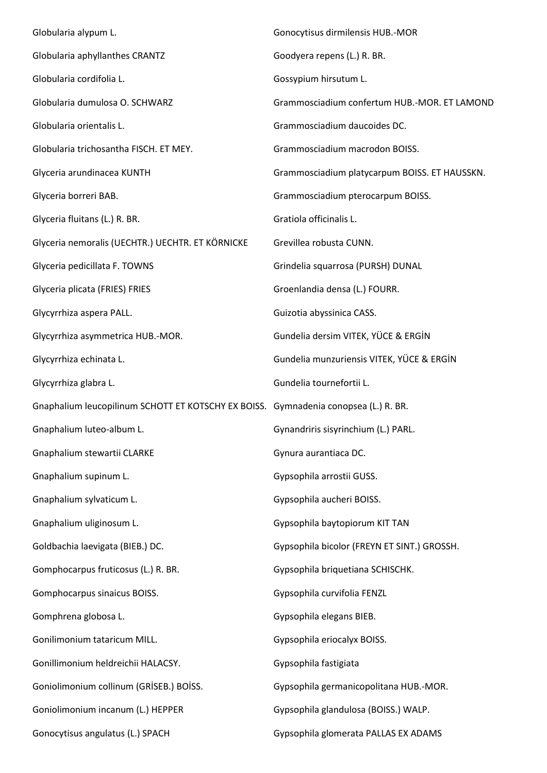| Globularia alypum L.                                                                | Gonocytisus dirmilensis HUB.-MOR              |
|-------------------------------------------------------------------------------------|-----------------------------------------------|
| Globularia aphyllanthes CRANTZ                                                      | Goodyera repens (L.) R. BR.                   |
| Globularia cordifolia L.                                                            | Gossypium hirsutum L.                         |
| Globularia dumulosa O. SCHWARZ                                                      | Grammosciadium confertum HUB.-MOR. ET LAMOND  |
| Globularia orientalis L.                                                            | Grammosciadium daucoides DC.                  |
| Globularia trichosantha FISCH. ET MEY.                                              | Grammosciadium macrodon BOISS.                |
| Glyceria arundinacea KUNTH                                                          | Grammosciadium platycarpum BOISS. ET HAUSSKN. |
| Glyceria borreri BAB.                                                               | Grammosciadium pterocarpum BOISS.             |
| Glyceria fluitans (L.) R. BR.                                                       | Gratiola officinalis L.                       |
| Glyceria nemoralis (UECHTR.) UECHTR. ET KÖRNICKE                                    | Grevillea robusta CUNN.                       |
| Glyceria pedicillata F. TOWNS                                                       | Grindelia squarrosa (PURSH) DUNAL             |
| Glyceria plicata (FRIES) FRIES                                                      | Groenlandia densa (L.) FOURR.                 |
| Glycyrrhiza aspera PALL.                                                            | Guizotia abyssinica CASS.                     |
| Glycyrrhiza asymmetrica HUB.-MOR.                                                   | Gundelia dersim VITEK, YÜCE & ERGİN           |
| Glycyrrhiza echinata L.                                                             | Gundelia munzuriensis VITEK, YÜCE & ERGİN     |
| Glycyrrhiza glabra L.                                                               | Gundelia tournefortii L.                      |
| Gnaphalium leucopilinum SCHOTT ET KOTSCHY EX BOISS. Gymnadenia conopsea (L.) R. BR. |                                               |
| Gnaphalium luteo-album L.                                                           | Gynandriris sisyrinchium (L.) PARL.           |
| Gnaphalium stewartii CLARKE                                                         | Gynura aurantiaca DC.                         |
| Gnaphalium supinum L.                                                               | Gypsophila arrostii GUSS.                     |
| Gnaphalium sylvaticum L.                                                            | Gypsophila aucheri BOISS.                     |
| Gnaphalium uliginosum L.                                                            | Gypsophila baytopiorum KIT TAN                |
| Goldbachia laevigata (BIEB.) DC.                                                    | Gypsophila bicolor (FREYN ET SINT.) GROSSH.   |
| Gomphocarpus fruticosus (L.) R. BR.                                                 | Gypsophila briquetiana SCHISCHK.              |
| Gomphocarpus sinaicus BOISS.                                                        | Gypsophila curvifolia FENZL                   |
| Gomphrena globosa L.                                                                | Gypsophila elegans BIEB.                      |
| Gonilimonium tataricum MILL.                                                        | Gypsophila eriocalyx BOISS.                   |
| Gonillimonium heldreichii HALACSY.                                                  | Gypsophila fastigiata                         |
| Goniolimonium collinum (GRİSEB.) BOİSS.                                             | Gypsophila germanicopolitana HUB.-MOR.        |
| Goniolimonium incanum (L.) HEPPER                                                   | Gypsophila glandulosa (BOISS.) WALP.          |
| Gonocytisus angulatus (L.) SPACH                                                    | Gypsophila glomerata PALLAS EX ADAMS          |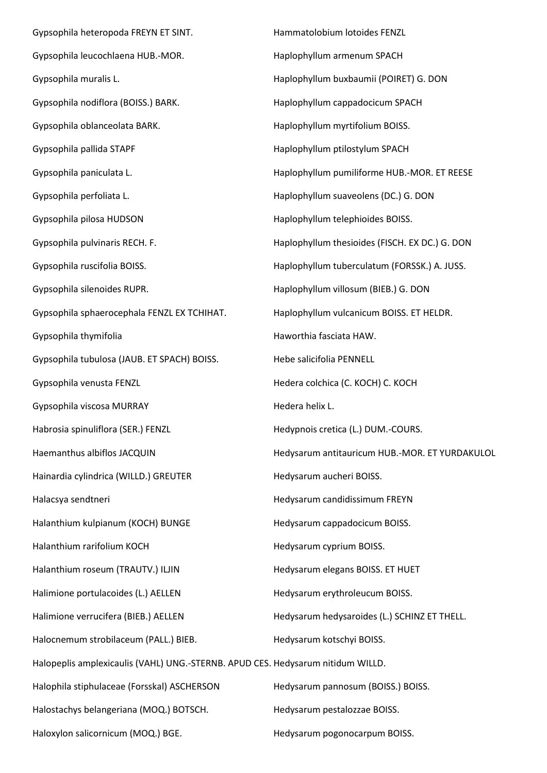Gypsophila heteropoda FREYN ET SINT. Gypsophila leucochlaena HUB.-MOR. Gypsophila muralis L. Gypsophila nodiflora (BOISS.) BARK. Gypsophila oblanceolata BARK. Gypsophila pallida STAPF Gypsophila paniculata L. Gypsophila perfoliata L. Gypsophila pilosa HUDSON Gypsophila pulvinaris RECH. F. Gypsophila ruscifolia BOISS. Gypsophila silenoides RUPR. Gypsophila sphaerocephala FENZL EX TCHIHAT. Gypsophila thymifolia Gypsophila tubulosa (JAUB. ET SPACH) BOISS. Gypsophila venusta FENZL Gypsophila viscosa MURRAY Habrosia spinuliflora (SER.) FENZL Haemanthus albiflos JACQUIN Hainardia cylindrica (WILLD.) GREUTER Halacsya sendtneri Halanthium kulpianum (KOCH) BUNGE Halanthium rarifolium KOCH Halanthium roseum (TRAUTV.) ILJIN Halimione portulacoides (L.) AELLEN Halimione verrucifera (BIEB.) AELLEN Halocnemum strobilaceum (PALL.) BIEB. Halopeplis amplexicaulis (VAHL) UNG.-STERNB. APUD CES. Hedysarum nitidum WILLD. Halophila stiphulaceae (Forsskal) ASCHERSON Halostachys belangeriana (MOQ.) BOTSCH. Haloxylon salicornicum (MOQ.) BGE. Hammatolobium lotoides FENZL Haplophyllum armenum SPACH Haplophyllum buxbaumii (POIRET) G. DON Haplophyllum cappadocicum SPACH Haplophyllum myrtifolium BOISS. Haplophyllum ptilostylum SPACH Haplophyllum pumiliforme HUB.-MOR. ET REESE Haplophyllum suaveolens (DC.) G. DON Haplophyllum telephioides BOISS. Haplophyllum thesioides (FISCH. EX DC.) G. DON Haplophyllum tuberculatum (FORSSK.) A. JUSS. Haplophyllum villosum (BIEB.) G. DON Haplophyllum vulcanicum BOISS. ET HELDR. Haworthia fasciata HAW. Hebe salicifolia PENNELL Hedera colchica (C. KOCH) C. KOCH Hedera helix L. Hedypnois cretica (L.) DUM.-COURS. Hedysarum antitauricum HUB.-MOR. ET YURDAKULOL Hedysarum aucheri BOISS. Hedysarum candidissimum FREYN Hedysarum cappadocicum BOISS. Hedysarum cyprium BOISS. Hedysarum elegans BOISS. ET HUET Hedysarum erythroleucum BOISS. Hedysarum hedysaroides (L.) SCHINZ ET THELL. Hedysarum kotschyi BOISS. Hedysarum pannosum (BOISS.) BOISS. Hedysarum pestalozzae BOISS. Hedysarum pogonocarpum BOISS.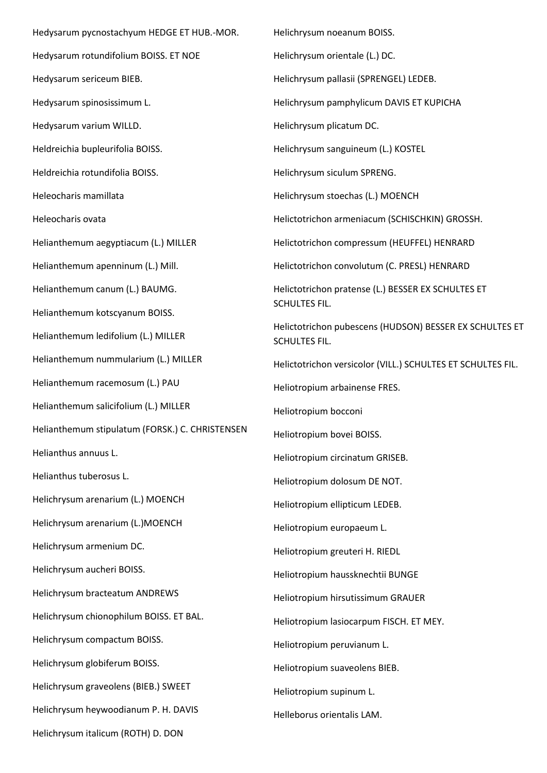Hedysarum pycnostachyum HEDGE ET HUB.-MOR. Hedysarum rotundifolium BOISS. ET NOE Hedysarum sericeum BIEB. Hedysarum spinosissimum L. Hedysarum varium WILLD. Heldreichia bupleurifolia BOISS. Heldreichia rotundifolia BOISS. Heleocharis mamillata Heleocharis ovata Helianthemum aegyptiacum (L.) MILLER Helianthemum apenninum (L.) Mill. Helianthemum canum (L.) BAUMG. Helianthemum kotscyanum BOISS. Helianthemum ledifolium (L.) MILLER Helianthemum nummularium (L.) MILLER Helianthemum racemosum (L.) PAU Helianthemum salicifolium (L.) MILLER Helianthemum stipulatum (FORSK.) C. CHRISTENSEN Helianthus annuus L. Helianthus tuberosus L. Helichrysum arenarium (L.) MOENCH Helichrysum arenarium (L.)MOENCH Helichrysum armenium DC. Helichrysum aucheri BOISS. Helichrysum bracteatum ANDREWS Helichrysum chionophilum BOISS. ET BAL. Helichrysum compactum BOISS. Helichrysum globiferum BOISS. Helichrysum graveolens (BIEB.) SWEET Helichrysum heywoodianum P. H. DAVIS Helichrysum italicum (ROTH) D. DON

Helichrysum noeanum BOISS. Helichrysum orientale (L.) DC. Helichrysum pallasii (SPRENGEL) LEDEB. Helichrysum pamphylicum DAVIS ET KUPICHA Helichrysum plicatum DC. Helichrysum sanguineum (L.) KOSTEL Helichrysum siculum SPRENG. Helichrysum stoechas (L.) MOENCH Helictotrichon armeniacum (SCHISCHKIN) GROSSH. Helictotrichon compressum (HEUFFEL) HENRARD Helictotrichon convolutum (C. PRESL) HENRARD Helictotrichon pratense (L.) BESSER EX SCHULTES ET SCHULTES FIL. Helictotrichon pubescens (HUDSON) BESSER EX SCHULTES ET SCHULTES FIL. Helictotrichon versicolor (VILL.) SCHULTES ET SCHULTES FIL. Heliotropium arbainense FRES. Heliotropium bocconi Heliotropium bovei BOISS. Heliotropium circinatum GRISEB. Heliotropium dolosum DE NOT. Heliotropium ellipticum LEDEB. Heliotropium europaeum L. Heliotropium greuteri H. RIEDL Heliotropium haussknechtii BUNGE Heliotropium hirsutissimum GRAUER Heliotropium lasiocarpum FISCH. ET MEY. Heliotropium peruvianum L. Heliotropium suaveolens BIEB. Heliotropium supinum L. Helleborus orientalis LAM.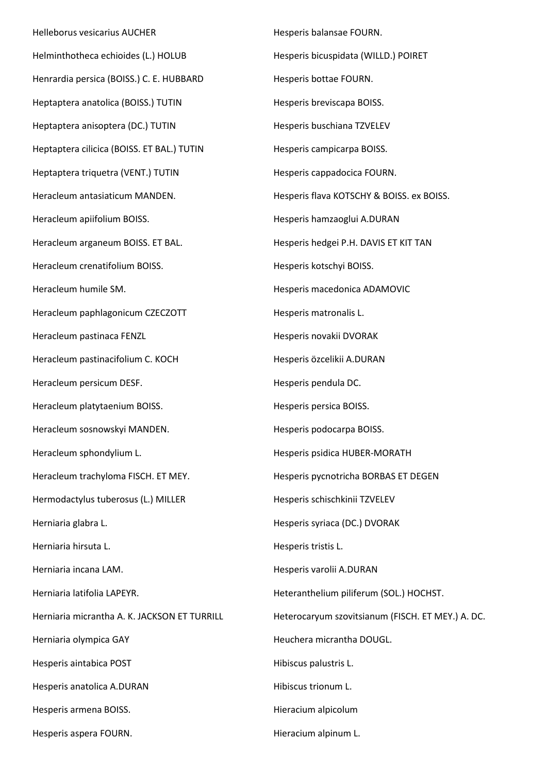Helleborus vesicarius AUCHER Helminthotheca echioides (L.) HOLUB Henrardia persica (BOISS.) C. E. HUBBARD Heptaptera anatolica (BOISS.) TUTIN Heptaptera anisoptera (DC.) TUTIN Heptaptera cilicica (BOISS. ET BAL.) TUTIN Heptaptera triquetra (VENT.) TUTIN Heracleum antasiaticum MANDEN. Heracleum apiifolium BOISS. Heracleum arganeum BOISS. ET BAL. Heracleum crenatifolium BOISS. Heracleum humile SM. Heracleum paphlagonicum CZECZOTT Heracleum pastinaca FENZL Heracleum pastinacifolium C. KOCH Heracleum persicum DESF. Heracleum platytaenium BOISS. Heracleum sosnowskyi MANDEN. Heracleum sphondylium L. Heracleum trachyloma FISCH. ET MEY. Hermodactylus tuberosus (L.) MILLER Herniaria glabra L. Herniaria hirsuta L. Herniaria incana LAM. Herniaria latifolia LAPEYR. Herniaria micrantha A. K. JACKSON ET TURRILL Herniaria olympica GAY Hesperis aintabica POST Hesperis anatolica A.DURAN Hesperis armena BOISS. Hesperis aspera FOURN.

Hesperis balansae FOURN. Hesperis bicuspidata (WILLD.) POIRET Hesperis bottae FOURN. Hesperis breviscapa BOISS. Hesperis buschiana TZVELEV Hesperis campicarpa BOISS. Hesperis cappadocica FOURN. Hesperis flava KOTSCHY & BOISS. ex BOISS. Hesperis hamzaoglui A.DURAN Hesperis hedgei P.H. DAVIS ET KIT TAN Hesperis kotschyi BOISS. Hesperis macedonica ADAMOVIC Hesperis matronalis L. Hesperis novakii DVORAK Hesperis özcelikii A.DURAN Hesperis pendula DC. Hesperis persica BOISS. Hesperis podocarpa BOISS. Hesperis psidica HUBER-MORATH Hesperis pycnotricha BORBAS ET DEGEN Hesperis schischkinii TZVELEV Hesperis syriaca (DC.) DVORAK Hesperis tristis L. Hesperis varolii A.DURAN Heteranthelium piliferum (SOL.) HOCHST. Heterocaryum szovitsianum (FISCH. ET MEY.) A. DC. Heuchera micrantha DOUGL. Hibiscus palustris L. Hibiscus trionum L. Hieracium alpicolum

Hieracium alpinum L.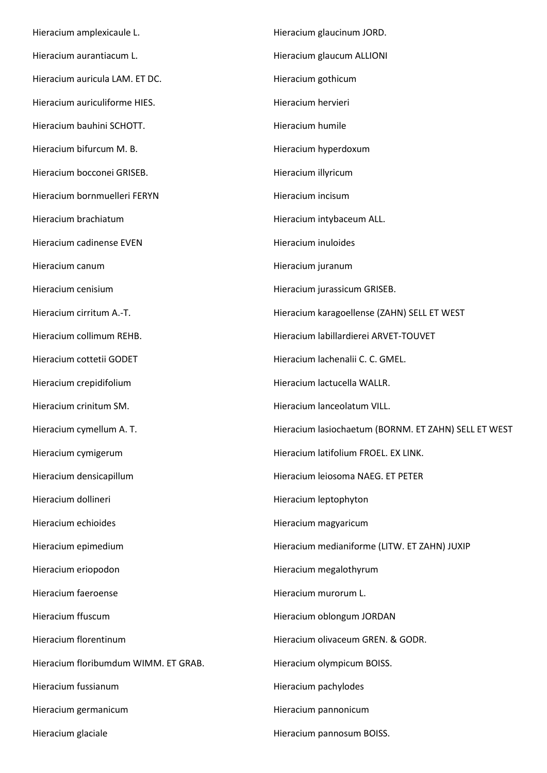Hieracium amplexicaule L. Hieracium aurantiacum L. Hieracium auricula LAM. ET DC. Hieracium auriculiforme HIES. Hieracium bauhini SCHOTT. Hieracium bifurcum M. B. Hieracium bocconei GRISEB. Hieracium bornmuelleri FERYN Hieracium brachiatum Hieracium cadinense EVEN Hieracium canum Hieracium cenisium Hieracium cirritum A.-T. Hieracium collimum REHB. Hieracium cottetii GODET Hieracium crepidifolium Hieracium crinitum SM. Hieracium cymellum A. T. Hieracium cymigerum Hieracium densicapillum Hieracium dollineri Hieracium echioides Hieracium epimedium Hieracium eriopodon Hieracium faeroense Hieracium ffuscum Hieracium florentinum Hieracium floribumdum WIMM. ET GRAB. Hieracium fussianum Hieracium germanicum Hieracium glaciale Hieracium glaucinum JORD. Hieracium glaucum ALLIONI Hieracium gothicum Hieracium hervieri Hieracium humile Hieracium hyperdoxum Hieracium illyricum Hieracium incisum Hieracium intybaceum ALL. Hieracium inuloides Hieracium juranum Hieracium jurassicum GRISEB. Hieracium karagoellense (ZAHN) SELL ET WEST Hieracium labillardierei ARVET-TOUVET Hieracium lachenalii C. C. GMEL. Hieracium lactucella WALLR. Hieracium lanceolatum VILL. Hieracium lasiochaetum (BORNM. ET ZAHN) SELL ET WEST Hieracium latifolium FROEL. EX LINK. Hieracium leiosoma NAEG. ET PETER Hieracium leptophyton Hieracium magyaricum Hieracium medianiforme (LITW. ET ZAHN) JUXIP Hieracium megalothyrum Hieracium murorum L. Hieracium oblongum JORDAN Hieracium olivaceum GREN. & GODR. Hieracium olympicum BOISS. Hieracium pachylodes Hieracium pannonicum Hieracium pannosum BOISS.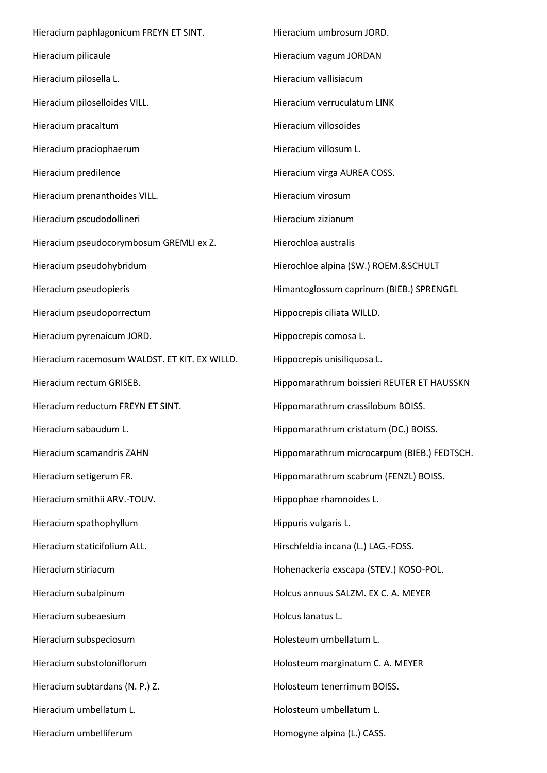Hieracium paphlagonicum FREYN ET SINT. Hieracium pilicaule Hieracium pilosella L. Hieracium piloselloides VILL. Hieracium pracaltum Hieracium praciophaerum Hieracium predilence Hieracium prenanthoides VILL. Hieracium pscudodollineri Hieracium pseudocorymbosum GREMLI ex Z. Hieracium pseudohybridum Hieracium pseudopieris Hieracium pseudoporrectum Hieracium pyrenaicum JORD. Hieracium racemosum WALDST. ET KIT. EX WILLD. Hieracium rectum GRISEB. Hieracium reductum FREYN ET SINT. Hieracium sabaudum L. Hieracium scamandris ZAHN Hieracium setigerum FR. Hieracium smithii ARV.-TOUV. Hieracium spathophyllum Hieracium staticifolium ALL. Hieracium stiriacum Hieracium subalpinum Hieracium subeaesium Hieracium subspeciosum Hieracium substoloniflorum Hieracium subtardans (N. P.) Z. Hieracium umbellatum L. Hieracium umbelliferum Hieracium umbrosum JORD. Hieracium vagum JORDAN Hieracium vallisiacum Hieracium verruculatum LINK Hieracium villosoides Hieracium villosum L. Hieracium virga AUREA COSS. Hieracium virosum Hieracium zizianum Hierochloa australis Hierochloe alpina (SW.) ROEM.&SCHULT Himantoglossum caprinum (BIEB.) SPRENGEL Hippocrepis ciliata WILLD. Hippocrepis comosa L. Hippocrepis unisiliquosa L. Hippomarathrum boissieri REUTER ET HAUSSKN Hippomarathrum crassilobum BOISS. Hippomarathrum cristatum (DC.) BOISS. Hippomarathrum microcarpum (BIEB.) FEDTSCH. Hippomarathrum scabrum (FENZL) BOISS. Hippophae rhamnoides L. Hippuris vulgaris L. Hirschfeldia incana (L.) LAG.-FOSS. Hohenackeria exscapa (STEV.) KOSO-POL. Holcus annuus SALZM. EX C. A. MEYER Holcus lanatus L. Holesteum umbellatum L. Holosteum marginatum C. A. MEYER Holosteum tenerrimum BOISS. Holosteum umbellatum L. Homogyne alpina (L.) CASS.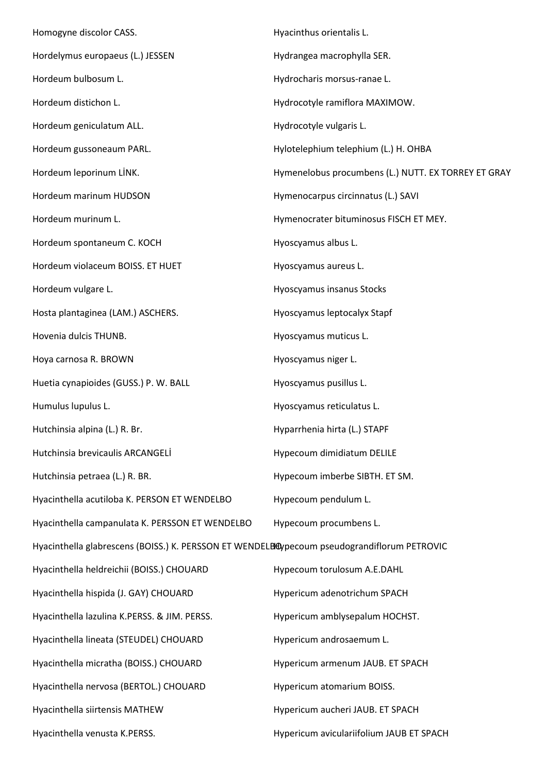Homogyne discolor CASS. Hordelymus europaeus (L.) JESSEN Hordeum bulbosum L. Hordeum distichon L. Hordeum geniculatum ALL. Hordeum gussoneaum PARL. Hordeum leporinum LİNK. Hordeum marinum HUDSON Hordeum murinum L. Hordeum spontaneum C. KOCH Hordeum violaceum BOISS. ET HUET Hordeum vulgare L. Hosta plantaginea (LAM.) ASCHERS. Hovenia dulcis THUNB. Hoya carnosa R. BROWN Huetia cynapioides (GUSS.) P. W. BALL Humulus lupulus L. Hutchinsia alpina (L.) R. Br. Hutchinsia brevicaulis ARCANGELİ Hutchinsia petraea (L.) R. BR. Hyacinthella acutiloba K. PERSON ET WENDELBO Hyacinthella campanulata K. PERSSON ET WENDELBO Hyacinthella glabrescens (BOISS.) K. PERSSON ET WENDELBOypecoum pseudograndiflorum PETROVIC Hyacinthella heldreichii (BOISS.) CHOUARD Hyacinthella hispida (J. GAY) CHOUARD Hyacinthella lazulina K.PERSS. & JIM. PERSS. Hyacinthella lineata (STEUDEL) CHOUARD Hyacinthella micratha (BOISS.) CHOUARD Hyacinthella nervosa (BERTOL.) CHOUARD Hyacinthella siirtensis MATHEW Hyacinthella venusta K.PERSS. Hyacinthus orientalis L. Hydrangea macrophylla SER. Hydrocharis morsus-ranae L. Hydrocotyle ramiflora MAXIMOW. Hydrocotyle vulgaris L. Hylotelephium telephium (L.) H. OHBA Hymenelobus procumbens (L.) NUTT. EX TORREY ET GRAY Hymenocarpus circinnatus (L.) SAVI Hymenocrater bituminosus FISCH ET MEY. Hyoscyamus albus L. Hyoscyamus aureus L. Hyoscyamus insanus Stocks Hyoscyamus leptocalyx Stapf Hyoscyamus muticus L. Hyoscyamus niger L. Hyoscyamus pusillus L. Hyoscyamus reticulatus L. Hyparrhenia hirta (L.) STAPF Hypecoum dimidiatum DELILE Hypecoum imberbe SIBTH. ET SM. Hypecoum pendulum L. Hypecoum procumbens L. Hypecoum torulosum A.E.DAHL Hypericum adenotrichum SPACH Hypericum amblysepalum HOCHST. Hypericum androsaemum L. Hypericum armenum JAUB. ET SPACH Hypericum atomarium BOISS. Hypericum aucheri JAUB. ET SPACH Hypericum aviculariifolium JAUB ET SPACH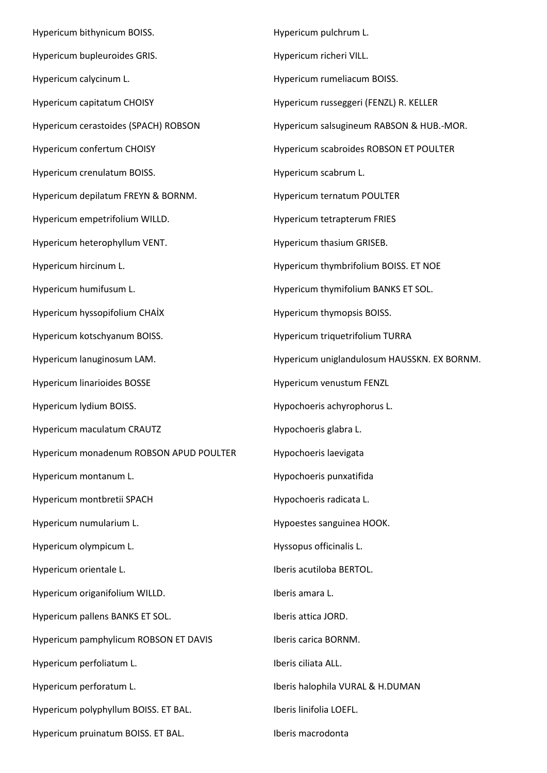Hypericum bithynicum BOISS. Hypericum bupleuroides GRIS. Hypericum calycinum L. Hypericum capitatum CHOISY Hypericum cerastoides (SPACH) ROBSON Hypericum confertum CHOISY Hypericum crenulatum BOISS. Hypericum depilatum FREYN & BORNM. Hypericum empetrifolium WILLD. Hypericum heterophyllum VENT. Hypericum hircinum L. Hypericum humifusum L. Hypericum hyssopifolium CHAİX Hypericum kotschyanum BOISS. Hypericum lanuginosum LAM. Hypericum linarioides BOSSE Hypericum lydium BOISS. Hypericum maculatum CRAUTZ Hypericum monadenum ROBSON APUD POULTER Hypericum montanum L. Hypericum montbretii SPACH Hypericum numularium L. Hypericum olympicum L. Hypericum orientale L. Hypericum origanifolium WILLD. Hypericum pallens BANKS ET SOL. Hypericum pamphylicum ROBSON ET DAVIS Hypericum perfoliatum L. Hypericum perforatum L. Hypericum polyphyllum BOISS. ET BAL. Hypericum pruinatum BOISS. ET BAL.

Hypericum pulchrum L. Hypericum richeri VILL. Hypericum rumeliacum BOISS. Hypericum russeggeri (FENZL) R. KELLER Hypericum salsugineum RABSON & HUB.-MOR. Hypericum scabroides ROBSON ET POULTER Hypericum scabrum L. Hypericum ternatum POULTER Hypericum tetrapterum FRIES Hypericum thasium GRISEB. Hypericum thymbrifolium BOISS. ET NOE Hypericum thymifolium BANKS ET SOL. Hypericum thymopsis BOISS. Hypericum triquetrifolium TURRA Hypericum uniglandulosum HAUSSKN. EX BORNM. Hypericum venustum FENZL Hypochoeris achyrophorus L. Hypochoeris glabra L. Hypochoeris laevigata Hypochoeris punxatifida Hypochoeris radicata L. Hypoestes sanguinea HOOK. Hyssopus officinalis L. Iberis acutiloba BERTOL. Iberis amara L. Iberis attica JORD. Iberis carica BORNM. Iberis ciliata ALL. Iberis halophila VURAL & H.DUMAN Iberis linifolia LOEFL. Iberis macrodonta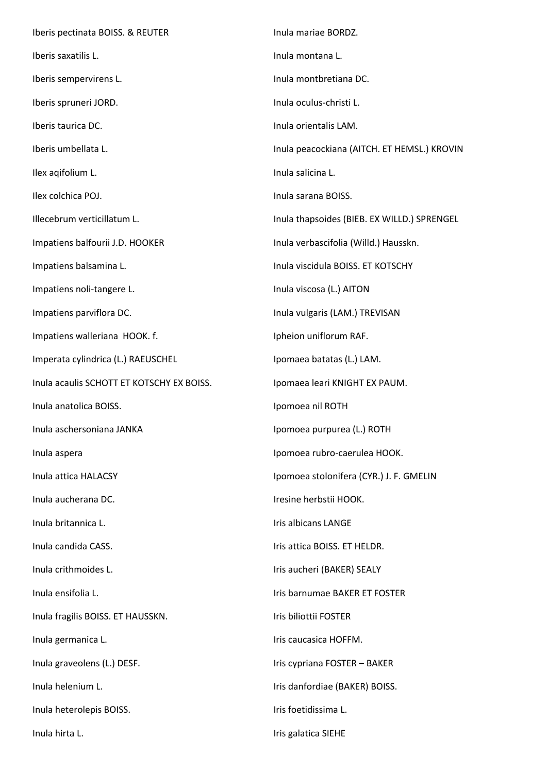Iberis pectinata BOISS. & REUTER Iberis saxatilis L. Iberis sempervirens L. Iberis spruneri JORD. Iberis taurica DC. Iberis umbellata L. Ilex aqifolium L. Ilex colchica POJ. Illecebrum verticillatum L. Impatiens balfourii J.D. HOOKER Impatiens balsamina L. Impatiens noli-tangere L. Impatiens parviflora DC. Impatiens walleriana HOOK. f. Imperata cylindrica (L.) RAEUSCHEL Inula acaulis SCHOTT ET KOTSCHY EX BOISS. Inula anatolica BOISS. Inula aschersoniana JANKA Inula aspera Inula attica HALACSY Inula aucherana DC. Inula britannica L. Inula candida CASS. Inula crithmoides L. Inula ensifolia L. Inula fragilis BOISS. ET HAUSSKN. Inula germanica L. Inula graveolens (L.) DESF. Inula helenium L. Inula heterolepis BOISS. Inula hirta L. Inula mariae BORDZ. Inula montana L. Inula montbretiana DC. Inula oculus-christi L. Inula orientalis LAM. Inula peacockiana (AITCH. ET HEMSL.) KROVIN Inula salicina L. Inula sarana BOISS. Inula thapsoides (BIEB. EX WILLD.) SPRENGEL Inula verbascifolia (Willd.) Hausskn. Inula viscidula BOISS. ET KOTSCHY Inula viscosa (L.) AITON Inula vulgaris (LAM.) TREVISAN Ipheion uniflorum RAF. Ipomaea batatas (L.) LAM. Ipomaea leari KNIGHT EX PAUM. Ipomoea nil ROTH Ipomoea purpurea (L.) ROTH Ipomoea rubro-caerulea HOOK. Ipomoea stolonifera (CYR.) J. F. GMELIN Iresine herbstii HOOK. Iris albicans LANGE Iris attica BOISS. ET HELDR. Iris aucheri (BAKER) SEALY Iris barnumae BAKER ET FOSTER Iris biliottii FOSTER Iris caucasica HOFFM. Iris cypriana FOSTER – BAKER Iris danfordiae (BAKER) BOISS. Iris foetidissima L. Iris galatica SIEHE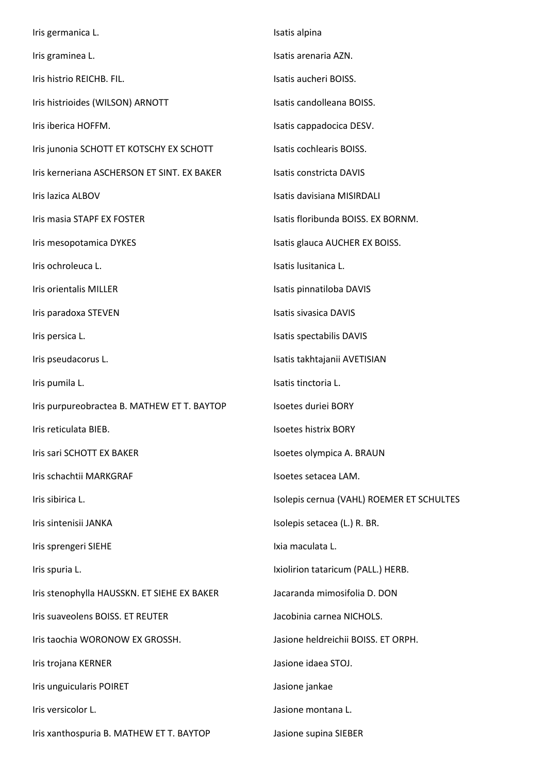Iris germanica L. Iris graminea L. Iris histrio REICHB. FIL. Iris histrioides (WILSON) ARNOTT Iris iberica HOFFM. Iris junonia SCHOTT ET KOTSCHY EX SCHOTT Iris kerneriana ASCHERSON ET SINT. EX BAKER Iris lazica ALBOV Iris masia STAPF EX FOSTER Iris mesopotamica DYKES Iris ochroleuca L. Iris orientalis MILLER Iris paradoxa STEVEN Iris persica L. Iris pseudacorus L. Iris pumila L. Iris purpureobractea B. MATHEW ET T. BAYTOP Iris reticulata BIEB. Iris sari SCHOTT EX BAKER Iris schachtii MARKGRAF Iris sibirica L. Iris sintenisii JANKA Iris sprengeri SIEHE Iris spuria L. Iris stenophylla HAUSSKN. ET SIEHE EX BAKER Iris suaveolens BOISS. ET REUTER Iris taochia WORONOW EX GROSSH. Iris trojana KERNER Iris unguicularis POIRET Iris versicolor L. Iris xanthospuria B. MATHEW ET T. BAYTOP Isatis alpina Isatis arenaria AZN. Isatis aucheri BOISS. Isatis candolleana BOISS. Isatis cappadocica DESV. Isatis cochlearis BOISS. Isatis constricta DAVIS Isatis davisiana MISIRDALI Isatis floribunda BOISS. EX BORNM. Isatis glauca AUCHER EX BOISS. Isatis lusitanica L. Isatis pinnatiloba DAVIS Isatis sivasica DAVIS Isatis spectabilis DAVIS Isatis takhtajanii AVETISIAN Isatis tinctoria L. Isoetes duriei BORY Isoetes histrix BORY Isoetes olympica A. BRAUN Isoetes setacea LAM. Isolepis cernua (VAHL) ROEMER ET SCHULTES Isolepis setacea (L.) R. BR. Ixia maculata L. Ixiolirion tataricum (PALL.) HERB. Jacaranda mimosifolia D. DON Jacobinia carnea NICHOLS. Jasione heldreichii BOISS. ET ORPH. Jasione idaea STOJ. Jasione jankae Jasione montana L. Jasione supina SIEBER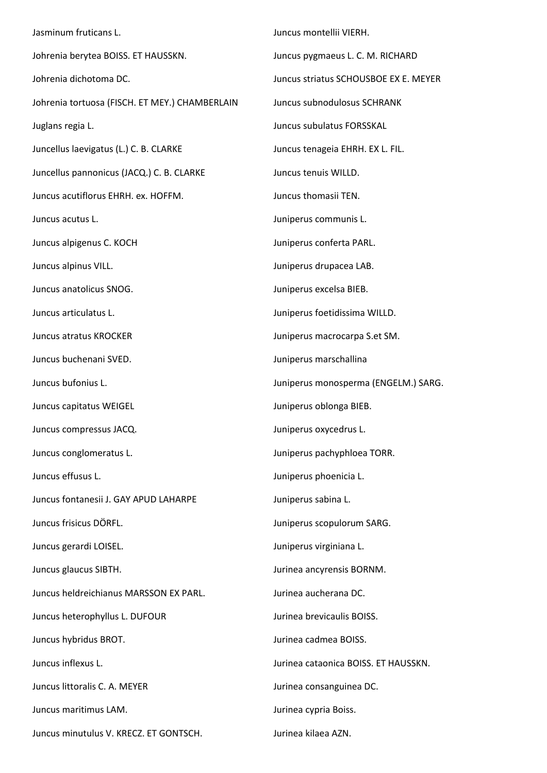Jasminum fruticans L. Johrenia berytea BOISS. ET HAUSSKN. Johrenia dichotoma DC. Johrenia tortuosa (FISCH. ET MEY.) CHAMBERLAIN Juglans regia L. Juncellus laevigatus (L.) C. B. CLARKE Juncellus pannonicus (JACQ.) C. B. CLARKE Juncus acutiflorus EHRH. ex. HOFFM. Juncus acutus L. Juncus alpigenus C. KOCH Juncus alpinus VILL. Juncus anatolicus SNOG. Juncus articulatus L. Juncus atratus KROCKER Juncus buchenani SVED. Juncus bufonius L. Juncus capitatus WEIGEL Juncus compressus JACQ. Juncus conglomeratus L. Juncus effusus L. Juncus fontanesii J. GAY APUD LAHARPE Juncus frisicus DÖRFL. Juncus gerardi LOISEL. Juncus glaucus SIBTH. Juncus heldreichianus MARSSON EX PARL. Juncus heterophyllus L. DUFOUR Juncus hybridus BROT. Juncus inflexus L. Juncus littoralis C. A. MEYER Juncus maritimus LAM. Juncus minutulus V. KRECZ. ET GONTSCH. Juncus montellii VIERH. Juncus pygmaeus L. C. M. RICHARD Juncus striatus SCHOUSBOE EX E. MEYER Juncus subnodulosus SCHRANK Juncus subulatus FORSSKAL Juncus tenageia EHRH. EX L. FIL. Juncus tenuis WILLD. Juncus thomasii TEN. Juniperus communis L. Juniperus conferta PARL. Juniperus drupacea LAB. Juniperus excelsa BIEB. Juniperus foetidissima WILLD. Juniperus macrocarpa S.et SM. Juniperus marschallina Juniperus monosperma (ENGELM.) SARG. Juniperus oblonga BIEB. Juniperus oxycedrus L. Juniperus pachyphloea TORR. Juniperus phoenicia L. Juniperus sabina L. Juniperus scopulorum SARG. Juniperus virginiana L. Jurinea ancyrensis BORNM. Jurinea aucherana DC. Jurinea brevicaulis BOISS. Jurinea cadmea BOISS. Jurinea cataonica BOISS. ET HAUSSKN. Jurinea consanguinea DC. Jurinea cypria Boiss. Jurinea kilaea AZN.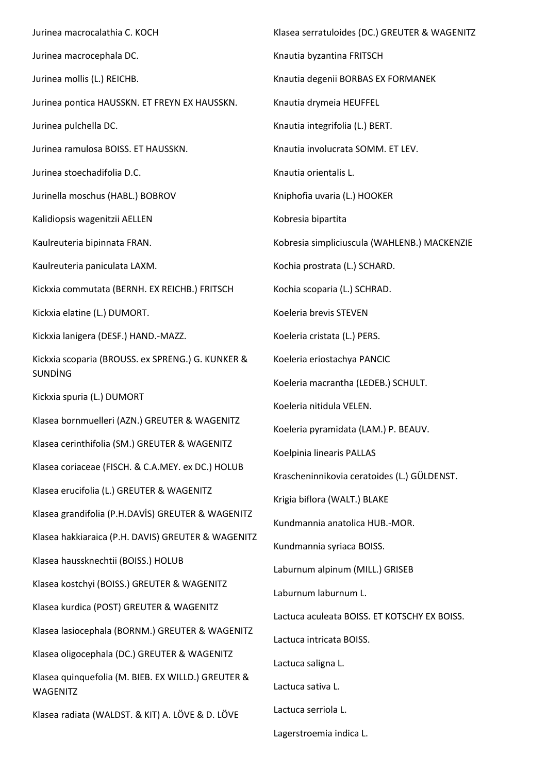Jurinea macrocalathia C. KOCH Jurinea macrocephala DC. Jurinea mollis (L.) REICHB. Jurinea pontica HAUSSKN. ET FREYN EX HAUSSKN. Jurinea pulchella DC. Jurinea ramulosa BOISS. ET HAUSSKN. Jurinea stoechadifolia D.C. Jurinella moschus (HABL.) BOBROV Kalidiopsis wagenitzii AELLEN Kaulreuteria bipinnata FRAN. Kaulreuteria paniculata LAXM. Kickxia commutata (BERNH. EX REICHB.) FRITSCH Kickxia elatine (L.) DUMORT. Kickxia lanigera (DESF.) HAND.-MAZZ. Kickxia scoparia (BROUSS. ex SPRENG.) G. KUNKER & SUNDİNG Kickxia spuria (L.) DUMORT Klasea bornmuelleri (AZN.) GREUTER & WAGENITZ Klasea cerinthifolia (SM.) GREUTER & WAGENITZ Klasea coriaceae (FISCH. & C.A.MEY. ex DC.) HOLUB Klasea erucifolia (L.) GREUTER & WAGENITZ Klasea grandifolia (P.H.DAVİS) GREUTER & WAGENITZ Klasea hakkiaraica (P.H. DAVIS) GREUTER & WAGENITZ Klasea haussknechtii (BOISS.) HOLUB Klasea kostchyi (BOISS.) GREUTER & WAGENITZ Klasea kurdica (POST) GREUTER & WAGENITZ Klasea lasiocephala (BORNM.) GREUTER & WAGENITZ Klasea oligocephala (DC.) GREUTER & WAGENITZ Klasea quinquefolia (M. BIEB. EX WILLD.) GREUTER & WAGENITZ Klasea radiata (WALDST. & KIT) A. LÖVE & D. LÖVE Klasea serratuloides (DC.) GREUTER & WAGENITZ Knautia byzantina FRITSCH Knautia degenii BORBAS EX FORMANEK Knautia drymeia HEUFFEL Knautia integrifolia (L.) BERT. Knautia involucrata SOMM. ET LEV. Knautia orientalis L. Kniphofia uvaria (L.) HOOKER Kobresia bipartita Kobresia simpliciuscula (WAHLENB.) MACKENZIE Kochia prostrata (L.) SCHARD. Kochia scoparia (L.) SCHRAD. Koeleria brevis STEVEN Koeleria cristata (L.) PERS. Koeleria eriostachya PANCIC Koeleria macrantha (LEDEB.) SCHULT. Koeleria nitidula VELEN. Koeleria pyramidata (LAM.) P. BEAUV. Koelpinia linearis PALLAS Krascheninnikovia ceratoides (L.) GÜLDENST. Krigia biflora (WALT.) BLAKE Kundmannia anatolica HUB.-MOR. Kundmannia syriaca BOISS. Laburnum alpinum (MILL.) GRISEB Laburnum laburnum L. Lactuca aculeata BOISS. ET KOTSCHY EX BOISS. Lactuca intricata BOISS. Lactuca saligna L. Lactuca sativa L. Lactuca serriola L. Lagerstroemia indica L.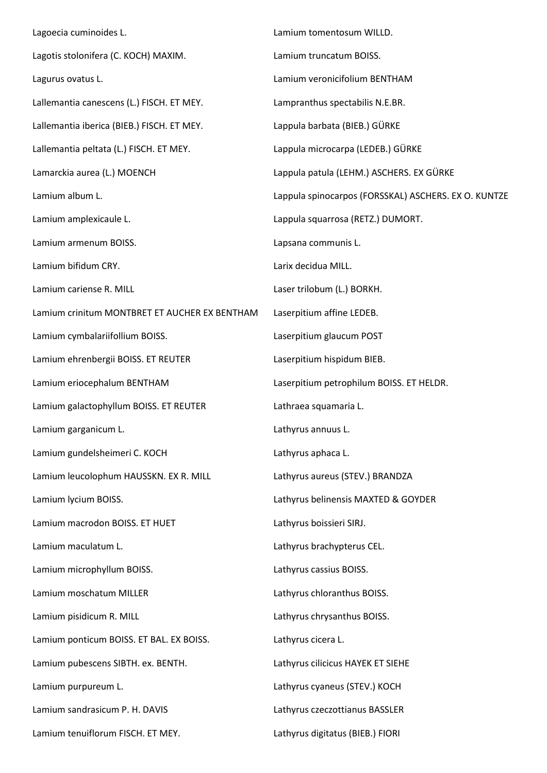Lagoecia cuminoides L. Lagotis stolonifera (C. KOCH) MAXIM. Lagurus ovatus L. Lallemantia canescens (L.) FISCH. ET MEY. Lallemantia iberica (BIEB.) FISCH. ET MEY. Lallemantia peltata (L.) FISCH. ET MEY. Lamarckia aurea (L.) MOENCH Lamium album L. Lamium amplexicaule L. Lamium armenum BOISS. Lamium bifidum CRY. Lamium cariense R. MILL Lamium crinitum MONTBRET ET AUCHER EX BENTHAM Lamium cymbalariifollium BOISS. Lamium ehrenbergii BOISS. ET REUTER Lamium eriocephalum BENTHAM Lamium galactophyllum BOISS. ET REUTER Lamium garganicum L. Lamium gundelsheimeri C. KOCH Lamium leucolophum HAUSSKN. EX R. MILL Lamium lycium BOISS. Lamium macrodon BOISS. ET HUET Lamium maculatum L. Lamium microphyllum BOISS. Lamium moschatum MILLER Lamium pisidicum R. MILL Lamium ponticum BOISS. ET BAL. EX BOISS. Lamium pubescens SIBTH. ex. BENTH. Lamium purpureum L. Lamium sandrasicum P. H. DAVIS Lamium tenuiflorum FISCH. ET MEY. Lamium tomentosum WILLD. Lamium truncatum BOISS. Lamium veronicifolium BENTHAM Lampranthus spectabilis N.E.BR. Lappula barbata (BIEB.) GÜRKE Lappula microcarpa (LEDEB.) GÜRKE Lappula patula (LEHM.) ASCHERS. EX GÜRKE Lappula spinocarpos (FORSSKAL) ASCHERS. EX O. KUNTZE Lappula squarrosa (RETZ.) DUMORT. Lapsana communis L. Larix decidua MILL. Laser trilobum (L.) BORKH. Laserpitium affine LEDEB. Laserpitium glaucum POST Laserpitium hispidum BIEB. Laserpitium petrophilum BOISS. ET HELDR. Lathraea squamaria L. Lathyrus annuus L. Lathyrus aphaca L. Lathyrus aureus (STEV.) BRANDZA Lathyrus belinensis MAXTED & GOYDER Lathyrus boissieri SIRJ. Lathyrus brachypterus CEL. Lathyrus cassius BOISS. Lathyrus chloranthus BOISS. Lathyrus chrysanthus BOISS. Lathyrus cicera L. Lathyrus cilicicus HAYEK ET SIEHE Lathyrus cyaneus (STEV.) KOCH Lathyrus czeczottianus BASSLER Lathyrus digitatus (BIEB.) FIORI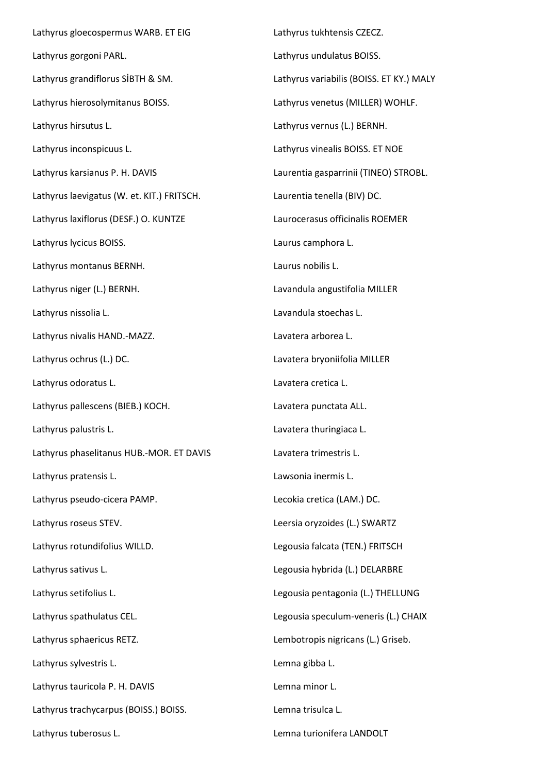Lathyrus gloecospermus WARB. ET EIG Lathyrus gorgoni PARL. Lathyrus grandiflorus SİBTH & SM. Lathyrus hierosolymitanus BOISS. Lathyrus hirsutus L. Lathyrus inconspicuus L. Lathyrus karsianus P. H. DAVIS Lathyrus laevigatus (W. et. KIT.) FRITSCH. Lathyrus laxiflorus (DESF.) O. KUNTZE Lathyrus lycicus BOISS. Lathyrus montanus BERNH. Lathyrus niger (L.) BERNH. Lathyrus nissolia L. Lathyrus nivalis HAND.-MAZZ. Lathyrus ochrus (L.) DC. Lathyrus odoratus L. Lathyrus pallescens (BIEB.) KOCH. Lathyrus palustris L. Lathyrus phaselitanus HUB.-MOR. ET DAVIS Lathyrus pratensis L. Lathyrus pseudo-cicera PAMP. Lathyrus roseus STEV. Lathyrus rotundifolius WILLD. Lathyrus sativus L. Lathyrus setifolius L. Lathyrus spathulatus CEL. Lathyrus sphaericus RETZ. Lathyrus sylvestris L. Lathyrus tauricola P. H. DAVIS Lathyrus trachycarpus (BOISS.) BOISS. Lathyrus tuberosus L.

Lathyrus tukhtensis CZECZ. Lathyrus undulatus BOISS. Lathyrus variabilis (BOISS. ET KY.) MALY Lathyrus venetus (MILLER) WOHLF. Lathyrus vernus (L.) BERNH. Lathyrus vinealis BOISS. ET NOE Laurentia gasparrinii (TINEO) STROBL. Laurentia tenella (BIV) DC. Laurocerasus officinalis ROEMER Laurus camphora L. Laurus nobilis L. Lavandula angustifolia MILLER Lavandula stoechas L. Lavatera arborea L. Lavatera bryoniifolia MILLER Lavatera cretica L. Lavatera punctata ALL. Lavatera thuringiaca L. Lavatera trimestris L. Lawsonia inermis L. Lecokia cretica (LAM.) DC. Leersia oryzoides (L.) SWARTZ Legousia falcata (TEN.) FRITSCH Legousia hybrida (L.) DELARBRE Legousia pentagonia (L.) THELLUNG Legousia speculum-veneris (L.) CHAIX Lembotropis nigricans (L.) Griseb. Lemna gibba L. Lemna minor L. Lemna trisulca L.

Lemna turionifera LANDOLT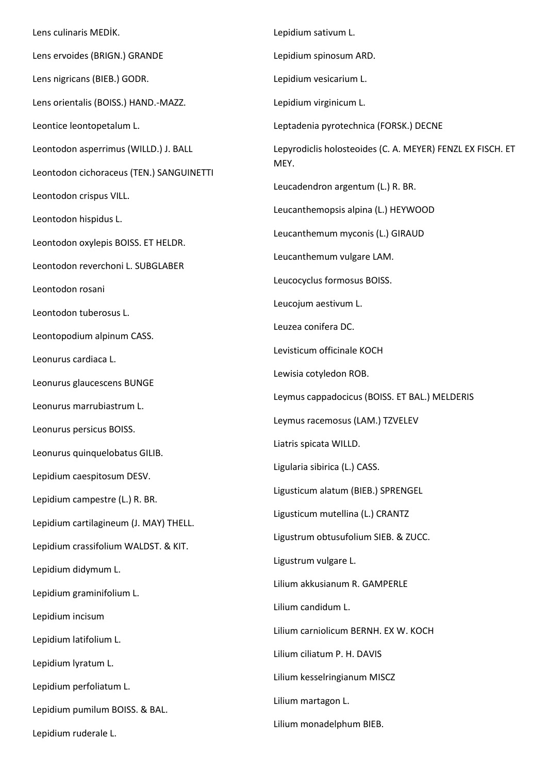Lens culinaris MEDİK. Lens ervoides (BRIGN.) GRANDE Lens nigricans (BIEB.) GODR. Lens orientalis (BOISS.) HAND.-MAZZ. Leontice leontopetalum L. Leontodon asperrimus (WILLD.) J. BALL Leontodon cichoraceus (TEN.) SANGUINETTI Leontodon crispus VILL. Leontodon hispidus L. Leontodon oxylepis BOISS. ET HELDR. Leontodon reverchoni L. SUBGLABER Leontodon rosani Leontodon tuberosus L. Leontopodium alpinum CASS. Leonurus cardiaca L. Leonurus glaucescens BUNGE Leonurus marrubiastrum L. Leonurus persicus BOISS. Leonurus quinquelobatus GILIB. Lepidium caespitosum DESV. Lepidium campestre (L.) R. BR. Lepidium cartilagineum (J. MAY) THELL. Lepidium crassifolium WALDST. & KIT. Lepidium didymum L. Lepidium graminifolium L. Lepidium incisum Lepidium latifolium L. Lepidium lyratum L. Lepidium perfoliatum L. Lepidium pumilum BOISS. & BAL. Lepidium ruderale L. Lepidium sativum L. Lepidium spinosum ARD. Lepidium vesicarium L. Lepidium virginicum L. Leptadenia pyrotechnica (FORSK.) DECNE Lepyrodiclis holosteoides (C. A. MEYER) FENZL EX FISCH. ET MEY. Leucadendron argentum (L.) R. BR. Leucanthemopsis alpina (L.) HEYWOOD Leucanthemum myconis (L.) GIRAUD Leucanthemum vulgare LAM. Leucocyclus formosus BOISS. Leucojum aestivum L. Leuzea conifera DC. Levisticum officinale KOCH Lewisia cotyledon ROB. Leymus cappadocicus (BOISS. ET BAL.) MELDERIS Leymus racemosus (LAM.) TZVELEV Liatris spicata WILLD. Ligularia sibirica (L.) CASS. Ligusticum alatum (BIEB.) SPRENGEL Ligusticum mutellina (L.) CRANTZ Ligustrum obtusufolium SIEB. & ZUCC. Ligustrum vulgare L. Lilium akkusianum R. GAMPERLE Lilium candidum L. Lilium carniolicum BERNH. EX W. KOCH Lilium ciliatum P. H. DAVIS Lilium kesselringianum MISCZ Lilium martagon L. Lilium monadelphum BIEB.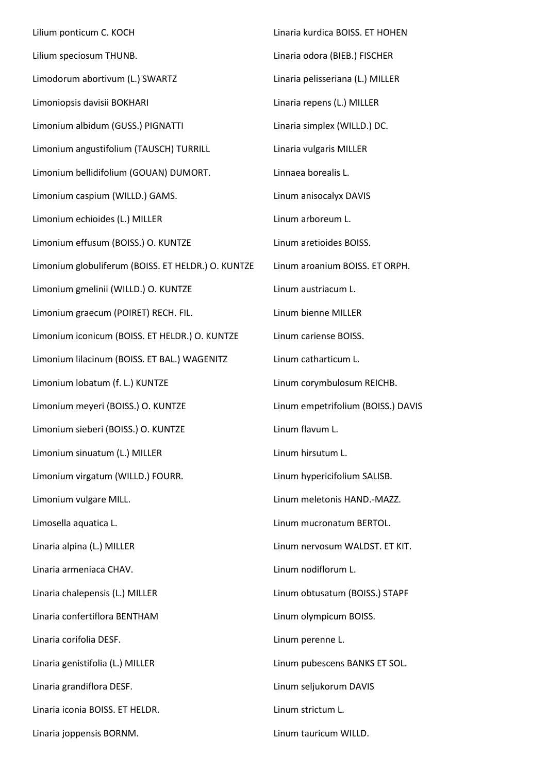Lilium ponticum C. KOCH Lilium speciosum THUNB. Limodorum abortivum (L.) SWARTZ Limoniopsis davisii BOKHARI Limonium albidum (GUSS.) PIGNATTI Limonium angustifolium (TAUSCH) TURRILL Limonium bellidifolium (GOUAN) DUMORT. Limonium caspium (WILLD.) GAMS. Limonium echioides (L.) MILLER Limonium effusum (BOISS.) O. KUNTZE Limonium globuliferum (BOISS. ET HELDR.) O. KUNTZE Limonium gmelinii (WILLD.) O. KUNTZE Limonium graecum (POIRET) RECH. FIL. Limonium iconicum (BOISS. ET HELDR.) O. KUNTZE Limonium lilacinum (BOISS. ET BAL.) WAGENITZ Limonium lobatum (f. L.) KUNTZE Limonium meyeri (BOISS.) O. KUNTZE Limonium sieberi (BOISS.) O. KUNTZE Limonium sinuatum (L.) MILLER Limonium virgatum (WILLD.) FOURR. Limonium vulgare MILL. Limosella aquatica L. Linaria alpina (L.) MILLER Linaria armeniaca CHAV. Linaria chalepensis (L.) MILLER Linaria confertiflora BENTHAM Linaria corifolia DESF. Linaria genistifolia (L.) MILLER Linaria grandiflora DESF. Linaria iconia BOISS. ET HELDR. Linaria joppensis BORNM. Linum tauricum WILLD.

Linaria kurdica BOISS. ET HOHEN Linaria odora (BIEB.) FISCHER Linaria pelisseriana (L.) MILLER Linaria repens (L.) MILLER Linaria simplex (WILLD.) DC. Linaria vulgaris MILLER Linnaea borealis L. Linum anisocalyx DAVIS Linum arboreum L. Linum aretioides BOISS. Linum aroanium BOISS. ET ORPH. Linum austriacum L. Linum bienne MILLER Linum cariense BOISS. Linum catharticum L. Linum corymbulosum REICHB. Linum empetrifolium (BOISS.) DAVIS Linum flavum L. Linum hirsutum L. Linum hypericifolium SALISB. Linum meletonis HAND.-MAZZ. Linum mucronatum BERTOL. Linum nervosum WALDST. ET KIT. Linum nodiflorum L. Linum obtusatum (BOISS.) STAPF Linum olympicum BOISS. Linum perenne L. Linum pubescens BANKS ET SOL. Linum seljukorum DAVIS Linum strictum L.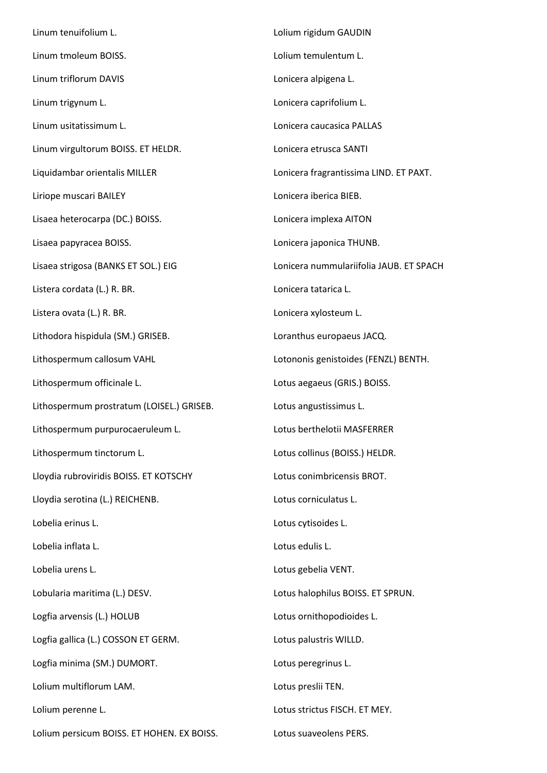Linum tenuifolium L. Linum tmoleum BOISS. Linum triflorum DAVIS Linum trigynum L. Linum usitatissimum L. Linum virgultorum BOISS. ET HELDR. Liquidambar orientalis MILLER Liriope muscari BAILEY Lisaea heterocarpa (DC.) BOISS. Lisaea papyracea BOISS. Lisaea strigosa (BANKS ET SOL.) EIG Listera cordata (L.) R. BR. Listera ovata (L.) R. BR. Lithodora hispidula (SM.) GRISEB. Lithospermum callosum VAHL Lithospermum officinale L. Lithospermum prostratum (LOISEL.) GRISEB. Lithospermum purpurocaeruleum L. Lithospermum tinctorum L. Lloydia rubroviridis BOISS. ET KOTSCHY Lloydia serotina (L.) REICHENB. Lobelia erinus L. Lobelia inflata L. Lobelia urens L. Lobularia maritima (L.) DESV. Logfia arvensis (L.) HOLUB Logfia gallica (L.) COSSON ET GERM. Logfia minima (SM.) DUMORT. Lolium multiflorum LAM. Lolium perenne L. Lolium persicum BOISS. ET HOHEN. EX BOISS. Lolium rigidum GAUDIN Lolium temulentum L. Lonicera alpigena L. Lonicera caprifolium L. Lonicera caucasica PALLAS Lonicera etrusca SANTI Lonicera fragrantissima LIND. ET PAXT. Lonicera iberica BIEB. Lonicera implexa AITON Lonicera japonica THUNB. Lonicera nummulariifolia JAUB. ET SPACH Lonicera tatarica L. Lonicera xylosteum L. Loranthus europaeus JACQ. Lotononis genistoides (FENZL) BENTH. Lotus aegaeus (GRIS.) BOISS. Lotus angustissimus L. Lotus berthelotii MASFERRER Lotus collinus (BOISS.) HELDR. Lotus conimbricensis BROT. Lotus corniculatus L. Lotus cytisoides L. Lotus edulis L. Lotus gebelia VENT. Lotus halophilus BOISS. ET SPRUN. Lotus ornithopodioides L. Lotus palustris WILLD. Lotus peregrinus L. Lotus preslii TEN. Lotus strictus FISCH. ET MEY. Lotus suaveolens PERS.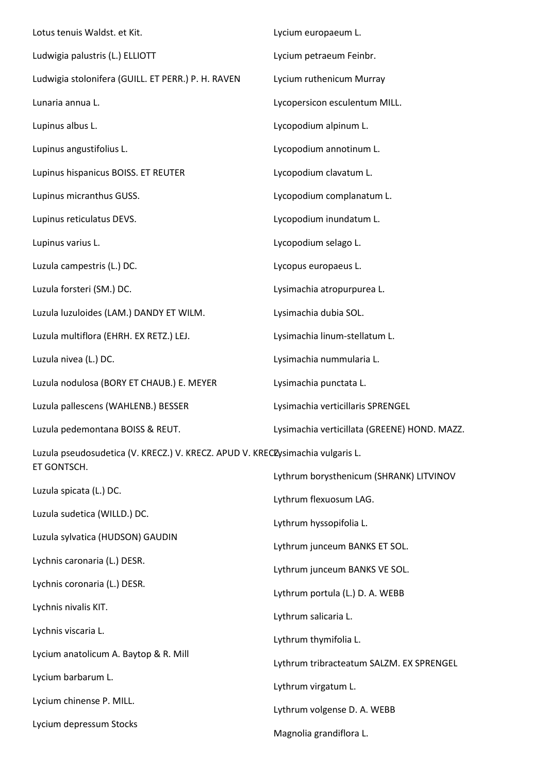| Lotus tenuis Waldst. et Kit.                                                                  | Lycium europaeum L.                          |
|-----------------------------------------------------------------------------------------------|----------------------------------------------|
| Ludwigia palustris (L.) ELLIOTT                                                               | Lycium petraeum Feinbr.                      |
| Ludwigia stolonifera (GUILL. ET PERR.) P. H. RAVEN                                            | Lycium ruthenicum Murray                     |
| Lunaria annua L.                                                                              | Lycopersicon esculentum MILL.                |
| Lupinus albus L.                                                                              | Lycopodium alpinum L.                        |
| Lupinus angustifolius L.                                                                      | Lycopodium annotinum L.                      |
| Lupinus hispanicus BOISS. ET REUTER                                                           | Lycopodium clavatum L.                       |
| Lupinus micranthus GUSS.                                                                      | Lycopodium complanatum L.                    |
| Lupinus reticulatus DEVS.                                                                     | Lycopodium inundatum L.                      |
| Lupinus varius L.                                                                             | Lycopodium selago L.                         |
| Luzula campestris (L.) DC.                                                                    | Lycopus europaeus L.                         |
| Luzula forsteri (SM.) DC.                                                                     | Lysimachia atropurpurea L.                   |
| Luzula luzuloides (LAM.) DANDY ET WILM.                                                       | Lysimachia dubia SOL.                        |
| Luzula multiflora (EHRH. EX RETZ.) LEJ.                                                       | Lysimachia linum-stellatum L.                |
| Luzula nivea (L.) DC.                                                                         | Lysimachia nummularia L.                     |
| Luzula nodulosa (BORY ET CHAUB.) E. MEYER                                                     | Lysimachia punctata L.                       |
| Luzula pallescens (WAHLENB.) BESSER                                                           | Lysimachia verticillaris SPRENGEL            |
| Luzula pedemontana BOISS & REUT.                                                              | Lysimachia verticillata (GREENE) HOND. MAZZ. |
| Luzula pseudosudetica (V. KRECZ.) V. KRECZ. APUD V. KRECZysimachia vulgaris L.<br>ET GONTSCH. |                                              |
|                                                                                               | Lythrum borysthenicum (SHRANK) LITVINOV      |
| Luzula spicata (L.) DC.                                                                       | Lythrum flexuosum LAG.                       |
| Luzula sudetica (WILLD.) DC.                                                                  | Lythrum hyssopifolia L.                      |
| Luzula sylvatica (HUDSON) GAUDIN                                                              | Lythrum junceum BANKS ET SOL.                |
| Lychnis caronaria (L.) DESR.                                                                  | Lythrum junceum BANKS VE SOL.                |
| Lychnis coronaria (L.) DESR.                                                                  | Lythrum portula (L.) D. A. WEBB              |
| Lychnis nivalis KIT.                                                                          | Lythrum salicaria L.                         |
| Lychnis viscaria L.                                                                           | Lythrum thymifolia L.                        |
| Lycium anatolicum A. Baytop & R. Mill                                                         | Lythrum tribracteatum SALZM. EX SPRENGEL     |
| Lycium barbarum L.                                                                            | Lythrum virgatum L.                          |
| Lycium chinense P. MILL.                                                                      | Lythrum volgense D. A. WEBB                  |
| Lycium depressum Stocks                                                                       | Magnolia grandiflora L.                      |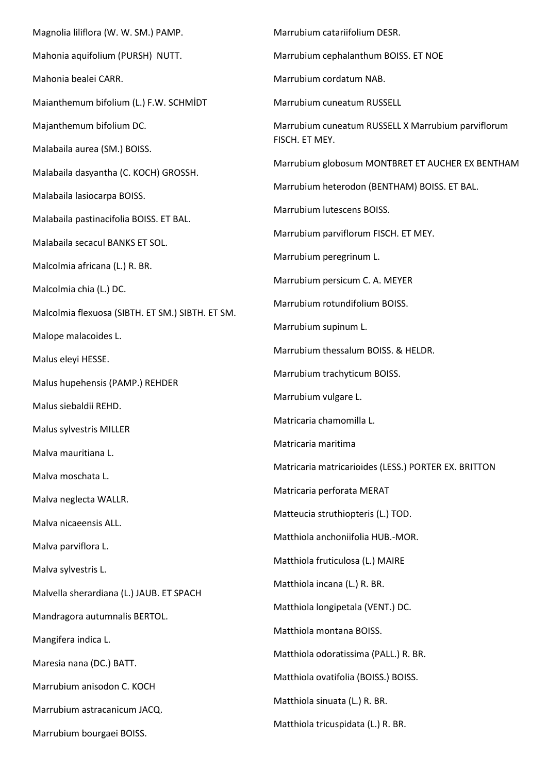Magnolia liliflora (W. W. SM.) PAMP. Mahonia aquifolium (PURSH) NUTT. Mahonia bealei CARR. Maianthemum bifolium (L.) F.W. SCHMİDT Majanthemum bifolium DC. Malabaila aurea (SM.) BOISS. Malabaila dasyantha (C. KOCH) GROSSH. Malabaila lasiocarpa BOISS. Malabaila pastinacifolia BOISS. ET BAL. Malabaila secacul BANKS ET SOL. Malcolmia africana (L.) R. BR. Malcolmia chia (L.) DC. Malcolmia flexuosa (SIBTH. ET SM.) SIBTH. ET SM. Malope malacoides L. Malus eleyi HESSE. Malus hupehensis (PAMP.) REHDER Malus siebaldii REHD. Malus sylvestris MILLER Malva mauritiana L. Malva moschata L. Malva neglecta WALLR. Malva nicaeensis ALL. Malva parviflora L. Malva sylvestris L. Malvella sherardiana (L.) JAUB. ET SPACH Mandragora autumnalis BERTOL. Mangifera indica L. Maresia nana (DC.) BATT. Marrubium anisodon C. KOCH Marrubium astracanicum JACQ. Marrubium bourgaei BOISS. Marrubium catariifolium DESR. Marrubium cephalanthum BOISS. ET NOE Marrubium cordatum NAB. Marrubium cuneatum RUSSELL Marrubium cuneatum RUSSELL X Marrubium parviflorum FISCH. ET MEY. Marrubium globosum MONTBRET ET AUCHER EX BENTHAM Marrubium heterodon (BENTHAM) BOISS. ET BAL. Marrubium lutescens BOISS. Marrubium parviflorum FISCH. ET MEY. Marrubium peregrinum L. Marrubium persicum C. A. MEYER Marrubium rotundifolium BOISS. Marrubium supinum L. Marrubium thessalum BOISS. & HELDR. Marrubium trachyticum BOISS. Marrubium vulgare L. Matricaria chamomilla L. Matricaria maritima Matricaria matricarioides (LESS.) PORTER EX. BRITTON Matricaria perforata MERAT Matteucia struthiopteris (L.) TOD. Matthiola anchoniifolia HUB.-MOR. Matthiola fruticulosa (L.) MAIRE Matthiola incana (L.) R. BR. Matthiola longipetala (VENT.) DC. Matthiola montana BOISS. Matthiola odoratissima (PALL.) R. BR. Matthiola ovatifolia (BOISS.) BOISS. Matthiola sinuata (L.) R. BR. Matthiola tricuspidata (L.) R. BR.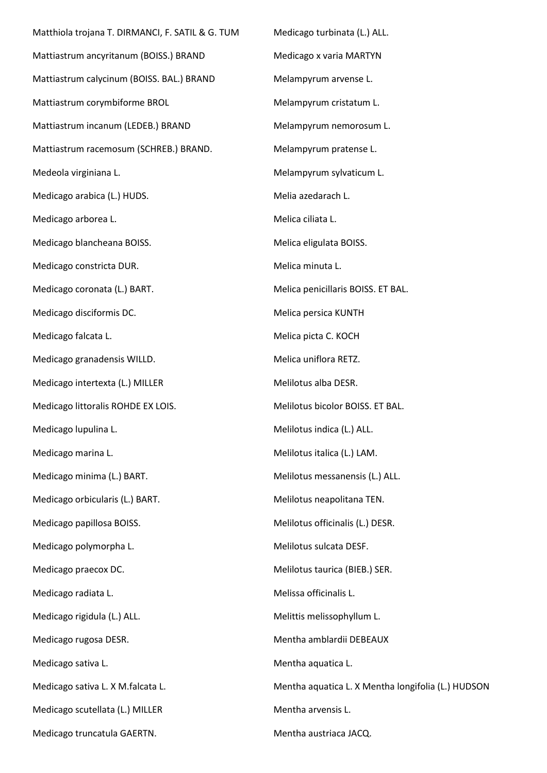Matthiola trojana T. DIRMANCI, F. SATIL & G. TUM Mattiastrum ancyritanum (BOISS.) BRAND Mattiastrum calycinum (BOISS. BAL.) BRAND Mattiastrum corymbiforme BROL Mattiastrum incanum (LEDEB.) BRAND Mattiastrum racemosum (SCHREB.) BRAND. Medeola virginiana L. Medicago arabica (L.) HUDS. Medicago arborea L. Medicago blancheana BOISS. Medicago constricta DUR. Medicago coronata (L.) BART. Medicago disciformis DC. Medicago falcata L. Medicago granadensis WILLD. Medicago intertexta (L.) MILLER Medicago littoralis ROHDE EX LOIS. Medicago lupulina L. Medicago marina L. Medicago minima (L.) BART. Medicago orbicularis (L.) BART. Medicago papillosa BOISS. Medicago polymorpha L. Medicago praecox DC. Medicago radiata L. Medicago rigidula (L.) ALL. Medicago rugosa DESR. Medicago sativa L. Medicago sativa L. X M.falcata L. Medicago scutellata (L.) MILLER Medicago truncatula GAERTN.

Medicago turbinata (L.) ALL. Medicago x varia MARTYN Melampyrum arvense L. Melampyrum cristatum L. Melampyrum nemorosum L. Melampyrum pratense L. Melampyrum sylvaticum L. Melia azedarach L. Melica ciliata L. Melica eligulata BOISS. Melica minuta L. Melica penicillaris BOISS. ET BAL. Melica persica KUNTH Melica picta C. KOCH Melica uniflora RETZ. Melilotus alba DESR. Melilotus bicolor BOISS. ET BAL. Melilotus indica (L.) ALL. Melilotus italica (L.) LAM. Melilotus messanensis (L.) ALL. Melilotus neapolitana TEN. Melilotus officinalis (L.) DESR. Melilotus sulcata DESF. Melilotus taurica (BIEB.) SER. Melissa officinalis L. Melittis melissophyllum L. Mentha amblardii DEBEAUX Mentha aquatica L. Mentha aquatica L. X Mentha longifolia (L.) HUDSON Mentha arvensis L.

Mentha austriaca JACQ.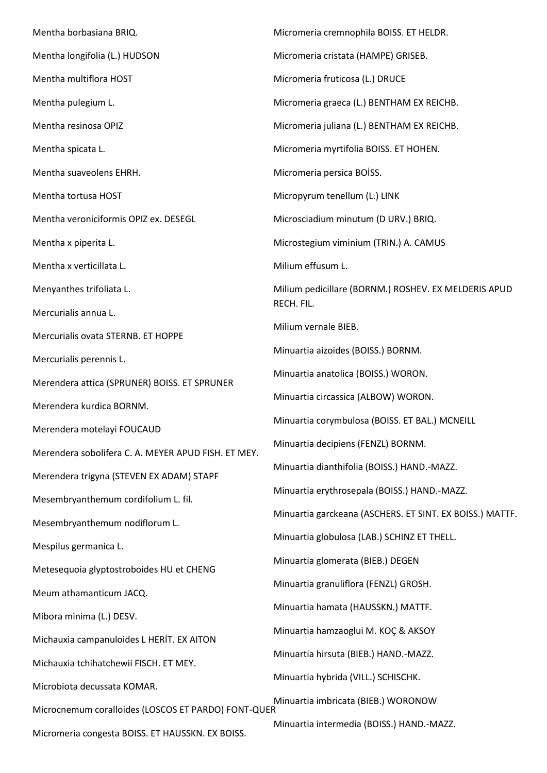Mentha borbasiana BRIQ. Mentha longifolia (L.) HUDSON Mentha multiflora HOST Mentha pulegium L. Mentha resinosa OPIZ Mentha spicata L. Mentha suaveolens EHRH. Mentha tortusa HOST Mentha veroniciformis OPIZ ex. DESEGL Mentha x piperita L. Mentha x verticillata L. Menyanthes trifoliata L. Mercurialis annua L. Mercurialis ovata STERNB. ET HOPPE Mercurialis perennis L. Merendera attica (SPRUNER) BOISS. ET SPRUNER Merendera kurdica BORNM. Merendera motelayi FOUCAUD Merendera sobolifera C. A. MEYER APUD FISH. ET MEY. Merendera trigyna (STEVEN EX ADAM) STAPF Mesembryanthemum cordifolium L. fil. Mesembryanthemum nodiflorum L. Mespilus germanica L. Metesequoia glyptostroboides HU et CHENG Meum athamanticum JACQ. Mibora minima (L.) DESV. Michauxia campanuloides L HERİT. EX AITON Michauxia tchihatchewii FISCH. ET MEY. Microbiota decussata KOMAR. Microcnemum coralloides (LOSCOS ET PARDO) FONT-QUER Micromeria congesta BOISS. ET HAUSSKN. EX BOISS. Micromeria cremnophila BOISS. ET HELDR. Micromeria cristata (HAMPE) GRISEB. Micromeria fruticosa (L.) DRUCE Micromeria graeca (L.) BENTHAM EX REICHB. Micromeria juliana (L.) BENTHAM EX REICHB. Micromeria myrtifolia BOISS. ET HOHEN. Micromeria persica BOİSS. Micropyrum tenellum (L.) LINK Microsciadium minutum (D URV.) BRIQ. Microstegium viminium (TRIN.) A. CAMUS Milium effusum L. Milium pedicillare (BORNM.) ROSHEV. EX MELDERIS APUD RECH. FIL. Milium vernale BIEB. Minuartia aizoides (BOISS.) BORNM. Minuartia anatolica (BOISS.) WORON. Minuartia circassica (ALBOW) WORON. Minuartia corymbulosa (BOISS. ET BAL.) MCNEILL Minuartia decipiens (FENZL) BORNM. Minuartia dianthifolia (BOISS.) HAND.-MAZZ. Minuartia erythrosepala (BOISS.) HAND.-MAZZ. Minuartia garckeana (ASCHERS. ET SINT. EX BOISS.) MATTF. Minuartia globulosa (LAB.) SCHINZ ET THELL. Minuartia glomerata (BIEB.) DEGEN Minuartia granuliflora (FENZL) GROSH. Minuartia hamata (HAUSSKN.) MATTF. Minuartia hamzaoglui M. KOÇ & AKSOY Minuartia hirsuta (BIEB.) HAND.-MAZZ. Minuartia hybrida (VILL.) SCHISCHK. Minuartia imbricata (BIEB.) WORONOW Minuartia intermedia (BOISS.) HAND.-MAZZ.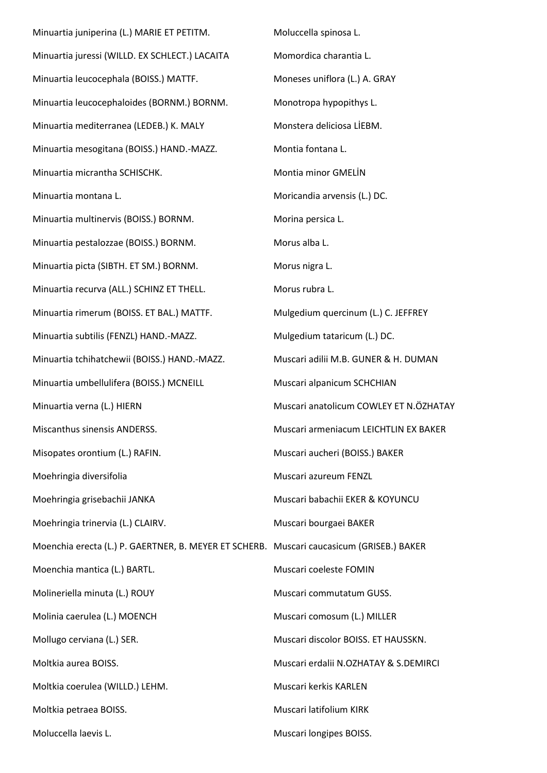Minuartia juniperina (L.) MARIE ET PETITM. Minuartia juressi (WILLD. EX SCHLECT.) LACAITA Minuartia leucocephala (BOISS.) MATTF. Minuartia leucocephaloides (BORNM.) BORNM. Minuartia mediterranea (LEDEB.) K. MALY Minuartia mesogitana (BOISS.) HAND.-MAZZ. Minuartia micrantha SCHISCHK. Minuartia montana L. Minuartia multinervis (BOISS.) BORNM. Minuartia pestalozzae (BOISS.) BORNM. Minuartia picta (SIBTH. ET SM.) BORNM. Minuartia recurva (ALL.) SCHINZ ET THELL. Minuartia rimerum (BOISS. ET BAL.) MATTF. Minuartia subtilis (FENZL) HAND.-MAZZ. Minuartia tchihatchewii (BOISS.) HAND.-MAZZ. Minuartia umbellulifera (BOISS.) MCNEILL Minuartia verna (L.) HIERN Miscanthus sinensis ANDERSS. Misopates orontium (L.) RAFIN. Moehringia diversifolia Moehringia grisebachii JANKA Moehringia trinervia (L.) CLAIRV. Moenchia erecta (L.) P. GAERTNER, B. MEYER ET SCHERB. Muscari caucasicum (GRISEB.) BAKER Moenchia mantica (L.) BARTL. Molineriella minuta (L.) ROUY Molinia caerulea (L.) MOENCH Mollugo cerviana (L.) SER. Moltkia aurea BOISS. Moltkia coerulea (WILLD.) LEHM. Moltkia petraea BOISS. Moluccella laevis L. Moluccella spinosa L. Momordica charantia L. Moneses uniflora (L.) A. GRAY Monotropa hypopithys L. Monstera deliciosa LİEBM. Montia fontana L. Montia minor GMELİN Moricandia arvensis (L.) DC. Morina persica L. Morus alba L. Morus nigra L. Morus rubra L. Mulgedium quercinum (L.) C. JEFFREY Mulgedium tataricum (L.) DC. Muscari adilii M.B. GUNER & H. DUMAN Muscari alpanicum SCHCHIAN Muscari anatolicum COWLEY ET N.ÖZHATAY Muscari armeniacum LEICHTLIN EX BAKER Muscari aucheri (BOISS.) BAKER Muscari azureum FENZL Muscari babachii EKER & KOYUNCU Muscari bourgaei BAKER Muscari coeleste FOMIN Muscari commutatum GUSS. Muscari comosum (L.) MILLER Muscari discolor BOISS. ET HAUSSKN. Muscari erdalii N.OZHATAY & S.DEMIRCI Muscari kerkis KARLEN Muscari latifolium KIRK Muscari longipes BOISS.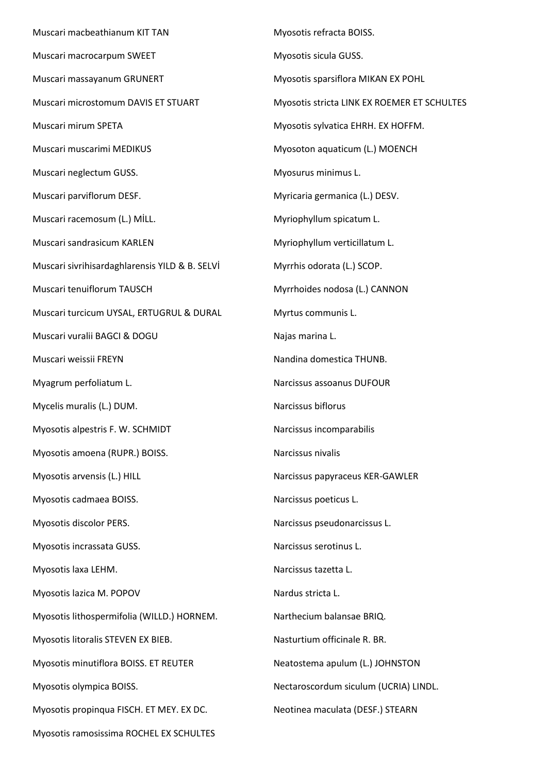Muscari macbeathianum KIT TAN Muscari macrocarpum SWEET Muscari massayanum GRUNERT Muscari microstomum DAVIS ET STUART Muscari mirum SPETA Muscari muscarimi MEDIKUS Muscari neglectum GUSS. Muscari parviflorum DESF. Muscari racemosum (L.) MİLL. Muscari sandrasicum KARLEN Muscari sivrihisardaghlarensis YILD & B. SELVİ Muscari tenuiflorum TAUSCH Muscari turcicum UYSAL, ERTUGRUL & DURAL Muscari vuralii BAGCI & DOGU Muscari weissii FREYN Myagrum perfoliatum L. Mycelis muralis (L.) DUM. Myosotis alpestris F. W. SCHMIDT Myosotis amoena (RUPR.) BOISS. Myosotis arvensis (L.) HILL Myosotis cadmaea BOISS. Myosotis discolor PERS. Myosotis incrassata GUSS. Myosotis laxa LEHM. Myosotis lazica M. POPOV Myosotis lithospermifolia (WILLD.) HORNEM. Myosotis litoralis STEVEN EX BIEB. Myosotis minutiflora BOISS. ET REUTER Myosotis olympica BOISS. Myosotis propinqua FISCH. ET MEY. EX DC. Myosotis ramosissima ROCHEL EX SCHULTES

Myosotis refracta BOISS. Myosotis sicula GUSS. Myosotis sparsiflora MIKAN EX POHL Myosotis stricta LINK EX ROEMER ET SCHULTES Myosotis sylvatica EHRH. EX HOFFM. Myosoton aquaticum (L.) MOENCH Myosurus minimus L. Myricaria germanica (L.) DESV. Myriophyllum spicatum L. Myriophyllum verticillatum L. Myrrhis odorata (L.) SCOP. Myrrhoides nodosa (L.) CANNON Myrtus communis L. Najas marina L. Nandina domestica THUNB. Narcissus assoanus DUFOUR Narcissus biflorus Narcissus incomparabilis Narcissus nivalis Narcissus papyraceus KER-GAWLER Narcissus poeticus L. Narcissus pseudonarcissus L. Narcissus serotinus L. Narcissus tazetta L. Nardus stricta L. Narthecium balansae BRIQ. Nasturtium officinale R. BR. Neatostema apulum (L.) JOHNSTON Nectaroscordum siculum (UCRIA) LINDL. Neotinea maculata (DESF.) STEARN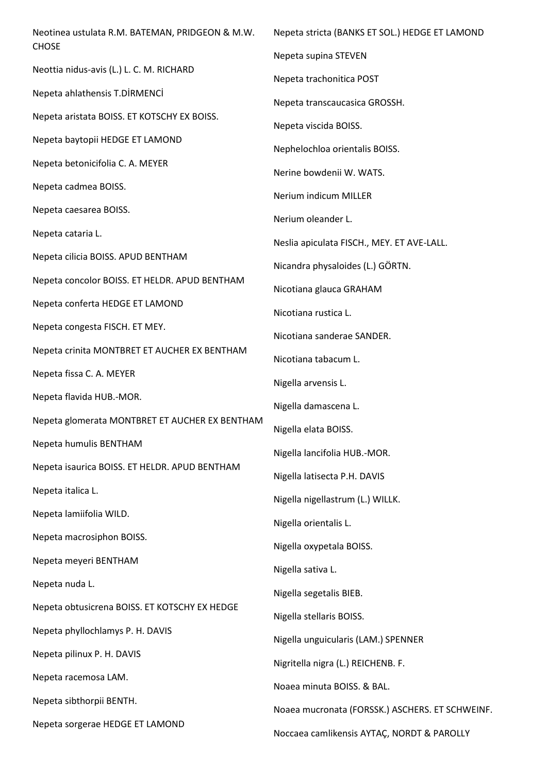| Neotinea ustulata R.M. BATEMAN, PRIDGEON & M.W.<br><b>CHOSE</b> | Nepeta stricta (BANKS ET SOL.) HEDGE ET LAMOND  |
|-----------------------------------------------------------------|-------------------------------------------------|
|                                                                 | Nepeta supina STEVEN                            |
| Neottia nidus-avis (L.) L. C. M. RICHARD                        | Nepeta trachonitica POST                        |
| Nepeta ahlathensis T.DİRMENCİ                                   | Nepeta transcaucasica GROSSH.                   |
| Nepeta aristata BOISS. ET KOTSCHY EX BOISS.                     | Nepeta viscida BOISS.                           |
| Nepeta baytopii HEDGE ET LAMOND                                 | Nephelochloa orientalis BOISS.                  |
| Nepeta betonicifolia C. A. MEYER                                | Nerine bowdenii W. WATS.                        |
| Nepeta cadmea BOISS.                                            | Nerium indicum MILLER                           |
| Nepeta caesarea BOISS.                                          | Nerium oleander L.                              |
| Nepeta cataria L.                                               | Neslia apiculata FISCH., MEY. ET AVE-LALL.      |
| Nepeta cilicia BOISS. APUD BENTHAM                              | Nicandra physaloides (L.) GÖRTN.                |
| Nepeta concolor BOISS. ET HELDR. APUD BENTHAM                   | Nicotiana glauca GRAHAM                         |
| Nepeta conferta HEDGE ET LAMOND                                 |                                                 |
| Nepeta congesta FISCH. ET MEY.                                  | Nicotiana rustica L.                            |
| Nepeta crinita MONTBRET ET AUCHER EX BENTHAM                    | Nicotiana sanderae SANDER.                      |
| Nepeta fissa C. A. MEYER                                        | Nicotiana tabacum L.                            |
| Nepeta flavida HUB.-MOR.                                        | Nigella arvensis L.                             |
| Nepeta glomerata MONTBRET ET AUCHER EX BENTHAM                  | Nigella damascena L.                            |
| Nepeta humulis BENTHAM                                          | Nigella elata BOISS.                            |
|                                                                 | Nigella lancifolia HUB.-MOR.                    |
| Nepeta isaurica BOISS. ET HELDR. APUD BENTHAM                   | Nigella latisecta P.H. DAVIS                    |
| Nepeta italica L.                                               | Nigella nigellastrum (L.) WILLK.                |
| Nepeta lamiifolia WILD.                                         | Nigella orientalis L.                           |
| Nepeta macrosiphon BOISS.                                       | Nigella oxypetala BOISS.                        |
| Nepeta meyeri BENTHAM                                           | Nigella sativa L.                               |
| Nepeta nuda L.                                                  | Nigella segetalis BIEB.                         |
| Nepeta obtusicrena BOISS. ET KOTSCHY EX HEDGE                   | Nigella stellaris BOISS.                        |
| Nepeta phyllochlamys P. H. DAVIS                                | Nigella unguicularis (LAM.) SPENNER             |
| Nepeta pilinux P. H. DAVIS                                      | Nigritella nigra (L.) REICHENB. F.              |
| Nepeta racemosa LAM.                                            | Noaea minuta BOISS. & BAL.                      |
| Nepeta sibthorpii BENTH.                                        | Noaea mucronata (FORSSK.) ASCHERS. ET SCHWEINF. |
| Nepeta sorgerae HEDGE ET LAMOND                                 |                                                 |
|                                                                 | Noccaea camlikensis AYTAÇ, NORDT & PAROLLY      |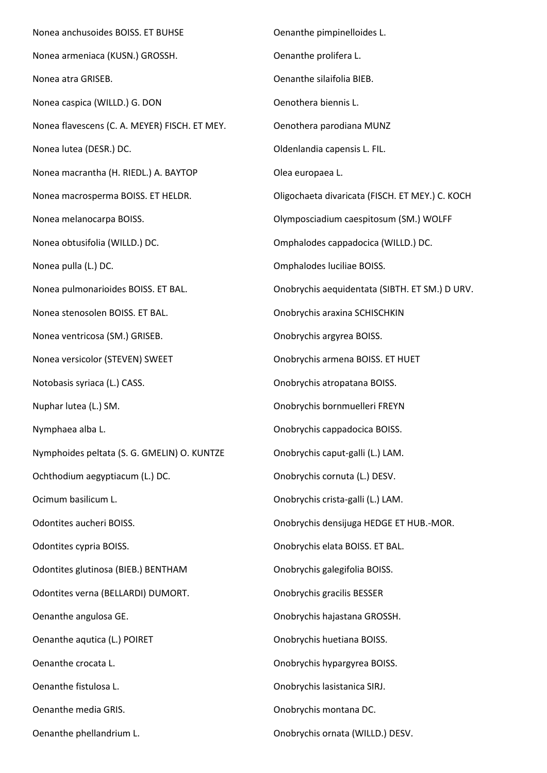Nonea anchusoides BOISS. ET BUHSE Nonea armeniaca (KUSN.) GROSSH. Nonea atra GRISEB. Nonea caspica (WILLD.) G. DON Nonea flavescens (C. A. MEYER) FISCH. ET MEY. Nonea lutea (DESR.) DC. Nonea macrantha (H. RIEDL.) A. BAYTOP Nonea macrosperma BOISS. ET HELDR. Nonea melanocarpa BOISS. Nonea obtusifolia (WILLD.) DC. Nonea pulla (L.) DC. Nonea pulmonarioides BOISS. ET BAL. Nonea stenosolen BOISS. ET BAL. Nonea ventricosa (SM.) GRISEB. Nonea versicolor (STEVEN) SWEET Notobasis syriaca (L.) CASS. Nuphar lutea (L.) SM. Nymphaea alba L. Nymphoides peltata (S. G. GMELIN) O. KUNTZE Ochthodium aegyptiacum (L.) DC. Ocimum basilicum L. Odontites aucheri BOISS. Odontites cypria BOISS. Odontites glutinosa (BIEB.) BENTHAM Odontites verna (BELLARDI) DUMORT. Oenanthe angulosa GE. Oenanthe aqutica (L.) POIRET Oenanthe crocata L. Oenanthe fistulosa L. Oenanthe media GRIS. Oenanthe phellandrium L. Oenanthe pimpinelloides L. Oenanthe prolifera L. Oenanthe silaifolia BIEB. Oenothera biennis L. Oenothera parodiana MUNZ Oldenlandia capensis L. FIL. Olea europaea L. Oligochaeta divaricata (FISCH. ET MEY.) C. KOCH Olymposciadium caespitosum (SM.) WOLFF Omphalodes cappadocica (WILLD.) DC. Omphalodes luciliae BOISS. Onobrychis aequidentata (SIBTH. ET SM.) D URV. Onobrychis araxina SCHISCHKIN Onobrychis argyrea BOISS. Onobrychis armena BOISS. ET HUET Onobrychis atropatana BOISS. Onobrychis bornmuelleri FREYN Onobrychis cappadocica BOISS. Onobrychis caput-galli (L.) LAM. Onobrychis cornuta (L.) DESV. Onobrychis crista-galli (L.) LAM. Onobrychis densijuga HEDGE ET HUB.-MOR. Onobrychis elata BOISS. ET BAL. Onobrychis galegifolia BOISS. Onobrychis gracilis BESSER Onobrychis hajastana GROSSH. Onobrychis huetiana BOISS. Onobrychis hypargyrea BOISS. Onobrychis lasistanica SIRJ. Onobrychis montana DC. Onobrychis ornata (WILLD.) DESV.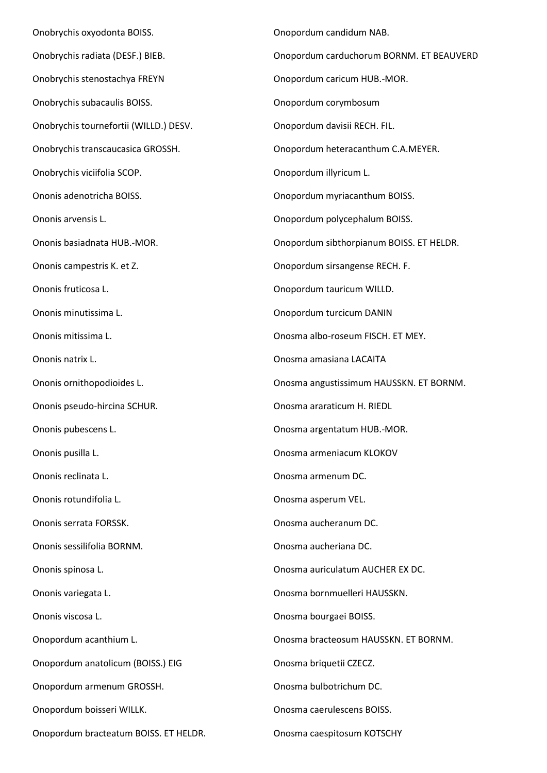Onobrychis oxyodonta BOISS. Onobrychis radiata (DESF.) BIEB. Onobrychis stenostachya FREYN Onobrychis subacaulis BOISS. Onobrychis tournefortii (WILLD.) DESV. Onobrychis transcaucasica GROSSH. Onobrychis viciifolia SCOP. Ononis adenotricha BOISS. Ononis arvensis L. Ononis basiadnata HUB.-MOR. Ononis campestris K. et Z. Ononis fruticosa L. Ononis minutissima L. Ononis mitissima L. Ononis natrix L. Ononis ornithopodioides L. Ononis pseudo-hircina SCHUR. Ononis pubescens L. Ononis pusilla L. Ononis reclinata L. Ononis rotundifolia L. Ononis serrata FORSSK. Ononis sessilifolia BORNM. Ononis spinosa L. Ononis variegata L. Ononis viscosa L. Onopordum acanthium L. Onopordum anatolicum (BOISS.) EIG Onopordum armenum GROSSH. Onopordum boisseri WILLK. Onopordum bracteatum BOISS. ET HELDR.

Onopordum candidum NAB. Onopordum carduchorum BORNM. ET BEAUVERD Onopordum caricum HUB.-MOR. Onopordum corymbosum Onopordum davisii RECH. FIL. Onopordum heteracanthum C.A.MEYER. Onopordum illyricum L. Onopordum myriacanthum BOISS. Onopordum polycephalum BOISS. Onopordum sibthorpianum BOISS. ET HELDR. Onopordum sirsangense RECH. F. Onopordum tauricum WILLD. Onopordum turcicum DANIN Onosma albo-roseum FISCH. ET MEY. Onosma amasiana LACAITA Onosma angustissimum HAUSSKN. ET BORNM. Onosma araraticum H. RIEDL Onosma argentatum HUB.-MOR. Onosma armeniacum KLOKOV Onosma armenum DC. Onosma asperum VEL. Onosma aucheranum DC. Onosma aucheriana DC. Onosma auriculatum AUCHER EX DC. Onosma bornmuelleri HAUSSKN. Onosma bourgaei BOISS. Onosma bracteosum HAUSSKN. ET BORNM. Onosma briquetii CZECZ. Onosma bulbotrichum DC. Onosma caerulescens BOISS.

Onosma caespitosum KOTSCHY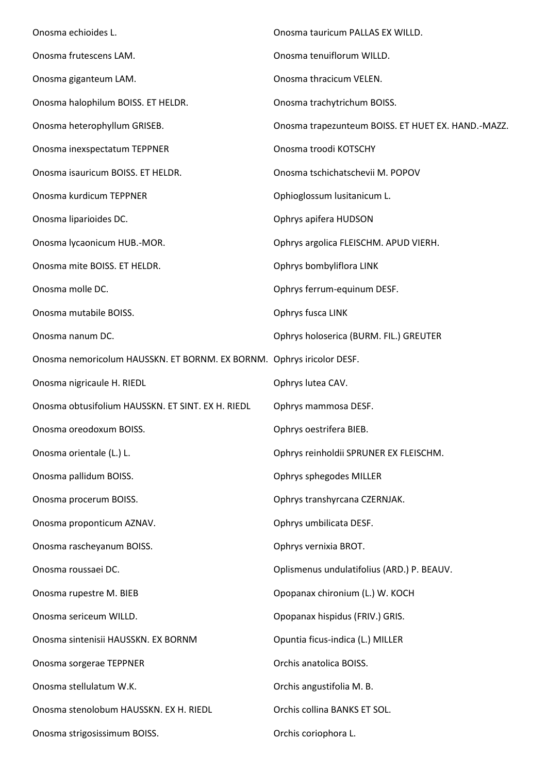| Onosma echioides L.                                                   | Onosma tauricum PALLAS EX WILLD.                   |
|-----------------------------------------------------------------------|----------------------------------------------------|
| Onosma frutescens LAM.                                                | Onosma tenuiflorum WILLD.                          |
| Onosma giganteum LAM.                                                 | Onosma thracicum VELEN.                            |
| Onosma halophilum BOISS. ET HELDR.                                    | Onosma trachytrichum BOISS.                        |
| Onosma heterophyllum GRISEB.                                          | Onosma trapezunteum BOISS. ET HUET EX. HAND.-MAZZ. |
| Onosma inexspectatum TEPPNER                                          | Onosma troodi KOTSCHY                              |
| Onosma isauricum BOISS. ET HELDR.                                     | Onosma tschichatschevii M. POPOV                   |
| Onosma kurdicum TEPPNER                                               | Ophioglossum lusitanicum L.                        |
| Onosma liparioides DC.                                                | Ophrys apifera HUDSON                              |
| Onosma lycaonicum HUB.-MOR.                                           | Ophrys argolica FLEISCHM. APUD VIERH.              |
| Onosma mite BOISS. ET HELDR.                                          | Ophrys bombyliflora LINK                           |
| Onosma molle DC.                                                      | Ophrys ferrum-equinum DESF.                        |
| Onosma mutabile BOISS.                                                | Ophrys fusca LINK                                  |
| Onosma nanum DC.                                                      | Ophrys holoserica (BURM. FIL.) GREUTER             |
| Onosma nemoricolum HAUSSKN. ET BORNM. EX BORNM. Ophrys iricolor DESF. |                                                    |
| Onosma nigricaule H. RIEDL                                            | Ophrys lutea CAV.                                  |
| Onosma obtusifolium HAUSSKN. ET SINT. EX H. RIEDL                     | Ophrys mammosa DESF.                               |
| Onosma oreodoxum BOISS.                                               | Ophrys oestrifera BIEB.                            |
| Onosma orientale (L.) L.                                              | Ophrys reinholdii SPRUNER EX FLEISCHM.             |
| Onosma pallidum BOISS.                                                | Ophrys sphegodes MILLER                            |
| Onosma procerum BOISS.                                                | Ophrys transhyrcana CZERNJAK.                      |
| Onosma proponticum AZNAV.                                             | Ophrys umbilicata DESF.                            |
| Onosma rascheyanum BOISS.                                             | Ophrys vernixia BROT.                              |
| Onosma roussaei DC.                                                   | Oplismenus undulatifolius (ARD.) P. BEAUV.         |
| Onosma rupestre M. BIEB                                               | Opopanax chironium (L.) W. KOCH                    |
| Onosma sericeum WILLD.                                                | Opopanax hispidus (FRIV.) GRIS.                    |
| Onosma sintenisii HAUSSKN. EX BORNM                                   | Opuntia ficus-indica (L.) MILLER                   |
| Onosma sorgerae TEPPNER                                               | Orchis anatolica BOISS.                            |
| Onosma stellulatum W.K.                                               | Orchis angustifolia M. B.                          |
| Onosma stenolobum HAUSSKN. EX H. RIEDL                                | Orchis collina BANKS ET SOL.                       |
| Onosma strigosissimum BOISS.                                          | Orchis coriophora L.                               |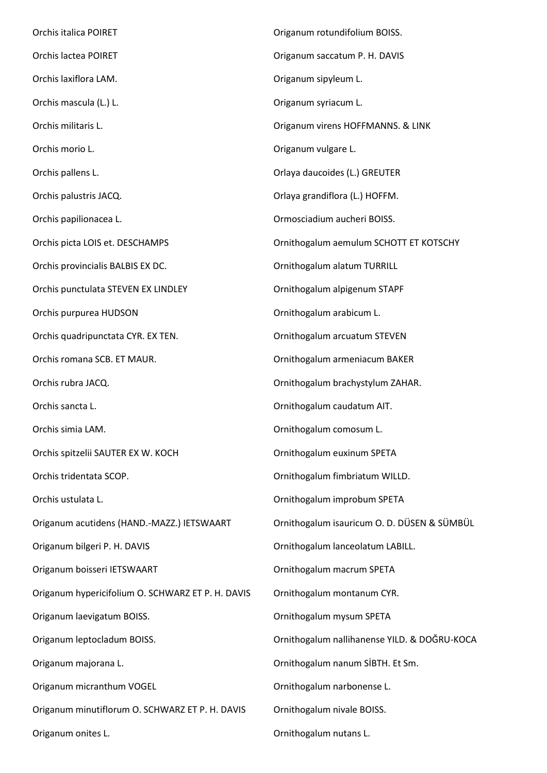Orchis italica POIRET Orchis lactea POIRET Orchis laxiflora LAM. Orchis mascula (L.) L. Orchis militaris L. Orchis morio L. Orchis pallens L. Orchis palustris JACQ. Orchis papilionacea L. Orchis picta LOIS et. DESCHAMPS Orchis provincialis BALBIS EX DC. Orchis punctulata STEVEN EX LINDLEY Orchis purpurea HUDSON Orchis quadripunctata CYR. EX TEN. Orchis romana SCB. ET MAUR. Orchis rubra JACQ. Orchis sancta L. Orchis simia LAM. Orchis spitzelii SAUTER EX W. KOCH Orchis tridentata SCOP. Orchis ustulata L. Origanum acutidens (HAND.-MAZZ.) IETSWAART Origanum bilgeri P. H. DAVIS Origanum boisseri IETSWAART Origanum hypericifolium O. SCHWARZ ET P. H. DAVIS Origanum laevigatum BOISS. Origanum leptocladum BOISS. Origanum majorana L. Origanum micranthum VOGEL Origanum minutiflorum O. SCHWARZ ET P. H. DAVIS Origanum onites L. Origanum rotundifolium BOISS. Origanum saccatum P. H. DAVIS Origanum sipyleum L. Origanum syriacum L. Origanum virens HOFFMANNS. & LINK Origanum vulgare L. Orlaya daucoides (L.) GREUTER Orlaya grandiflora (L.) HOFFM. Ormosciadium aucheri BOISS. Ornithogalum aemulum SCHOTT ET KOTSCHY Ornithogalum alatum TURRILL Ornithogalum alpigenum STAPF Ornithogalum arabicum L. Ornithogalum arcuatum STEVEN Ornithogalum armeniacum BAKER Ornithogalum brachystylum ZAHAR. Ornithogalum caudatum AIT. Ornithogalum comosum L. Ornithogalum euxinum SPETA Ornithogalum fimbriatum WILLD. Ornithogalum improbum SPETA Ornithogalum isauricum O. D. DÜSEN & SÜMBÜL Ornithogalum lanceolatum LABILL. Ornithogalum macrum SPETA Ornithogalum montanum CYR. Ornithogalum mysum SPETA Ornithogalum nallihanense YILD. & DOĞRU-KOCA Ornithogalum nanum SİBTH. Et Sm. Ornithogalum narbonense L. Ornithogalum nivale BOISS. Ornithogalum nutans L.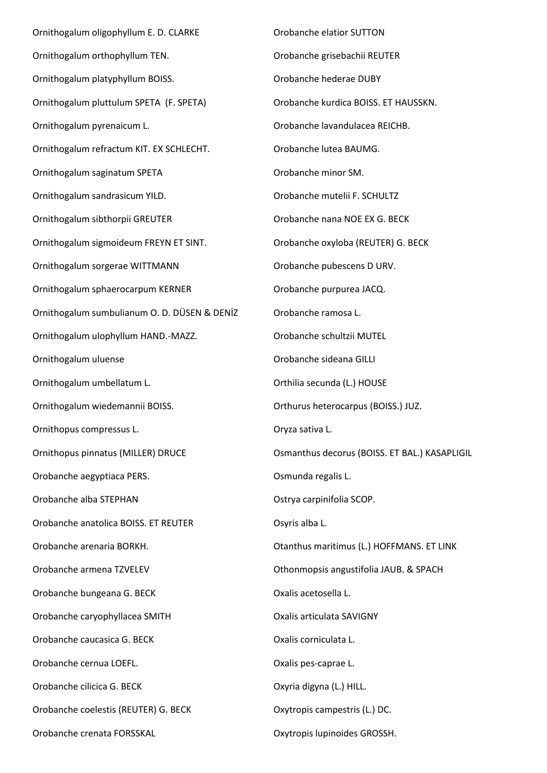Ornithogalum oligophyllum E. D. CLARKE Ornithogalum orthophyllum TEN. Ornithogalum platyphyllum BOISS. Ornithogalum pluttulum SPETA (F. SPETA) Ornithogalum pyrenaicum L. Ornithogalum refractum KIT. EX SCHLECHT. Ornithogalum saginatum SPETA Ornithogalum sandrasicum YILD. Ornithogalum sibthorpii GREUTER Ornithogalum sigmoideum FREYN ET SINT. Ornithogalum sorgerae WITTMANN Ornithogalum sphaerocarpum KERNER Ornithogalum sumbulianum O. D. DÜSEN & DENİZ Ornithogalum ulophyllum HAND.-MAZZ. Ornithogalum uluense Ornithogalum umbellatum L. Ornithogalum wiedemannii BOISS. Ornithopus compressus L. Ornithopus pinnatus (MILLER) DRUCE Orobanche aegyptiaca PERS. Orobanche alba STEPHAN Orobanche anatolica BOISS. ET REUTER Orobanche arenaria BORKH. Orobanche armena TZVELEV Orobanche bungeana G. BECK Orobanche caryophyllacea SMITH Orobanche caucasica G. BECK Orobanche cernua LOEFL. Orobanche cilicica G. BECK Orobanche coelestis (REUTER) G. BECK Orobanche crenata FORSSKAL

Orobanche elatior SUTTON Orobanche grisebachii REUTER Orobanche hederae DUBY Orobanche kurdica BOISS. ET HAUSSKN. Orobanche lavandulacea REICHB. Orobanche lutea BAUMG. Orobanche minor SM. Orobanche mutelii F. SCHULTZ Orobanche nana NOE EX G. BECK Orobanche oxyloba (REUTER) G. BECK Orobanche pubescens D URV. Orobanche purpurea JACQ. Orobanche ramosa L. Orobanche schultzii MUTEL Orobanche sideana GILLI Orthilia secunda (L.) HOUSE Orthurus heterocarpus (BOISS.) JUZ. Oryza sativa L. Osmanthus decorus (BOISS. ET BAL.) KASAPLIGIL Osmunda regalis L. Ostrya carpinifolia SCOP. Osyris alba L. Otanthus maritimus (L.) HOFFMANS. ET LINK Othonmopsis angustifolia JAUB. & SPACH Oxalis acetosella L. Oxalis articulata SAVIGNY Oxalis corniculata L. Oxalis pes-caprae L. Oxyria digyna (L.) HILL. Oxytropis campestris (L.) DC.

Oxytropis lupinoides GROSSH.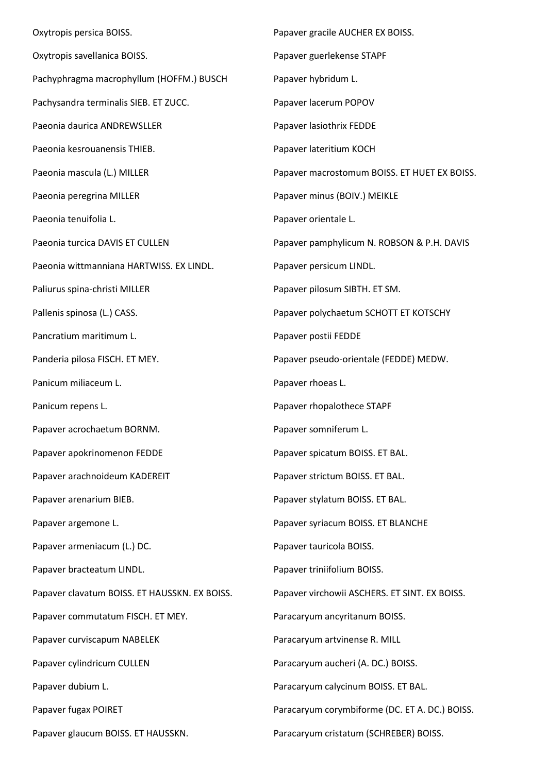Oxytropis persica BOISS. Oxytropis savellanica BOISS. Pachyphragma macrophyllum (HOFFM.) BUSCH Pachysandra terminalis SIEB. ET ZUCC. Paeonia daurica ANDREWSLLER Paeonia kesrouanensis THIEB. Paeonia mascula (L.) MILLER Paeonia peregrina MILLER Paeonia tenuifolia L. Paeonia turcica DAVIS ET CULLEN Paeonia wittmanniana HARTWISS. EX LINDL. Paliurus spina-christi MILLER Pallenis spinosa (L.) CASS. Pancratium maritimum L. Panderia pilosa FISCH. ET MEY. Panicum miliaceum L. Panicum repens L. Papaver acrochaetum BORNM. Papaver apokrinomenon FEDDE Papaver arachnoideum KADEREIT Papaver arenarium BIEB. Papaver argemone L. Papaver armeniacum (L.) DC. Papaver bracteatum LINDL. Papaver clavatum BOISS. ET HAUSSKN. EX BOISS. Papaver commutatum FISCH. ET MEY. Papaver curviscapum NABELEK Papaver cylindricum CULLEN Papaver dubium L. Papaver fugax POIRET Papaver glaucum BOISS. ET HAUSSKN. Papaver gracile AUCHER EX BOISS. Papaver guerlekense STAPF Papaver hybridum L. Papaver lacerum POPOV Papaver lasiothrix FEDDE Papaver lateritium KOCH Papaver macrostomum BOISS. ET HUET EX BOISS. Papaver minus (BOIV.) MEIKLE Papaver orientale L. Papaver pamphylicum N. ROBSON & P.H. DAVIS Papaver persicum LINDL. Papaver pilosum SIBTH. ET SM. Papaver polychaetum SCHOTT ET KOTSCHY Papaver postii FEDDE Papaver pseudo-orientale (FEDDE) MEDW. Papaver rhoeas L. Papaver rhopalothece STAPF Papaver somniferum L. Papaver spicatum BOISS. ET BAL. Papaver strictum BOISS. ET BAL. Papaver stylatum BOISS. ET BAL. Papaver syriacum BOISS. ET BLANCHE Papaver tauricola BOISS. Papaver triniifolium BOISS. Papaver virchowii ASCHERS. ET SINT. EX BOISS. Paracaryum ancyritanum BOISS. Paracaryum artvinense R. MILL Paracaryum aucheri (A. DC.) BOISS. Paracaryum calycinum BOISS. ET BAL. Paracaryum corymbiforme (DC. ET A. DC.) BOISS. Paracaryum cristatum (SCHREBER) BOISS.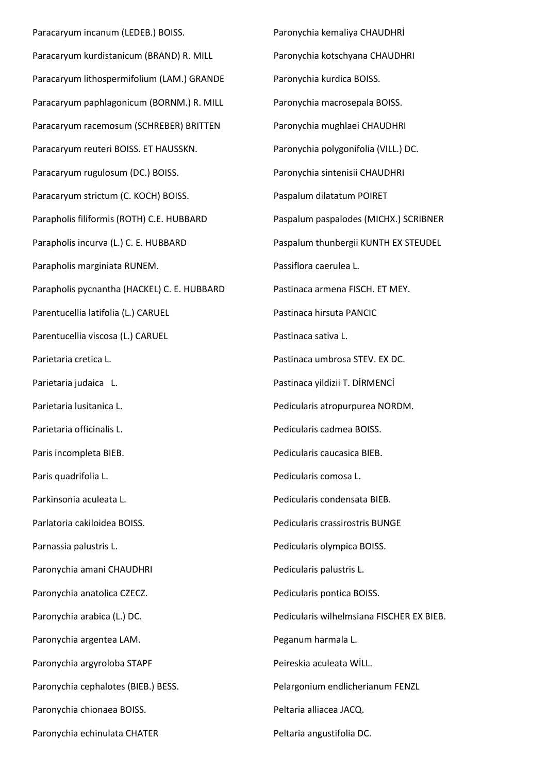Paracaryum incanum (LEDEB.) BOISS. Paracaryum kurdistanicum (BRAND) R. MILL Paracaryum lithospermifolium (LAM.) GRANDE Paracaryum paphlagonicum (BORNM.) R. MILL Paracaryum racemosum (SCHREBER) BRITTEN Paracaryum reuteri BOISS. ET HAUSSKN. Paracaryum rugulosum (DC.) BOISS. Paracaryum strictum (C. KOCH) BOISS. Parapholis filiformis (ROTH) C.E. HUBBARD Parapholis incurva (L.) C. E. HUBBARD Parapholis marginiata RUNEM. Parapholis pycnantha (HACKEL) C. E. HUBBARD Parentucellia latifolia (L.) CARUEL Parentucellia viscosa (L.) CARUEL Parietaria cretica L. Parietaria judaica L. Parietaria lusitanica L. Parietaria officinalis L. Paris incompleta BIEB. Paris quadrifolia L. Parkinsonia aculeata L. Parlatoria cakiloidea BOISS. Parnassia palustris L. Paronychia amani CHAUDHRI Paronychia anatolica CZECZ. Paronychia arabica (L.) DC. Paronychia argentea LAM. Paronychia argyroloba STAPF Paronychia cephalotes (BIEB.) BESS. Paronychia chionaea BOISS. Paronychia echinulata CHATER

Paronychia kemaliya CHAUDHRİ Paronychia kotschyana CHAUDHRI Paronychia kurdica BOISS. Paronychia macrosepala BOISS. Paronychia mughlaei CHAUDHRI Paronychia polygonifolia (VILL.) DC. Paronychia sintenisii CHAUDHRI Paspalum dilatatum POIRET Paspalum paspalodes (MICHX.) SCRIBNER Paspalum thunbergii KUNTH EX STEUDEL Passiflora caerulea L. Pastinaca armena FISCH. ET MEY. Pastinaca hirsuta PANCIC Pastinaca sativa L. Pastinaca umbrosa STEV. EX DC. Pastinaca yildizii T. DİRMENCİ Pedicularis atropurpurea NORDM. Pedicularis cadmea BOISS. Pedicularis caucasica BIEB. Pedicularis comosa L. Pedicularis condensata BIEB. Pedicularis crassirostris BUNGE Pedicularis olympica BOISS. Pedicularis palustris L. Pedicularis pontica BOISS. Pedicularis wilhelmsiana FISCHER EX BIEB. Peganum harmala L. Peireskia aculeata WİLL. Pelargonium endlicherianum FENZL Peltaria alliacea JACQ. Peltaria angustifolia DC.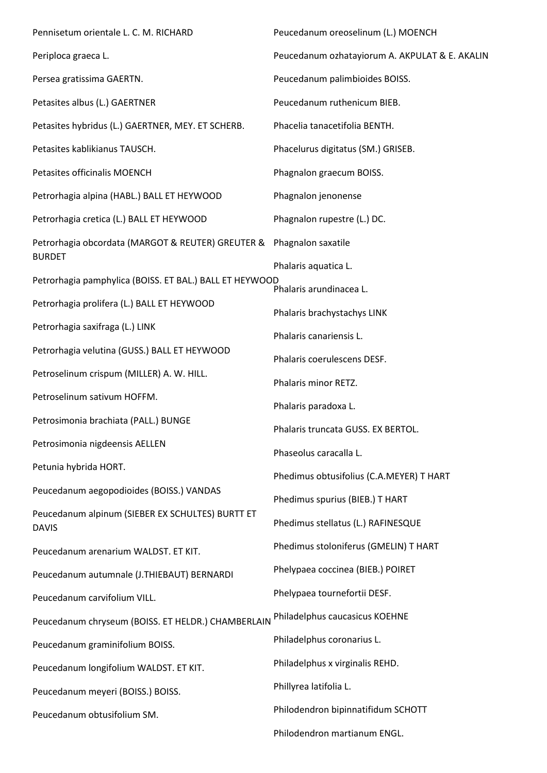| Pennisetum orientale L. C. M. RICHARD                              | Peucedanum oreoselinum (L.) MOENCH             |
|--------------------------------------------------------------------|------------------------------------------------|
| Periploca graeca L.                                                | Peucedanum ozhatayiorum A. AKPULAT & E. AKALIN |
| Persea gratissima GAERTN.                                          | Peucedanum palimbioides BOISS.                 |
| Petasites albus (L.) GAERTNER                                      | Peucedanum ruthenicum BIEB.                    |
| Petasites hybridus (L.) GAERTNER, MEY. ET SCHERB.                  | Phacelia tanacetifolia BENTH.                  |
| Petasites kablikianus TAUSCH.                                      | Phacelurus digitatus (SM.) GRISEB.             |
| Petasites officinalis MOENCH                                       | Phagnalon graecum BOISS.                       |
| Petrorhagia alpina (HABL.) BALL ET HEYWOOD                         | Phagnalon jenonense                            |
| Petrorhagia cretica (L.) BALL ET HEYWOOD                           | Phagnalon rupestre (L.) DC.                    |
| Petrorhagia obcordata (MARGOT & REUTER) GREUTER &<br><b>BURDET</b> | Phagnalon saxatile                             |
| Petrorhagia pamphylica (BOISS. ET BAL.) BALL ET HEYWOOD            | Phalaris aquatica L.                           |
| Petrorhagia prolifera (L.) BALL ET HEYWOOD                         | Phalaris arundinacea L.                        |
| Petrorhagia saxifraga (L.) LINK                                    | Phalaris brachystachys LINK                    |
|                                                                    | Phalaris canariensis L.                        |
| Petrorhagia velutina (GUSS.) BALL ET HEYWOOD                       | Phalaris coerulescens DESF.                    |
| Petroselinum crispum (MILLER) A. W. HILL.                          | Phalaris minor RETZ.                           |
| Petroselinum sativum HOFFM.                                        | Phalaris paradoxa L.                           |
| Petrosimonia brachiata (PALL.) BUNGE                               | Phalaris truncata GUSS. EX BERTOL.             |
| Petrosimonia nigdeensis AELLEN                                     | Phaseolus caracalla L.                         |
| Petunia hybrida HORT.                                              | Phedimus obtusifolius (C.A.MEYER) T HART       |
| Peucedanum aegopodioides (BOISS.) VANDAS                           | Phedimus spurius (BIEB.) T HART                |
| Peucedanum alpinum (SIEBER EX SCHULTES) BURTT ET<br><b>DAVIS</b>   | Phedimus stellatus (L.) RAFINESQUE             |
| Peucedanum arenarium WALDST. ET KIT.                               | Phedimus stoloniferus (GMELIN) T HART          |
| Peucedanum autumnale (J.THIEBAUT) BERNARDI                         | Phelypaea coccinea (BIEB.) POIRET              |
| Peucedanum carvifolium VILL.                                       | Phelypaea tournefortii DESF.                   |
| Peucedanum chryseum (BOISS. ET HELDR.) CHAMBERLAIN                 | Philadelphus caucasicus KOEHNE                 |
| Peucedanum graminifolium BOISS.                                    | Philadelphus coronarius L.                     |
| Peucedanum longifolium WALDST. ET KIT.                             | Philadelphus x virginalis REHD.                |
| Peucedanum meyeri (BOISS.) BOISS.                                  | Phillyrea latifolia L.                         |
| Peucedanum obtusifolium SM.                                        | Philodendron bipinnatifidum SCHOTT             |
|                                                                    | Philodendron martianum ENGL.                   |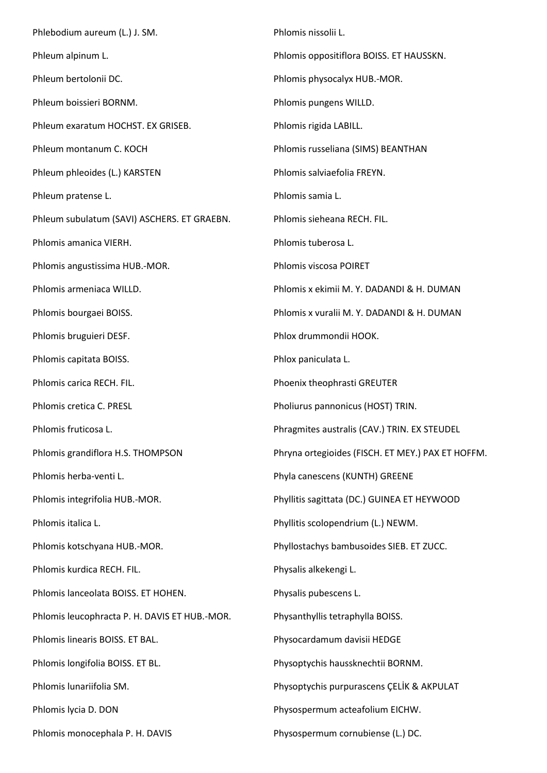Phlebodium aureum (L.) J. SM. Phleum alpinum L. Phleum bertolonii DC. Phleum boissieri BORNM. Phleum exaratum HOCHST. EX GRISEB. Phleum montanum C. KOCH Phleum phleoides (L.) KARSTEN Phleum pratense L. Phleum subulatum (SAVI) ASCHERS. ET GRAEBN. Phlomis amanica VIERH. Phlomis angustissima HUB.-MOR. Phlomis armeniaca WILLD. Phlomis bourgaei BOISS. Phlomis bruguieri DESF. Phlomis capitata BOISS. Phlomis carica RECH. FIL. Phlomis cretica C. PRESL Phlomis fruticosa L. Phlomis grandiflora H.S. THOMPSON Phlomis herba-venti L. Phlomis integrifolia HUB.-MOR. Phlomis italica L. Phlomis kotschyana HUB.-MOR. Phlomis kurdica RECH. FIL. Phlomis lanceolata BOISS. ET HOHEN. Phlomis leucophracta P. H. DAVIS ET HUB.-MOR. Phlomis linearis BOISS. ET BAL. Phlomis longifolia BOISS. ET BL. Phlomis lunariifolia SM. Phlomis lycia D. DON Phlomis monocephala P. H. DAVIS Phlomis nissolii L. Phlomis oppositiflora BOISS. ET HAUSSKN. Phlomis physocalyx HUB.-MOR. Phlomis pungens WILLD. Phlomis rigida LABILL. Phlomis russeliana (SIMS) BEANTHAN Phlomis salviaefolia FREYN. Phlomis samia L. Phlomis sieheana RECH. FIL. Phlomis tuberosa L. Phlomis viscosa POIRET Phlomis x ekimii M. Y. DADANDI & H. DUMAN Phlomis x vuralii M. Y. DADANDI & H. DUMAN Phlox drummondii HOOK. Phlox paniculata L. Phoenix theophrasti GREUTER Pholiurus pannonicus (HOST) TRIN. Phragmites australis (CAV.) TRIN. EX STEUDEL Phryna ortegioides (FISCH. ET MEY.) PAX ET HOFFM. Phyla canescens (KUNTH) GREENE Phyllitis sagittata (DC.) GUINEA ET HEYWOOD Phyllitis scolopendrium (L.) NEWM. Phyllostachys bambusoides SIEB. ET ZUCC. Physalis alkekengi L. Physalis pubescens L. Physanthyllis tetraphylla BOISS. Physocardamum davisii HEDGE Physoptychis haussknechtii BORNM. Physoptychis purpurascens ÇELİK & AKPULAT Physospermum acteafolium EICHW. Physospermum cornubiense (L.) DC.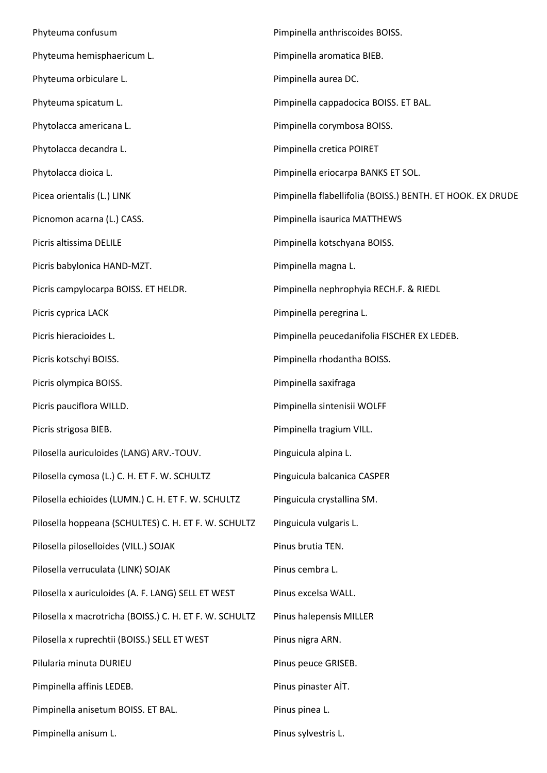Phyteuma confusum Phyteuma hemisphaericum L. Phyteuma orbiculare L. Phyteuma spicatum L. Phytolacca americana L. Phytolacca decandra L. Phytolacca dioica L. Picea orientalis (L.) LINK Picnomon acarna (L.) CASS. Picris altissima DELILE Picris babylonica HAND-MZT. Picris campylocarpa BOISS. ET HELDR. Picris cyprica LACK Picris hieracioides L. Picris kotschyi BOISS. Picris olympica BOISS. Picris pauciflora WILLD. Picris strigosa BIEB. Pilosella auriculoides (LANG) ARV.-TOUV. Pilosella cymosa (L.) C. H. ET F. W. SCHULTZ Pilosella echioides (LUMN.) C. H. ET F. W. SCHULTZ Pilosella hoppeana (SCHULTES) C. H. ET F. W. SCHULTZ Pilosella piloselloides (VILL.) SOJAK Pilosella verruculata (LINK) SOJAK Pilosella x auriculoides (A. F. LANG) SELL ET WEST Pilosella x macrotricha (BOISS.) C. H. ET F. W. SCHULTZ Pilosella x ruprechtii (BOISS.) SELL ET WEST Pilularia minuta DURIEU Pimpinella affinis LEDEB. Pimpinella anisetum BOISS. ET BAL. Pimpinella anisum L. Pimpinella anthriscoides BOISS. Pimpinella aromatica BIEB. Pimpinella aurea DC. Pimpinella cappadocica BOISS. ET BAL. Pimpinella corymbosa BOISS. Pimpinella cretica POIRET Pimpinella eriocarpa BANKS ET SOL. Pimpinella flabellifolia (BOISS.) BENTH. ET HOOK. EX DRUDE Pimpinella isaurica MATTHEWS Pimpinella kotschyana BOISS. Pimpinella magna L. Pimpinella nephrophyia RECH.F. & RIEDL Pimpinella peregrina L. Pimpinella peucedanifolia FISCHER EX LEDEB. Pimpinella rhodantha BOISS. Pimpinella saxifraga Pimpinella sintenisii WOLFF Pimpinella tragium VILL. Pinguicula alpina L. Pinguicula balcanica CASPER Pinguicula crystallina SM. Pinguicula vulgaris L. Pinus brutia TEN. Pinus cembra L. Pinus excelsa WALL. Pinus halepensis MILLER Pinus nigra ARN. Pinus peuce GRISEB. Pinus pinaster AİT. Pinus pinea L. Pinus sylvestris L.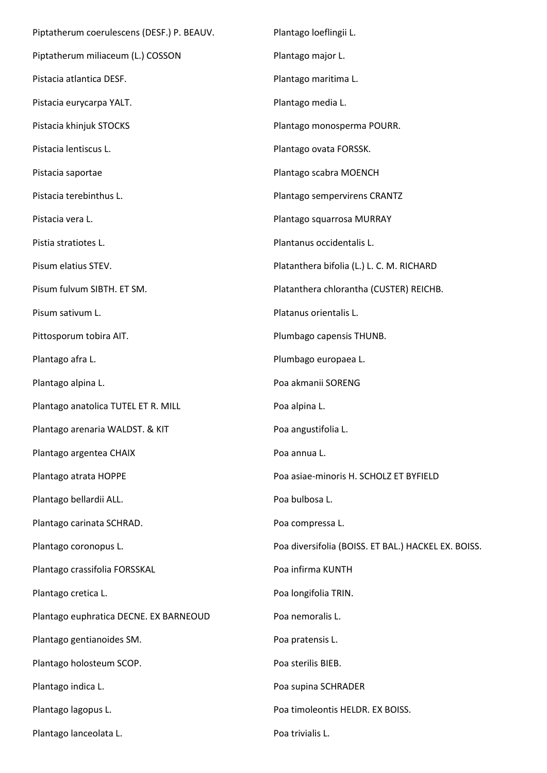| Piptatherum coerulescens (DESF.) P. BEAUV. | Plantago loeflingii L.                              |
|--------------------------------------------|-----------------------------------------------------|
| Piptatherum miliaceum (L.) COSSON          | Plantago major L.                                   |
| Pistacia atlantica DESF.                   | Plantago maritima L.                                |
| Pistacia eurycarpa YALT.                   | Plantago media L.                                   |
| Pistacia khinjuk STOCKS                    | Plantago monosperma POURR.                          |
| Pistacia lentiscus L.                      | Plantago ovata FORSSK.                              |
| Pistacia saportae                          | Plantago scabra MOENCH                              |
| Pistacia terebinthus L.                    | Plantago sempervirens CRANTZ                        |
| Pistacia vera L.                           | Plantago squarrosa MURRAY                           |
| Pistia stratiotes L.                       | Plantanus occidentalis L.                           |
| Pisum elatius STEV.                        | Platanthera bifolia (L.) L. C. M. RICHARD           |
| Pisum fulvum SIBTH. ET SM.                 | Platanthera chlorantha (CUSTER) REICHB.             |
| Pisum sativum L.                           | Platanus orientalis L.                              |
| Pittosporum tobira AIT.                    | Plumbago capensis THUNB.                            |
| Plantago afra L.                           | Plumbago europaea L.                                |
| Plantago alpina L.                         | Poa akmanii SORENG                                  |
| Plantago anatolica TUTEL ET R. MILL        | Poa alpina L.                                       |
| Plantago arenaria WALDST. & KIT            | Poa angustifolia L.                                 |
| Plantago argentea CHAIX                    | Poa annua L.                                        |
| Plantago atrata HOPPE                      | Poa asiae-minoris H. SCHOLZ ET BYFIELD              |
| Plantago bellardii ALL.                    | Poa bulbosa L.                                      |
| Plantago carinata SCHRAD.                  | Poa compressa L.                                    |
| Plantago coronopus L.                      | Poa diversifolia (BOISS. ET BAL.) HACKEL EX. BOISS. |
| Plantago crassifolia FORSSKAL              | Poa infirma KUNTH                                   |
| Plantago cretica L.                        | Poa longifolia TRIN.                                |
| Plantago euphratica DECNE. EX BARNEOUD     | Poa nemoralis L.                                    |
| Plantago gentianoides SM.                  | Poa pratensis L.                                    |
| Plantago holosteum SCOP.                   | Poa sterilis BIEB.                                  |
| Plantago indica L.                         | Poa supina SCHRADER                                 |
| Plantago lagopus L.                        | Poa timoleontis HELDR. EX BOISS.                    |
| Plantago lanceolata L.                     | Poa trivialis L.                                    |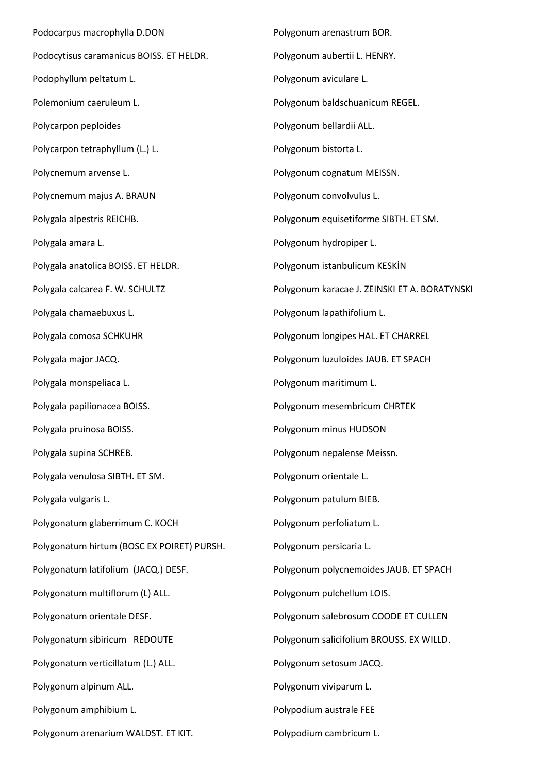Podocarpus macrophylla D.DON Podocytisus caramanicus BOISS. ET HELDR. Podophyllum peltatum L. Polemonium caeruleum L. Polycarpon peploides Polycarpon tetraphyllum (L.) L. Polycnemum arvense L. Polycnemum majus A. BRAUN Polygala alpestris REICHB. Polygala amara L. Polygala anatolica BOISS. ET HELDR. Polygala calcarea F. W. SCHULTZ Polygala chamaebuxus L. Polygala comosa SCHKUHR Polygala major JACQ. Polygala monspeliaca L. Polygala papilionacea BOISS. Polygala pruinosa BOISS. Polygala supina SCHREB. Polygala venulosa SIBTH. ET SM. Polygala vulgaris L. Polygonatum glaberrimum C. KOCH Polygonatum hirtum (BOSC EX POIRET) PURSH. Polygonatum latifolium (JACQ.) DESF. Polygonatum multiflorum (L) ALL. Polygonatum orientale DESF. Polygonatum sibiricum REDOUTE Polygonatum verticillatum (L.) ALL. Polygonum alpinum ALL. Polygonum amphibium L. Polygonum arenarium WALDST. ET KIT.

Polygonum arenastrum BOR. Polygonum aubertii L. HENRY. Polygonum aviculare L. Polygonum baldschuanicum REGEL. Polygonum bellardii ALL. Polygonum bistorta L. Polygonum cognatum MEISSN. Polygonum convolvulus L. Polygonum equisetiforme SIBTH. ET SM. Polygonum hydropiper L. Polygonum istanbulicum KESKİN Polygonum karacae J. ZEINSKI ET A. BORATYNSKI Polygonum lapathifolium L. Polygonum longipes HAL. ET CHARREL Polygonum luzuloides JAUB. ET SPACH Polygonum maritimum L. Polygonum mesembricum CHRTEK Polygonum minus HUDSON Polygonum nepalense Meissn. Polygonum orientale L. Polygonum patulum BIEB. Polygonum perfoliatum L. Polygonum persicaria L. Polygonum polycnemoides JAUB. ET SPACH Polygonum pulchellum LOIS. Polygonum salebrosum COODE ET CULLEN Polygonum salicifolium BROUSS. EX WILLD. Polygonum setosum JACQ. Polygonum viviparum L. Polypodium australe FEE Polypodium cambricum L.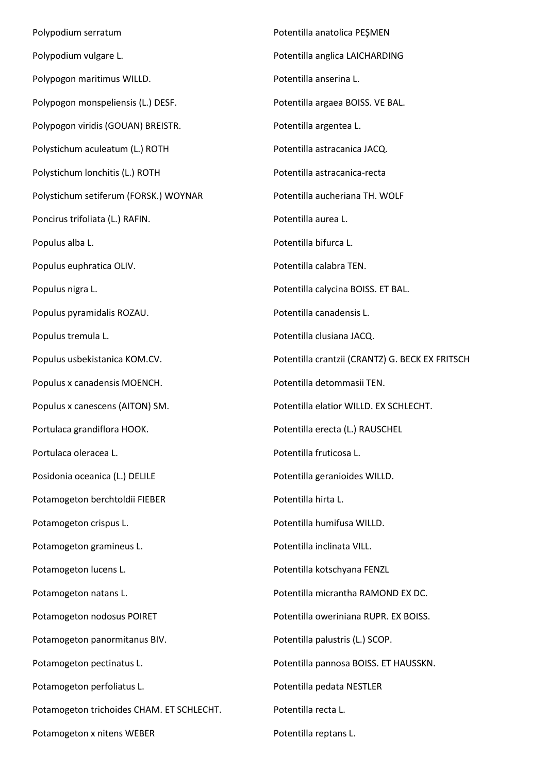Polypodium serratum Polypodium vulgare L. Polypogon maritimus WILLD. Polypogon monspeliensis (L.) DESF. Polypogon viridis (GOUAN) BREISTR. Polystichum aculeatum (L.) ROTH Polystichum lonchitis (L.) ROTH Polystichum setiferum (FORSK.) WOYNAR Poncirus trifoliata (L.) RAFIN. Populus alba L. Populus euphratica OLIV. Populus nigra L. Populus pyramidalis ROZAU. Populus tremula L. Populus usbekistanica KOM.CV. Populus x canadensis MOENCH. Populus x canescens (AITON) SM. Portulaca grandiflora HOOK. Portulaca oleracea L. Posidonia oceanica (L.) DELILE Potamogeton berchtoldii FIEBER Potamogeton crispus L. Potamogeton gramineus L. Potamogeton lucens L. Potamogeton natans L. Potamogeton nodosus POIRET Potamogeton panormitanus BIV. Potamogeton pectinatus L. Potamogeton perfoliatus L. Potamogeton trichoides CHAM. ET SCHLECHT. Potamogeton x nitens WEBER Potentilla anatolica PEŞMEN Potentilla anglica LAICHARDING Potentilla anserina L. Potentilla argaea BOISS. VE BAL. Potentilla argentea L. Potentilla astracanica JACQ. Potentilla astracanica-recta Potentilla aucheriana TH. WOLF Potentilla aurea L. Potentilla bifurca L. Potentilla calabra TEN. Potentilla calycina BOISS. ET BAL. Potentilla canadensis L. Potentilla clusiana JACQ. Potentilla crantzii (CRANTZ) G. BECK EX FRITSCH Potentilla detommasii TEN. Potentilla elatior WILLD. EX SCHLECHT. Potentilla erecta (L.) RAUSCHEL Potentilla fruticosa L. Potentilla geranioides WILLD. Potentilla hirta L. Potentilla humifusa WILLD. Potentilla inclinata VILL. Potentilla kotschyana FENZL Potentilla micrantha RAMOND EX DC. Potentilla oweriniana RUPR. EX BOISS. Potentilla palustris (L.) SCOP. Potentilla pannosa BOISS. ET HAUSSKN. Potentilla pedata NESTLER Potentilla recta L. Potentilla reptans L.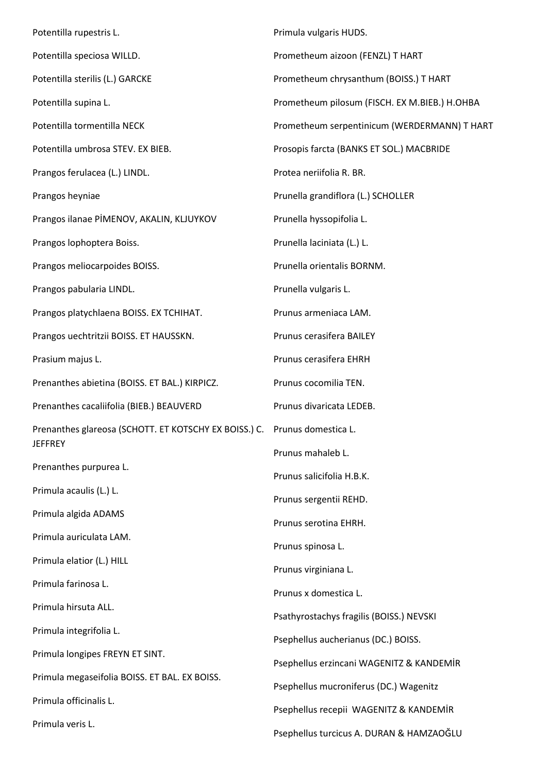Potentilla rupestris L. Potentilla speciosa WILLD. Potentilla sterilis (L.) GARCKE Potentilla supina L. Potentilla tormentilla NECK Potentilla umbrosa STEV. EX BIEB. Prangos ferulacea (L.) LINDL. Prangos heyniae Prangos ilanae PİMENOV, AKALIN, KLJUYKOV Prangos lophoptera Boiss. Prangos meliocarpoides BOISS. Prangos pabularia LINDL. Prangos platychlaena BOISS. EX TCHIHAT. Prangos uechtritzii BOISS. ET HAUSSKN. Prasium majus L. Prenanthes abietina (BOISS. ET BAL.) KIRPICZ. Prenanthes cacaliifolia (BIEB.) BEAUVERD Prenanthes glareosa (SCHOTT. ET KOTSCHY EX BOISS.) C. Prunus domestica L. **JEFFREY** Prenanthes purpurea L. Primula acaulis (L.) L. Primula algida ADAMS Primula auriculata LAM. Primula elatior (L.) HILL Primula farinosa L. Primula hirsuta ALL. Primula integrifolia L. Primula longipes FREYN ET SINT. Primula megaseifolia BOISS. ET BAL. EX BOISS. Primula officinalis L. Primula veris L. Primula vulgaris HUDS. Prometheum aizoon (FENZL) T HART Prometheum chrysanthum (BOISS.) T HART Prometheum pilosum (FISCH. EX M.BIEB.) H.OHBA Prometheum serpentinicum (WERDERMANN) T HART Prosopis farcta (BANKS ET SOL.) MACBRIDE Protea neriifolia R. BR. Prunella grandiflora (L.) SCHOLLER Prunella hyssopifolia L. Prunella laciniata (L.) L. Prunella orientalis BORNM. Prunella vulgaris L. Prunus armeniaca LAM. Prunus cerasifera BAILEY Prunus cerasifera EHRH Prunus cocomilia TEN. Prunus divaricata LEDEB. Prunus mahaleb L. Prunus salicifolia H.B.K. Prunus sergentii REHD. Prunus serotina EHRH. Prunus spinosa L. Prunus virginiana L. Prunus x domestica L. Psathyrostachys fragilis (BOISS.) NEVSKI Psephellus aucherianus (DC.) BOISS. Psephellus erzincani WAGENITZ & KANDEMİR Psephellus mucroniferus (DC.) Wagenitz Psephellus recepii WAGENITZ & KANDEMİR Psephellus turcicus A. DURAN & HAMZAOĞLU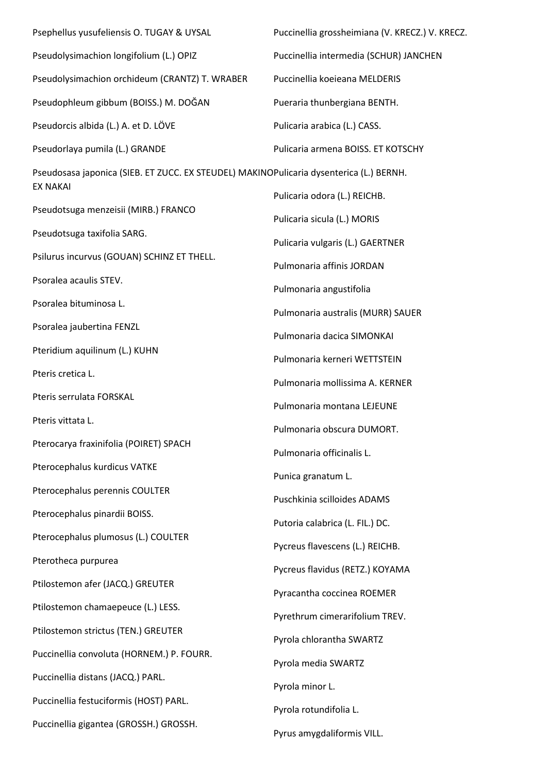| Psephellus yusufeliensis O. TUGAY & UYSAL                                                                  | Puccinellia grossheimiana (V. KRECZ.) V. KRECZ. |
|------------------------------------------------------------------------------------------------------------|-------------------------------------------------|
| Pseudolysimachion longifolium (L.) OPIZ                                                                    | Puccinellia intermedia (SCHUR) JANCHEN          |
| Pseudolysimachion orchideum (CRANTZ) T. WRABER                                                             | Puccinellia koeieana MELDERIS                   |
| Pseudophleum gibbum (BOISS.) M. DOĞAN                                                                      | Pueraria thunbergiana BENTH.                    |
| Pseudorcis albida (L.) A. et D. LÖVE                                                                       | Pulicaria arabica (L.) CASS.                    |
| Pseudorlaya pumila (L.) GRANDE                                                                             | Pulicaria armena BOISS. ET KOTSCHY              |
| Pseudosasa japonica (SIEB. ET ZUCC. EX STEUDEL) MAKINOPulicaria dysenterica (L.) BERNH.<br><b>EX NAKAI</b> |                                                 |
|                                                                                                            | Pulicaria odora (L.) REICHB.                    |
| Pseudotsuga menzeisii (MIRB.) FRANCO                                                                       | Pulicaria sicula (L.) MORIS                     |
| Pseudotsuga taxifolia SARG.                                                                                | Pulicaria vulgaris (L.) GAERTNER                |
| Psilurus incurvus (GOUAN) SCHINZ ET THELL.                                                                 | Pulmonaria affinis JORDAN                       |
| Psoralea acaulis STEV.                                                                                     | Pulmonaria angustifolia                         |
| Psoralea bituminosa L.                                                                                     | Pulmonaria australis (MURR) SAUER               |
| Psoralea jaubertina FENZL                                                                                  | Pulmonaria dacica SIMONKAI                      |
| Pteridium aquilinum (L.) KUHN                                                                              | Pulmonaria kerneri WETTSTEIN                    |
| Pteris cretica L.                                                                                          | Pulmonaria mollissima A. KERNER                 |
| Pteris serrulata FORSKAL                                                                                   | Pulmonaria montana LEJEUNE                      |
| Pteris vittata L.                                                                                          | Pulmonaria obscura DUMORT.                      |
| Pterocarya fraxinifolia (POIRET) SPACH                                                                     | Pulmonaria officinalis L.                       |
| Pterocephalus kurdicus VATKE                                                                               | Punica granatum L.                              |
| Pterocephalus perennis COULTER                                                                             | Puschkinia scilloides ADAMS                     |
| Pterocephalus pinardii BOISS.                                                                              | Putoria calabrica (L. FIL.) DC.                 |
| Pterocephalus plumosus (L.) COULTER                                                                        | Pycreus flavescens (L.) REICHB.                 |
| Pterotheca purpurea                                                                                        | Pycreus flavidus (RETZ.) KOYAMA                 |
| Ptilostemon afer (JACQ.) GREUTER                                                                           |                                                 |
| Ptilostemon chamaepeuce (L.) LESS.                                                                         | Pyracantha coccinea ROEMER                      |
| Ptilostemon strictus (TEN.) GREUTER                                                                        | Pyrethrum cimerarifolium TREV.                  |
| Puccinellia convoluta (HORNEM.) P. FOURR.                                                                  | Pyrola chlorantha SWARTZ                        |
| Puccinellia distans (JACQ.) PARL.                                                                          | Pyrola media SWARTZ                             |
| Puccinellia festuciformis (HOST) PARL.                                                                     | Pyrola minor L.                                 |
| Puccinellia gigantea (GROSSH.) GROSSH.                                                                     | Pyrola rotundifolia L.                          |
|                                                                                                            | Pyrus amygdaliformis VILL.                      |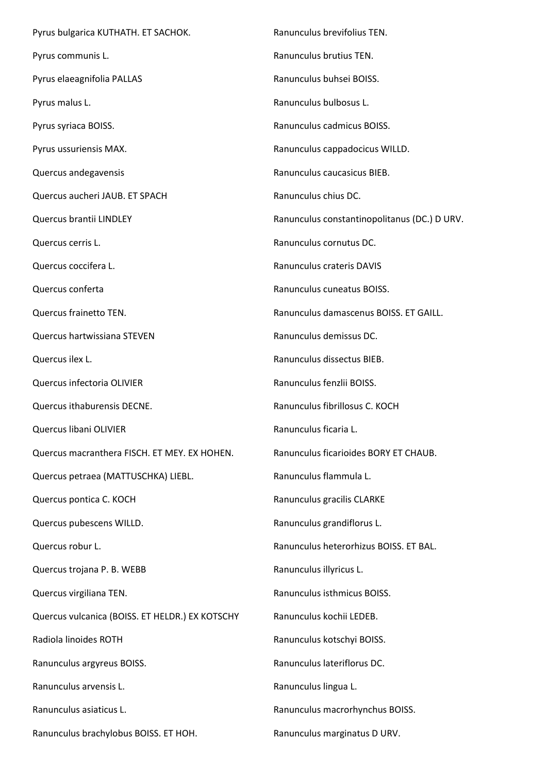Pyrus bulgarica KUTHATH. ET SACHOK. Pyrus communis L. Pyrus elaeagnifolia PALLAS Pyrus malus L. Pyrus syriaca BOISS. Pyrus ussuriensis MAX. Quercus andegavensis Quercus aucheri JAUB. ET SPACH Quercus brantii LINDLEY Quercus cerris L. Quercus coccifera L. Quercus conferta Quercus frainetto TEN. Quercus hartwissiana STEVEN Quercus ilex L. Quercus infectoria OLIVIER Quercus ithaburensis DECNE. Quercus libani OLIVIER Quercus macranthera FISCH. ET MEY. EX HOHEN. Quercus petraea (MATTUSCHKA) LIEBL. Quercus pontica C. KOCH Quercus pubescens WILLD. Quercus robur L. Quercus trojana P. B. WEBB Quercus virgiliana TEN. Quercus vulcanica (BOISS. ET HELDR.) EX KOTSCHY Radiola linoides ROTH Ranunculus argyreus BOISS. Ranunculus arvensis L. Ranunculus asiaticus L. Ranunculus brachylobus BOISS. ET HOH. Ranunculus brevifolius TEN. Ranunculus brutius TEN. Ranunculus buhsei BOISS. Ranunculus bulbosus L. Ranunculus cadmicus BOISS. Ranunculus cappadocicus WILLD. Ranunculus caucasicus BIEB. Ranunculus chius DC. Ranunculus constantinopolitanus (DC.) D URV. Ranunculus cornutus DC. Ranunculus crateris DAVIS Ranunculus cuneatus BOISS. Ranunculus damascenus BOISS. ET GAILL. Ranunculus demissus DC. Ranunculus dissectus BIEB. Ranunculus fenzlii BOISS. Ranunculus fibrillosus C. KOCH Ranunculus ficaria L. Ranunculus ficarioides BORY ET CHAUB. Ranunculus flammula L. Ranunculus gracilis CLARKE Ranunculus grandiflorus L. Ranunculus heterorhizus BOISS. ET BAL. Ranunculus illyricus L. Ranunculus isthmicus BOISS. Ranunculus kochii LEDEB. Ranunculus kotschyi BOISS. Ranunculus lateriflorus DC. Ranunculus lingua L. Ranunculus macrorhynchus BOISS. Ranunculus marginatus D URV.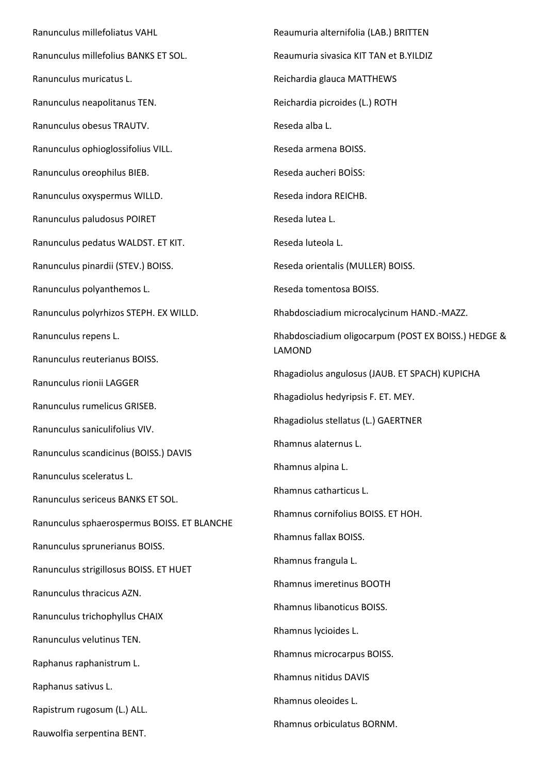Ranunculus millefoliatus VAHL Ranunculus millefolius BANKS ET SOL. Ranunculus muricatus L. Ranunculus neapolitanus TEN. Ranunculus obesus TRAUTV. Ranunculus ophioglossifolius VILL. Ranunculus oreophilus BIEB. Ranunculus oxyspermus WILLD. Ranunculus paludosus POIRET Ranunculus pedatus WALDST. ET KIT. Ranunculus pinardii (STEV.) BOISS. Ranunculus polyanthemos L. Ranunculus polyrhizos STEPH. EX WILLD. Ranunculus repens L. Ranunculus reuterianus BOISS. Ranunculus rionii LAGGER Ranunculus rumelicus GRISEB. Ranunculus saniculifolius VIV. Ranunculus scandicinus (BOISS.) DAVIS Ranunculus sceleratus L. Ranunculus sericeus BANKS ET SOL. Ranunculus sphaerospermus BOISS. ET BLANCHE Ranunculus sprunerianus BOISS. Ranunculus strigillosus BOISS. ET HUET Ranunculus thracicus AZN. Ranunculus trichophyllus CHAIX Ranunculus velutinus TEN. Raphanus raphanistrum L. Raphanus sativus L. Rapistrum rugosum (L.) ALL. Rauwolfia serpentina BENT.

Reaumuria alternifolia (LAB.) BRITTEN Reaumuria sivasica KIT TAN et B.YILDIZ Reichardia glauca MATTHEWS Reichardia picroides (L.) ROTH Reseda alba L. Reseda armena BOISS. Reseda aucheri BOİSS: Reseda indora REICHB. Reseda lutea L. Reseda luteola L. Reseda orientalis (MULLER) BOISS. Reseda tomentosa BOISS. Rhabdosciadium microcalycinum HAND.-MAZZ. Rhabdosciadium oligocarpum (POST EX BOISS.) HEDGE & LAMOND Rhagadiolus angulosus (JAUB. ET SPACH) KUPICHA Rhagadiolus hedyripsis F. ET. MEY. Rhagadiolus stellatus (L.) GAERTNER Rhamnus alaternus L. Rhamnus alpina L. Rhamnus catharticus L. Rhamnus cornifolius BOISS. ET HOH. Rhamnus fallax BOISS. Rhamnus frangula L. Rhamnus imeretinus BOOTH Rhamnus libanoticus BOISS. Rhamnus lycioides L. Rhamnus microcarpus BOISS. Rhamnus nitidus DAVIS Rhamnus oleoides L. Rhamnus orbiculatus BORNM.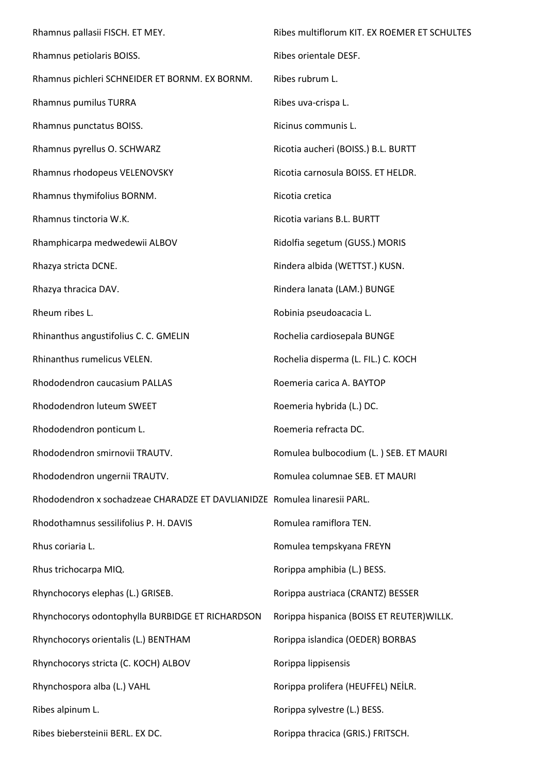Rhamnus pallasii FISCH. ET MEY. Rhamnus petiolaris BOISS. Rhamnus pichleri SCHNEIDER ET BORNM. EX BORNM. Rhamnus pumilus TURRA Rhamnus punctatus BOISS. Rhamnus pyrellus O. SCHWARZ Rhamnus rhodopeus VELENOVSKY Rhamnus thymifolius BORNM. Rhamnus tinctoria W.K. Rhamphicarpa medwedewii ALBOV Rhazya stricta DCNE. Rhazya thracica DAV. Rheum ribes L. Rhinanthus angustifolius C. C. GMELIN Rhinanthus rumelicus VELEN. Rhododendron caucasium PALLAS Rhododendron luteum SWEET Rhododendron ponticum L. Rhododendron smirnovii TRAUTV. Rhododendron ungernii TRAUTV. Rhododendron x sochadzeae CHARADZE ET DAVLIANIDZE Romulea linaresii PARL. Rhodothamnus sessilifolius P. H. DAVIS Rhus coriaria L. Rhus trichocarpa MIQ. Rhynchocorys elephas (L.) GRISEB. Rhynchocorys odontophylla BURBIDGE ET RICHARDSON Rhynchocorys orientalis (L.) BENTHAM Rhynchocorys stricta (C. KOCH) ALBOV Rhynchospora alba (L.) VAHL Ribes alpinum L. Ribes biebersteinii BERL. EX DC. Ribes multiflorum KIT. EX ROEMER ET SCHULTES Ribes orientale DESF. Ribes rubrum L. Ribes uva-crispa L. Ricinus communis L. Ricotia aucheri (BOISS.) B.L. BURTT Ricotia carnosula BOISS. ET HELDR. Ricotia cretica Ricotia varians B.L. BURTT Ridolfia segetum (GUSS.) MORIS Rindera albida (WETTST.) KUSN. Rindera lanata (LAM.) BUNGE Robinia pseudoacacia L. Rochelia cardiosepala BUNGE Rochelia disperma (L. FIL.) C. KOCH Roemeria carica A. BAYTOP Roemeria hybrida (L.) DC. Roemeria refracta DC. Romulea bulbocodium (L. ) SEB. ET MAURI Romulea columnae SEB. ET MAURI Romulea ramiflora TEN. Romulea tempskyana FREYN Rorippa amphibia (L.) BESS. Rorippa austriaca (CRANTZ) BESSER Rorippa hispanica (BOISS ET REUTER)WILLK. Rorippa islandica (OEDER) BORBAS Rorippa lippisensis Rorippa prolifera (HEUFFEL) NEİLR. Rorippa sylvestre (L.) BESS. Rorippa thracica (GRIS.) FRITSCH.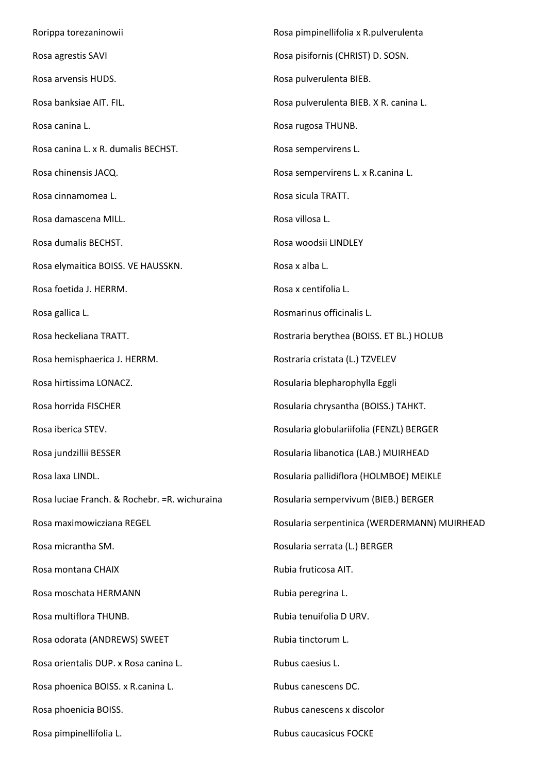Rorippa torezaninowii Rosa agrestis SAVI Rosa arvensis HUDS. Rosa banksiae AIT. FIL. Rosa canina L. Rosa canina L. x R. dumalis BECHST. Rosa chinensis JACQ. Rosa cinnamomea L. Rosa damascena MILL. Rosa dumalis BECHST. Rosa elymaitica BOISS. VE HAUSSKN. Rosa foetida J. HERRM. Rosa gallica L. Rosa heckeliana TRATT. Rosa hemisphaerica J. HERRM. Rosa hirtissima LONACZ. Rosa horrida FISCHER Rosa iberica STEV. Rosa jundzillii BESSER Rosa laxa LINDL. Rosa luciae Franch. & Rochebr. =R. wichuraina Rosa maximowicziana REGEL Rosa micrantha SM. Rosa montana CHAIX Rosa moschata HERMANN Rosa multiflora THUNB. Rosa odorata (ANDREWS) SWEET Rosa orientalis DUP. x Rosa canina L. Rosa phoenica BOISS. x R.canina L. Rosa phoenicia BOISS. Rosa pimpinellifolia L. Rosa pimpinellifolia x R.pulverulenta Rosa pisifornis (CHRIST) D. SOSN. Rosa pulverulenta BIEB. Rosa pulverulenta BIEB. X R. canina L. Rosa rugosa THUNB. Rosa sempervirens L. Rosa sempervirens L. x R.canina L. Rosa sicula TRATT. Rosa villosa L. Rosa woodsii LINDLEY Rosa x alba L. Rosa x centifolia L. Rosmarinus officinalis L. Rostraria berythea (BOISS. ET BL.) HOLUB Rostraria cristata (L.) TZVELEV Rosularia blepharophylla Eggli Rosularia chrysantha (BOISS.) TAHKT. Rosularia globulariifolia (FENZL) BERGER Rosularia libanotica (LAB.) MUIRHEAD Rosularia pallidiflora (HOLMBOE) MEIKLE Rosularia sempervivum (BIEB.) BERGER Rosularia serpentinica (WERDERMANN) MUIRHEAD Rosularia serrata (L.) BERGER Rubia fruticosa AIT. Rubia peregrina L. Rubia tenuifolia D URV. Rubia tinctorum L. Rubus caesius L. Rubus canescens DC. Rubus canescens x discolor Rubus caucasicus FOCKE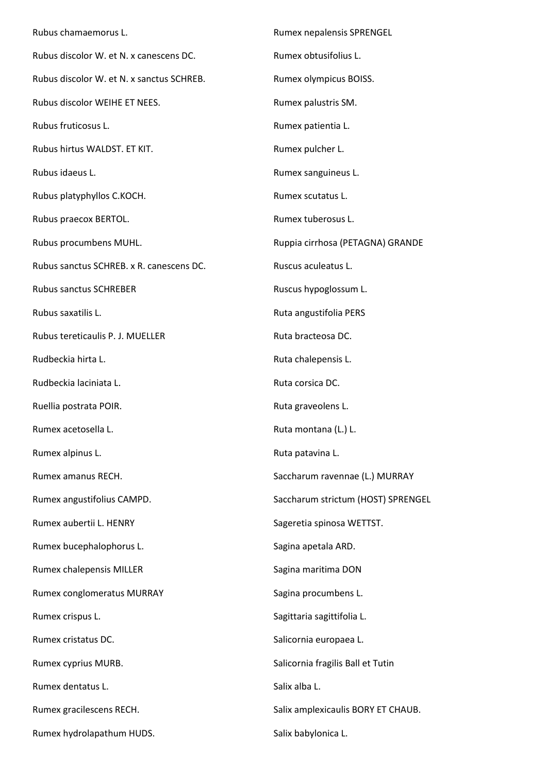Rubus chamaemorus L. Rubus discolor W. et N. x canescens DC. Rubus discolor W. et N. x sanctus SCHREB. Rubus discolor WEIHE ET NEES. Rubus fruticosus L. Rubus hirtus WALDST. ET KIT. Rubus idaeus L. Rubus platyphyllos C.KOCH. Rubus praecox BERTOL. Rubus procumbens MUHL. Rubus sanctus SCHREB. x R. canescens DC. Rubus sanctus SCHREBER Rubus saxatilis L. Rubus tereticaulis P. J. MUELLER Rudbeckia hirta L. Rudbeckia laciniata L. Ruellia postrata POIR. Rumex acetosella L. Rumex alpinus L. Rumex amanus RECH. Rumex angustifolius CAMPD. Rumex aubertii L. HENRY Rumex bucephalophorus L. Rumex chalepensis MILLER Rumex conglomeratus MURRAY Rumex crispus L. Rumex cristatus DC. Rumex cyprius MURB. Rumex dentatus L. Rumex gracilescens RECH. Rumex hydrolapathum HUDS. Rumex nepalensis SPRENGEL Rumex obtusifolius L. Rumex olympicus BOISS. Rumex palustris SM. Rumex patientia L. Rumex pulcher L. Rumex sanguineus L. Rumex scutatus L. Rumex tuberosus L. Ruppia cirrhosa (PETAGNA) GRANDE Ruscus aculeatus L. Ruscus hypoglossum L. Ruta angustifolia PERS Ruta bracteosa DC. Ruta chalepensis L. Ruta corsica DC. Ruta graveolens L. Ruta montana (L.) L. Ruta patavina L. Saccharum ravennae (L.) MURRAY Saccharum strictum (HOST) SPRENGEL Sageretia spinosa WETTST. Sagina apetala ARD. Sagina maritima DON Sagina procumbens L. Sagittaria sagittifolia L. Salicornia europaea L. Salicornia fragilis Ball et Tutin Salix alba L. Salix amplexicaulis BORY ET CHAUB. Salix babylonica L.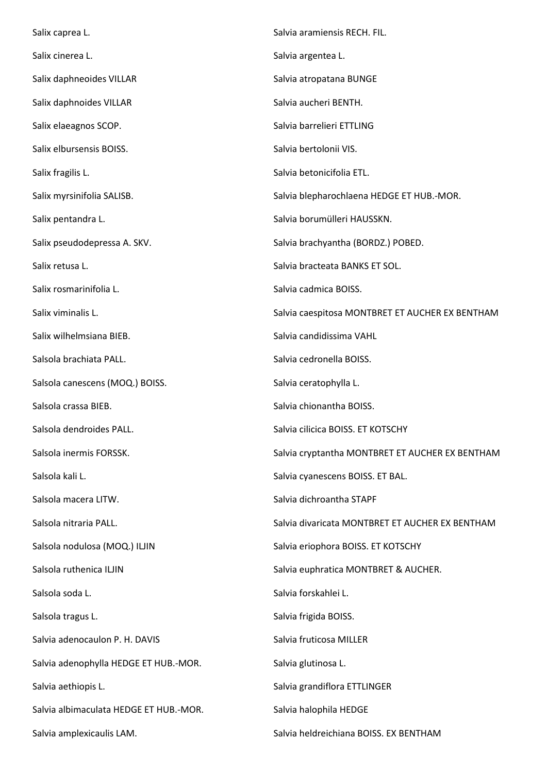Salix caprea L. Salix cinerea L. Salix daphneoides VILLAR Salix daphnoides VILLAR Salix elaeagnos SCOP. Salix elbursensis BOISS. Salix fragilis L. Salix myrsinifolia SALISB. Salix pentandra L. Salix pseudodepressa A. SKV. Salix retusa L. Salix rosmarinifolia L. Salix viminalis L. Salix wilhelmsiana BIEB. Salsola brachiata PALL. Salsola canescens (MOQ.) BOISS. Salsola crassa BIEB. Salsola dendroides PALL. Salsola inermis FORSSK. Salsola kali L. Salsola macera LITW. Salsola nitraria PALL. Salsola nodulosa (MOQ.) ILJIN Salsola ruthenica ILJIN Salsola soda L. Salsola tragus L. Salvia adenocaulon P. H. DAVIS Salvia adenophylla HEDGE ET HUB.-MOR. Salvia aethiopis L. Salvia albimaculata HEDGE ET HUB.-MOR. Salvia amplexicaulis LAM. Salvia aramiensis RECH. FIL. Salvia argentea L. Salvia atropatana BUNGE Salvia aucheri BENTH. Salvia barrelieri ETTLING Salvia bertolonii VIS. Salvia betonicifolia ETL. Salvia blepharochlaena HEDGE ET HUB.-MOR. Salvia borumülleri HAUSSKN. Salvia brachyantha (BORDZ.) POBED. Salvia bracteata BANKS ET SOL. Salvia cadmica BOISS. Salvia caespitosa MONTBRET ET AUCHER EX BENTHAM Salvia candidissima VAHL Salvia cedronella BOISS. Salvia ceratophylla L. Salvia chionantha BOISS. Salvia cilicica BOISS. ET KOTSCHY Salvia cryptantha MONTBRET ET AUCHER EX BENTHAM Salvia cyanescens BOISS. ET BAL. Salvia dichroantha STAPF Salvia divaricata MONTBRET ET AUCHER EX BENTHAM Salvia eriophora BOISS. ET KOTSCHY Salvia euphratica MONTBRET & AUCHER. Salvia forskahlei L. Salvia frigida BOISS. Salvia fruticosa MILLER Salvia glutinosa L. Salvia grandiflora ETTLINGER Salvia halophila HEDGE Salvia heldreichiana BOISS. EX BENTHAM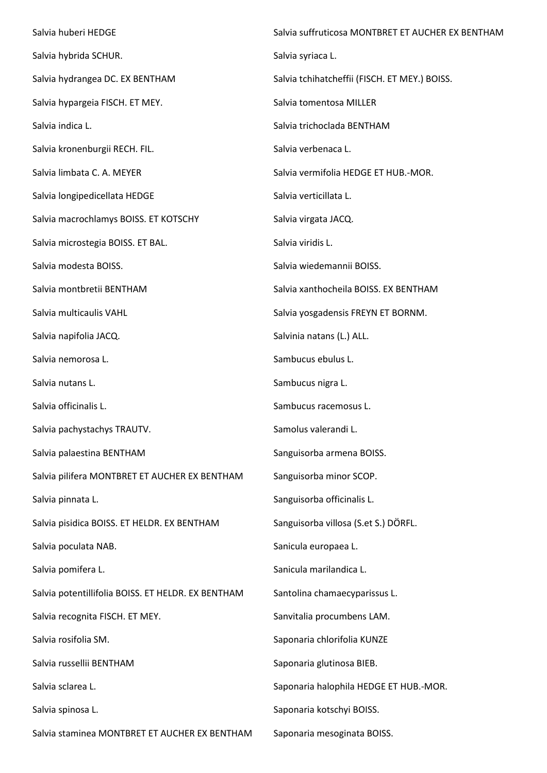Salvia huberi HEDGE Salvia hybrida SCHUR. Salvia hydrangea DC. EX BENTHAM Salvia hypargeia FISCH. ET MEY. Salvia indica L. Salvia kronenburgii RECH. FIL. Salvia limbata C. A. MEYER Salvia longipedicellata HEDGE Salvia macrochlamys BOISS. ET KOTSCHY Salvia microstegia BOISS. ET BAL. Salvia modesta BOISS. Salvia montbretii BENTHAM Salvia multicaulis VAHL Salvia napifolia JACQ. Salvia nemorosa L. Salvia nutans L. Salvia officinalis L. Salvia pachystachys TRAUTV. Salvia palaestina BENTHAM Salvia pilifera MONTBRET ET AUCHER EX BENTHAM Salvia pinnata L. Salvia pisidica BOISS. ET HELDR. EX BENTHAM Salvia poculata NAB. Salvia pomifera L. Salvia potentillifolia BOISS. ET HELDR. EX BENTHAM Salvia recognita FISCH. ET MEY. Salvia rosifolia SM. Salvia russellii BENTHAM Salvia sclarea L. Salvia spinosa L. Salvia staminea MONTBRET ET AUCHER EX BENTHAM Salvia suffruticosa MONTBRET ET AUCHER EX BENTHAM Salvia syriaca L. Salvia tchihatcheffii (FISCH. ET MEY.) BOISS. Salvia tomentosa MILLER Salvia trichoclada BENTHAM Salvia verbenaca L. Salvia vermifolia HEDGE ET HUB.-MOR. Salvia verticillata L. Salvia virgata JACQ. Salvia viridis L. Salvia wiedemannii BOISS. Salvia xanthocheila BOISS. EX BENTHAM Salvia yosgadensis FREYN ET BORNM. Salvinia natans (L.) ALL. Sambucus ebulus L. Sambucus nigra L. Sambucus racemosus L. Samolus valerandi L. Sanguisorba armena BOISS. Sanguisorba minor SCOP. Sanguisorba officinalis L. Sanguisorba villosa (S.et S.) DÖRFL. Sanicula europaea L. Sanicula marilandica L. Santolina chamaecyparissus L. Sanvitalia procumbens LAM. Saponaria chlorifolia KUNZE Saponaria glutinosa BIEB. Saponaria halophila HEDGE ET HUB.-MOR. Saponaria kotschyi BOISS. Saponaria mesoginata BOISS.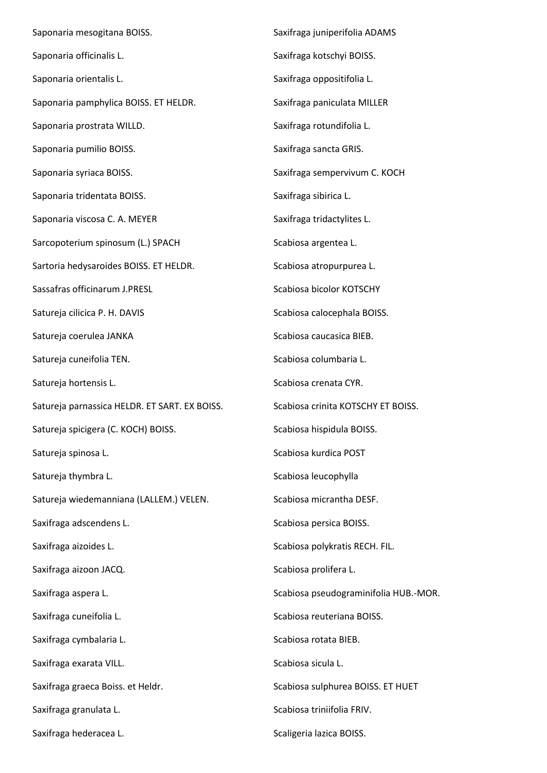Saponaria mesogitana BOISS. Saponaria officinalis L. Saponaria orientalis L. Saponaria pamphylica BOISS. ET HELDR. Saponaria prostrata WILLD. Saponaria pumilio BOISS. Saponaria syriaca BOISS. Saponaria tridentata BOISS. Saponaria viscosa C. A. MEYER Sarcopoterium spinosum (L.) SPACH Sartoria hedysaroides BOISS. ET HELDR. Sassafras officinarum J.PRESL Satureja cilicica P. H. DAVIS Satureja coerulea JANKA Satureja cuneifolia TEN. Satureja hortensis L. Satureja parnassica HELDR. ET SART. EX BOISS. Satureja spicigera (C. KOCH) BOISS. Satureja spinosa L. Satureja thymbra L. Satureja wiedemanniana (LALLEM.) VELEN. Saxifraga adscendens L. Saxifraga aizoides L. Saxifraga aizoon JACQ. Saxifraga aspera L. Saxifraga cuneifolia L. Saxifraga cymbalaria L. Saxifraga exarata VILL. Saxifraga graeca Boiss. et Heldr. Saxifraga granulata L. Saxifraga hederacea L. Saxifraga juniperifolia ADAMS Saxifraga kotschyi BOISS. Saxifraga oppositifolia L. Saxifraga paniculata MILLER Saxifraga rotundifolia L. Saxifraga sancta GRIS. Saxifraga sempervivum C. KOCH Saxifraga sibirica L. Saxifraga tridactylites L. Scabiosa argentea L. Scabiosa atropurpurea L. Scabiosa bicolor KOTSCHY Scabiosa calocephala BOISS. Scabiosa caucasica BIEB. Scabiosa columbaria L. Scabiosa crenata CYR. Scabiosa crinita KOTSCHY ET BOISS. Scabiosa hispidula BOISS. Scabiosa kurdica POST Scabiosa leucophylla Scabiosa micrantha DESF. Scabiosa persica BOISS. Scabiosa polykratis RECH. FIL. Scabiosa prolifera L. Scabiosa pseudograminifolia HUB.-MOR. Scabiosa reuteriana BOISS. Scabiosa rotata BIEB. Scabiosa sicula L. Scabiosa sulphurea BOISS. ET HUET Scabiosa triniifolia FRIV. Scaligeria lazica BOISS.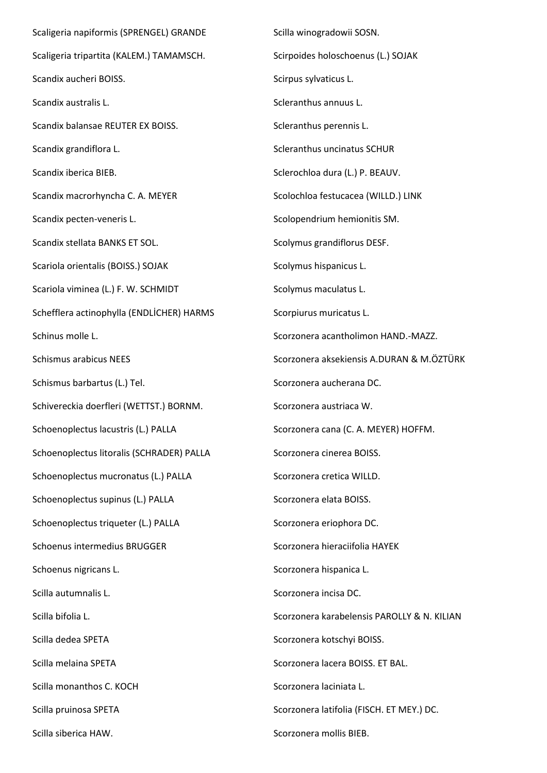Scaligeria napiformis (SPRENGEL) GRANDE Scaligeria tripartita (KALEM.) TAMAMSCH. Scandix aucheri BOISS. Scandix australis L. Scandix balansae REUTER EX BOISS. Scandix grandiflora L. Scandix iberica BIEB. Scandix macrorhyncha C. A. MEYER Scandix pecten-veneris L. Scandix stellata BANKS ET SOL. Scariola orientalis (BOISS.) SOJAK Scariola viminea (L.) F. W. SCHMIDT Schefflera actinophylla (ENDLİCHER) HARMS Schinus molle L. Schismus arabicus NEES Schismus barbartus (L.) Tel. Schivereckia doerfleri (WETTST.) BORNM. Schoenoplectus lacustris (L.) PALLA Schoenoplectus litoralis (SCHRADER) PALLA Schoenoplectus mucronatus (L.) PALLA Schoenoplectus supinus (L.) PALLA Schoenoplectus triqueter (L.) PALLA Schoenus intermedius BRUGGER Schoenus nigricans L. Scilla autumnalis L. Scilla bifolia L. Scilla dedea SPETA Scilla melaina SPETA Scilla monanthos C. KOCH Scilla pruinosa SPETA Scilla siberica HAW.

Scilla winogradowii SOSN. Scirpoides holoschoenus (L.) SOJAK Scirpus sylvaticus L. Scleranthus annuus L. Scleranthus perennis L. Scleranthus uncinatus SCHUR Sclerochloa dura (L.) P. BEAUV. Scolochloa festucacea (WILLD.) LINK Scolopendrium hemionitis SM. Scolymus grandiflorus DESF. Scolymus hispanicus L. Scolymus maculatus L. Scorpiurus muricatus L. Scorzonera acantholimon HAND.-MAZZ. Scorzonera aksekiensis A.DURAN & M.ÖZTÜRK Scorzonera aucherana DC. Scorzonera austriaca W. Scorzonera cana (C. A. MEYER) HOFFM. Scorzonera cinerea BOISS. Scorzonera cretica WILLD. Scorzonera elata BOISS. Scorzonera eriophora DC. Scorzonera hieraciifolia HAYEK Scorzonera hispanica L. Scorzonera incisa DC. Scorzonera karabelensis PAROLLY & N. KILIAN Scorzonera kotschyi BOISS. Scorzonera lacera BOISS. ET BAL. Scorzonera laciniata L. Scorzonera latifolia (FISCH. ET MEY.) DC. Scorzonera mollis BIEB.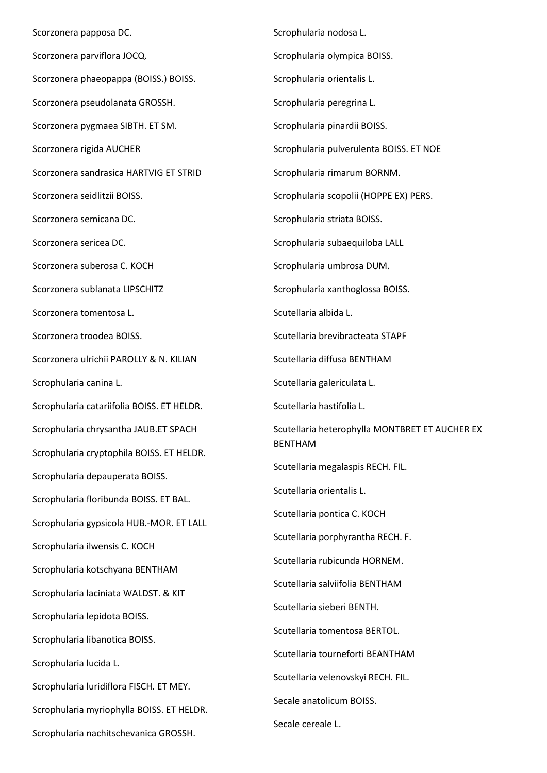Scorzonera papposa DC. Scorzonera parviflora JOCQ. Scorzonera phaeopappa (BOISS.) BOISS. Scorzonera pseudolanata GROSSH. Scorzonera pygmaea SIBTH. ET SM. Scorzonera rigida AUCHER Scorzonera sandrasica HARTVIG ET STRID Scorzonera seidlitzii BOISS. Scorzonera semicana DC. Scorzonera sericea DC. Scorzonera suberosa C. KOCH Scorzonera sublanata LIPSCHITZ Scorzonera tomentosa L. Scorzonera troodea BOISS. Scorzonera ulrichii PAROLLY & N. KILIAN Scrophularia canina L. Scrophularia catariifolia BOISS. ET HELDR. Scrophularia chrysantha JAUB.ET SPACH Scrophularia cryptophila BOISS. ET HELDR. Scrophularia depauperata BOISS. Scrophularia floribunda BOISS. ET BAL. Scrophularia gypsicola HUB.-MOR. ET LALL Scrophularia ilwensis C. KOCH Scrophularia kotschyana BENTHAM Scrophularia laciniata WALDST. & KIT Scrophularia lepidota BOISS. Scrophularia libanotica BOISS. Scrophularia lucida L. Scrophularia luridiflora FISCH. ET MEY. Scrophularia myriophylla BOISS. ET HELDR. Scrophularia nachitschevanica GROSSH.

Scrophularia nodosa L. Scrophularia olympica BOISS. Scrophularia orientalis L. Scrophularia peregrina L. Scrophularia pinardii BOISS. Scrophularia pulverulenta BOISS. ET NOE Scrophularia rimarum BORNM. Scrophularia scopolii (HOPPE EX) PERS. Scrophularia striata BOISS. Scrophularia subaequiloba LALL Scrophularia umbrosa DUM. Scrophularia xanthoglossa BOISS. Scutellaria albida L. Scutellaria brevibracteata STAPF Scutellaria diffusa BENTHAM Scutellaria galericulata L. Scutellaria hastifolia L. Scutellaria heterophylla MONTBRET ET AUCHER EX BENTHAM Scutellaria megalaspis RECH. FIL. Scutellaria orientalis L. Scutellaria pontica C. KOCH Scutellaria porphyrantha RECH. F. Scutellaria rubicunda HORNEM. Scutellaria salviifolia BENTHAM Scutellaria sieberi BENTH. Scutellaria tomentosa BERTOL. Scutellaria tourneforti BEANTHAM Scutellaria velenovskyi RECH. FIL. Secale anatolicum BOISS. Secale cereale L.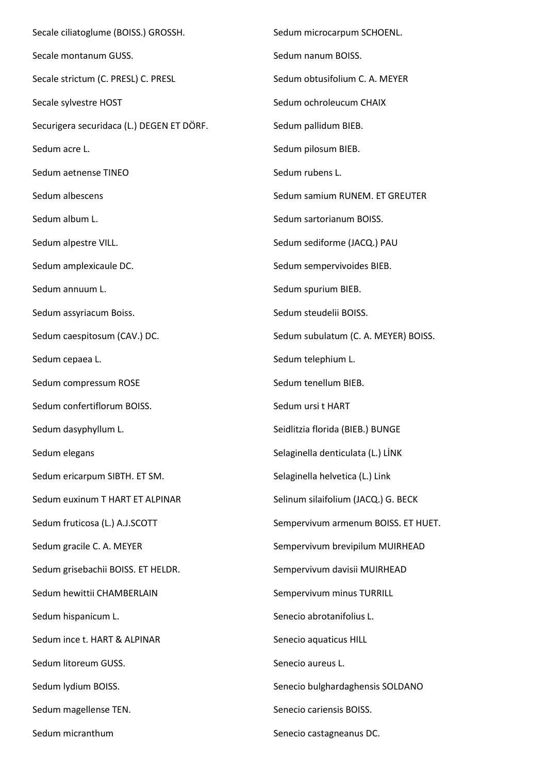Secale ciliatoglume (BOISS.) GROSSH. Secale montanum GUSS. Secale strictum (C. PRESL) C. PRESL Secale sylvestre HOST Securigera securidaca (L.) DEGEN ET DÖRF. Sedum acre L. Sedum aetnense TINEO Sedum albescens Sedum album L. Sedum alpestre VILL. Sedum amplexicaule DC. Sedum annuum L. Sedum assyriacum Boiss. Sedum caespitosum (CAV.) DC. Sedum cepaea L. Sedum compressum ROSE Sedum confertiflorum BOISS. Sedum dasyphyllum L. Sedum elegans Sedum ericarpum SIBTH. ET SM. Sedum euxinum T HART ET ALPINAR Sedum fruticosa (L.) A.J.SCOTT Sedum gracile C. A. MEYER Sedum grisebachii BOISS. ET HELDR. Sedum hewittii CHAMBERLAIN Sedum hispanicum L. Sedum ince t. HART & ALPINAR Sedum litoreum GUSS. Sedum lydium BOISS. Sedum magellense TEN. Sedum micranthum Sedum microcarpum SCHOENL. Sedum nanum BOISS. Sedum obtusifolium C. A. MEYER Sedum ochroleucum CHAIX Sedum pallidum BIEB. Sedum pilosum BIEB. Sedum rubens L. Sedum samium RUNEM. ET GREUTER Sedum sartorianum BOISS. Sedum sediforme (JACQ.) PAU Sedum sempervivoides BIEB. Sedum spurium BIEB. Sedum steudelii BOISS. Sedum subulatum (C. A. MEYER) BOISS. Sedum telephium L. Sedum tenellum BIEB. Sedum ursi t HART Seidlitzia florida (BIEB.) BUNGE Selaginella denticulata (L.) LİNK Selaginella helvetica (L.) Link Selinum silaifolium (JACQ.) G. BECK Sempervivum armenum BOISS. ET HUET. Sempervivum brevipilum MUIRHEAD Sempervivum davisii MUIRHEAD Sempervivum minus TURRILL Senecio abrotanifolius L. Senecio aquaticus HILL Senecio aureus L. Senecio bulghardaghensis SOLDANO Senecio cariensis BOISS. Senecio castagneanus DC.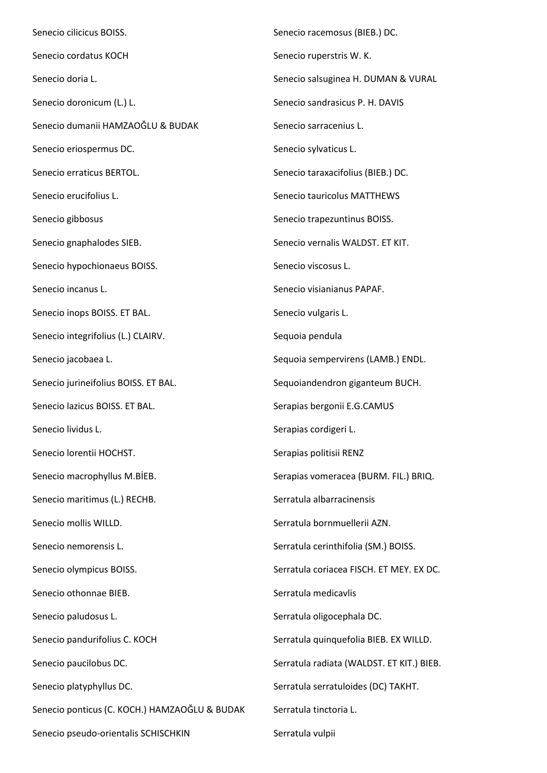Senecio cilicicus BOISS. Senecio cordatus KOCH Senecio doria L. Senecio doronicum (L.) L. Senecio dumanii HAMZAOĞLU & BUDAK Senecio eriospermus DC. Senecio erraticus BERTOL. Senecio erucifolius L. Senecio gibbosus Senecio gnaphalodes SIEB. Senecio hypochionaeus BOISS. Senecio incanus L. Senecio inops BOISS. ET BAL. Senecio integrifolius (L.) CLAIRV. Senecio jacobaea L. Senecio jurineifolius BOISS. ET BAL. Senecio lazicus BOISS. ET BAL. Senecio lividus L. Senecio lorentii HOCHST. Senecio macrophyllus M.BİEB. Senecio maritimus (L.) RECHB. Senecio mollis WILLD. Senecio nemorensis L. Senecio olympicus BOISS. Senecio othonnae BIEB. Senecio paludosus L. Senecio pandurifolius C. KOCH Senecio paucilobus DC. Senecio platyphyllus DC. Senecio ponticus (C. KOCH.) HAMZAOĞLU & BUDAK Senecio pseudo-orientalis SCHISCHKIN Senecio racemosus (BIEB.) DC. Senecio ruperstris W. K. Senecio salsuginea H. DUMAN & VURAL Senecio sandrasicus P. H. DAVIS Senecio sarracenius L. Senecio sylvaticus L. Senecio taraxacifolius (BIEB.) DC. Senecio tauricolus MATTHEWS Senecio trapezuntinus BOISS. Senecio vernalis WALDST. ET KIT. Senecio viscosus L. Senecio visianianus PAPAF. Senecio vulgaris L. Sequoia pendula Sequoia sempervirens (LAMB.) ENDL. Sequoiandendron giganteum BUCH. Serapias bergonii E.G.CAMUS Serapias cordigeri L. Serapias politisii RENZ Serapias vomeracea (BURM. FIL.) BRIQ. Serratula albarracinensis Serratula bornmuellerii AZN. Serratula cerinthifolia (SM.) BOISS. Serratula coriacea FISCH. ET MEY. EX DC. Serratula medicavlis Serratula oligocephala DC. Serratula quinquefolia BIEB. EX WILLD. Serratula radiata (WALDST. ET KIT.) BIEB. Serratula serratuloides (DC) TAKHT. Serratula tinctoria L. Serratula vulpii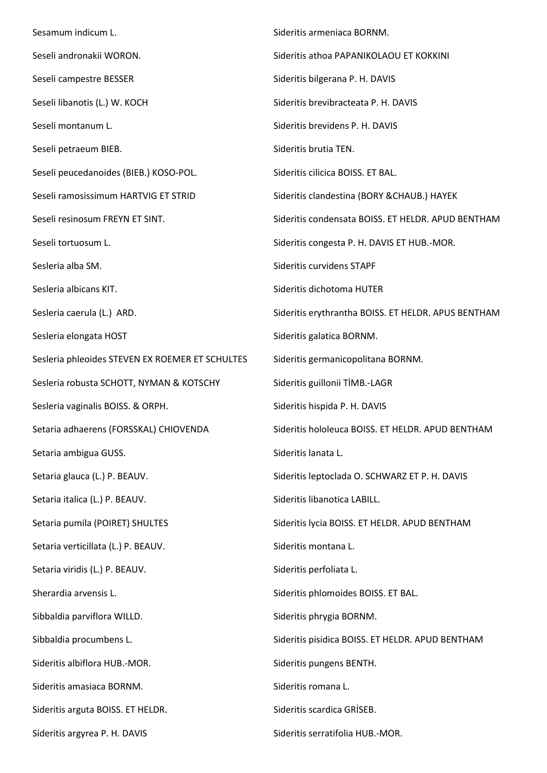Sesamum indicum L. Seseli andronakii WORON. Seseli campestre BESSER Seseli libanotis (L.) W. KOCH Seseli montanum L. Seseli petraeum BIEB. Seseli peucedanoides (BIEB.) KOSO-POL. Seseli ramosissimum HARTVIG ET STRID Seseli resinosum FREYN ET SINT. Seseli tortuosum L. Sesleria alba SM. Sesleria albicans KIT. Sesleria caerula (L.) ARD. Sesleria elongata HOST Sesleria phleoides STEVEN EX ROEMER ET SCHULTES Sesleria robusta SCHOTT, NYMAN & KOTSCHY Sesleria vaginalis BOISS. & ORPH. Setaria adhaerens (FORSSKAL) CHIOVENDA Setaria ambigua GUSS. Setaria glauca (L.) P. BEAUV. Setaria italica (L.) P. BEAUV. Setaria pumila (POIRET) SHULTES Setaria verticillata (L.) P. BEAUV. Setaria viridis (L.) P. BEAUV. Sherardia arvensis L. Sibbaldia parviflora WILLD. Sibbaldia procumbens L. Sideritis albiflora HUB.-MOR. Sideritis amasiaca BORNM. Sideritis arguta BOISS. ET HELDR. Sideritis argyrea P. H. DAVIS Sideritis armeniaca BORNM. Sideritis athoa PAPANIKOLAOU ET KOKKINI Sideritis bilgerana P. H. DAVIS Sideritis brevibracteata P. H. DAVIS Sideritis brevidens P. H. DAVIS Sideritis brutia TEN. Sideritis cilicica BOISS. ET BAL. Sideritis clandestina (BORY &CHAUB.) HAYEK Sideritis condensata BOISS. ET HELDR. APUD BENTHAM Sideritis congesta P. H. DAVIS ET HUB.-MOR. Sideritis curvidens STAPF Sideritis dichotoma HUTER Sideritis erythrantha BOISS. ET HELDR. APUS BENTHAM Sideritis galatica BORNM. Sideritis germanicopolitana BORNM. Sideritis guillonii TİMB.-LAGR Sideritis hispida P. H. DAVIS Sideritis hololeuca BOISS. ET HELDR. APUD BENTHAM Sideritis lanata L. Sideritis leptoclada O. SCHWARZ ET P. H. DAVIS Sideritis libanotica LABILL. Sideritis lycia BOISS. ET HELDR. APUD BENTHAM Sideritis montana L. Sideritis perfoliata L. Sideritis phlomoides BOISS. ET BAL. Sideritis phrygia BORNM. Sideritis pisidica BOISS. ET HELDR. APUD BENTHAM Sideritis pungens BENTH. Sideritis romana L. Sideritis scardica GRİSEB. Sideritis serratifolia HUB.-MOR.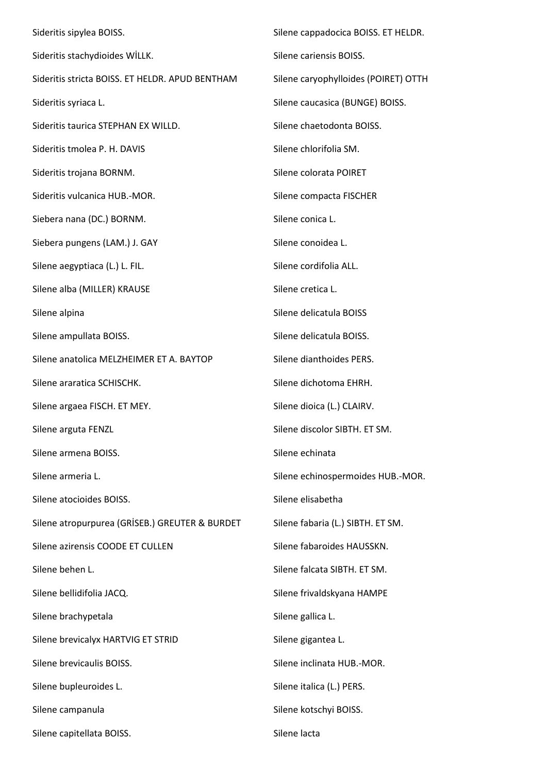Sideritis sipylea BOISS. Sideritis stachydioides WİLLK. Sideritis stricta BOISS. ET HELDR. APUD BENTHAM Sideritis syriaca L. Sideritis taurica STEPHAN EX WILLD. Sideritis tmolea P. H. DAVIS Sideritis trojana BORNM. Sideritis vulcanica HUB.-MOR. Siebera nana (DC.) BORNM. Siebera pungens (LAM.) J. GAY Silene aegyptiaca (L.) L. FIL. Silene alba (MILLER) KRAUSE Silene alpina Silene ampullata BOISS. Silene anatolica MELZHEIMER ET A. BAYTOP Silene araratica SCHISCHK. Silene argaea FISCH. ET MEY. Silene arguta FENZL Silene armena BOISS. Silene armeria L. Silene atocioides BOISS. Silene atropurpurea (GRİSEB.) GREUTER & BURDET Silene azirensis COODE ET CULLEN Silene behen L. Silene bellidifolia JACQ. Silene brachypetala Silene brevicalyx HARTVIG ET STRID Silene brevicaulis BOISS. Silene bupleuroides L. Silene campanula Silene capitellata BOISS. Silene cappadocica BOISS. ET HELDR. Silene cariensis BOISS. Silene caryophylloides (POIRET) OTTH Silene caucasica (BUNGE) BOISS. Silene chaetodonta BOISS. Silene chlorifolia SM. Silene colorata POIRET Silene compacta FISCHER Silene conica L. Silene conoidea L. Silene cordifolia ALL. Silene cretica L. Silene delicatula BOISS Silene delicatula BOISS. Silene dianthoides PERS. Silene dichotoma EHRH. Silene dioica (L.) CLAIRV. Silene discolor SIBTH. ET SM. Silene echinata Silene echinospermoides HUB.-MOR. Silene elisabetha Silene fabaria (L.) SIBTH. ET SM. Silene fabaroides HAUSSKN. Silene falcata SIBTH. ET SM. Silene frivaldskyana HAMPE Silene gallica L. Silene gigantea L. Silene inclinata HUB.-MOR. Silene italica (L.) PERS. Silene kotschyi BOISS. Silene lacta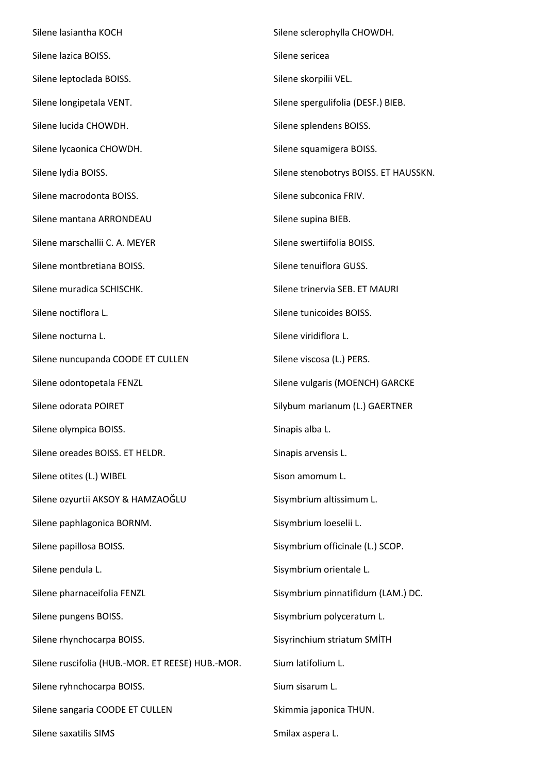Silene lasiantha KOCH Silene lazica BOISS. Silene leptoclada BOISS. Silene longipetala VENT. Silene lucida CHOWDH. Silene lycaonica CHOWDH. Silene lydia BOISS. Silene macrodonta BOISS. Silene mantana ARRONDEAU Silene marschallii C. A. MEYER Silene montbretiana BOISS. Silene muradica SCHISCHK. Silene noctiflora L. Silene nocturna L. Silene nuncupanda COODE ET CULLEN Silene odontopetala FENZL Silene odorata POIRET Silene olympica BOISS. Silene oreades BOISS. ET HELDR. Silene otites (L.) WIBEL Silene ozyurtii AKSOY & HAMZAOĞLU Silene paphlagonica BORNM. Silene papillosa BOISS. Silene pendula L. Silene pharnaceifolia FENZL Silene pungens BOISS. Silene rhynchocarpa BOISS. Silene ruscifolia (HUB.-MOR. ET REESE) HUB.-MOR. Silene ryhnchocarpa BOISS. Silene sangaria COODE ET CULLEN Silene saxatilis SIMS Smilax aspera L.

Silene sclerophylla CHOWDH. Silene sericea Silene skorpilii VEL. Silene spergulifolia (DESF.) BIEB. Silene splendens BOISS. Silene squamigera BOISS. Silene stenobotrys BOISS. ET HAUSSKN. Silene subconica FRIV. Silene supina BIEB. Silene swertiifolia BOISS. Silene tenuiflora GUSS. Silene trinervia SEB. ET MAURI Silene tunicoides BOISS. Silene viridiflora L. Silene viscosa (L.) PERS. Silene vulgaris (MOENCH) GARCKE Silybum marianum (L.) GAERTNER Sinapis alba L. Sinapis arvensis L. Sison amomum L. Sisymbrium altissimum L. Sisymbrium loeselii L. Sisymbrium officinale (L.) SCOP. Sisymbrium orientale L. Sisymbrium pinnatifidum (LAM.) DC. Sisymbrium polyceratum L. Sisyrinchium striatum SMİTH Sium latifolium L. Sium sisarum L. Skimmia japonica THUN.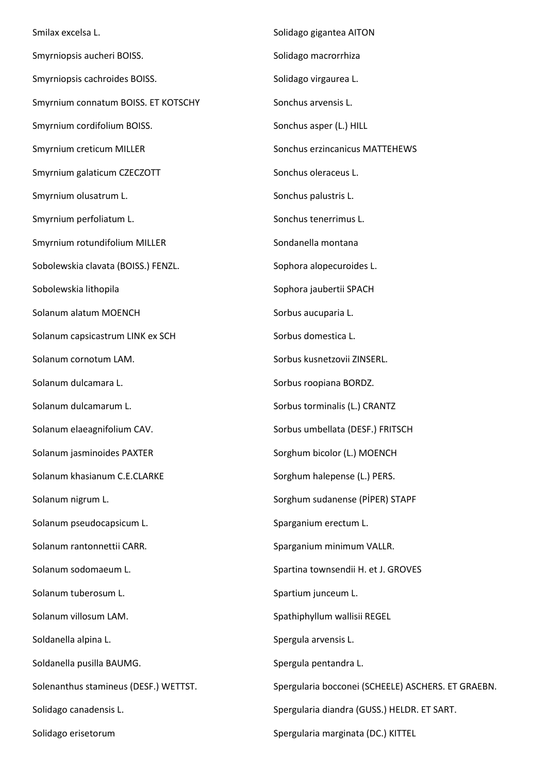Smilax excelsa L. Smyrniopsis aucheri BOISS. Smyrniopsis cachroides BOISS. Smyrnium connatum BOISS. ET KOTSCHY Smyrnium cordifolium BOISS. Smyrnium creticum MILLER Smyrnium galaticum CZECZOTT Smyrnium olusatrum L. Smyrnium perfoliatum L. Smyrnium rotundifolium MILLER Sobolewskia clavata (BOISS.) FENZL. Sobolewskia lithopila Solanum alatum MOENCH Solanum capsicastrum LINK ex SCH Solanum cornotum LAM. Solanum dulcamara L. Solanum dulcamarum L. Solanum elaeagnifolium CAV. Solanum jasminoides PAXTER Solanum khasianum C.E.CLARKE Solanum nigrum L. Solanum pseudocapsicum L. Solanum rantonnettii CARR. Solanum sodomaeum L. Solanum tuberosum L. Solanum villosum LAM. Soldanella alpina L. Soldanella pusilla BAUMG. Solenanthus stamineus (DESF.) WETTST. Solidago canadensis L. Solidago erisetorum Solidago gigantea AITON Solidago macrorrhiza Solidago virgaurea L. Sonchus arvensis L. Sonchus asper (L.) HILL Sonchus erzincanicus MATTEHEWS Sonchus oleraceus L. Sonchus palustris L. Sonchus tenerrimus L. Sondanella montana Sophora alopecuroides L. Sophora jaubertii SPACH Sorbus aucuparia L. Sorbus domestica L. Sorbus kusnetzovii ZINSERL. Sorbus roopiana BORDZ. Sorbus torminalis (L.) CRANTZ Sorbus umbellata (DESF.) FRITSCH Sorghum bicolor (L.) MOENCH Sorghum halepense (L.) PERS. Sorghum sudanense (PİPER) STAPF Sparganium erectum L. Sparganium minimum VALLR. Spartina townsendii H. et J. GROVES Spartium junceum L. Spathiphyllum wallisii REGEL Spergula arvensis L. Spergula pentandra L. Spergularia bocconei (SCHEELE) ASCHERS. ET GRAEBN. Spergularia diandra (GUSS.) HELDR. ET SART. Spergularia marginata (DC.) KITTEL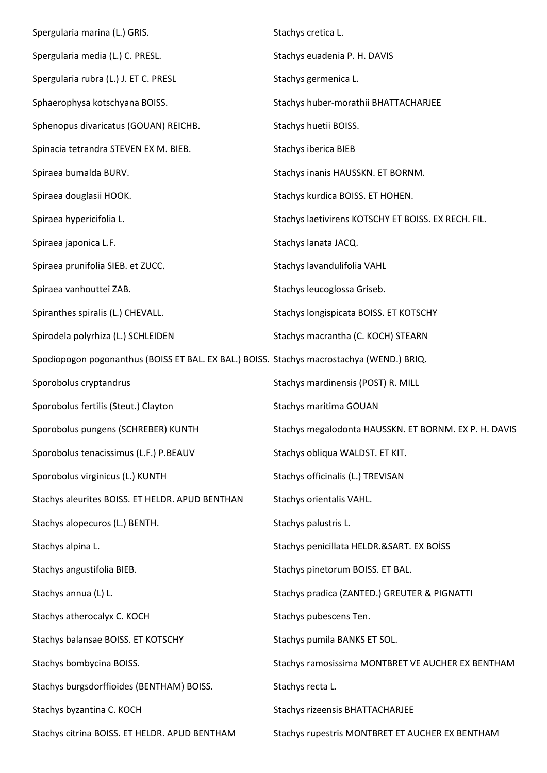| Spergularia marina (L.) GRIS.                                                             | Stachys cretica L.                                    |
|-------------------------------------------------------------------------------------------|-------------------------------------------------------|
| Spergularia media (L.) C. PRESL.                                                          | Stachys euadenia P. H. DAVIS                          |
| Spergularia rubra (L.) J. ET C. PRESL                                                     | Stachys germenica L.                                  |
| Sphaerophysa kotschyana BOISS.                                                            | Stachys huber-morathii BHATTACHARJEE                  |
| Sphenopus divaricatus (GOUAN) REICHB.                                                     | Stachys huetii BOISS.                                 |
| Spinacia tetrandra STEVEN EX M. BIEB.                                                     | <b>Stachys iberica BIEB</b>                           |
| Spiraea bumalda BURV.                                                                     | Stachys inanis HAUSSKN. ET BORNM.                     |
| Spiraea douglasii HOOK.                                                                   | Stachys kurdica BOISS. ET HOHEN.                      |
| Spiraea hypericifolia L.                                                                  | Stachys laetivirens KOTSCHY ET BOISS. EX RECH. FIL.   |
| Spiraea japonica L.F.                                                                     | Stachys lanata JACQ.                                  |
| Spiraea prunifolia SIEB. et ZUCC.                                                         | Stachys lavandulifolia VAHL                           |
| Spiraea vanhouttei ZAB.                                                                   | Stachys leucoglossa Griseb.                           |
| Spiranthes spiralis (L.) CHEVALL.                                                         | Stachys longispicata BOISS. ET KOTSCHY                |
| Spirodela polyrhiza (L.) SCHLEIDEN                                                        | Stachys macrantha (C. KOCH) STEARN                    |
| Spodiopogon pogonanthus (BOISS ET BAL. EX BAL.) BOISS. Stachys macrostachya (WEND.) BRIQ. |                                                       |
| Sporobolus cryptandrus                                                                    | Stachys mardinensis (POST) R. MILL                    |
| Sporobolus fertilis (Steut.) Clayton                                                      | Stachys maritima GOUAN                                |
| Sporobolus pungens (SCHREBER) KUNTH                                                       | Stachys megalodonta HAUSSKN. ET BORNM. EX P. H. DAVIS |
| Sporobolus tenacissimus (L.F.) P.BEAUV                                                    | Stachys obliqua WALDST. ET KIT.                       |
| Sporobolus virginicus (L.) KUNTH                                                          | Stachys officinalis (L.) TREVISAN                     |
| Stachys aleurites BOISS. ET HELDR. APUD BENTHAN                                           | Stachys orientalis VAHL.                              |
| Stachys alopecuros (L.) BENTH.                                                            | Stachys palustris L.                                  |
| Stachys alpina L.                                                                         | Stachys penicillata HELDR.&SART. EX BOİSS             |
| Stachys angustifolia BIEB.                                                                | Stachys pinetorum BOISS. ET BAL.                      |
| Stachys annua (L) L.                                                                      | Stachys pradica (ZANTED.) GREUTER & PIGNATTI          |
| Stachys atherocalyx C. KOCH                                                               | Stachys pubescens Ten.                                |
| Stachys balansae BOISS. ET KOTSCHY                                                        | Stachys pumila BANKS ET SOL.                          |
| Stachys bombycina BOISS.                                                                  | Stachys ramosissima MONTBRET VE AUCHER EX BENTHAM     |
| Stachys burgsdorffioides (BENTHAM) BOISS.                                                 | Stachys recta L.                                      |
| Stachys byzantina C. KOCH                                                                 | Stachys rizeensis BHATTACHARJEE                       |
| Stachys citrina BOISS. ET HELDR. APUD BENTHAM                                             | Stachys rupestris MONTBRET ET AUCHER EX BENTHAM       |
|                                                                                           |                                                       |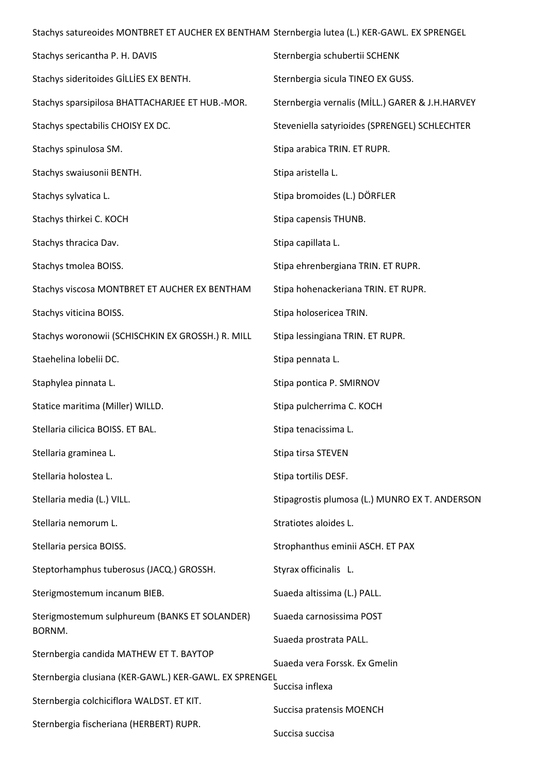Stachys satureoides MONTBRET ET AUCHER EX BENTHAM Sternbergia lutea (L.) KER-GAWL. EX SPRENGEL

| Stachys sericantha P. H. DAVIS                         | Sternbergia schubertii SCHENK                   |
|--------------------------------------------------------|-------------------------------------------------|
| Stachys sideritoides GİLLİES EX BENTH.                 | Sternbergia sicula TINEO EX GUSS.               |
| Stachys sparsipilosa BHATTACHARJEE ET HUB.-MOR.        | Sternbergia vernalis (MİLL.) GARER & J.H.HARVEY |
| Stachys spectabilis CHOISY EX DC.                      | Steveniella satyrioides (SPRENGEL) SCHLECHTER   |
| Stachys spinulosa SM.                                  | Stipa arabica TRIN. ET RUPR.                    |
| Stachys swaiusonii BENTH.                              | Stipa aristella L.                              |
| Stachys sylvatica L.                                   | Stipa bromoides (L.) DÖRFLER                    |
| Stachys thirkei C. KOCH                                | Stipa capensis THUNB.                           |
| Stachys thracica Dav.                                  | Stipa capillata L.                              |
| Stachys tmolea BOISS.                                  | Stipa ehrenbergiana TRIN. ET RUPR.              |
| Stachys viscosa MONTBRET ET AUCHER EX BENTHAM          | Stipa hohenackeriana TRIN. ET RUPR.             |
| Stachys viticina BOISS.                                | Stipa holosericea TRIN.                         |
| Stachys woronowii (SCHISCHKIN EX GROSSH.) R. MILL      | Stipa lessingiana TRIN. ET RUPR.                |
| Staehelina lobelii DC.                                 | Stipa pennata L.                                |
| Staphylea pinnata L.                                   | Stipa pontica P. SMIRNOV                        |
| Statice maritima (Miller) WILLD.                       | Stipa pulcherrima C. KOCH                       |
| Stellaria cilicica BOISS. ET BAL.                      | Stipa tenacissima L.                            |
| Stellaria graminea L.                                  | Stipa tirsa STEVEN                              |
| Stellaria holostea L.                                  | Stipa tortilis DESF.                            |
| Stellaria media (L.) VILL.                             | Stipagrostis plumosa (L.) MUNRO EX T. ANDERSON  |
| Stellaria nemorum L.                                   | Stratiotes aloides L.                           |
| Stellaria persica BOISS.                               | Strophanthus eminii ASCH. ET PAX                |
| Steptorhamphus tuberosus (JACQ.) GROSSH.               | Styrax officinalis L.                           |
| Sterigmostemum incanum BIEB.                           | Suaeda altissima (L.) PALL.                     |
| Sterigmostemum sulphureum (BANKS ET SOLANDER)          | Suaeda carnosissima POST                        |
| BORNM.                                                 | Suaeda prostrata PALL.                          |
| Sternbergia candida MATHEW ET T. BAYTOP                | Suaeda vera Forssk. Ex Gmelin                   |
| Sternbergia clusiana (KER-GAWL.) KER-GAWL. EX SPRENGEL | Succisa inflexa                                 |
| Sternbergia colchiciflora WALDST. ET KIT.              | Succisa pratensis MOENCH                        |
| Sternbergia fischeriana (HERBERT) RUPR.                | Succisa succisa                                 |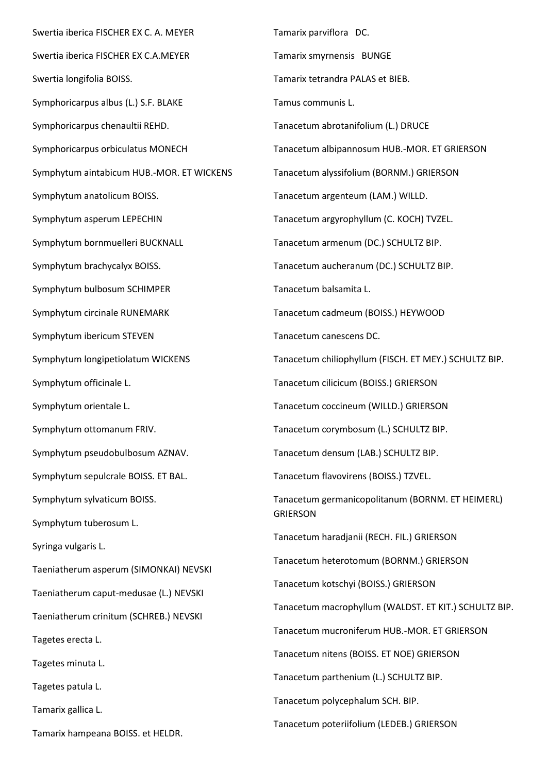Swertia iberica FISCHER EX C. A. MEYER Swertia iberica FISCHER EX C.A.MEYER Swertia longifolia BOISS. Symphoricarpus albus (L.) S.F. BLAKE Symphoricarpus chenaultii REHD. Symphoricarpus orbiculatus MONECH Symphytum aintabicum HUB.-MOR. ET WICKENS Symphytum anatolicum BOISS. Symphytum asperum LEPECHIN Symphytum bornmuelleri BUCKNALL Symphytum brachycalyx BOISS. Symphytum bulbosum SCHIMPER Symphytum circinale RUNEMARK Symphytum ibericum STEVEN Symphytum longipetiolatum WICKENS Symphytum officinale L. Symphytum orientale L. Symphytum ottomanum FRIV. Symphytum pseudobulbosum AZNAV. Symphytum sepulcrale BOISS. ET BAL. Symphytum sylvaticum BOISS. Symphytum tuberosum L. Syringa vulgaris L. Taeniatherum asperum (SIMONKAI) NEVSKI Taeniatherum caput-medusae (L.) NEVSKI Taeniatherum crinitum (SCHREB.) NEVSKI Tagetes erecta L. Tagetes minuta L. Tagetes patula L. Tamarix gallica L. Tamarix hampeana BOISS. et HELDR.

Tamarix parviflora DC. Tamarix smyrnensis BUNGE Tamarix tetrandra PALAS et BIEB. Tamus communis L. Tanacetum abrotanifolium (L.) DRUCE Tanacetum albipannosum HUB.-MOR. ET GRIERSON Tanacetum alyssifolium (BORNM.) GRIERSON Tanacetum argenteum (LAM.) WILLD. Tanacetum argyrophyllum (C. KOCH) TVZEL. Tanacetum armenum (DC.) SCHULTZ BIP. Tanacetum aucheranum (DC.) SCHULTZ BIP. Tanacetum balsamita L. Tanacetum cadmeum (BOISS.) HEYWOOD Tanacetum canescens DC. Tanacetum chiliophyllum (FISCH. ET MEY.) SCHULTZ BIP. Tanacetum cilicicum (BOISS.) GRIERSON Tanacetum coccineum (WILLD.) GRIERSON Tanacetum corymbosum (L.) SCHULTZ BIP. Tanacetum densum (LAB.) SCHULTZ BIP. Tanacetum flavovirens (BOISS.) TZVEL. Tanacetum germanicopolitanum (BORNM. ET HEIMERL) **GRIERSON** Tanacetum haradjanii (RECH. FIL.) GRIERSON Tanacetum heterotomum (BORNM.) GRIERSON Tanacetum kotschyi (BOISS.) GRIERSON Tanacetum macrophyllum (WALDST. ET KIT.) SCHULTZ BIP. Tanacetum mucroniferum HUB.-MOR. ET GRIERSON Tanacetum nitens (BOISS. ET NOE) GRIERSON Tanacetum parthenium (L.) SCHULTZ BIP. Tanacetum polycephalum SCH. BIP. Tanacetum poteriifolium (LEDEB.) GRIERSON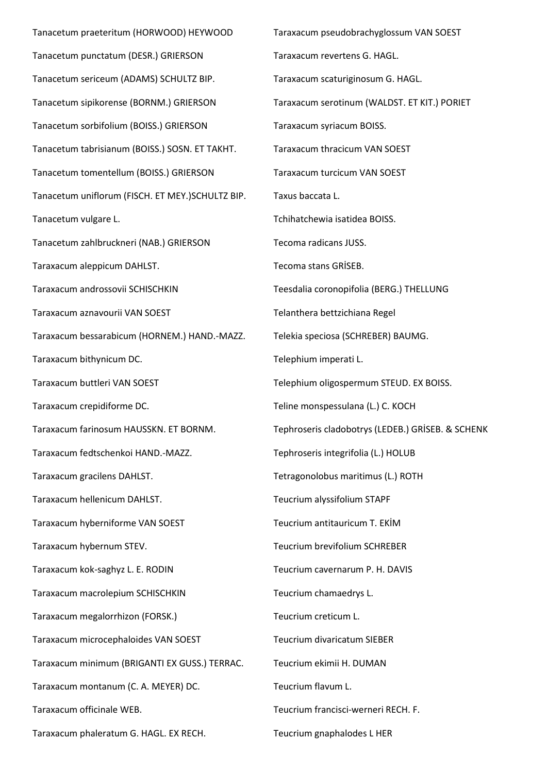Tanacetum praeteritum (HORWOOD) HEYWOOD Tanacetum punctatum (DESR.) GRIERSON Tanacetum sericeum (ADAMS) SCHULTZ BIP. Tanacetum sipikorense (BORNM.) GRIERSON Tanacetum sorbifolium (BOISS.) GRIERSON Tanacetum tabrisianum (BOISS.) SOSN. ET TAKHT. Tanacetum tomentellum (BOISS.) GRIERSON Tanacetum uniflorum (FISCH. ET MEY.)SCHULTZ BIP. Tanacetum vulgare L. Tanacetum zahlbruckneri (NAB.) GRIERSON Taraxacum aleppicum DAHLST. Taraxacum androssovii SCHISCHKIN Taraxacum aznavourii VAN SOEST Taraxacum bessarabicum (HORNEM.) HAND.-MAZZ. Taraxacum bithynicum DC. Taraxacum buttleri VAN SOEST Taraxacum crepidiforme DC. Taraxacum farinosum HAUSSKN. ET BORNM. Taraxacum fedtschenkoi HAND.-MAZZ. Taraxacum gracilens DAHLST. Taraxacum hellenicum DAHLST. Taraxacum hyberniforme VAN SOEST Taraxacum hybernum STEV. Taraxacum kok-saghyz L. E. RODIN Taraxacum macrolepium SCHISCHKIN Taraxacum megalorrhizon (FORSK.) Taraxacum microcephaloides VAN SOEST Taraxacum minimum (BRIGANTI EX GUSS.) TERRAC. Taraxacum montanum (C. A. MEYER) DC. Taraxacum officinale WEB. Taraxacum phaleratum G. HAGL. EX RECH. Teucrium gnaphalodes L HER

Taraxacum pseudobrachyglossum VAN SOEST Taraxacum revertens G. HAGL. Taraxacum scaturiginosum G. HAGL. Taraxacum serotinum (WALDST. ET KIT.) PORIET Taraxacum syriacum BOISS. Taraxacum thracicum VAN SOEST Taraxacum turcicum VAN SOEST Taxus baccata L. Tchihatchewia isatidea BOISS. Tecoma radicans JUSS. Tecoma stans GRİSEB. Teesdalia coronopifolia (BERG.) THELLUNG Telanthera bettzichiana Regel Telekia speciosa (SCHREBER) BAUMG. Telephium imperati L. Telephium oligospermum STEUD. EX BOISS. Teline monspessulana (L.) C. KOCH Tephroseris cladobotrys (LEDEB.) GRİSEB. & SCHENK Tephroseris integrifolia (L.) HOLUB Tetragonolobus maritimus (L.) ROTH Teucrium alyssifolium STAPF Teucrium antitauricum T. EKİM Teucrium brevifolium SCHREBER Teucrium cavernarum P. H. DAVIS Teucrium chamaedrys L. Teucrium creticum L. Teucrium divaricatum SIEBER Teucrium ekimii H. DUMAN Teucrium flavum L. Teucrium francisci-werneri RECH. F.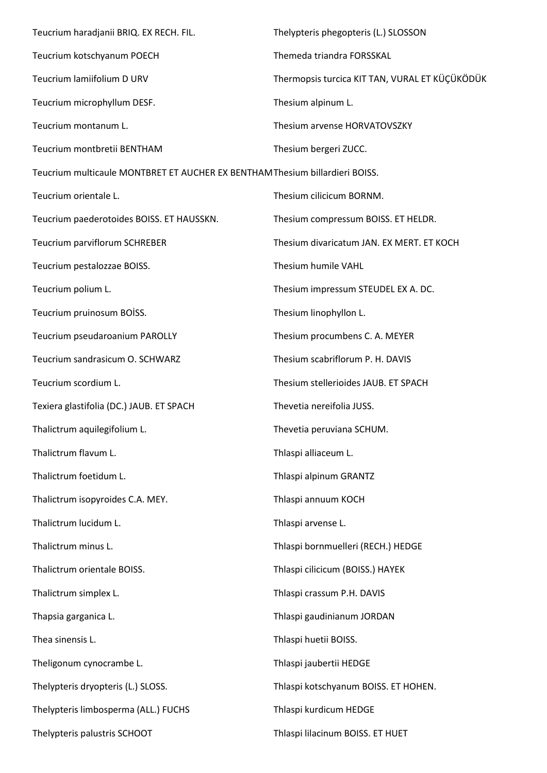| Teucrium haradjanii BRIQ. EX RECH. FIL.                                     | Thelypteris phegopteris (L.) SLOSSON           |  |
|-----------------------------------------------------------------------------|------------------------------------------------|--|
| Teucrium kotschyanum POECH                                                  | Themeda triandra FORSSKAL                      |  |
| Teucrium lamiifolium D URV                                                  | Thermopsis turcica KIT TAN, VURAL ET KÜÇÜKÖDÜK |  |
| Teucrium microphyllum DESF.                                                 | Thesium alpinum L.                             |  |
| Teucrium montanum L.                                                        | Thesium arvense HORVATOVSZKY                   |  |
| Teucrium montbretii BENTHAM                                                 | Thesium bergeri ZUCC.                          |  |
| Teucrium multicaule MONTBRET ET AUCHER EX BENTHAMThesium billardieri BOISS. |                                                |  |
| Teucrium orientale L.                                                       | Thesium cilicicum BORNM.                       |  |
| Teucrium paederotoides BOISS. ET HAUSSKN.                                   | Thesium compressum BOISS. ET HELDR.            |  |
| Teucrium parviflorum SCHREBER                                               | Thesium divaricatum JAN. EX MERT. ET KOCH      |  |
| Teucrium pestalozzae BOISS.                                                 | Thesium humile VAHL                            |  |
| Teucrium polium L.                                                          | Thesium impressum STEUDEL EX A. DC.            |  |
| Teucrium pruinosum BOİSS.                                                   | Thesium linophyllon L.                         |  |
| Teucrium pseudaroanium PAROLLY                                              | Thesium procumbens C. A. MEYER                 |  |
| Teucrium sandrasicum O. SCHWARZ                                             | Thesium scabriflorum P. H. DAVIS               |  |
| Teucrium scordium L.                                                        | Thesium stellerioides JAUB. ET SPACH           |  |
| Texiera glastifolia (DC.) JAUB. ET SPACH                                    | Thevetia nereifolia JUSS.                      |  |
| Thalictrum aquilegifolium L.                                                | Thevetia peruviana SCHUM.                      |  |
| Thalictrum flavum L.                                                        | Thlaspi alliaceum L.                           |  |
| Thalictrum foetidum L.                                                      | Thlaspi alpinum GRANTZ                         |  |
| Thalictrum isopyroides C.A. MEY.                                            | Thlaspi annuum KOCH                            |  |
| Thalictrum lucidum L.                                                       | Thlaspi arvense L.                             |  |
| Thalictrum minus L.                                                         | Thlaspi bornmuelleri (RECH.) HEDGE             |  |
| Thalictrum orientale BOISS.                                                 | Thlaspi cilicicum (BOISS.) HAYEK               |  |
| Thalictrum simplex L.                                                       | Thlaspi crassum P.H. DAVIS                     |  |
| Thapsia garganica L.                                                        | Thlaspi gaudinianum JORDAN                     |  |
| Thea sinensis L.                                                            | Thlaspi huetii BOISS.                          |  |
| Theligonum cynocrambe L.                                                    | Thlaspi jaubertii HEDGE                        |  |
| Thelypteris dryopteris (L.) SLOSS.                                          | Thlaspi kotschyanum BOISS. ET HOHEN.           |  |
| Thelypteris limbosperma (ALL.) FUCHS                                        | Thlaspi kurdicum HEDGE                         |  |
| Thelypteris palustris SCHOOT                                                | Thlaspi lilacinum BOISS. ET HUET               |  |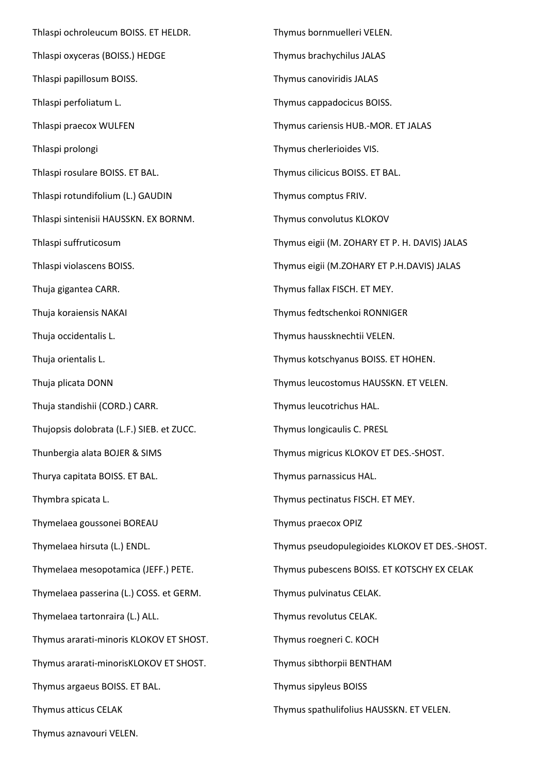Thlaspi ochroleucum BOISS. ET HELDR. Thlaspi oxyceras (BOISS.) HEDGE Thlaspi papillosum BOISS. Thlaspi perfoliatum L. Thlaspi praecox WULFEN Thlaspi prolongi Thlaspi rosulare BOISS. ET BAL. Thlaspi rotundifolium (L.) GAUDIN Thlaspi sintenisii HAUSSKN. EX BORNM. Thlaspi suffruticosum Thlaspi violascens BOISS. Thuja gigantea CARR. Thuja koraiensis NAKAI Thuja occidentalis L. Thuja orientalis L. Thuja plicata DONN Thuja standishii (CORD.) CARR. Thujopsis dolobrata (L.F.) SIEB. et ZUCC. Thunbergia alata BOJER & SIMS Thurya capitata BOISS. ET BAL. Thymbra spicata L. Thymelaea goussonei BOREAU Thymelaea hirsuta (L.) ENDL. Thymelaea mesopotamica (JEFF.) PETE. Thymelaea passerina (L.) COSS. et GERM. Thymelaea tartonraira (L.) ALL. Thymus ararati-minoris KLOKOV ET SHOST. Thymus ararati-minorisKLOKOV ET SHOST. Thymus argaeus BOISS. ET BAL. Thymus atticus CELAK Thymus aznavouri VELEN.

Thymus bornmuelleri VELEN. Thymus brachychilus JALAS Thymus canoviridis JALAS Thymus cappadocicus BOISS. Thymus cariensis HUB.-MOR. ET JALAS Thymus cherlerioides VIS. Thymus cilicicus BOISS. ET BAL. Thymus comptus FRIV. Thymus convolutus KLOKOV Thymus eigii (M. ZOHARY ET P. H. DAVIS) JALAS Thymus eigii (M.ZOHARY ET P.H.DAVIS) JALAS Thymus fallax FISCH. ET MEY. Thymus fedtschenkoi RONNIGER Thymus haussknechtii VELEN. Thymus kotschyanus BOISS. ET HOHEN. Thymus leucostomus HAUSSKN. ET VELEN. Thymus leucotrichus HAL. Thymus longicaulis C. PRESL Thymus migricus KLOKOV ET DES.-SHOST. Thymus parnassicus HAL. Thymus pectinatus FISCH. ET MEY. Thymus praecox OPIZ Thymus pseudopulegioides KLOKOV ET DES.-SHOST. Thymus pubescens BOISS. ET KOTSCHY EX CELAK Thymus pulvinatus CELAK. Thymus revolutus CELAK. Thymus roegneri C. KOCH Thymus sibthorpii BENTHAM Thymus sipyleus BOISS Thymus spathulifolius HAUSSKN. ET VELEN.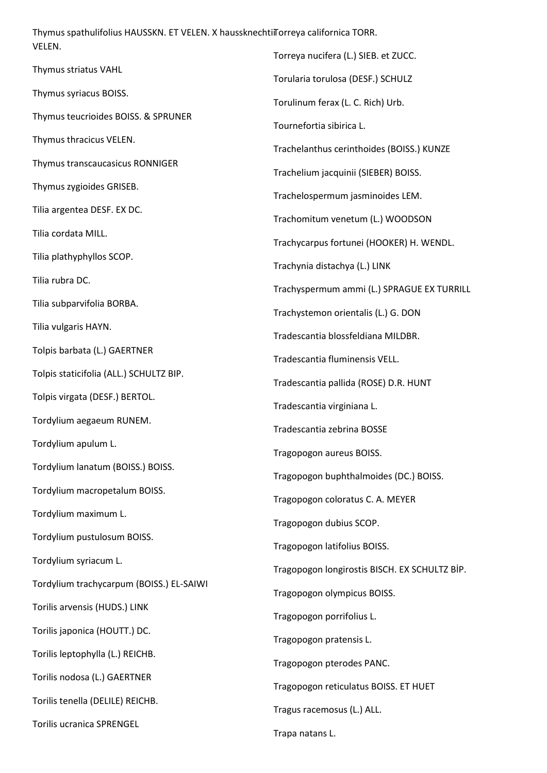Thymus spathulifolius HAUSSKN. ET VELEN. X haussknechtiiTorreya californica TORR. VELEN.

Thymus striatus VAHL Thymus syriacus BOISS. Thymus teucrioides BOISS. & SPRUNER Thymus thracicus VELEN. Thymus transcaucasicus RONNIGER Thymus zygioides GRISEB. Tilia argentea DESF. EX DC. Tilia cordata MILL. Tilia plathyphyllos SCOP. Tilia rubra DC. Tilia subparvifolia BORBA. Tilia vulgaris HAYN. Tolpis barbata (L.) GAERTNER Tolpis staticifolia (ALL.) SCHULTZ BIP. Tolpis virgata (DESF.) BERTOL. Tordylium aegaeum RUNEM. Tordylium apulum L. Tordylium lanatum (BOISS.) BOISS. Tordylium macropetalum BOISS. Tordylium maximum L. Tordylium pustulosum BOISS. Tordylium syriacum L. Tordylium trachycarpum (BOISS.) EL-SAIWI Torilis arvensis (HUDS.) LINK Torilis japonica (HOUTT.) DC. Torilis leptophylla (L.) REICHB. Torilis nodosa (L.) GAERTNER Torilis tenella (DELILE) REICHB. Torilis ucranica SPRENGEL Torreya nucifera (L.) SIEB. et ZUCC. Torularia torulosa (DESF.) SCHULZ Torulinum ferax (L. C. Rich) Urb. Tournefortia sibirica L. Trachelanthus cerinthoides (BOISS.) KUNZE Trachelium jacquinii (SIEBER) BOISS. Trachelospermum jasminoides LEM. Trachomitum venetum (L.) WOODSON Trachycarpus fortunei (HOOKER) H. WENDL. Trachynia distachya (L.) LINK Trachyspermum ammi (L.) SPRAGUE EX TURRILL Trachystemon orientalis (L.) G. DON Tradescantia blossfeldiana MILDBR. Tradescantia fluminensis VELL. Tradescantia pallida (ROSE) D.R. HUNT Tradescantia virginiana L. Tradescantia zebrina BOSSE Tragopogon aureus BOISS. Tragopogon buphthalmoides (DC.) BOISS. Tragopogon coloratus C. A. MEYER Tragopogon dubius SCOP. Tragopogon latifolius BOISS. Tragopogon longirostis BISCH. EX SCHULTZ BİP. Tragopogon olympicus BOISS. Tragopogon porrifolius L. Tragopogon pratensis L. Tragopogon pterodes PANC. Tragopogon reticulatus BOISS. ET HUET Tragus racemosus (L.) ALL. Trapa natans L.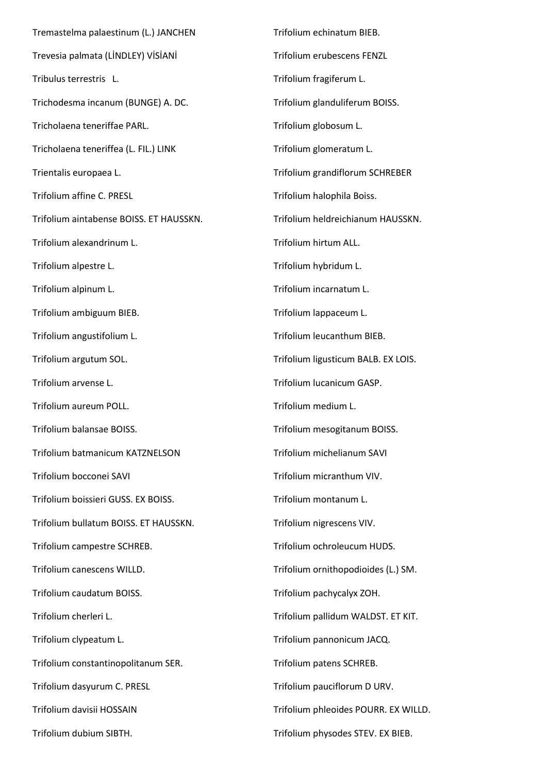Tremastelma palaestinum (L.) JANCHEN Trevesia palmata (LİNDLEY) VİSİANİ Tribulus terrestris L. Trichodesma incanum (BUNGE) A. DC. Tricholaena teneriffae PARL. Tricholaena teneriffea (L. FIL.) LINK Trientalis europaea L. Trifolium affine C. PRESL Trifolium aintabense BOISS. ET HAUSSKN. Trifolium alexandrinum L. Trifolium alpestre L. Trifolium alpinum L. Trifolium ambiguum BIEB. Trifolium angustifolium L. Trifolium argutum SOL. Trifolium arvense L. Trifolium aureum POLL. Trifolium balansae BOISS. Trifolium batmanicum KATZNELSON Trifolium bocconei SAVI Trifolium boissieri GUSS. EX BOISS. Trifolium bullatum BOISS. ET HAUSSKN. Trifolium campestre SCHREB. Trifolium canescens WILLD. Trifolium caudatum BOISS. Trifolium cherleri L. Trifolium clypeatum L. Trifolium constantinopolitanum SER. Trifolium dasyurum C. PRESL Trifolium davisii HOSSAIN Trifolium dubium SIBTH.

Trifolium echinatum BIEB. Trifolium erubescens FENZL Trifolium fragiferum L. Trifolium glanduliferum BOISS. Trifolium globosum L. Trifolium glomeratum L. Trifolium grandiflorum SCHREBER Trifolium halophila Boiss. Trifolium heldreichianum HAUSSKN. Trifolium hirtum ALL. Trifolium hybridum L. Trifolium incarnatum L. Trifolium lappaceum L. Trifolium leucanthum BIEB. Trifolium ligusticum BALB. EX LOIS. Trifolium lucanicum GASP. Trifolium medium L. Trifolium mesogitanum BOISS. Trifolium michelianum SAVI Trifolium micranthum VIV. Trifolium montanum L. Trifolium nigrescens VIV. Trifolium ochroleucum HUDS. Trifolium ornithopodioides (L.) SM. Trifolium pachycalyx ZOH. Trifolium pallidum WALDST. ET KIT. Trifolium pannonicum JACQ. Trifolium patens SCHREB. Trifolium pauciflorum D URV. Trifolium phleoides POURR. EX WILLD. Trifolium physodes STEV. EX BIEB.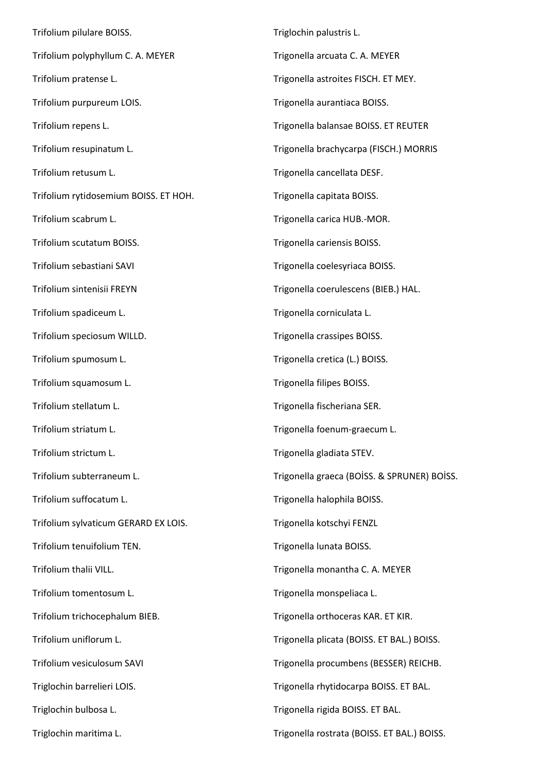Trifolium pilulare BOISS. Trifolium polyphyllum C. A. MEYER Trifolium pratense L. Trifolium purpureum LOIS. Trifolium repens L. Trifolium resupinatum L. Trifolium retusum L. Trifolium rytidosemium BOISS. ET HOH. Trifolium scabrum L. Trifolium scutatum BOISS. Trifolium sebastiani SAVI Trifolium sintenisii FREYN Trifolium spadiceum L. Trifolium speciosum WILLD. Trifolium spumosum L. Trifolium squamosum L. Trifolium stellatum L. Trifolium striatum L. Trifolium strictum L. Trifolium subterraneum L. Trifolium suffocatum L. Trifolium sylvaticum GERARD EX LOIS. Trifolium tenuifolium TEN. Trifolium thalii VILL. Trifolium tomentosum L. Trifolium trichocephalum BIEB. Trifolium uniflorum L. Trifolium vesiculosum SAVI Triglochin barrelieri LOIS. Triglochin bulbosa L. Triglochin maritima L. Triglochin palustris L. Trigonella arcuata C. A. MEYER Trigonella astroites FISCH. ET MEY. Trigonella aurantiaca BOISS. Trigonella balansae BOISS. ET REUTER Trigonella brachycarpa (FISCH.) MORRIS Trigonella cancellata DESF. Trigonella capitata BOISS. Trigonella carica HUB.-MOR. Trigonella cariensis BOISS. Trigonella coelesyriaca BOISS. Trigonella coerulescens (BIEB.) HAL. Trigonella corniculata L. Trigonella crassipes BOISS. Trigonella cretica (L.) BOISS. Trigonella filipes BOISS. Trigonella fischeriana SER. Trigonella foenum-graecum L. Trigonella gladiata STEV. Trigonella graeca (BOİSS. & SPRUNER) BOİSS. Trigonella halophila BOISS. Trigonella kotschyi FENZL Trigonella lunata BOISS. Trigonella monantha C. A. MEYER Trigonella monspeliaca L. Trigonella orthoceras KAR. ET KIR. Trigonella plicata (BOISS. ET BAL.) BOISS. Trigonella procumbens (BESSER) REICHB. Trigonella rhytidocarpa BOISS. ET BAL. Trigonella rigida BOISS. ET BAL. Trigonella rostrata (BOISS. ET BAL.) BOISS.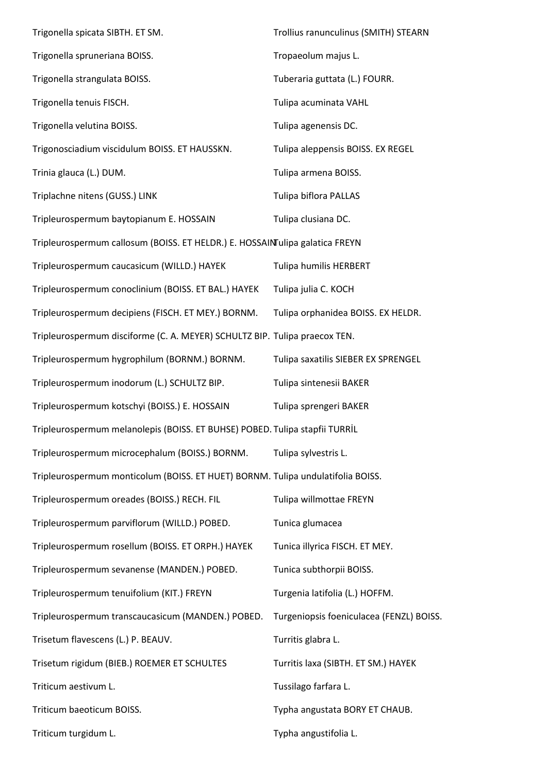| Trigonella spicata SIBTH. ET SM.                                                | Trollius ranunculinus (SMITH) STEARN     |
|---------------------------------------------------------------------------------|------------------------------------------|
| Trigonella spruneriana BOISS.                                                   | Tropaeolum majus L.                      |
| Trigonella strangulata BOISS.                                                   | Tuberaria guttata (L.) FOURR.            |
| Trigonella tenuis FISCH.                                                        | Tulipa acuminata VAHL                    |
| Trigonella velutina BOISS.                                                      | Tulipa agenensis DC.                     |
| Trigonosciadium viscidulum BOISS. ET HAUSSKN.                                   | Tulipa aleppensis BOISS. EX REGEL        |
| Trinia glauca (L.) DUM.                                                         | Tulipa armena BOISS.                     |
| Triplachne nitens (GUSS.) LINK                                                  | Tulipa biflora PALLAS                    |
| Tripleurospermum baytopianum E. HOSSAIN                                         | Tulipa clusiana DC.                      |
| Tripleurospermum callosum (BOISS. ET HELDR.) E. HOSSAINTulipa galatica FREYN    |                                          |
| Tripleurospermum caucasicum (WILLD.) HAYEK                                      | Tulipa humilis HERBERT                   |
| Tripleurospermum conoclinium (BOISS. ET BAL.) HAYEK                             | Tulipa julia C. KOCH                     |
| Tripleurospermum decipiens (FISCH. ET MEY.) BORNM.                              | Tulipa orphanidea BOISS. EX HELDR.       |
| Tripleurospermum disciforme (C. A. MEYER) SCHULTZ BIP. Tulipa praecox TEN.      |                                          |
| Tripleurospermum hygrophilum (BORNM.) BORNM.                                    | Tulipa saxatilis SIEBER EX SPRENGEL      |
| Tripleurospermum inodorum (L.) SCHULTZ BIP.                                     | Tulipa sintenesii BAKER                  |
| Tripleurospermum kotschyi (BOISS.) E. HOSSAIN                                   | Tulipa sprengeri BAKER                   |
| Tripleurospermum melanolepis (BOISS. ET BUHSE) POBED. Tulipa stapfii TURRİL     |                                          |
| Tripleurospermum microcephalum (BOISS.) BORNM.                                  | Tulipa sylvestris L.                     |
| Tripleurospermum monticolum (BOISS. ET HUET) BORNM. Tulipa undulatifolia BOISS. |                                          |
| Tripleurospermum oreades (BOISS.) RECH. FIL                                     | Tulipa willmottae FREYN                  |
| Tripleurospermum parviflorum (WILLD.) POBED.                                    | Tunica glumacea                          |
| Tripleurospermum rosellum (BOISS. ET ORPH.) HAYEK                               | Tunica illyrica FISCH. ET MEY.           |
| Tripleurospermum sevanense (MANDEN.) POBED.                                     | Tunica subthorpii BOISS.                 |
| Tripleurospermum tenuifolium (KIT.) FREYN                                       | Turgenia latifolia (L.) HOFFM.           |
| Tripleurospermum transcaucasicum (MANDEN.) POBED.                               | Turgeniopsis foeniculacea (FENZL) BOISS. |
| Trisetum flavescens (L.) P. BEAUV.                                              | Turritis glabra L.                       |
| Trisetum rigidum (BIEB.) ROEMER ET SCHULTES                                     | Turritis laxa (SIBTH. ET SM.) HAYEK      |
| Triticum aestivum L.                                                            | Tussilago farfara L.                     |
| Triticum baeoticum BOISS.                                                       | Typha angustata BORY ET CHAUB.           |
| Triticum turgidum L.                                                            | Typha angustifolia L.                    |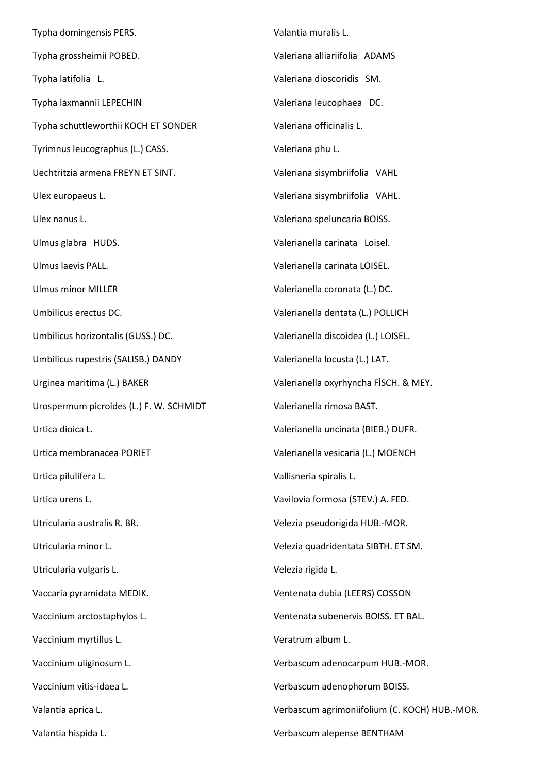Typha domingensis PERS. Typha grossheimii POBED. Typha latifolia L. Typha laxmannii LEPECHIN Typha schuttleworthii KOCH ET SONDER Tyrimnus leucographus (L.) CASS. Uechtritzia armena FREYN ET SINT. Ulex europaeus L. Ulex nanus L. Ulmus glabra HUDS. Ulmus laevis PALL. Ulmus minor MILLER Umbilicus erectus DC. Umbilicus horizontalis (GUSS.) DC. Umbilicus rupestris (SALISB.) DANDY Urginea maritima (L.) BAKER Urospermum picroides (L.) F. W. SCHMIDT Urtica dioica L. Urtica membranacea PORIET Urtica pilulifera L. Urtica urens L. Utricularia australis R. BR. Utricularia minor L. Utricularia vulgaris L. Vaccaria pyramidata MEDIK. Vaccinium arctostaphylos L. Vaccinium myrtillus L. Vaccinium uliginosum L. Vaccinium vitis-idaea L. Valantia aprica L. Valantia hispida L. Valantia muralis L. Valeriana alliariifolia ADAMS Valeriana dioscoridis SM. Valeriana leucophaea DC. Valeriana officinalis L. Valeriana phu L. Valeriana sisymbriifolia VAHL Valeriana sisymbriifolia VAHL. Valeriana speluncaria BOISS. Valerianella carinata Loisel. Valerianella carinata LOISEL. Valerianella coronata (L.) DC. Valerianella dentata (L.) POLLICH Valerianella discoidea (L.) LOISEL. Valerianella locusta (L.) LAT. Valerianella oxyrhyncha FİSCH. & MEY. Valerianella rimosa BAST. Valerianella uncinata (BIEB.) DUFR. Valerianella vesicaria (L.) MOENCH Vallisneria spiralis L. Vavilovia formosa (STEV.) A. FED. Velezia pseudorigida HUB.-MOR. Velezia quadridentata SIBTH. ET SM. Velezia rigida L. Ventenata dubia (LEERS) COSSON Ventenata subenervis BOISS. ET BAL. Veratrum album L. Verbascum adenocarpum HUB.-MOR. Verbascum adenophorum BOISS. Verbascum agrimoniifolium (C. KOCH) HUB.-MOR. Verbascum alepense BENTHAM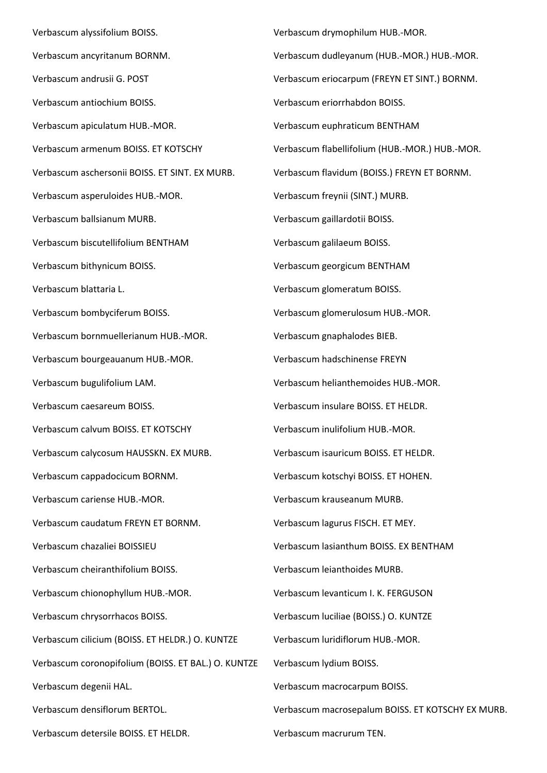Verbascum alyssifolium BOISS. Verbascum ancyritanum BORNM. Verbascum andrusii G. POST Verbascum antiochium BOISS. Verbascum apiculatum HUB.-MOR. Verbascum armenum BOISS. ET KOTSCHY Verbascum aschersonii BOISS. ET SINT. EX MURB. Verbascum asperuloides HUB.-MOR. Verbascum ballsianum MURB. Verbascum biscutellifolium BENTHAM Verbascum bithynicum BOISS. Verbascum blattaria L. Verbascum bombyciferum BOISS. Verbascum bornmuellerianum HUB.-MOR. Verbascum bourgeauanum HUB.-MOR. Verbascum bugulifolium LAM. Verbascum caesareum BOISS. Verbascum calvum BOISS. ET KOTSCHY Verbascum calycosum HAUSSKN. EX MURB. Verbascum cappadocicum BORNM. Verbascum cariense HUB.-MOR. Verbascum caudatum FREYN ET BORNM. Verbascum chazaliei BOISSIEU Verbascum cheiranthifolium BOISS. Verbascum chionophyllum HUB.-MOR. Verbascum chrysorrhacos BOISS. Verbascum cilicium (BOISS. ET HELDR.) O. KUNTZE Verbascum coronopifolium (BOISS. ET BAL.) O. KUNTZE Verbascum degenii HAL. Verbascum densiflorum BERTOL. Verbascum detersile BOISS. ET HELDR.

Verbascum drymophilum HUB.-MOR. Verbascum dudleyanum (HUB.-MOR.) HUB.-MOR. Verbascum eriocarpum (FREYN ET SINT.) BORNM. Verbascum eriorrhabdon BOISS. Verbascum euphraticum BENTHAM Verbascum flabellifolium (HUB.-MOR.) HUB.-MOR. Verbascum flavidum (BOISS.) FREYN ET BORNM. Verbascum freynii (SINT.) MURB. Verbascum gaillardotii BOISS. Verbascum galilaeum BOISS. Verbascum georgicum BENTHAM Verbascum glomeratum BOISS. Verbascum glomerulosum HUB.-MOR. Verbascum gnaphalodes BIEB. Verbascum hadschinense FREYN Verbascum helianthemoides HUB.-MOR. Verbascum insulare BOISS. ET HELDR. Verbascum inulifolium HUB.-MOR. Verbascum isauricum BOISS. ET HELDR. Verbascum kotschyi BOISS. ET HOHEN. Verbascum krauseanum MURB. Verbascum lagurus FISCH. ET MEY. Verbascum lasianthum BOISS. EX BENTHAM Verbascum leianthoides MURB. Verbascum levanticum I. K. FERGUSON Verbascum luciliae (BOISS.) O. KUNTZE Verbascum luridiflorum HUB.-MOR. Verbascum lydium BOISS. Verbascum macrocarpum BOISS. Verbascum macrosepalum BOISS. ET KOTSCHY EX MURB. Verbascum macrurum TEN.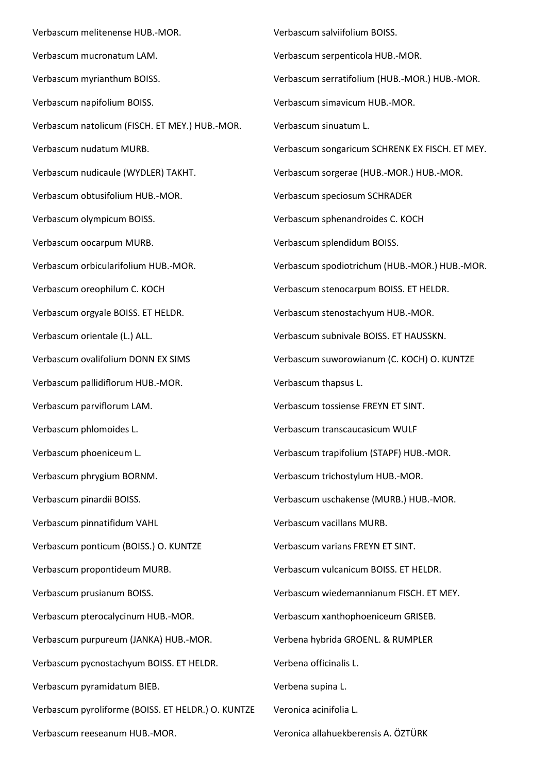Verbascum melitenense HUB.-MOR. Verbascum mucronatum LAM. Verbascum myrianthum BOISS. Verbascum napifolium BOISS. Verbascum natolicum (FISCH. ET MEY.) HUB.-MOR. Verbascum nudatum MURB. Verbascum nudicaule (WYDLER) TAKHT. Verbascum obtusifolium HUB.-MOR. Verbascum olympicum BOISS. Verbascum oocarpum MURB. Verbascum orbicularifolium HUB.-MOR. Verbascum oreophilum C. KOCH Verbascum orgyale BOISS. ET HELDR. Verbascum orientale (L.) ALL. Verbascum ovalifolium DONN EX SIMS Verbascum pallidiflorum HUB.-MOR. Verbascum parviflorum LAM. Verbascum phlomoides L. Verbascum phoeniceum L. Verbascum phrygium BORNM. Verbascum pinardii BOISS. Verbascum pinnatifidum VAHL Verbascum ponticum (BOISS.) O. KUNTZE Verbascum propontideum MURB. Verbascum prusianum BOISS. Verbascum pterocalycinum HUB.-MOR. Verbascum purpureum (JANKA) HUB.-MOR. Verbascum pycnostachyum BOISS. ET HELDR. Verbascum pyramidatum BIEB. Verbascum pyroliforme (BOISS. ET HELDR.) O. KUNTZE Verbascum reeseanum HUB.-MOR.

Verbascum salviifolium BOISS. Verbascum serpenticola HUB.-MOR. Verbascum serratifolium (HUB.-MOR.) HUB.-MOR. Verbascum simavicum HUB.-MOR. Verbascum sinuatum L. Verbascum songaricum SCHRENK EX FISCH. ET MEY. Verbascum sorgerae (HUB.-MOR.) HUB.-MOR. Verbascum speciosum SCHRADER Verbascum sphenandroides C. KOCH Verbascum splendidum BOISS. Verbascum spodiotrichum (HUB.-MOR.) HUB.-MOR. Verbascum stenocarpum BOISS. ET HELDR. Verbascum stenostachyum HUB.-MOR. Verbascum subnivale BOISS. ET HAUSSKN. Verbascum suworowianum (C. KOCH) O. KUNTZE Verbascum thapsus L. Verbascum tossiense FREYN ET SINT. Verbascum transcaucasicum WULF Verbascum trapifolium (STAPF) HUB.-MOR. Verbascum trichostylum HUB.-MOR. Verbascum uschakense (MURB.) HUB.-MOR. Verbascum vacillans MURB. Verbascum varians FREYN ET SINT. Verbascum vulcanicum BOISS. ET HELDR. Verbascum wiedemannianum FISCH. ET MEY. Verbascum xanthophoeniceum GRISEB. Verbena hybrida GROENL. & RUMPLER Verbena officinalis L. Verbena supina L. Veronica acinifolia L. Veronica allahuekberensis A. ÖZTÜRK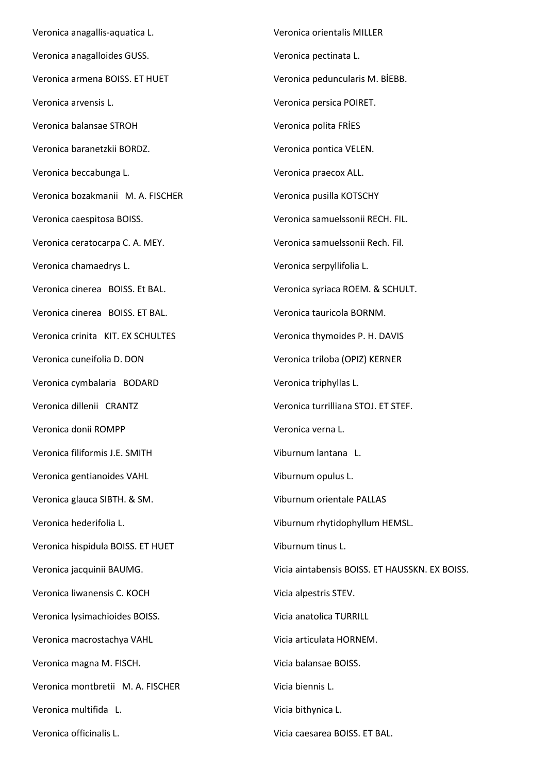Veronica anagallis-aquatica L. Veronica anagalloides GUSS. Veronica armena BOISS. ET HUET Veronica arvensis L. Veronica balansae STROH Veronica baranetzkii BORDZ. Veronica beccabunga L. Veronica bozakmanii M. A. FISCHER Veronica caespitosa BOISS. Veronica ceratocarpa C. A. MEY. Veronica chamaedrys L. Veronica cinerea BOISS. Et BAL. Veronica cinerea BOISS. ET BAL. Veronica crinita KIT. EX SCHULTES Veronica cuneifolia D. DON Veronica cymbalaria BODARD Veronica dillenii CRANTZ Veronica donii ROMPP Veronica filiformis J.E. SMITH Veronica gentianoides VAHL Veronica glauca SIBTH. & SM. Veronica hederifolia L. Veronica hispidula BOISS. ET HUET Veronica jacquinii BAUMG. Veronica liwanensis C. KOCH Veronica lysimachioides BOISS. Veronica macrostachya VAHL Veronica magna M. FISCH. Veronica montbretii M. A. FISCHER Veronica multifida L. Veronica officinalis L.

Veronica orientalis MILLER Veronica pectinata L. Veronica peduncularis M. BİEBB. Veronica persica POIRET. Veronica polita FRİES Veronica pontica VELEN. Veronica praecox ALL. Veronica pusilla KOTSCHY Veronica samuelssonii RECH. FIL. Veronica samuelssonii Rech. Fil. Veronica serpyllifolia L. Veronica syriaca ROEM. & SCHULT. Veronica tauricola BORNM. Veronica thymoides P. H. DAVIS Veronica triloba (OPIZ) KERNER Veronica triphyllas L. Veronica turrilliana STOJ. ET STEF. Veronica verna L. Viburnum lantana L. Viburnum opulus L. Viburnum orientale PALLAS Viburnum rhytidophyllum HEMSL. Viburnum tinus L. Vicia aintabensis BOISS. ET HAUSSKN. EX BOISS. Vicia alpestris STEV. Vicia anatolica TURRILL Vicia articulata HORNEM. Vicia balansae BOISS. Vicia biennis L. Vicia bithynica L.

Vicia caesarea BOISS. ET BAL.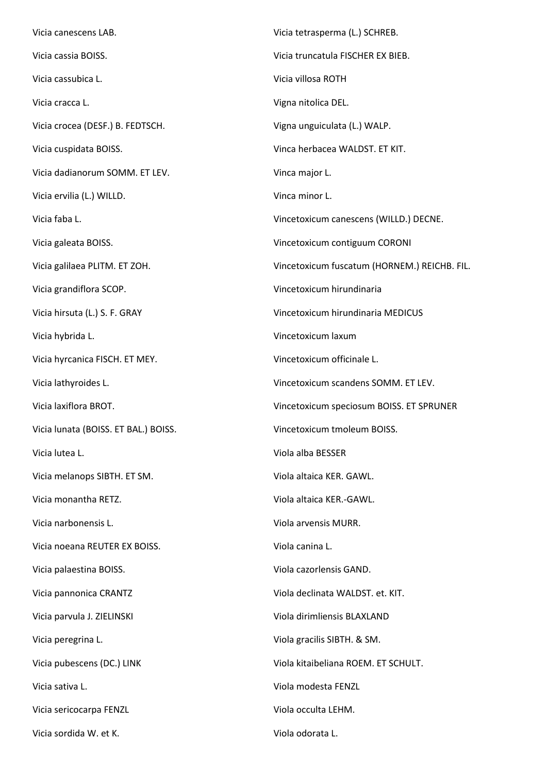Vicia canescens LAB. Vicia cassia BOISS. Vicia cassubica L. Vicia cracca L. Vicia crocea (DESF.) B. FEDTSCH. Vicia cuspidata BOISS. Vicia dadianorum SOMM. ET LEV. Vicia ervilia (L.) WILLD. Vicia faba L. Vicia galeata BOISS. Vicia galilaea PLITM. ET ZOH. Vicia grandiflora SCOP. Vicia hirsuta (L.) S. F. GRAY Vicia hybrida L. Vicia hyrcanica FISCH. ET MEY. Vicia lathyroides L. Vicia laxiflora BROT. Vicia lunata (BOISS. ET BAL.) BOISS. Vicia lutea L. Vicia melanops SIBTH. ET SM. Vicia monantha RETZ. Vicia narbonensis L. Vicia noeana REUTER EX BOISS. Vicia palaestina BOISS. Vicia pannonica CRANTZ Vicia parvula J. ZIELINSKI Vicia peregrina L. Vicia pubescens (DC.) LINK Vicia sativa L. Vicia sericocarpa FENZL Vicia sordida W. et K. Vicia tetrasperma (L.) SCHREB. Vicia truncatula FISCHER EX BIEB. Vicia villosa ROTH Vigna nitolica DEL. Vigna unguiculata (L.) WALP. Vinca herbacea WALDST. ET KIT. Vinca major L. Vinca minor L. Vincetoxicum canescens (WILLD.) DECNE. Vincetoxicum contiguum CORONI Vincetoxicum fuscatum (HORNEM.) REICHB. FIL. Vincetoxicum hirundinaria Vincetoxicum hirundinaria MEDICUS Vincetoxicum laxum Vincetoxicum officinale L. Vincetoxicum scandens SOMM. ET LEV. Vincetoxicum speciosum BOISS. ET SPRUNER Vincetoxicum tmoleum BOISS. Viola alba BESSER Viola altaica KER. GAWL. Viola altaica KER.-GAWL. Viola arvensis MURR. Viola canina L. Viola cazorlensis GAND. Viola declinata WALDST. et. KIT. Viola dirimliensis BLAXLAND Viola gracilis SIBTH. & SM. Viola kitaibeliana ROEM. ET SCHULT. Viola modesta FENZL Viola occulta LEHM. Viola odorata L.